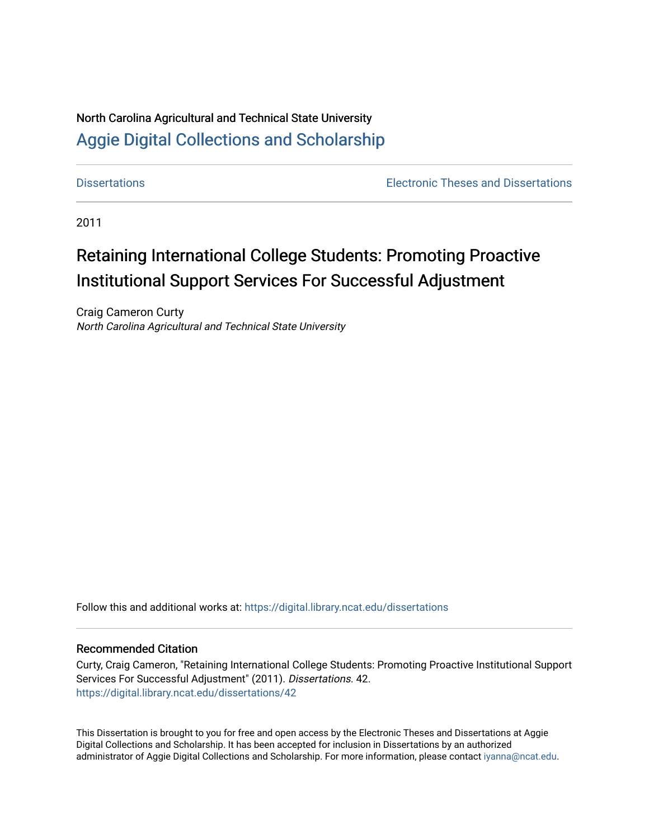# North Carolina Agricultural and Technical State University [Aggie Digital Collections and Scholarship](https://digital.library.ncat.edu/)

[Dissertations](https://digital.library.ncat.edu/dissertations) [Electronic Theses and Dissertations](https://digital.library.ncat.edu/etds) 

2011

# Retaining International College Students: Promoting Proactive Institutional Support Services For Successful Adjustment

Craig Cameron Curty North Carolina Agricultural and Technical State University

Follow this and additional works at: [https://digital.library.ncat.edu/dissertations](https://digital.library.ncat.edu/dissertations?utm_source=digital.library.ncat.edu%2Fdissertations%2F42&utm_medium=PDF&utm_campaign=PDFCoverPages)

## Recommended Citation

Curty, Craig Cameron, "Retaining International College Students: Promoting Proactive Institutional Support Services For Successful Adjustment" (2011). Dissertations. 42. [https://digital.library.ncat.edu/dissertations/42](https://digital.library.ncat.edu/dissertations/42?utm_source=digital.library.ncat.edu%2Fdissertations%2F42&utm_medium=PDF&utm_campaign=PDFCoverPages) 

This Dissertation is brought to you for free and open access by the Electronic Theses and Dissertations at Aggie Digital Collections and Scholarship. It has been accepted for inclusion in Dissertations by an authorized administrator of Aggie Digital Collections and Scholarship. For more information, please contact [iyanna@ncat.edu](mailto:iyanna@ncat.edu).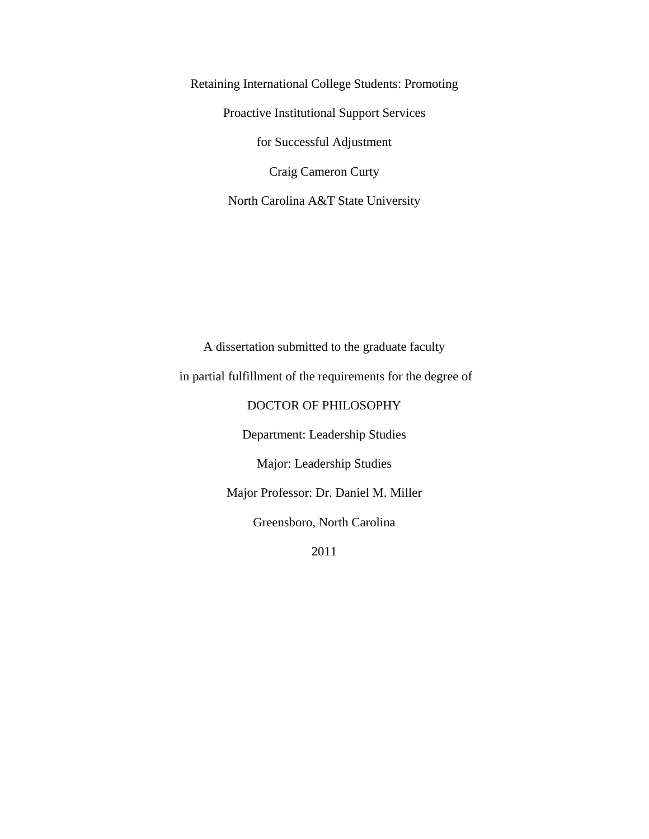Retaining International College Students: Promoting Proactive Institutional Support Services for Successful Adjustment Craig Cameron Curty North Carolina A&T State University

A dissertation submitted to the graduate faculty in partial fulfillment of the requirements for the degree of DOCTOR OF PHILOSOPHY Department: Leadership Studies Major: Leadership Studies

Major Professor: Dr. Daniel M. Miller

Greensboro, North Carolina

2011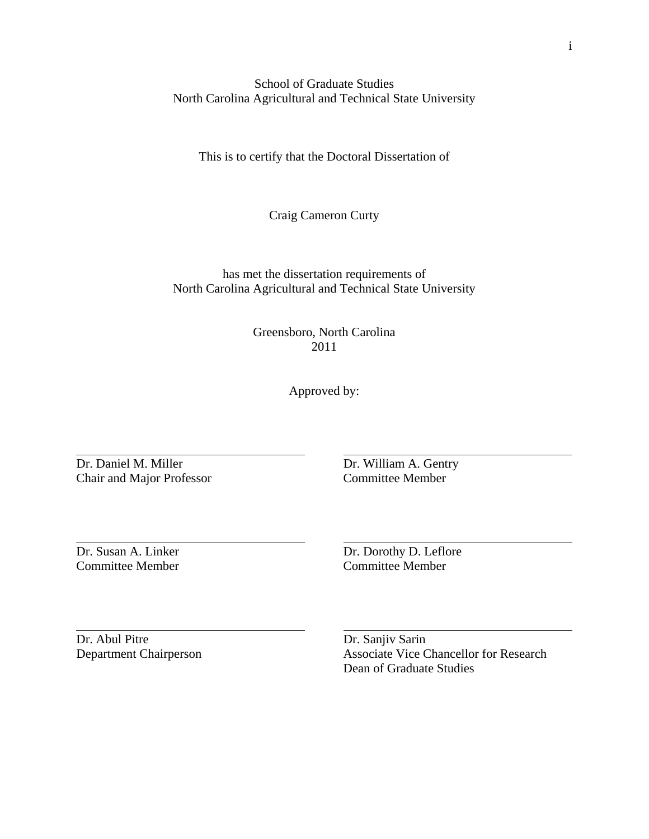School of Graduate Studies North Carolina Agricultural and Technical State University

This is to certify that the Doctoral Dissertation of

Craig Cameron Curty

has met the dissertation requirements of North Carolina Agricultural and Technical State University

> Greensboro, North Carolina 2011

> > Approved by:

Dr. Daniel M. Miller Dr. William A. Gentry<br>
Chair and Maior Professor<br>
Committee Member Chair and Major Professor

 $\overline{a}$ 

 $\overline{a}$ 

 $\overline{a}$ 

Committee Member Committee Member

Dr. Susan A. Linker Dr. Dorothy D. Leflore

Dr. Abul Pitre Dr. Sanjiv Sarin

Department Chairperson Associate Vice Chancellor for Research Dean of Graduate Studies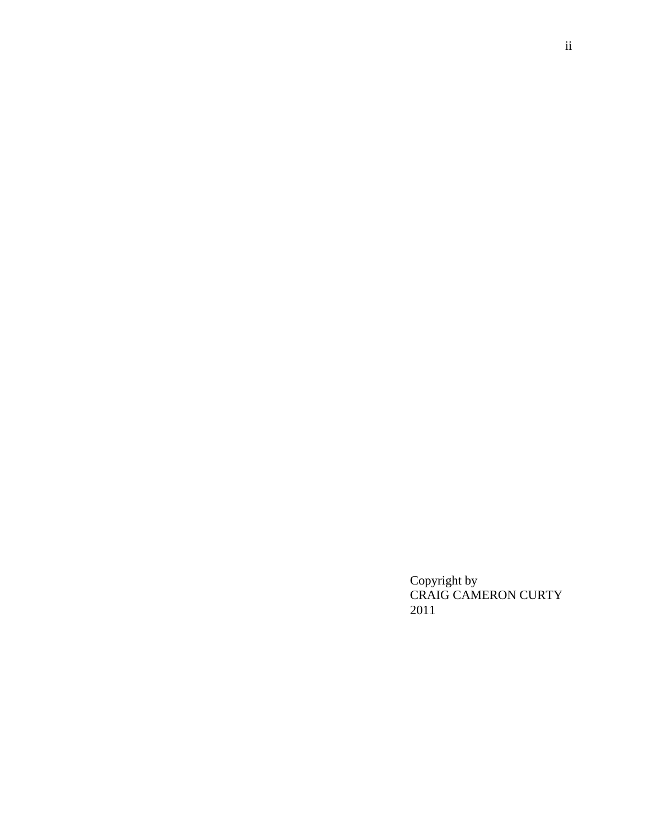Copyright by CRAIG CAMERON CURTY 2011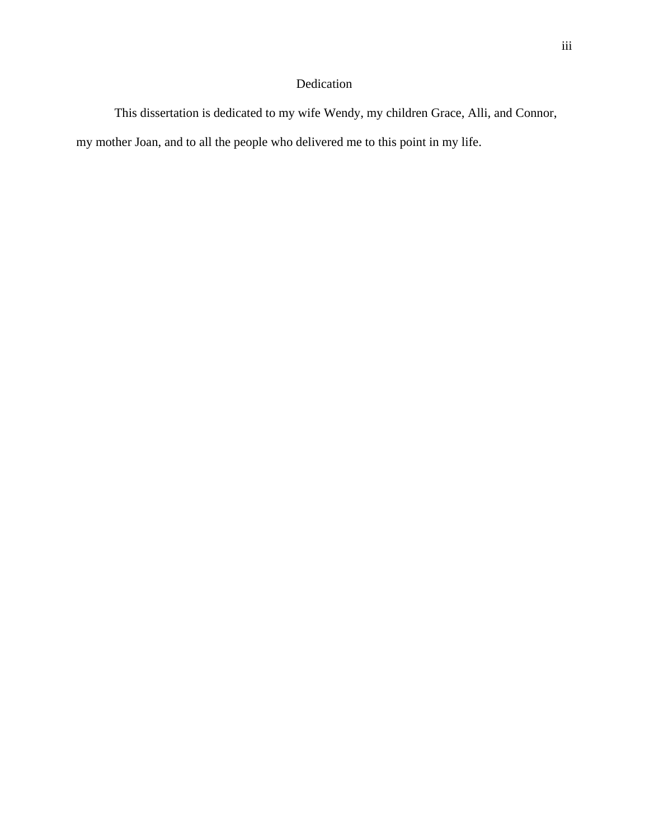## Dedication

This dissertation is dedicated to my wife Wendy, my children Grace, Alli, and Connor, my mother Joan, and to all the people who delivered me to this point in my life.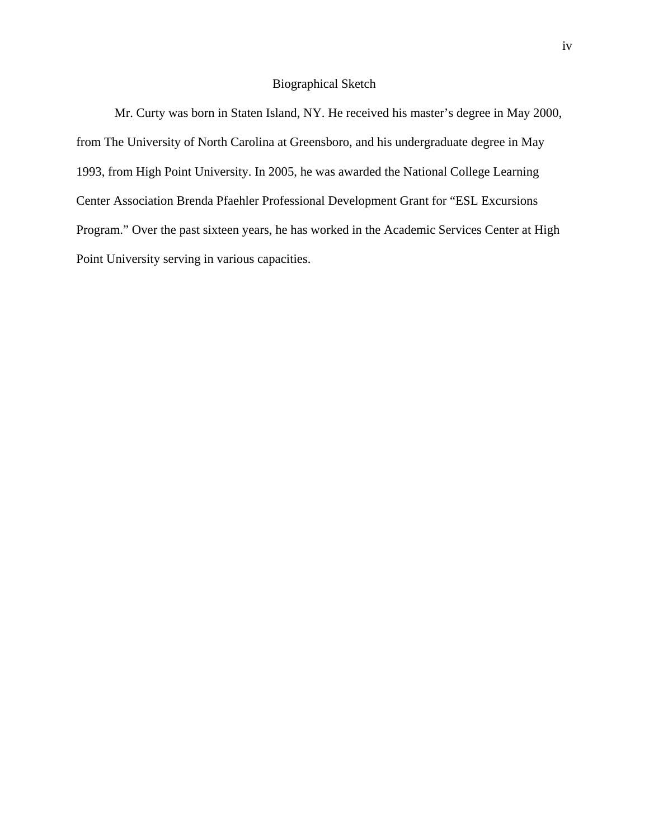## Biographical Sketch

Mr. Curty was born in Staten Island, NY. He received his master's degree in May 2000, from The University of North Carolina at Greensboro, and his undergraduate degree in May 1993, from High Point University. In 2005, he was awarded the National College Learning Center Association Brenda Pfaehler Professional Development Grant for "ESL Excursions Program." Over the past sixteen years, he has worked in the Academic Services Center at High Point University serving in various capacities.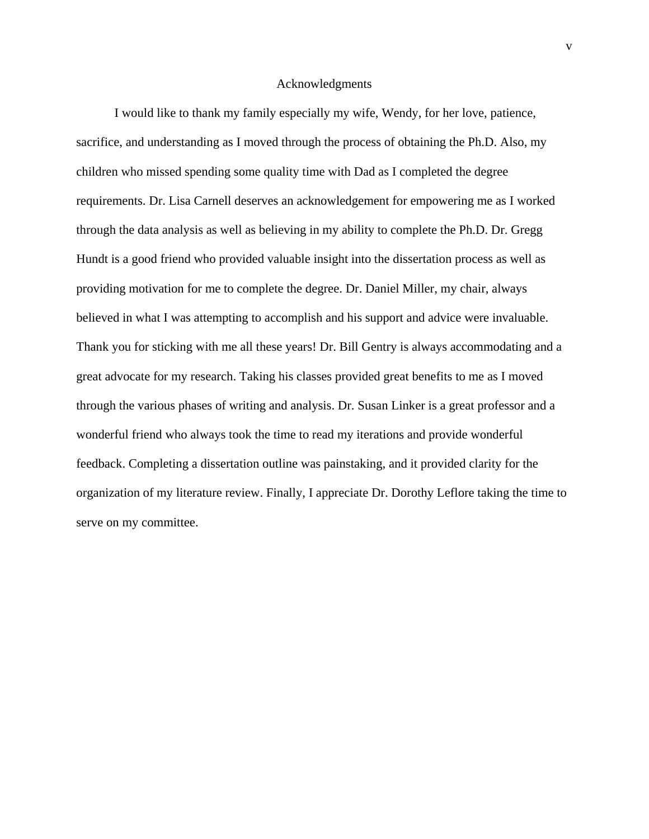## Acknowledgments

I would like to thank my family especially my wife, Wendy, for her love, patience, sacrifice, and understanding as I moved through the process of obtaining the Ph.D. Also, my children who missed spending some quality time with Dad as I completed the degree requirements. Dr. Lisa Carnell deserves an acknowledgement for empowering me as I worked through the data analysis as well as believing in my ability to complete the Ph.D. Dr. Gregg Hundt is a good friend who provided valuable insight into the dissertation process as well as providing motivation for me to complete the degree. Dr. Daniel Miller, my chair, always believed in what I was attempting to accomplish and his support and advice were invaluable. Thank you for sticking with me all these years! Dr. Bill Gentry is always accommodating and a great advocate for my research. Taking his classes provided great benefits to me as I moved through the various phases of writing and analysis. Dr. Susan Linker is a great professor and a wonderful friend who always took the time to read my iterations and provide wonderful feedback. Completing a dissertation outline was painstaking, and it provided clarity for the organization of my literature review. Finally, I appreciate Dr. Dorothy Leflore taking the time to serve on my committee.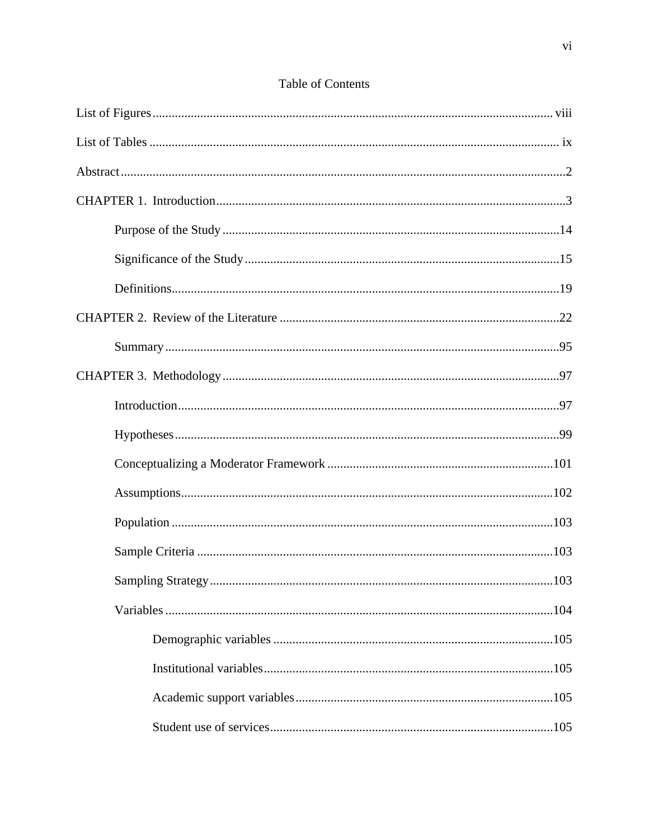## Table of Contents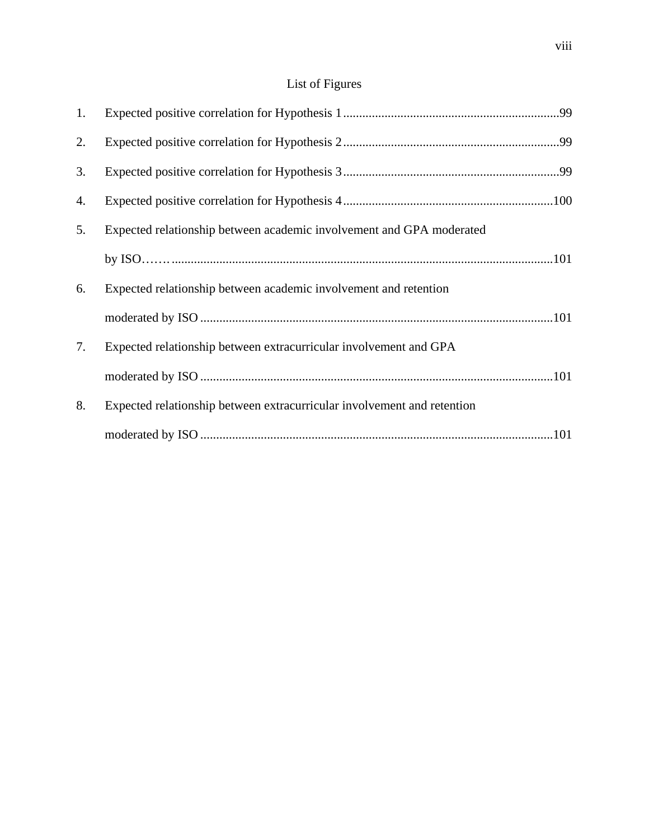# List of Figures

| 1. |                                                                         |
|----|-------------------------------------------------------------------------|
| 2. |                                                                         |
| 3. |                                                                         |
| 4. |                                                                         |
| 5. | Expected relationship between academic involvement and GPA moderated    |
|    |                                                                         |
| 6. | Expected relationship between academic involvement and retention        |
|    |                                                                         |
| 7. | Expected relationship between extracurricular involvement and GPA       |
|    |                                                                         |
| 8. | Expected relationship between extracurricular involvement and retention |
|    |                                                                         |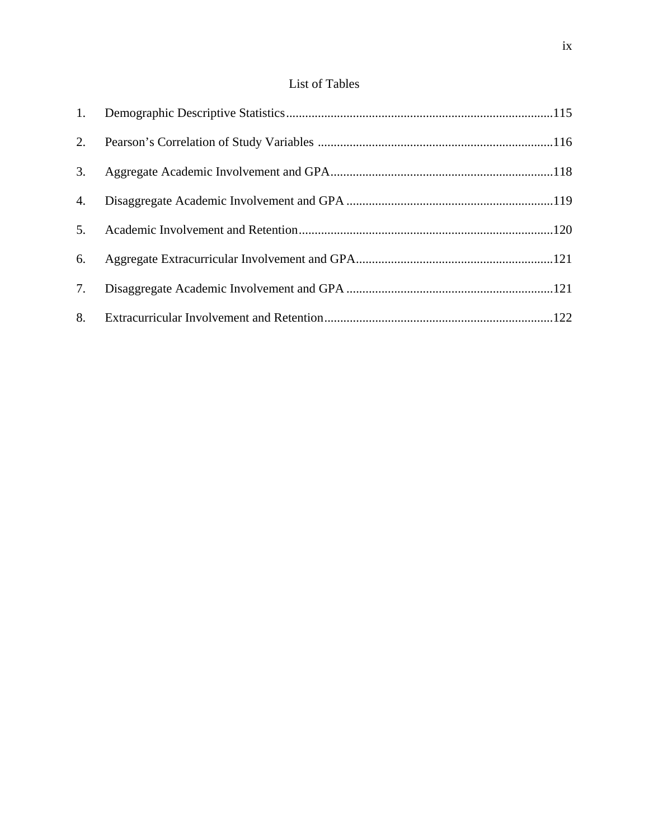## List of Tables

| 2. |  |
|----|--|
| 3. |  |
| 4. |  |
| 5. |  |
| 6. |  |
| 7. |  |
| 8. |  |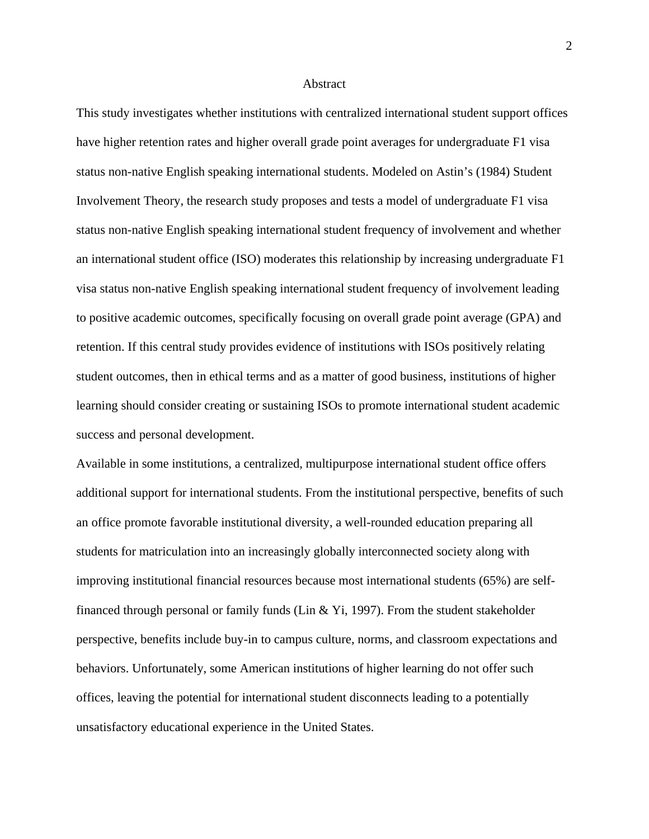#### Abstract

This study investigates whether institutions with centralized international student support offices have higher retention rates and higher overall grade point averages for undergraduate F1 visa status non-native English speaking international students. Modeled on Astin's (1984) Student Involvement Theory, the research study proposes and tests a model of undergraduate F1 visa status non-native English speaking international student frequency of involvement and whether an international student office (ISO) moderates this relationship by increasing undergraduate F1 visa status non-native English speaking international student frequency of involvement leading to positive academic outcomes, specifically focusing on overall grade point average (GPA) and retention. If this central study provides evidence of institutions with ISOs positively relating student outcomes, then in ethical terms and as a matter of good business, institutions of higher learning should consider creating or sustaining ISOs to promote international student academic success and personal development.

Available in some institutions, a centralized, multipurpose international student office offers additional support for international students. From the institutional perspective, benefits of such an office promote favorable institutional diversity, a well-rounded education preparing all students for matriculation into an increasingly globally interconnected society along with improving institutional financial resources because most international students (65%) are selffinanced through personal or family funds (Lin & Yi, 1997). From the student stakeholder perspective, benefits include buy-in to campus culture, norms, and classroom expectations and behaviors. Unfortunately, some American institutions of higher learning do not offer such offices, leaving the potential for international student disconnects leading to a potentially unsatisfactory educational experience in the United States.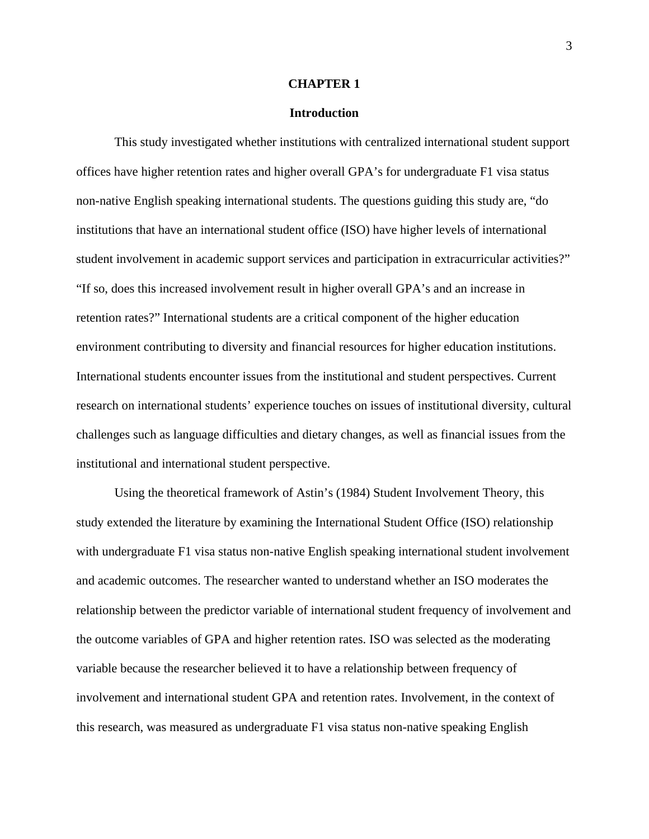### **CHAPTER 1**

## **Introduction**

 This study investigated whether institutions with centralized international student support offices have higher retention rates and higher overall GPA's for undergraduate F1 visa status non-native English speaking international students. The questions guiding this study are, "do institutions that have an international student office (ISO) have higher levels of international student involvement in academic support services and participation in extracurricular activities?" "If so, does this increased involvement result in higher overall GPA's and an increase in retention rates?" International students are a critical component of the higher education environment contributing to diversity and financial resources for higher education institutions. International students encounter issues from the institutional and student perspectives. Current research on international students' experience touches on issues of institutional diversity, cultural challenges such as language difficulties and dietary changes, as well as financial issues from the institutional and international student perspective.

Using the theoretical framework of Astin's (1984) Student Involvement Theory, this study extended the literature by examining the International Student Office (ISO) relationship with undergraduate F1 visa status non-native English speaking international student involvement and academic outcomes. The researcher wanted to understand whether an ISO moderates the relationship between the predictor variable of international student frequency of involvement and the outcome variables of GPA and higher retention rates. ISO was selected as the moderating variable because the researcher believed it to have a relationship between frequency of involvement and international student GPA and retention rates. Involvement, in the context of this research, was measured as undergraduate F1 visa status non-native speaking English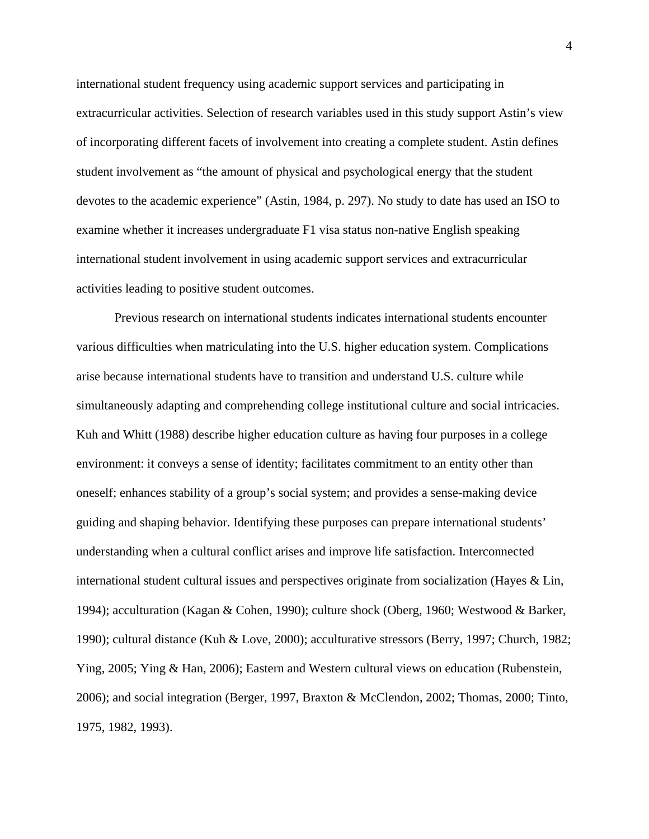international student frequency using academic support services and participating in extracurricular activities. Selection of research variables used in this study support Astin's view of incorporating different facets of involvement into creating a complete student. Astin defines student involvement as "the amount of physical and psychological energy that the student devotes to the academic experience" (Astin, 1984, p. 297). No study to date has used an ISO to examine whether it increases undergraduate F1 visa status non-native English speaking international student involvement in using academic support services and extracurricular activities leading to positive student outcomes.

Previous research on international students indicates international students encounter various difficulties when matriculating into the U.S. higher education system. Complications arise because international students have to transition and understand U.S. culture while simultaneously adapting and comprehending college institutional culture and social intricacies. Kuh and Whitt (1988) describe higher education culture as having four purposes in a college environment: it conveys a sense of identity; facilitates commitment to an entity other than oneself; enhances stability of a group's social system; and provides a sense-making device guiding and shaping behavior. Identifying these purposes can prepare international students' understanding when a cultural conflict arises and improve life satisfaction. Interconnected international student cultural issues and perspectives originate from socialization (Hayes & Lin, 1994); acculturation (Kagan & Cohen, 1990); culture shock (Oberg, 1960; Westwood & Barker, 1990); cultural distance (Kuh & Love, 2000); acculturative stressors (Berry, 1997; Church, 1982; Ying, 2005; Ying & Han, 2006); Eastern and Western cultural views on education (Rubenstein, 2006); and social integration (Berger, 1997, Braxton & McClendon, 2002; Thomas, 2000; Tinto, 1975, 1982, 1993).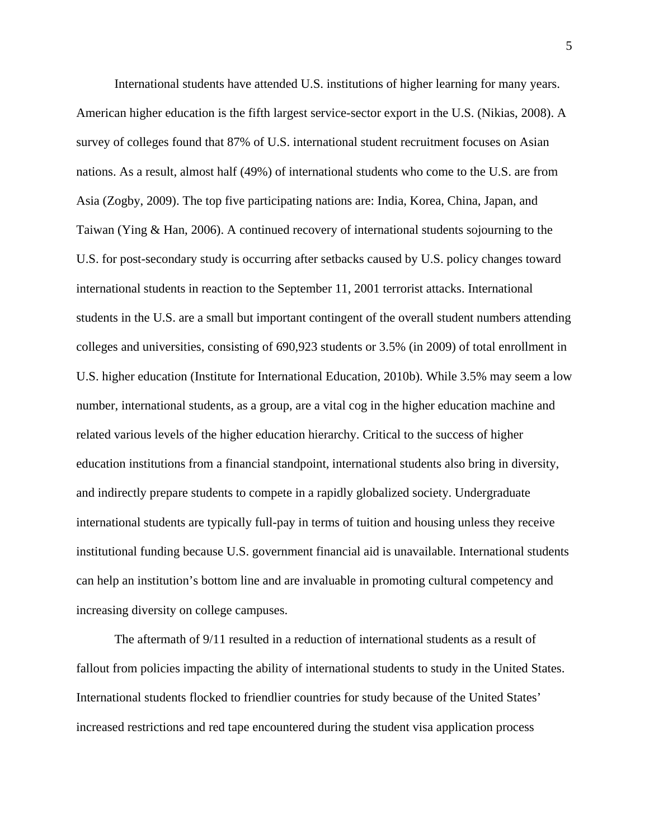International students have attended U.S. institutions of higher learning for many years. American higher education is the fifth largest service-sector export in the U.S. (Nikias, 2008). A survey of colleges found that 87% of U.S. international student recruitment focuses on Asian nations. As a result, almost half (49%) of international students who come to the U.S. are from Asia (Zogby, 2009). The top five participating nations are: India, Korea, China, Japan, and Taiwan (Ying & Han, 2006). A continued recovery of international students sojourning to the U.S. for post-secondary study is occurring after setbacks caused by U.S. policy changes toward international students in reaction to the September 11, 2001 terrorist attacks. International students in the U.S. are a small but important contingent of the overall student numbers attending colleges and universities, consisting of 690,923 students or 3.5% (in 2009) of total enrollment in U.S. higher education (Institute for International Education, 2010b). While 3.5% may seem a low number, international students, as a group, are a vital cog in the higher education machine and related various levels of the higher education hierarchy. Critical to the success of higher education institutions from a financial standpoint, international students also bring in diversity, and indirectly prepare students to compete in a rapidly globalized society. Undergraduate international students are typically full-pay in terms of tuition and housing unless they receive institutional funding because U.S. government financial aid is unavailable. International students can help an institution's bottom line and are invaluable in promoting cultural competency and increasing diversity on college campuses.

The aftermath of 9/11 resulted in a reduction of international students as a result of fallout from policies impacting the ability of international students to study in the United States. International students flocked to friendlier countries for study because of the United States' increased restrictions and red tape encountered during the student visa application process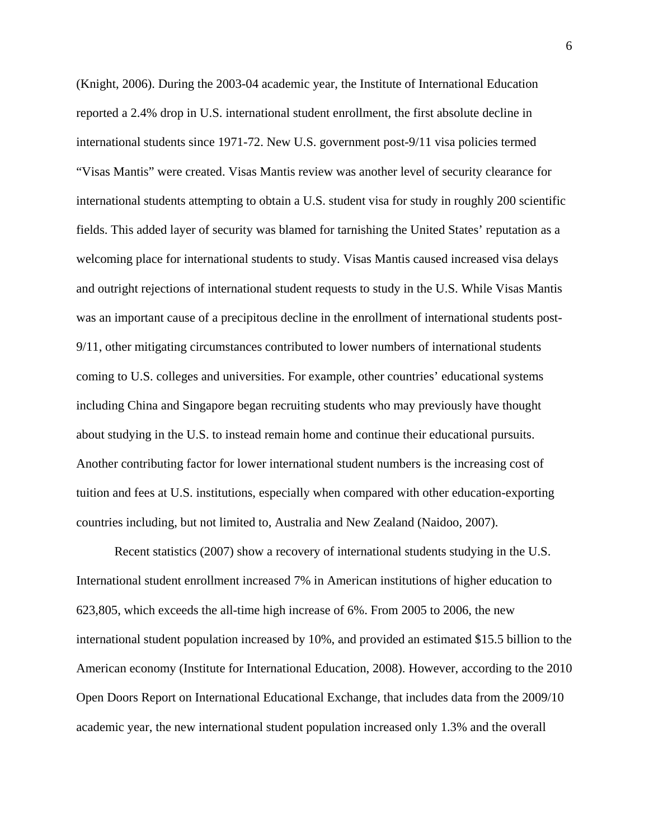(Knight, 2006). During the 2003-04 academic year, the Institute of International Education reported a 2.4% drop in U.S. international student enrollment, the first absolute decline in international students since 1971-72. New U.S. government post-9/11 visa policies termed "Visas Mantis" were created. Visas Mantis review was another level of security clearance for international students attempting to obtain a U.S. student visa for study in roughly 200 scientific fields. This added layer of security was blamed for tarnishing the United States' reputation as a welcoming place for international students to study. Visas Mantis caused increased visa delays and outright rejections of international student requests to study in the U.S. While Visas Mantis was an important cause of a precipitous decline in the enrollment of international students post-9/11, other mitigating circumstances contributed to lower numbers of international students coming to U.S. colleges and universities. For example, other countries' educational systems including China and Singapore began recruiting students who may previously have thought about studying in the U.S. to instead remain home and continue their educational pursuits. Another contributing factor for lower international student numbers is the increasing cost of tuition and fees at U.S. institutions, especially when compared with other education-exporting countries including, but not limited to, Australia and New Zealand (Naidoo, 2007).

Recent statistics (2007) show a recovery of international students studying in the U.S. International student enrollment increased 7% in American institutions of higher education to 623,805, which exceeds the all-time high increase of 6%. From 2005 to 2006, the new international student population increased by 10%, and provided an estimated \$15.5 billion to the American economy (Institute for International Education, 2008). However, according to the 2010 Open Doors Report on International Educational Exchange, that includes data from the 2009/10 academic year, the new international student population increased only 1.3% and the overall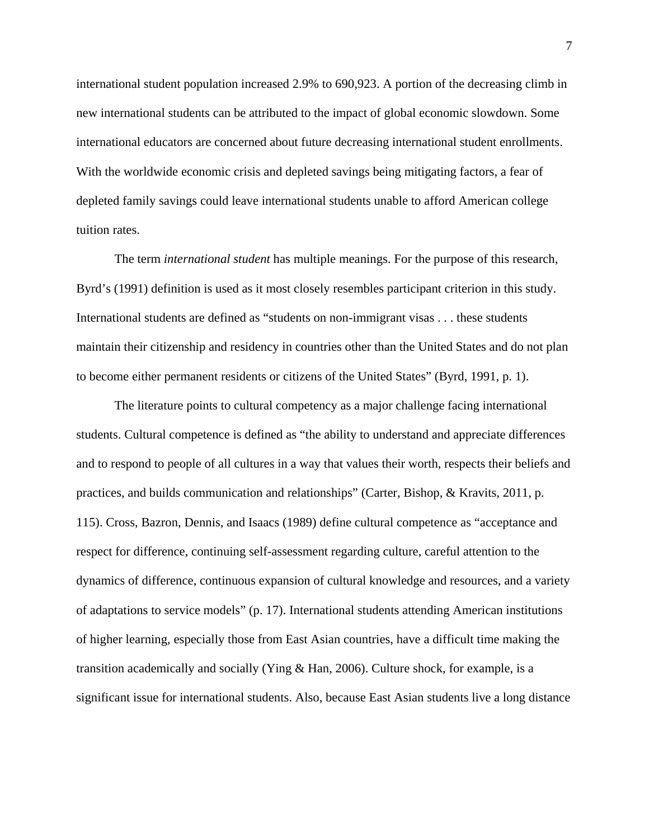international student population increased 2.9% to 690,923. A portion of the decreasing climb in new international students can be attributed to the impact of global economic slowdown. Some international educators are concerned about future decreasing international student enrollments. With the worldwide economic crisis and depleted savings being mitigating factors, a fear of depleted family savings could leave international students unable to afford American college tuition rates.

The term *international student* has multiple meanings. For the purpose of this research, Byrd's (1991) definition is used as it most closely resembles participant criterion in this study. International students are defined as "students on non-immigrant visas . . . these students maintain their citizenship and residency in countries other than the United States and do not plan to become either permanent residents or citizens of the United States" (Byrd, 1991, p. 1).

The literature points to cultural competency as a major challenge facing international students. Cultural competence is defined as "the ability to understand and appreciate differences and to respond to people of all cultures in a way that values their worth, respects their beliefs and practices, and builds communication and relationships" (Carter, Bishop, & Kravits, 2011, p. 115). Cross, Bazron, Dennis, and Isaacs (1989) define cultural competence as "acceptance and respect for difference, continuing self-assessment regarding culture, careful attention to the dynamics of difference, continuous expansion of cultural knowledge and resources, and a variety of adaptations to service models" (p. 17). International students attending American institutions of higher learning, especially those from East Asian countries, have a difficult time making the transition academically and socially (Ying & Han, 2006). Culture shock, for example, is a significant issue for international students. Also, because East Asian students live a long distance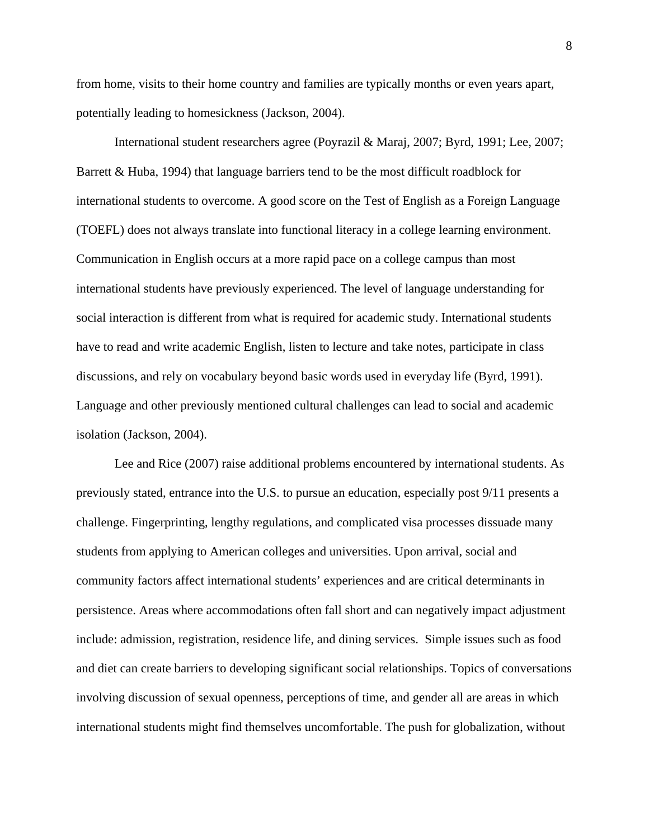from home, visits to their home country and families are typically months or even years apart, potentially leading to homesickness (Jackson, 2004).

International student researchers agree (Poyrazil & Maraj, 2007; Byrd, 1991; Lee, 2007; Barrett & Huba, 1994) that language barriers tend to be the most difficult roadblock for international students to overcome. A good score on the Test of English as a Foreign Language (TOEFL) does not always translate into functional literacy in a college learning environment. Communication in English occurs at a more rapid pace on a college campus than most international students have previously experienced. The level of language understanding for social interaction is different from what is required for academic study. International students have to read and write academic English, listen to lecture and take notes, participate in class discussions, and rely on vocabulary beyond basic words used in everyday life (Byrd, 1991). Language and other previously mentioned cultural challenges can lead to social and academic isolation (Jackson, 2004).

Lee and Rice (2007) raise additional problems encountered by international students. As previously stated, entrance into the U.S. to pursue an education, especially post 9/11 presents a challenge. Fingerprinting, lengthy regulations, and complicated visa processes dissuade many students from applying to American colleges and universities. Upon arrival, social and community factors affect international students' experiences and are critical determinants in persistence. Areas where accommodations often fall short and can negatively impact adjustment include: admission, registration, residence life, and dining services. Simple issues such as food and diet can create barriers to developing significant social relationships. Topics of conversations involving discussion of sexual openness, perceptions of time, and gender all are areas in which international students might find themselves uncomfortable. The push for globalization, without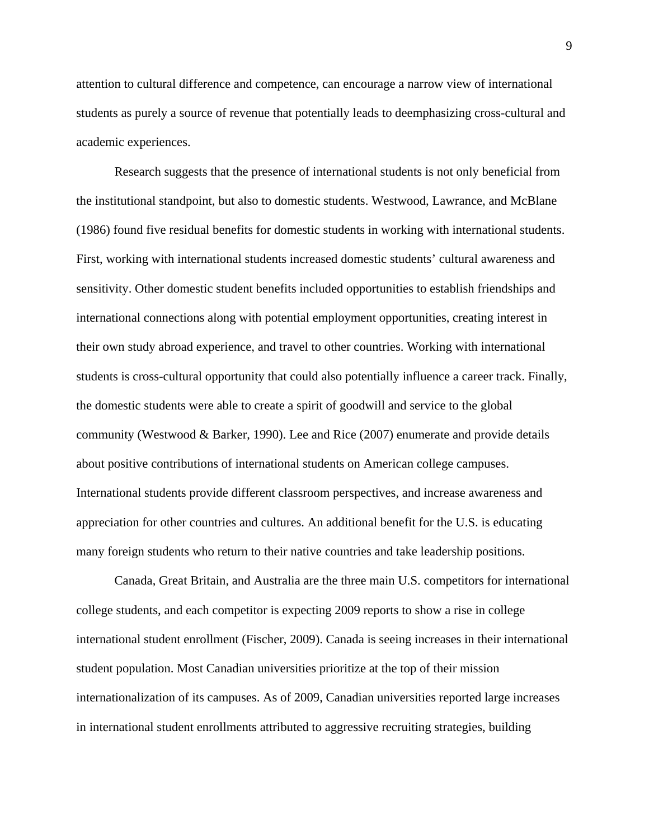attention to cultural difference and competence, can encourage a narrow view of international students as purely a source of revenue that potentially leads to deemphasizing cross-cultural and academic experiences.

Research suggests that the presence of international students is not only beneficial from the institutional standpoint, but also to domestic students. Westwood, Lawrance, and McBlane (1986) found five residual benefits for domestic students in working with international students. First, working with international students increased domestic students' cultural awareness and sensitivity. Other domestic student benefits included opportunities to establish friendships and international connections along with potential employment opportunities, creating interest in their own study abroad experience, and travel to other countries. Working with international students is cross-cultural opportunity that could also potentially influence a career track. Finally, the domestic students were able to create a spirit of goodwill and service to the global community (Westwood & Barker, 1990). Lee and Rice (2007) enumerate and provide details about positive contributions of international students on American college campuses. International students provide different classroom perspectives, and increase awareness and appreciation for other countries and cultures. An additional benefit for the U.S. is educating many foreign students who return to their native countries and take leadership positions.

Canada, Great Britain, and Australia are the three main U.S. competitors for international college students, and each competitor is expecting 2009 reports to show a rise in college international student enrollment (Fischer, 2009). Canada is seeing increases in their international student population. Most Canadian universities prioritize at the top of their mission internationalization of its campuses. As of 2009, Canadian universities reported large increases in international student enrollments attributed to aggressive recruiting strategies, building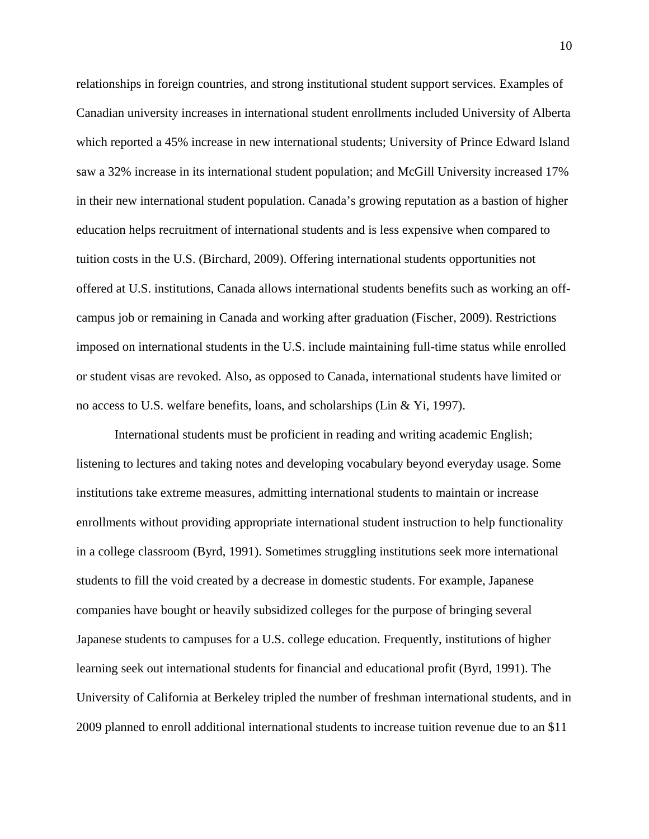relationships in foreign countries, and strong institutional student support services. Examples of Canadian university increases in international student enrollments included University of Alberta which reported a 45% increase in new international students; University of Prince Edward Island saw a 32% increase in its international student population; and McGill University increased 17% in their new international student population. Canada's growing reputation as a bastion of higher education helps recruitment of international students and is less expensive when compared to tuition costs in the U.S. (Birchard, 2009). Offering international students opportunities not offered at U.S. institutions, Canada allows international students benefits such as working an offcampus job or remaining in Canada and working after graduation (Fischer, 2009). Restrictions imposed on international students in the U.S. include maintaining full-time status while enrolled or student visas are revoked. Also, as opposed to Canada, international students have limited or no access to U.S. welfare benefits, loans, and scholarships (Lin & Yi, 1997).

International students must be proficient in reading and writing academic English; listening to lectures and taking notes and developing vocabulary beyond everyday usage. Some institutions take extreme measures, admitting international students to maintain or increase enrollments without providing appropriate international student instruction to help functionality in a college classroom (Byrd, 1991). Sometimes struggling institutions seek more international students to fill the void created by a decrease in domestic students. For example, Japanese companies have bought or heavily subsidized colleges for the purpose of bringing several Japanese students to campuses for a U.S. college education. Frequently, institutions of higher learning seek out international students for financial and educational profit (Byrd, 1991). The University of California at Berkeley tripled the number of freshman international students, and in 2009 planned to enroll additional international students to increase tuition revenue due to an \$11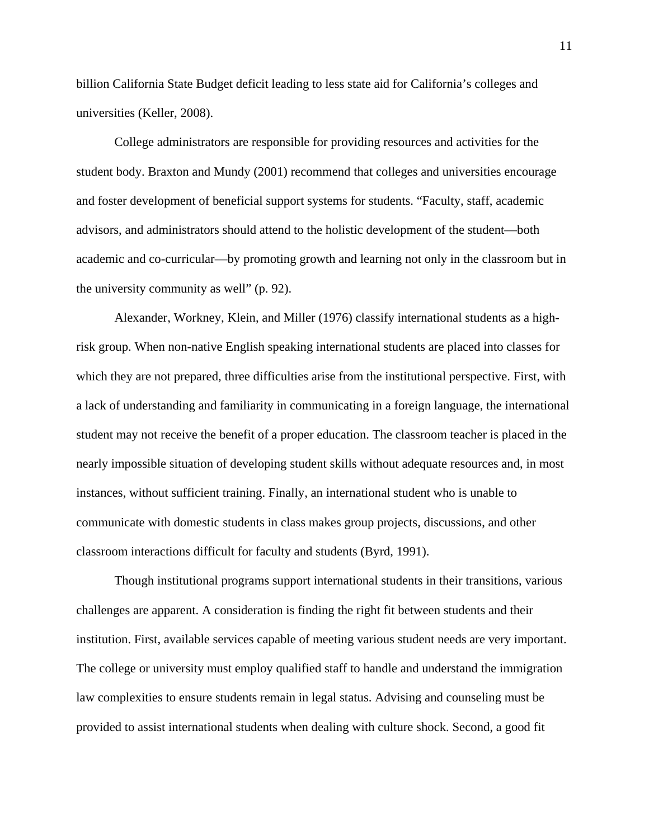billion California State Budget deficit leading to less state aid for California's colleges and universities (Keller, 2008).

College administrators are responsible for providing resources and activities for the student body. Braxton and Mundy (2001) recommend that colleges and universities encourage and foster development of beneficial support systems for students. "Faculty, staff, academic advisors, and administrators should attend to the holistic development of the student—both academic and co-curricular—by promoting growth and learning not only in the classroom but in the university community as well" (p. 92).

Alexander, Workney, Klein, and Miller (1976) classify international students as a highrisk group. When non-native English speaking international students are placed into classes for which they are not prepared, three difficulties arise from the institutional perspective. First, with a lack of understanding and familiarity in communicating in a foreign language, the international student may not receive the benefit of a proper education. The classroom teacher is placed in the nearly impossible situation of developing student skills without adequate resources and, in most instances, without sufficient training. Finally, an international student who is unable to communicate with domestic students in class makes group projects, discussions, and other classroom interactions difficult for faculty and students (Byrd, 1991).

Though institutional programs support international students in their transitions, various challenges are apparent. A consideration is finding the right fit between students and their institution. First, available services capable of meeting various student needs are very important. The college or university must employ qualified staff to handle and understand the immigration law complexities to ensure students remain in legal status. Advising and counseling must be provided to assist international students when dealing with culture shock. Second, a good fit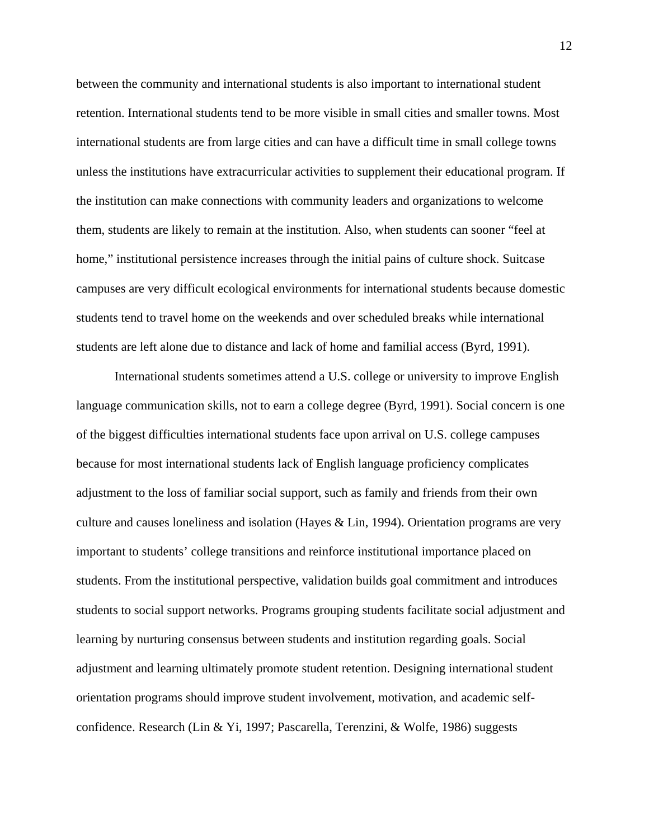between the community and international students is also important to international student retention. International students tend to be more visible in small cities and smaller towns. Most international students are from large cities and can have a difficult time in small college towns unless the institutions have extracurricular activities to supplement their educational program. If the institution can make connections with community leaders and organizations to welcome them, students are likely to remain at the institution. Also, when students can sooner "feel at home," institutional persistence increases through the initial pains of culture shock. Suitcase campuses are very difficult ecological environments for international students because domestic students tend to travel home on the weekends and over scheduled breaks while international students are left alone due to distance and lack of home and familial access (Byrd, 1991).

International students sometimes attend a U.S. college or university to improve English language communication skills, not to earn a college degree (Byrd, 1991). Social concern is one of the biggest difficulties international students face upon arrival on U.S. college campuses because for most international students lack of English language proficiency complicates adjustment to the loss of familiar social support, such as family and friends from their own culture and causes loneliness and isolation (Hayes & Lin, 1994). Orientation programs are very important to students' college transitions and reinforce institutional importance placed on students. From the institutional perspective, validation builds goal commitment and introduces students to social support networks. Programs grouping students facilitate social adjustment and learning by nurturing consensus between students and institution regarding goals. Social adjustment and learning ultimately promote student retention. Designing international student orientation programs should improve student involvement, motivation, and academic selfconfidence. Research (Lin & Yi, 1997; Pascarella, Terenzini, & Wolfe, 1986) suggests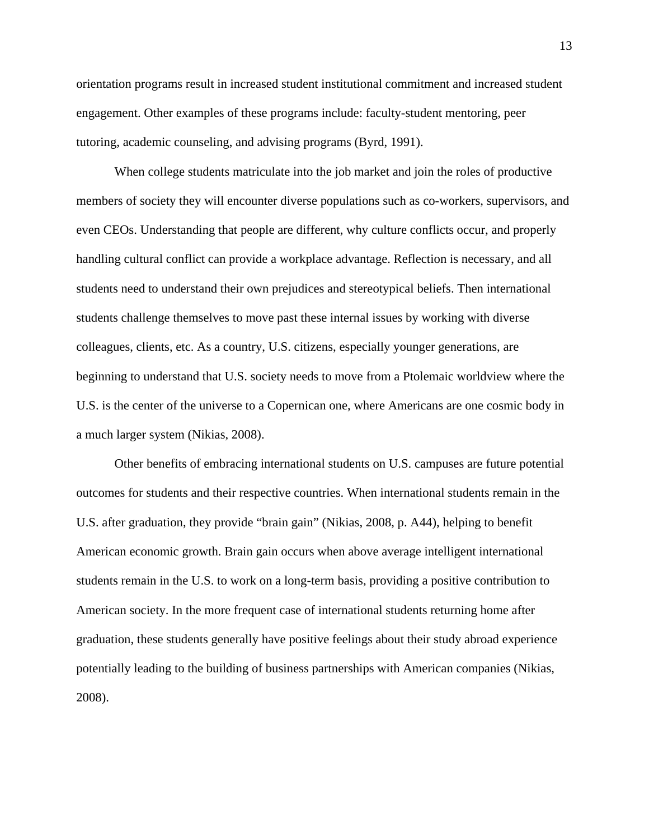orientation programs result in increased student institutional commitment and increased student engagement. Other examples of these programs include: faculty-student mentoring, peer tutoring, academic counseling, and advising programs (Byrd, 1991).

When college students matriculate into the job market and join the roles of productive members of society they will encounter diverse populations such as co-workers, supervisors, and even CEOs. Understanding that people are different, why culture conflicts occur, and properly handling cultural conflict can provide a workplace advantage. Reflection is necessary, and all students need to understand their own prejudices and stereotypical beliefs. Then international students challenge themselves to move past these internal issues by working with diverse colleagues, clients, etc. As a country, U.S. citizens, especially younger generations, are beginning to understand that U.S. society needs to move from a Ptolemaic worldview where the U.S. is the center of the universe to a Copernican one, where Americans are one cosmic body in a much larger system (Nikias, 2008).

Other benefits of embracing international students on U.S. campuses are future potential outcomes for students and their respective countries. When international students remain in the U.S. after graduation, they provide "brain gain" (Nikias, 2008, p. A44), helping to benefit American economic growth. Brain gain occurs when above average intelligent international students remain in the U.S. to work on a long-term basis, providing a positive contribution to American society. In the more frequent case of international students returning home after graduation, these students generally have positive feelings about their study abroad experience potentially leading to the building of business partnerships with American companies (Nikias, 2008).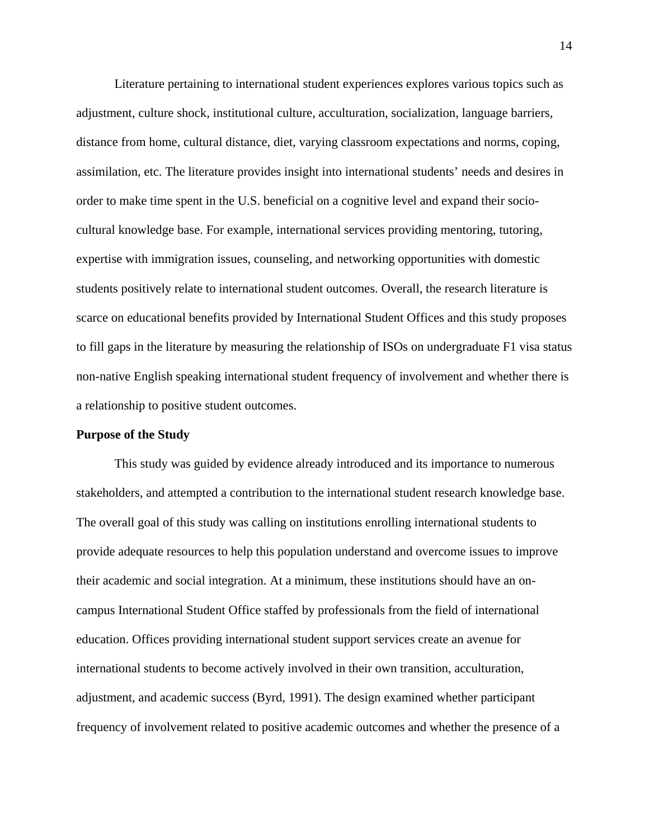Literature pertaining to international student experiences explores various topics such as adjustment, culture shock, institutional culture, acculturation, socialization, language barriers, distance from home, cultural distance, diet, varying classroom expectations and norms, coping, assimilation, etc. The literature provides insight into international students' needs and desires in order to make time spent in the U.S. beneficial on a cognitive level and expand their sociocultural knowledge base. For example, international services providing mentoring, tutoring, expertise with immigration issues, counseling, and networking opportunities with domestic students positively relate to international student outcomes. Overall, the research literature is scarce on educational benefits provided by International Student Offices and this study proposes to fill gaps in the literature by measuring the relationship of ISOs on undergraduate F1 visa status non-native English speaking international student frequency of involvement and whether there is a relationship to positive student outcomes.

## **Purpose of the Study**

This study was guided by evidence already introduced and its importance to numerous stakeholders, and attempted a contribution to the international student research knowledge base. The overall goal of this study was calling on institutions enrolling international students to provide adequate resources to help this population understand and overcome issues to improve their academic and social integration. At a minimum, these institutions should have an oncampus International Student Office staffed by professionals from the field of international education. Offices providing international student support services create an avenue for international students to become actively involved in their own transition, acculturation, adjustment, and academic success (Byrd, 1991). The design examined whether participant frequency of involvement related to positive academic outcomes and whether the presence of a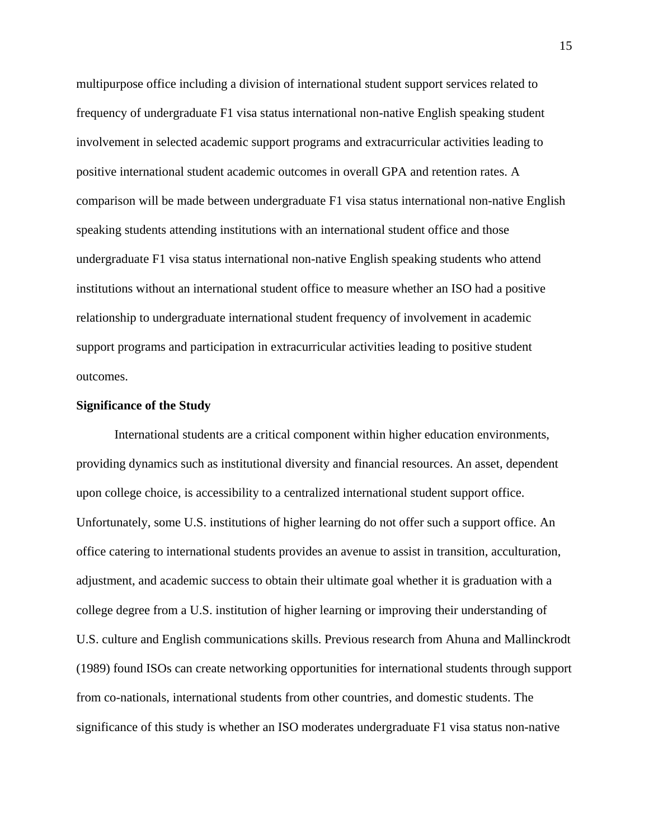multipurpose office including a division of international student support services related to frequency of undergraduate F1 visa status international non-native English speaking student involvement in selected academic support programs and extracurricular activities leading to positive international student academic outcomes in overall GPA and retention rates. A comparison will be made between undergraduate F1 visa status international non-native English speaking students attending institutions with an international student office and those undergraduate F1 visa status international non-native English speaking students who attend institutions without an international student office to measure whether an ISO had a positive relationship to undergraduate international student frequency of involvement in academic support programs and participation in extracurricular activities leading to positive student outcomes.

### **Significance of the Study**

International students are a critical component within higher education environments, providing dynamics such as institutional diversity and financial resources. An asset, dependent upon college choice, is accessibility to a centralized international student support office. Unfortunately, some U.S. institutions of higher learning do not offer such a support office. An office catering to international students provides an avenue to assist in transition, acculturation, adjustment, and academic success to obtain their ultimate goal whether it is graduation with a college degree from a U.S. institution of higher learning or improving their understanding of U.S. culture and English communications skills. Previous research from Ahuna and Mallinckrodt (1989) found ISOs can create networking opportunities for international students through support from co-nationals, international students from other countries, and domestic students. The significance of this study is whether an ISO moderates undergraduate F1 visa status non-native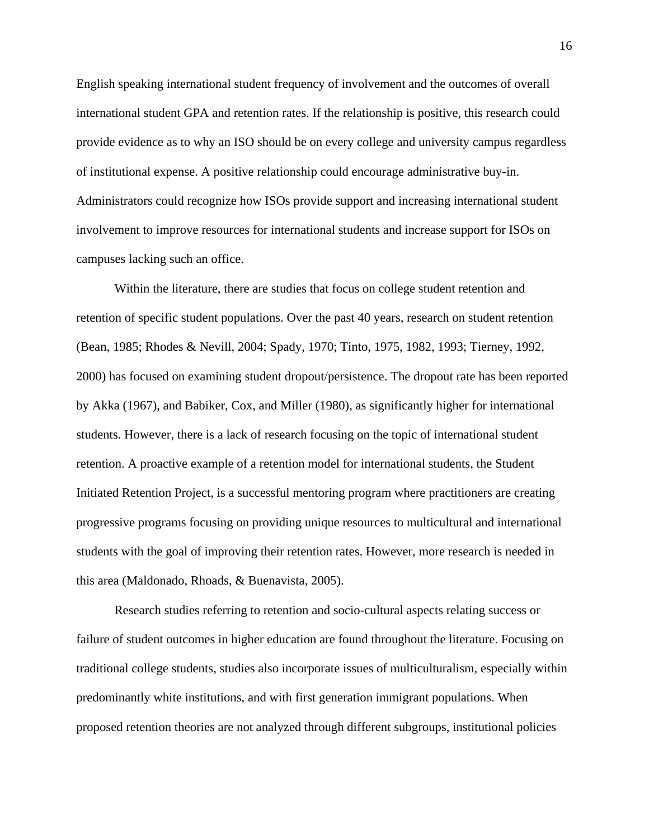English speaking international student frequency of involvement and the outcomes of overall international student GPA and retention rates. If the relationship is positive, this research could provide evidence as to why an ISO should be on every college and university campus regardless of institutional expense. A positive relationship could encourage administrative buy-in. Administrators could recognize how ISOs provide support and increasing international student involvement to improve resources for international students and increase support for ISOs on campuses lacking such an office.

Within the literature, there are studies that focus on college student retention and retention of specific student populations. Over the past 40 years, research on student retention (Bean, 1985; Rhodes & Nevill, 2004; Spady, 1970; Tinto, 1975, 1982, 1993; Tierney, 1992, 2000) has focused on examining student dropout/persistence. The dropout rate has been reported by Akka (1967), and Babiker, Cox, and Miller (1980), as significantly higher for international students. However, there is a lack of research focusing on the topic of international student retention. A proactive example of a retention model for international students, the Student Initiated Retention Project, is a successful mentoring program where practitioners are creating progressive programs focusing on providing unique resources to multicultural and international students with the goal of improving their retention rates. However, more research is needed in this area (Maldonado, Rhoads, & Buenavista, 2005).

Research studies referring to retention and socio-cultural aspects relating success or failure of student outcomes in higher education are found throughout the literature. Focusing on traditional college students, studies also incorporate issues of multiculturalism, especially within predominantly white institutions, and with first generation immigrant populations. When proposed retention theories are not analyzed through different subgroups, institutional policies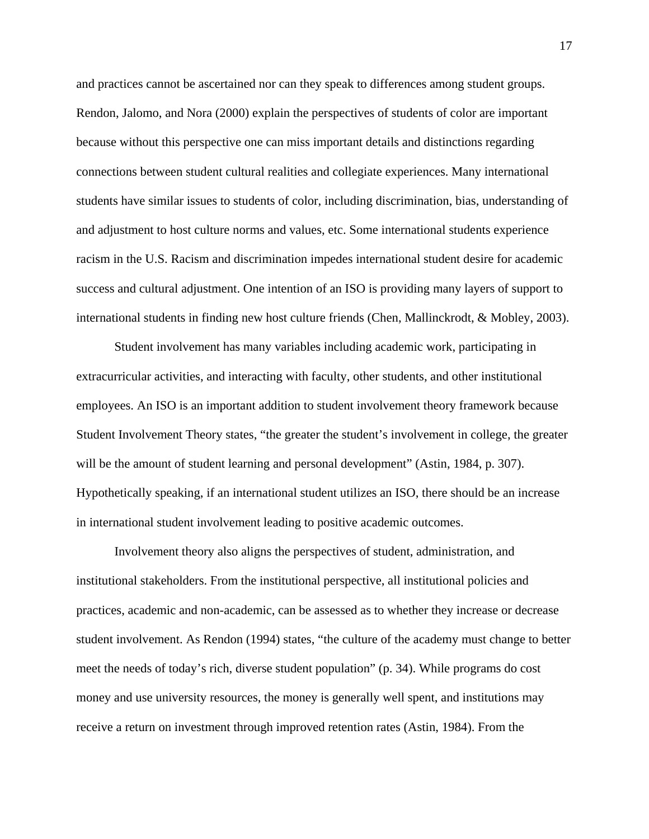and practices cannot be ascertained nor can they speak to differences among student groups. Rendon, Jalomo, and Nora (2000) explain the perspectives of students of color are important because without this perspective one can miss important details and distinctions regarding connections between student cultural realities and collegiate experiences. Many international students have similar issues to students of color, including discrimination, bias, understanding of and adjustment to host culture norms and values, etc. Some international students experience racism in the U.S. Racism and discrimination impedes international student desire for academic success and cultural adjustment. One intention of an ISO is providing many layers of support to international students in finding new host culture friends (Chen, Mallinckrodt, & Mobley, 2003).

Student involvement has many variables including academic work, participating in extracurricular activities, and interacting with faculty, other students, and other institutional employees. An ISO is an important addition to student involvement theory framework because Student Involvement Theory states, "the greater the student's involvement in college, the greater will be the amount of student learning and personal development" (Astin, 1984, p. 307). Hypothetically speaking, if an international student utilizes an ISO, there should be an increase in international student involvement leading to positive academic outcomes.

Involvement theory also aligns the perspectives of student, administration, and institutional stakeholders. From the institutional perspective, all institutional policies and practices, academic and non-academic, can be assessed as to whether they increase or decrease student involvement. As Rendon (1994) states, "the culture of the academy must change to better meet the needs of today's rich, diverse student population" (p. 34). While programs do cost money and use university resources, the money is generally well spent, and institutions may receive a return on investment through improved retention rates (Astin, 1984). From the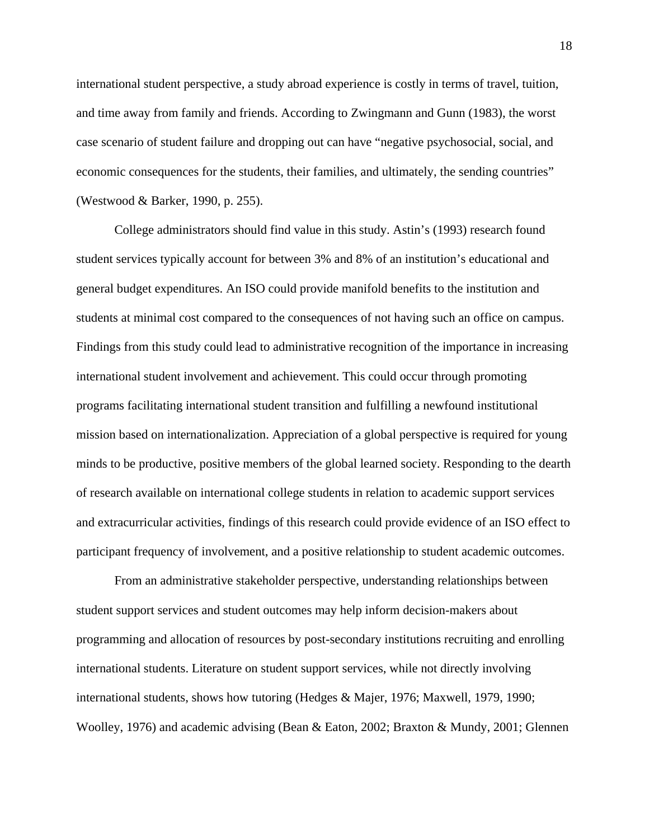international student perspective, a study abroad experience is costly in terms of travel, tuition, and time away from family and friends. According to Zwingmann and Gunn (1983), the worst case scenario of student failure and dropping out can have "negative psychosocial, social, and economic consequences for the students, their families, and ultimately, the sending countries" (Westwood & Barker, 1990, p. 255).

College administrators should find value in this study. Astin's (1993) research found student services typically account for between 3% and 8% of an institution's educational and general budget expenditures. An ISO could provide manifold benefits to the institution and students at minimal cost compared to the consequences of not having such an office on campus. Findings from this study could lead to administrative recognition of the importance in increasing international student involvement and achievement. This could occur through promoting programs facilitating international student transition and fulfilling a newfound institutional mission based on internationalization. Appreciation of a global perspective is required for young minds to be productive, positive members of the global learned society. Responding to the dearth of research available on international college students in relation to academic support services and extracurricular activities, findings of this research could provide evidence of an ISO effect to participant frequency of involvement, and a positive relationship to student academic outcomes.

From an administrative stakeholder perspective, understanding relationships between student support services and student outcomes may help inform decision-makers about programming and allocation of resources by post-secondary institutions recruiting and enrolling international students. Literature on student support services, while not directly involving international students, shows how tutoring (Hedges & Majer, 1976; Maxwell, 1979, 1990; Woolley, 1976) and academic advising (Bean & Eaton, 2002; Braxton & Mundy, 2001; Glennen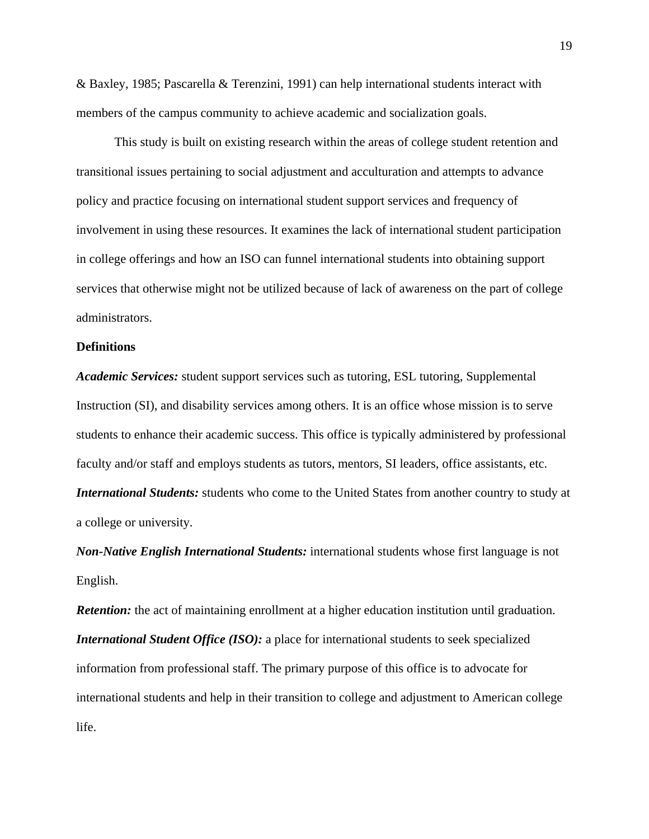& Baxley, 1985; Pascarella & Terenzini, 1991) can help international students interact with members of the campus community to achieve academic and socialization goals.

This study is built on existing research within the areas of college student retention and transitional issues pertaining to social adjustment and acculturation and attempts to advance policy and practice focusing on international student support services and frequency of involvement in using these resources. It examines the lack of international student participation in college offerings and how an ISO can funnel international students into obtaining support services that otherwise might not be utilized because of lack of awareness on the part of college administrators.

## **Definitions**

*Academic Services:* student support services such as tutoring, ESL tutoring, Supplemental Instruction (SI), and disability services among others. It is an office whose mission is to serve students to enhance their academic success. This office is typically administered by professional faculty and/or staff and employs students as tutors, mentors, SI leaders, office assistants, etc. *International Students:* students who come to the United States from another country to study at a college or university.

*Non-Native English International Students:* international students whose first language is not English.

*Retention:* the act of maintaining enrollment at a higher education institution until graduation. *International Student Office (ISO):* a place for international students to seek specialized information from professional staff. The primary purpose of this office is to advocate for international students and help in their transition to college and adjustment to American college life.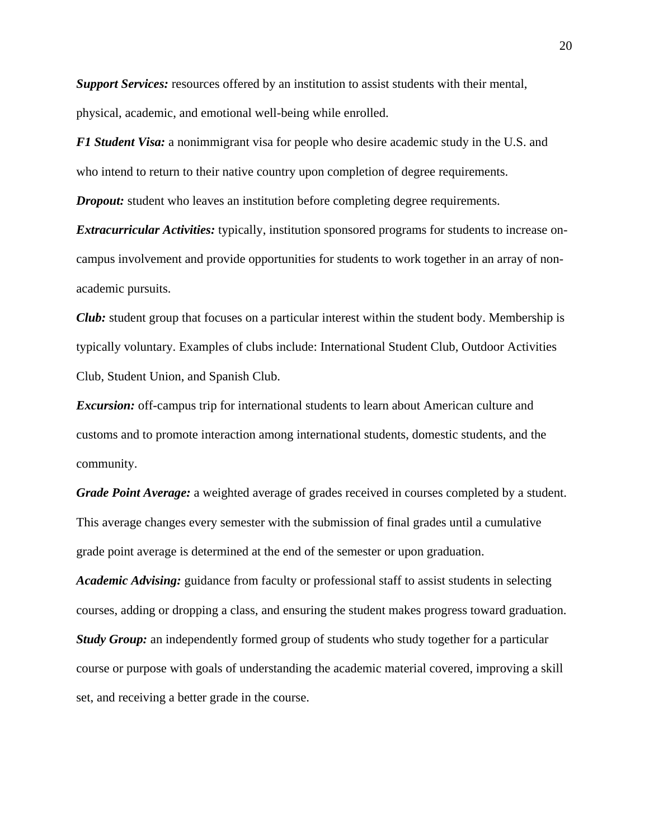**Support Services:** resources offered by an institution to assist students with their mental, physical, academic, and emotional well-being while enrolled.

*F1 Student Visa:* a nonimmigrant visa for people who desire academic study in the U.S. and who intend to return to their native country upon completion of degree requirements.

*Dropout:* student who leaves an institution before completing degree requirements.

*Extracurricular Activities:* typically, institution sponsored programs for students to increase oncampus involvement and provide opportunities for students to work together in an array of nonacademic pursuits.

*Club:* student group that focuses on a particular interest within the student body. Membership is typically voluntary. Examples of clubs include: International Student Club, Outdoor Activities Club, Student Union, and Spanish Club.

*Excursion:* off-campus trip for international students to learn about American culture and customs and to promote interaction among international students, domestic students, and the community.

*Grade Point Average:* a weighted average of grades received in courses completed by a student. This average changes every semester with the submission of final grades until a cumulative grade point average is determined at the end of the semester or upon graduation.

*Academic Advising:* guidance from faculty or professional staff to assist students in selecting courses, adding or dropping a class, and ensuring the student makes progress toward graduation. *Study Group:* an independently formed group of students who study together for a particular course or purpose with goals of understanding the academic material covered, improving a skill set, and receiving a better grade in the course.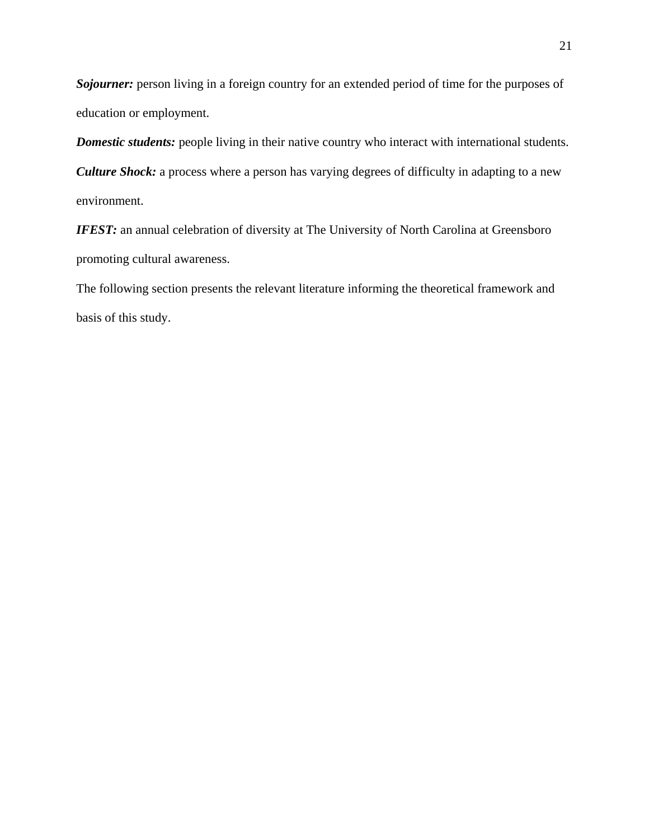*Sojourner:* person living in a foreign country for an extended period of time for the purposes of education or employment.

*Domestic students:* people living in their native country who interact with international students. *Culture Shock:* a process where a person has varying degrees of difficulty in adapting to a new environment.

**IFEST:** an annual celebration of diversity at The University of North Carolina at Greensboro promoting cultural awareness.

The following section presents the relevant literature informing the theoretical framework and basis of this study.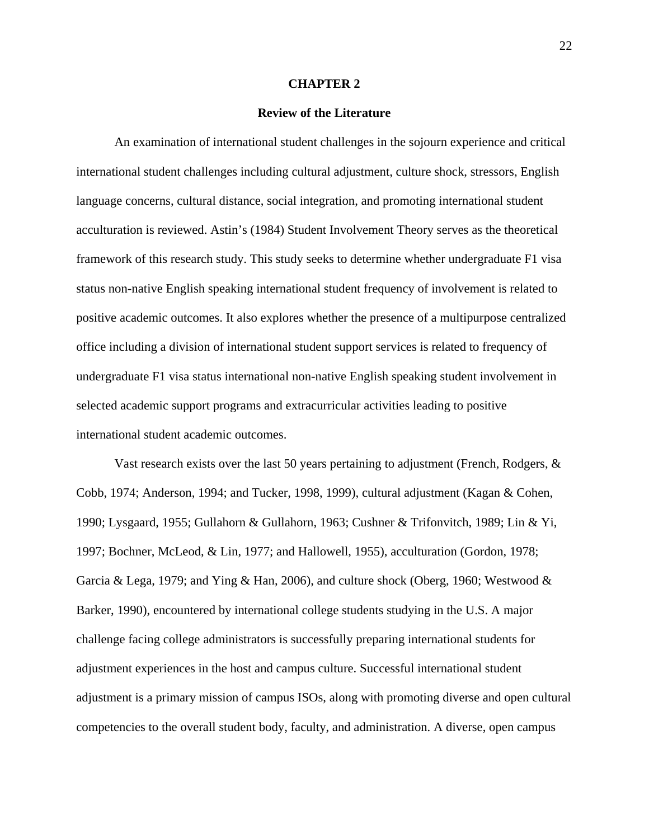### **CHAPTER 2**

## **Review of the Literature**

An examination of international student challenges in the sojourn experience and critical international student challenges including cultural adjustment, culture shock, stressors, English language concerns, cultural distance, social integration, and promoting international student acculturation is reviewed. Astin's (1984) Student Involvement Theory serves as the theoretical framework of this research study. This study seeks to determine whether undergraduate F1 visa status non-native English speaking international student frequency of involvement is related to positive academic outcomes. It also explores whether the presence of a multipurpose centralized office including a division of international student support services is related to frequency of undergraduate F1 visa status international non-native English speaking student involvement in selected academic support programs and extracurricular activities leading to positive international student academic outcomes.

Vast research exists over the last 50 years pertaining to adjustment (French, Rodgers,  $\&$ Cobb, 1974; Anderson, 1994; and Tucker, 1998, 1999), cultural adjustment (Kagan & Cohen, 1990; Lysgaard, 1955; Gullahorn & Gullahorn, 1963; Cushner & Trifonvitch, 1989; Lin & Yi, 1997; Bochner, McLeod, & Lin, 1977; and Hallowell, 1955), acculturation (Gordon, 1978; Garcia & Lega, 1979; and Ying & Han, 2006), and culture shock (Oberg, 1960; Westwood & Barker, 1990), encountered by international college students studying in the U.S. A major challenge facing college administrators is successfully preparing international students for adjustment experiences in the host and campus culture. Successful international student adjustment is a primary mission of campus ISOs, along with promoting diverse and open cultural competencies to the overall student body, faculty, and administration. A diverse, open campus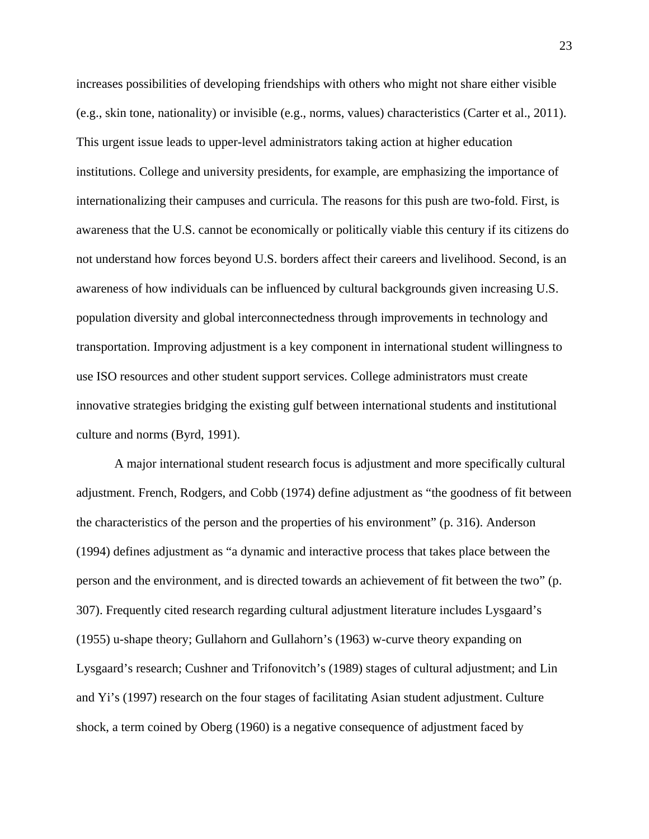increases possibilities of developing friendships with others who might not share either visible (e.g., skin tone, nationality) or invisible (e.g., norms, values) characteristics (Carter et al., 2011). This urgent issue leads to upper-level administrators taking action at higher education institutions. College and university presidents, for example, are emphasizing the importance of internationalizing their campuses and curricula. The reasons for this push are two-fold. First, is awareness that the U.S. cannot be economically or politically viable this century if its citizens do not understand how forces beyond U.S. borders affect their careers and livelihood. Second, is an awareness of how individuals can be influenced by cultural backgrounds given increasing U.S. population diversity and global interconnectedness through improvements in technology and transportation. Improving adjustment is a key component in international student willingness to use ISO resources and other student support services. College administrators must create innovative strategies bridging the existing gulf between international students and institutional culture and norms (Byrd, 1991).

A major international student research focus is adjustment and more specifically cultural adjustment. French, Rodgers, and Cobb (1974) define adjustment as "the goodness of fit between the characteristics of the person and the properties of his environment" (p. 316). Anderson (1994) defines adjustment as "a dynamic and interactive process that takes place between the person and the environment, and is directed towards an achievement of fit between the two" (p. 307). Frequently cited research regarding cultural adjustment literature includes Lysgaard's (1955) u-shape theory; Gullahorn and Gullahorn's (1963) w-curve theory expanding on Lysgaard's research; Cushner and Trifonovitch's (1989) stages of cultural adjustment; and Lin and Yi's (1997) research on the four stages of facilitating Asian student adjustment. Culture shock, a term coined by Oberg (1960) is a negative consequence of adjustment faced by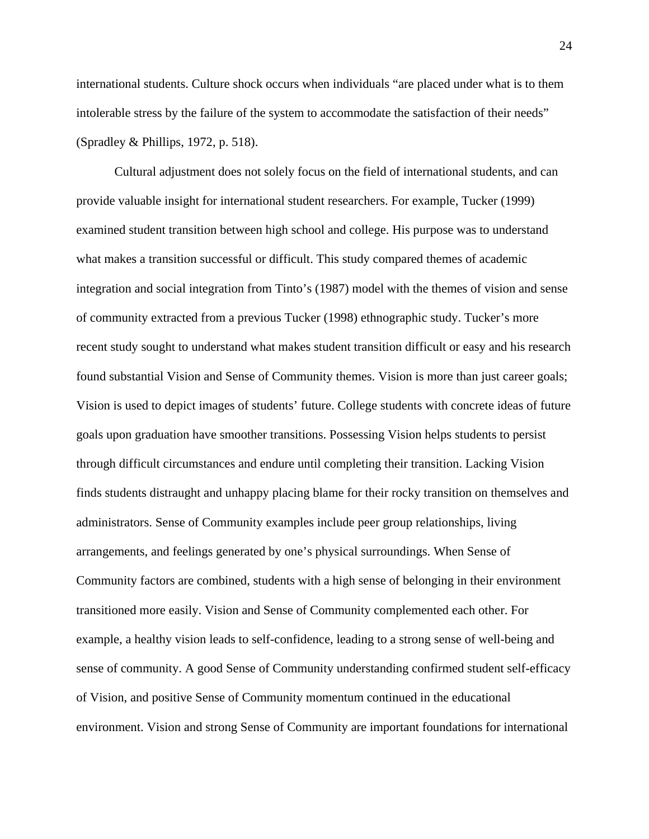international students. Culture shock occurs when individuals "are placed under what is to them intolerable stress by the failure of the system to accommodate the satisfaction of their needs" (Spradley & Phillips, 1972, p. 518).

Cultural adjustment does not solely focus on the field of international students, and can provide valuable insight for international student researchers. For example, Tucker (1999) examined student transition between high school and college. His purpose was to understand what makes a transition successful or difficult. This study compared themes of academic integration and social integration from Tinto's (1987) model with the themes of vision and sense of community extracted from a previous Tucker (1998) ethnographic study. Tucker's more recent study sought to understand what makes student transition difficult or easy and his research found substantial Vision and Sense of Community themes. Vision is more than just career goals; Vision is used to depict images of students' future. College students with concrete ideas of future goals upon graduation have smoother transitions. Possessing Vision helps students to persist through difficult circumstances and endure until completing their transition. Lacking Vision finds students distraught and unhappy placing blame for their rocky transition on themselves and administrators. Sense of Community examples include peer group relationships, living arrangements, and feelings generated by one's physical surroundings. When Sense of Community factors are combined, students with a high sense of belonging in their environment transitioned more easily. Vision and Sense of Community complemented each other. For example, a healthy vision leads to self-confidence, leading to a strong sense of well-being and sense of community. A good Sense of Community understanding confirmed student self-efficacy of Vision, and positive Sense of Community momentum continued in the educational environment. Vision and strong Sense of Community are important foundations for international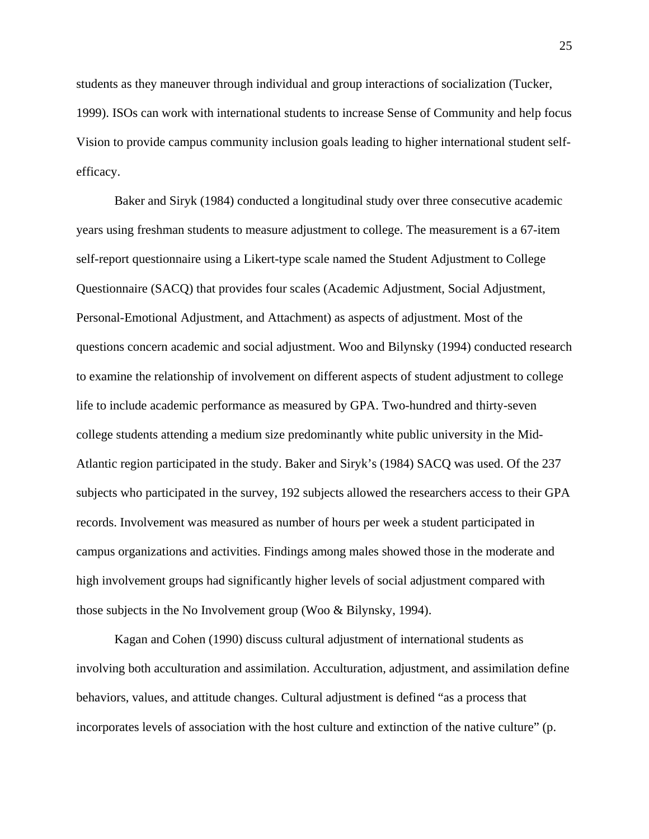students as they maneuver through individual and group interactions of socialization (Tucker, 1999). ISOs can work with international students to increase Sense of Community and help focus Vision to provide campus community inclusion goals leading to higher international student selfefficacy.

Baker and Siryk (1984) conducted a longitudinal study over three consecutive academic years using freshman students to measure adjustment to college. The measurement is a 67-item self-report questionnaire using a Likert-type scale named the Student Adjustment to College Questionnaire (SACQ) that provides four scales (Academic Adjustment, Social Adjustment, Personal-Emotional Adjustment, and Attachment) as aspects of adjustment. Most of the questions concern academic and social adjustment. Woo and Bilynsky (1994) conducted research to examine the relationship of involvement on different aspects of student adjustment to college life to include academic performance as measured by GPA. Two-hundred and thirty-seven college students attending a medium size predominantly white public university in the Mid-Atlantic region participated in the study. Baker and Siryk's (1984) SACQ was used. Of the 237 subjects who participated in the survey, 192 subjects allowed the researchers access to their GPA records. Involvement was measured as number of hours per week a student participated in campus organizations and activities. Findings among males showed those in the moderate and high involvement groups had significantly higher levels of social adjustment compared with those subjects in the No Involvement group (Woo & Bilynsky, 1994).

Kagan and Cohen (1990) discuss cultural adjustment of international students as involving both acculturation and assimilation. Acculturation, adjustment, and assimilation define behaviors, values, and attitude changes. Cultural adjustment is defined "as a process that incorporates levels of association with the host culture and extinction of the native culture" (p.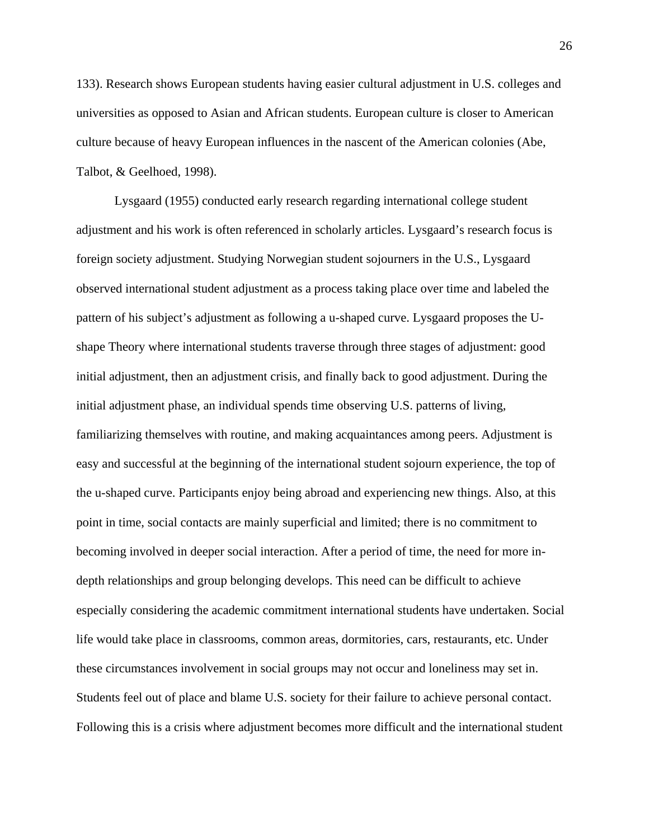133). Research shows European students having easier cultural adjustment in U.S. colleges and universities as opposed to Asian and African students. European culture is closer to American culture because of heavy European influences in the nascent of the American colonies (Abe, Talbot, & Geelhoed, 1998).

Lysgaard (1955) conducted early research regarding international college student adjustment and his work is often referenced in scholarly articles. Lysgaard's research focus is foreign society adjustment. Studying Norwegian student sojourners in the U.S., Lysgaard observed international student adjustment as a process taking place over time and labeled the pattern of his subject's adjustment as following a u-shaped curve. Lysgaard proposes the Ushape Theory where international students traverse through three stages of adjustment: good initial adjustment, then an adjustment crisis, and finally back to good adjustment. During the initial adjustment phase, an individual spends time observing U.S. patterns of living, familiarizing themselves with routine, and making acquaintances among peers. Adjustment is easy and successful at the beginning of the international student sojourn experience, the top of the u-shaped curve. Participants enjoy being abroad and experiencing new things. Also, at this point in time, social contacts are mainly superficial and limited; there is no commitment to becoming involved in deeper social interaction. After a period of time, the need for more indepth relationships and group belonging develops. This need can be difficult to achieve especially considering the academic commitment international students have undertaken. Social life would take place in classrooms, common areas, dormitories, cars, restaurants, etc. Under these circumstances involvement in social groups may not occur and loneliness may set in. Students feel out of place and blame U.S. society for their failure to achieve personal contact. Following this is a crisis where adjustment becomes more difficult and the international student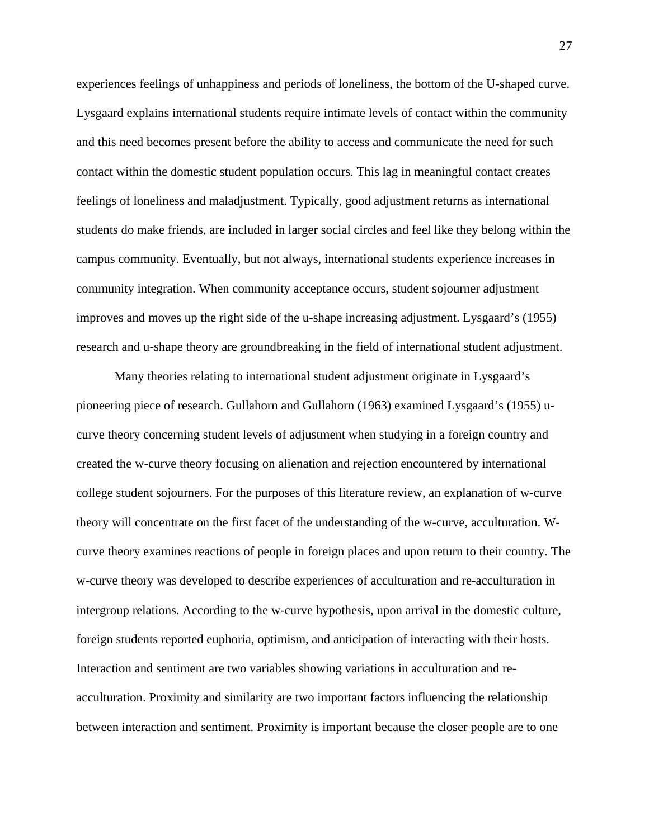experiences feelings of unhappiness and periods of loneliness, the bottom of the U-shaped curve. Lysgaard explains international students require intimate levels of contact within the community and this need becomes present before the ability to access and communicate the need for such contact within the domestic student population occurs. This lag in meaningful contact creates feelings of loneliness and maladjustment. Typically, good adjustment returns as international students do make friends, are included in larger social circles and feel like they belong within the campus community. Eventually, but not always, international students experience increases in community integration. When community acceptance occurs, student sojourner adjustment improves and moves up the right side of the u-shape increasing adjustment. Lysgaard's (1955) research and u-shape theory are groundbreaking in the field of international student adjustment.

Many theories relating to international student adjustment originate in Lysgaard's pioneering piece of research. Gullahorn and Gullahorn (1963) examined Lysgaard's (1955) ucurve theory concerning student levels of adjustment when studying in a foreign country and created the w-curve theory focusing on alienation and rejection encountered by international college student sojourners. For the purposes of this literature review, an explanation of w-curve theory will concentrate on the first facet of the understanding of the w-curve, acculturation. Wcurve theory examines reactions of people in foreign places and upon return to their country. The w-curve theory was developed to describe experiences of acculturation and re-acculturation in intergroup relations. According to the w-curve hypothesis, upon arrival in the domestic culture, foreign students reported euphoria, optimism, and anticipation of interacting with their hosts. Interaction and sentiment are two variables showing variations in acculturation and reacculturation. Proximity and similarity are two important factors influencing the relationship between interaction and sentiment. Proximity is important because the closer people are to one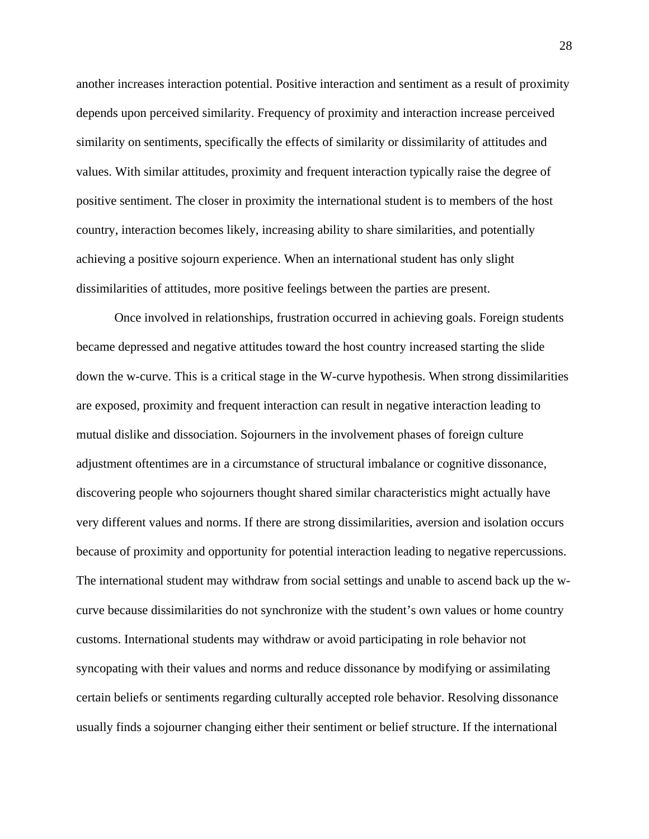another increases interaction potential. Positive interaction and sentiment as a result of proximity depends upon perceived similarity. Frequency of proximity and interaction increase perceived similarity on sentiments, specifically the effects of similarity or dissimilarity of attitudes and values. With similar attitudes, proximity and frequent interaction typically raise the degree of positive sentiment. The closer in proximity the international student is to members of the host country, interaction becomes likely, increasing ability to share similarities, and potentially achieving a positive sojourn experience. When an international student has only slight dissimilarities of attitudes, more positive feelings between the parties are present.

Once involved in relationships, frustration occurred in achieving goals. Foreign students became depressed and negative attitudes toward the host country increased starting the slide down the w-curve. This is a critical stage in the W-curve hypothesis. When strong dissimilarities are exposed, proximity and frequent interaction can result in negative interaction leading to mutual dislike and dissociation. Sojourners in the involvement phases of foreign culture adjustment oftentimes are in a circumstance of structural imbalance or cognitive dissonance, discovering people who sojourners thought shared similar characteristics might actually have very different values and norms. If there are strong dissimilarities, aversion and isolation occurs because of proximity and opportunity for potential interaction leading to negative repercussions. The international student may withdraw from social settings and unable to ascend back up the wcurve because dissimilarities do not synchronize with the student's own values or home country customs. International students may withdraw or avoid participating in role behavior not syncopating with their values and norms and reduce dissonance by modifying or assimilating certain beliefs or sentiments regarding culturally accepted role behavior. Resolving dissonance usually finds a sojourner changing either their sentiment or belief structure. If the international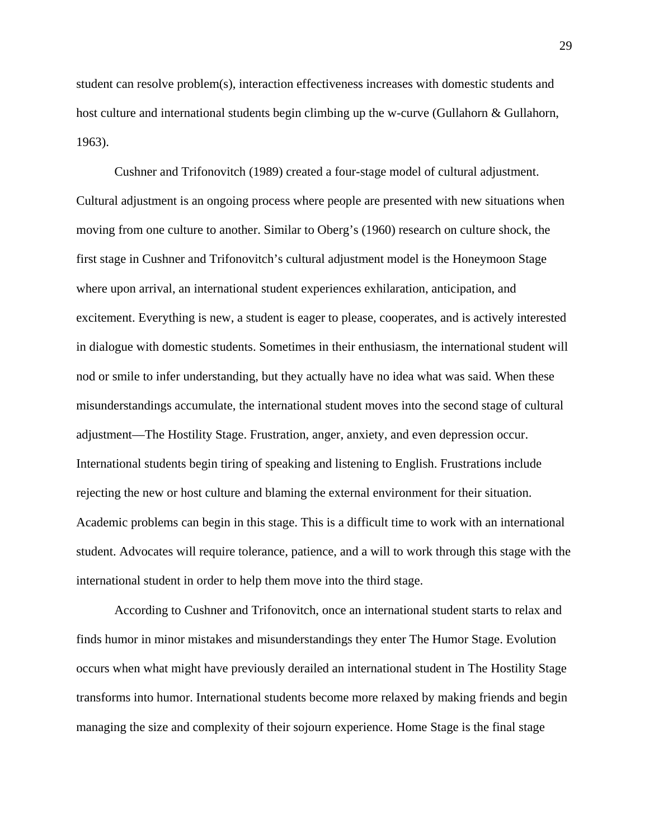student can resolve problem(s), interaction effectiveness increases with domestic students and host culture and international students begin climbing up the w-curve (Gullahorn & Gullahorn, 1963).

Cushner and Trifonovitch (1989) created a four-stage model of cultural adjustment. Cultural adjustment is an ongoing process where people are presented with new situations when moving from one culture to another. Similar to Oberg's (1960) research on culture shock, the first stage in Cushner and Trifonovitch's cultural adjustment model is the Honeymoon Stage where upon arrival, an international student experiences exhilaration, anticipation, and excitement. Everything is new, a student is eager to please, cooperates, and is actively interested in dialogue with domestic students. Sometimes in their enthusiasm, the international student will nod or smile to infer understanding, but they actually have no idea what was said. When these misunderstandings accumulate, the international student moves into the second stage of cultural adjustment—The Hostility Stage. Frustration, anger, anxiety, and even depression occur. International students begin tiring of speaking and listening to English. Frustrations include rejecting the new or host culture and blaming the external environment for their situation. Academic problems can begin in this stage. This is a difficult time to work with an international student. Advocates will require tolerance, patience, and a will to work through this stage with the international student in order to help them move into the third stage.

According to Cushner and Trifonovitch, once an international student starts to relax and finds humor in minor mistakes and misunderstandings they enter The Humor Stage. Evolution occurs when what might have previously derailed an international student in The Hostility Stage transforms into humor. International students become more relaxed by making friends and begin managing the size and complexity of their sojourn experience. Home Stage is the final stage

29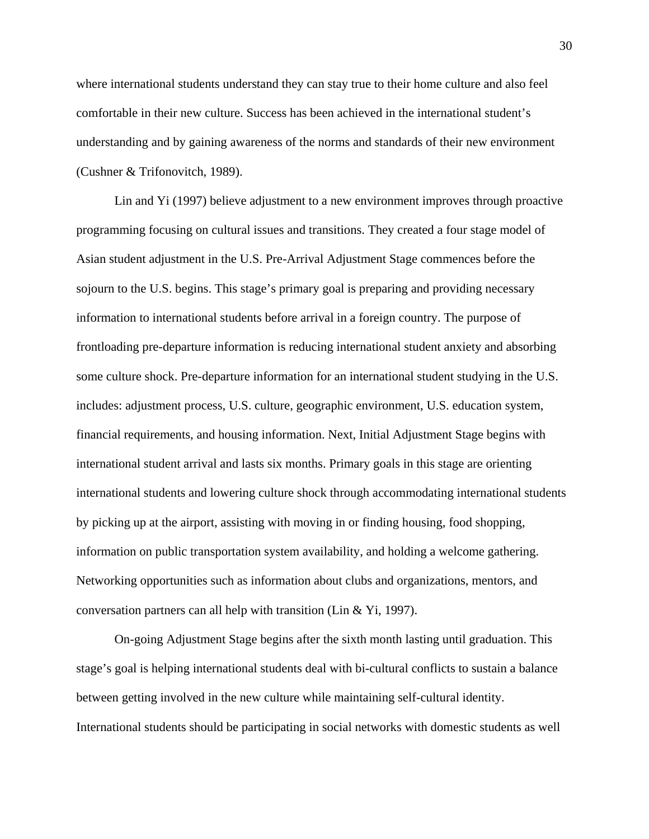where international students understand they can stay true to their home culture and also feel comfortable in their new culture. Success has been achieved in the international student's understanding and by gaining awareness of the norms and standards of their new environment (Cushner & Trifonovitch, 1989).

Lin and Yi (1997) believe adjustment to a new environment improves through proactive programming focusing on cultural issues and transitions. They created a four stage model of Asian student adjustment in the U.S. Pre-Arrival Adjustment Stage commences before the sojourn to the U.S. begins. This stage's primary goal is preparing and providing necessary information to international students before arrival in a foreign country. The purpose of frontloading pre-departure information is reducing international student anxiety and absorbing some culture shock. Pre-departure information for an international student studying in the U.S. includes: adjustment process, U.S. culture, geographic environment, U.S. education system, financial requirements, and housing information. Next, Initial Adjustment Stage begins with international student arrival and lasts six months. Primary goals in this stage are orienting international students and lowering culture shock through accommodating international students by picking up at the airport, assisting with moving in or finding housing, food shopping, information on public transportation system availability, and holding a welcome gathering. Networking opportunities such as information about clubs and organizations, mentors, and conversation partners can all help with transition (Lin & Yi, 1997).

On-going Adjustment Stage begins after the sixth month lasting until graduation. This stage's goal is helping international students deal with bi-cultural conflicts to sustain a balance between getting involved in the new culture while maintaining self-cultural identity. International students should be participating in social networks with domestic students as well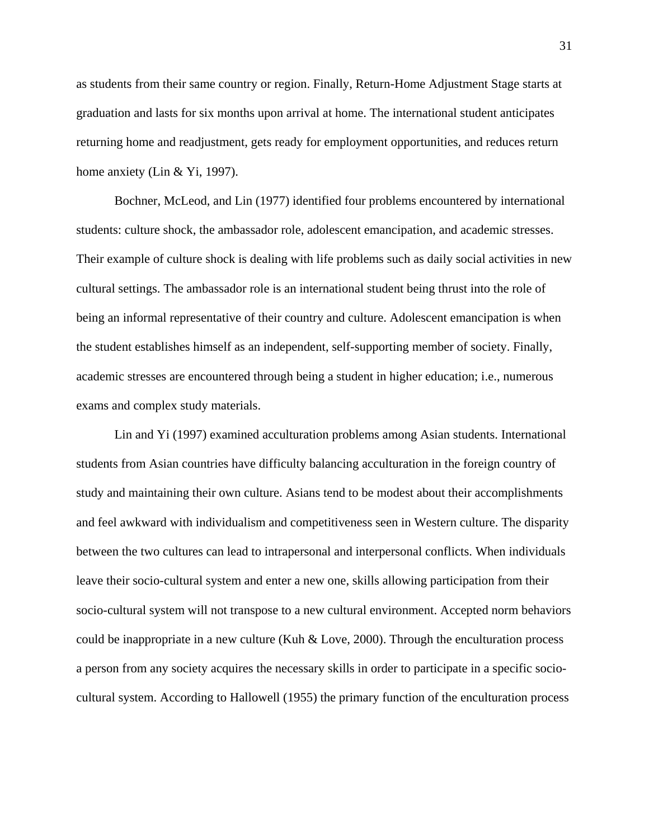as students from their same country or region. Finally, Return-Home Adjustment Stage starts at graduation and lasts for six months upon arrival at home. The international student anticipates returning home and readjustment, gets ready for employment opportunities, and reduces return home anxiety (Lin & Yi, 1997).

Bochner, McLeod, and Lin (1977) identified four problems encountered by international students: culture shock, the ambassador role, adolescent emancipation, and academic stresses. Their example of culture shock is dealing with life problems such as daily social activities in new cultural settings. The ambassador role is an international student being thrust into the role of being an informal representative of their country and culture. Adolescent emancipation is when the student establishes himself as an independent, self-supporting member of society. Finally, academic stresses are encountered through being a student in higher education; i.e., numerous exams and complex study materials.

Lin and Yi (1997) examined acculturation problems among Asian students. International students from Asian countries have difficulty balancing acculturation in the foreign country of study and maintaining their own culture. Asians tend to be modest about their accomplishments and feel awkward with individualism and competitiveness seen in Western culture. The disparity between the two cultures can lead to intrapersonal and interpersonal conflicts. When individuals leave their socio-cultural system and enter a new one, skills allowing participation from their socio-cultural system will not transpose to a new cultural environment. Accepted norm behaviors could be inappropriate in a new culture (Kuh & Love, 2000). Through the enculturation process a person from any society acquires the necessary skills in order to participate in a specific sociocultural system. According to Hallowell (1955) the primary function of the enculturation process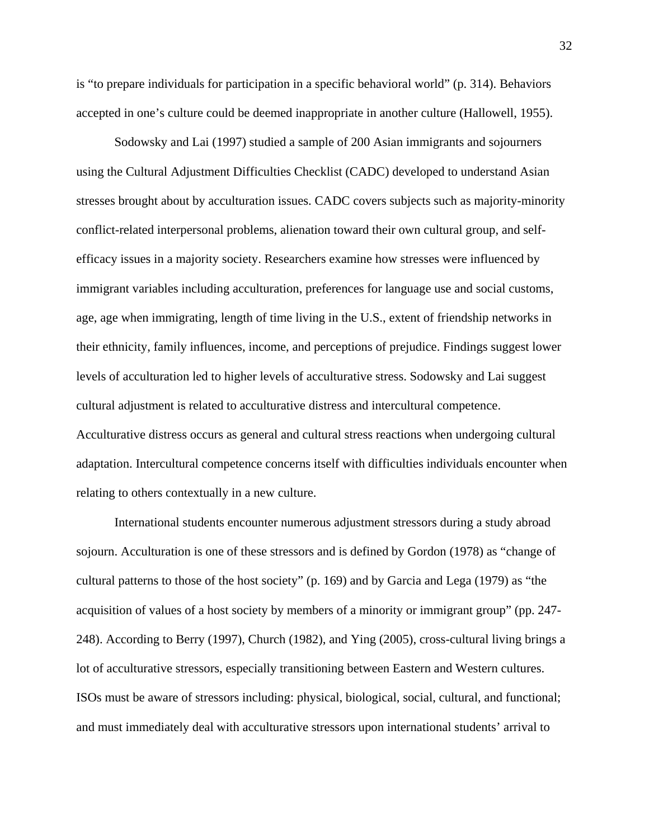is "to prepare individuals for participation in a specific behavioral world" (p. 314). Behaviors accepted in one's culture could be deemed inappropriate in another culture (Hallowell, 1955).

Sodowsky and Lai (1997) studied a sample of 200 Asian immigrants and sojourners using the Cultural Adjustment Difficulties Checklist (CADC) developed to understand Asian stresses brought about by acculturation issues. CADC covers subjects such as majority-minority conflict-related interpersonal problems, alienation toward their own cultural group, and selfefficacy issues in a majority society. Researchers examine how stresses were influenced by immigrant variables including acculturation, preferences for language use and social customs, age, age when immigrating, length of time living in the U.S., extent of friendship networks in their ethnicity, family influences, income, and perceptions of prejudice. Findings suggest lower levels of acculturation led to higher levels of acculturative stress. Sodowsky and Lai suggest cultural adjustment is related to acculturative distress and intercultural competence. Acculturative distress occurs as general and cultural stress reactions when undergoing cultural adaptation. Intercultural competence concerns itself with difficulties individuals encounter when relating to others contextually in a new culture.

International students encounter numerous adjustment stressors during a study abroad sojourn. Acculturation is one of these stressors and is defined by Gordon (1978) as "change of cultural patterns to those of the host society" (p. 169) and by Garcia and Lega (1979) as "the acquisition of values of a host society by members of a minority or immigrant group" (pp. 247- 248). According to Berry (1997), Church (1982), and Ying (2005), cross-cultural living brings a lot of acculturative stressors, especially transitioning between Eastern and Western cultures. ISOs must be aware of stressors including: physical, biological, social, cultural, and functional; and must immediately deal with acculturative stressors upon international students' arrival to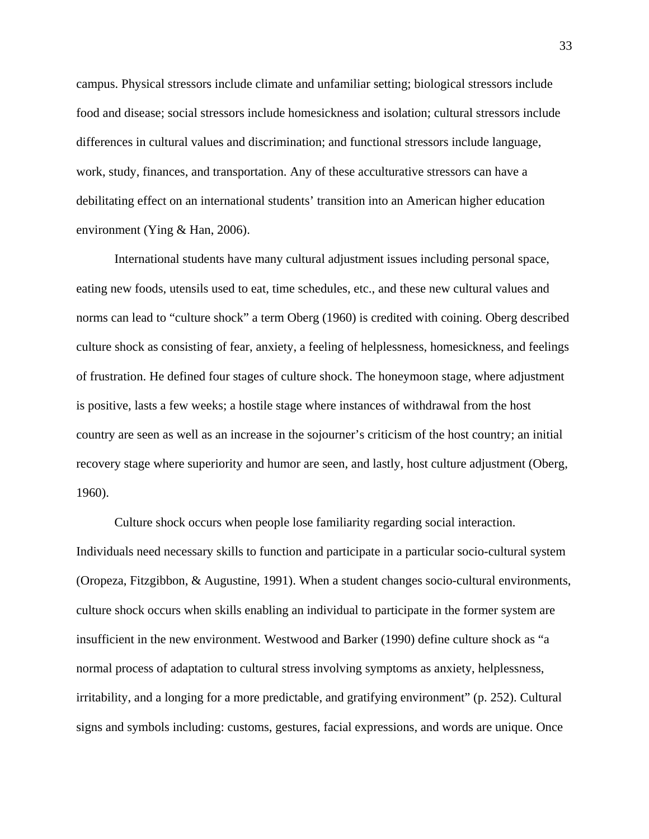campus. Physical stressors include climate and unfamiliar setting; biological stressors include food and disease; social stressors include homesickness and isolation; cultural stressors include differences in cultural values and discrimination; and functional stressors include language, work, study, finances, and transportation. Any of these acculturative stressors can have a debilitating effect on an international students' transition into an American higher education environment (Ying & Han, 2006).

International students have many cultural adjustment issues including personal space, eating new foods, utensils used to eat, time schedules, etc., and these new cultural values and norms can lead to "culture shock" a term Oberg (1960) is credited with coining. Oberg described culture shock as consisting of fear, anxiety, a feeling of helplessness, homesickness, and feelings of frustration. He defined four stages of culture shock. The honeymoon stage, where adjustment is positive, lasts a few weeks; a hostile stage where instances of withdrawal from the host country are seen as well as an increase in the sojourner's criticism of the host country; an initial recovery stage where superiority and humor are seen, and lastly, host culture adjustment (Oberg, 1960).

Culture shock occurs when people lose familiarity regarding social interaction. Individuals need necessary skills to function and participate in a particular socio-cultural system (Oropeza, Fitzgibbon, & Augustine, 1991). When a student changes socio-cultural environments, culture shock occurs when skills enabling an individual to participate in the former system are insufficient in the new environment. Westwood and Barker (1990) define culture shock as "a normal process of adaptation to cultural stress involving symptoms as anxiety, helplessness, irritability, and a longing for a more predictable, and gratifying environment" (p. 252). Cultural signs and symbols including: customs, gestures, facial expressions, and words are unique. Once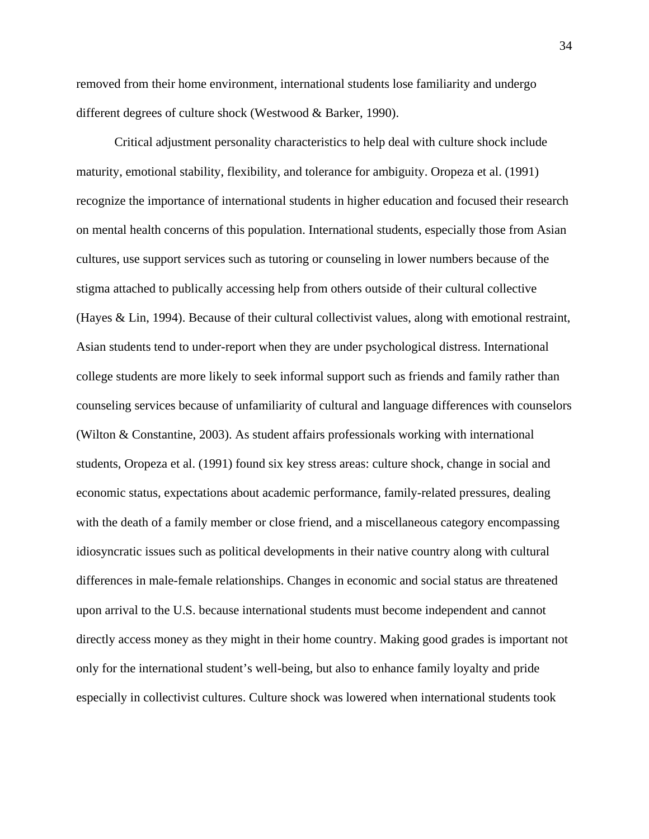removed from their home environment, international students lose familiarity and undergo different degrees of culture shock (Westwood & Barker, 1990).

Critical adjustment personality characteristics to help deal with culture shock include maturity, emotional stability, flexibility, and tolerance for ambiguity. Oropeza et al. (1991) recognize the importance of international students in higher education and focused their research on mental health concerns of this population. International students, especially those from Asian cultures, use support services such as tutoring or counseling in lower numbers because of the stigma attached to publically accessing help from others outside of their cultural collective (Hayes & Lin, 1994). Because of their cultural collectivist values, along with emotional restraint, Asian students tend to under-report when they are under psychological distress. International college students are more likely to seek informal support such as friends and family rather than counseling services because of unfamiliarity of cultural and language differences with counselors (Wilton & Constantine, 2003). As student affairs professionals working with international students, Oropeza et al. (1991) found six key stress areas: culture shock, change in social and economic status, expectations about academic performance, family-related pressures, dealing with the death of a family member or close friend, and a miscellaneous category encompassing idiosyncratic issues such as political developments in their native country along with cultural differences in male-female relationships. Changes in economic and social status are threatened upon arrival to the U.S. because international students must become independent and cannot directly access money as they might in their home country. Making good grades is important not only for the international student's well-being, but also to enhance family loyalty and pride especially in collectivist cultures. Culture shock was lowered when international students took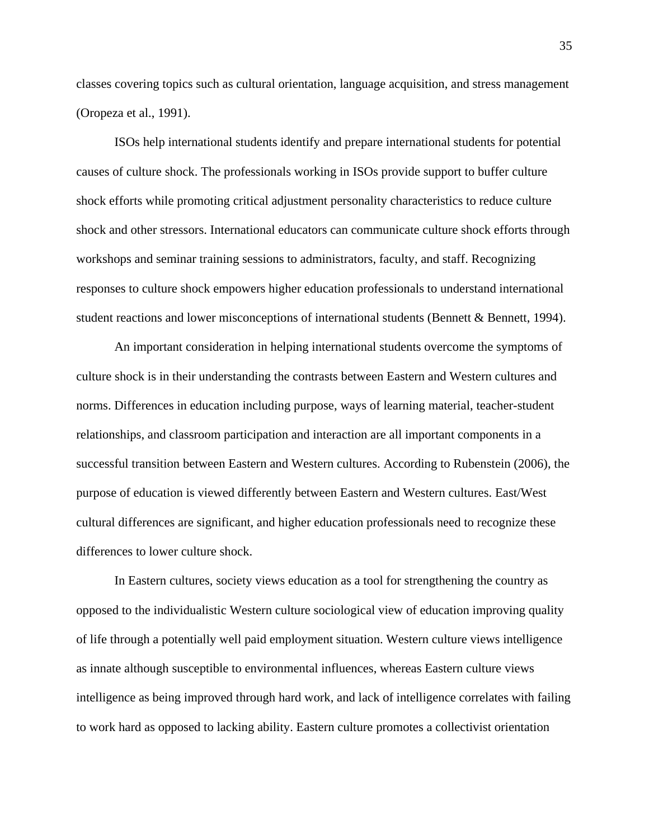classes covering topics such as cultural orientation, language acquisition, and stress management (Oropeza et al., 1991).

ISOs help international students identify and prepare international students for potential causes of culture shock. The professionals working in ISOs provide support to buffer culture shock efforts while promoting critical adjustment personality characteristics to reduce culture shock and other stressors. International educators can communicate culture shock efforts through workshops and seminar training sessions to administrators, faculty, and staff. Recognizing responses to culture shock empowers higher education professionals to understand international student reactions and lower misconceptions of international students (Bennett & Bennett, 1994).

An important consideration in helping international students overcome the symptoms of culture shock is in their understanding the contrasts between Eastern and Western cultures and norms. Differences in education including purpose, ways of learning material, teacher-student relationships, and classroom participation and interaction are all important components in a successful transition between Eastern and Western cultures. According to Rubenstein (2006), the purpose of education is viewed differently between Eastern and Western cultures. East/West cultural differences are significant, and higher education professionals need to recognize these differences to lower culture shock.

In Eastern cultures, society views education as a tool for strengthening the country as opposed to the individualistic Western culture sociological view of education improving quality of life through a potentially well paid employment situation. Western culture views intelligence as innate although susceptible to environmental influences, whereas Eastern culture views intelligence as being improved through hard work, and lack of intelligence correlates with failing to work hard as opposed to lacking ability. Eastern culture promotes a collectivist orientation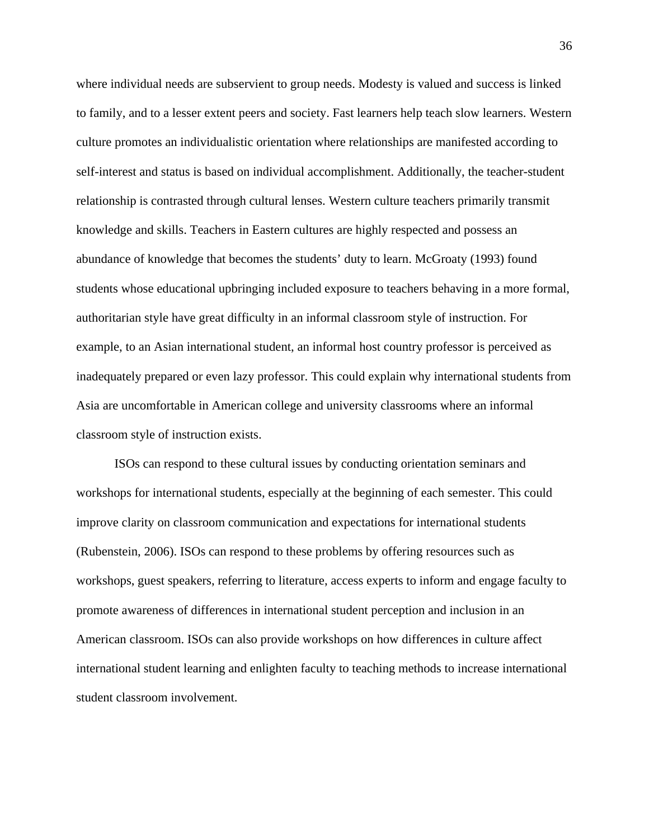where individual needs are subservient to group needs. Modesty is valued and success is linked to family, and to a lesser extent peers and society. Fast learners help teach slow learners. Western culture promotes an individualistic orientation where relationships are manifested according to self-interest and status is based on individual accomplishment. Additionally, the teacher-student relationship is contrasted through cultural lenses. Western culture teachers primarily transmit knowledge and skills. Teachers in Eastern cultures are highly respected and possess an abundance of knowledge that becomes the students' duty to learn. McGroaty (1993) found students whose educational upbringing included exposure to teachers behaving in a more formal, authoritarian style have great difficulty in an informal classroom style of instruction. For example, to an Asian international student, an informal host country professor is perceived as inadequately prepared or even lazy professor. This could explain why international students from Asia are uncomfortable in American college and university classrooms where an informal classroom style of instruction exists.

ISOs can respond to these cultural issues by conducting orientation seminars and workshops for international students, especially at the beginning of each semester. This could improve clarity on classroom communication and expectations for international students (Rubenstein, 2006). ISOs can respond to these problems by offering resources such as workshops, guest speakers, referring to literature, access experts to inform and engage faculty to promote awareness of differences in international student perception and inclusion in an American classroom. ISOs can also provide workshops on how differences in culture affect international student learning and enlighten faculty to teaching methods to increase international student classroom involvement.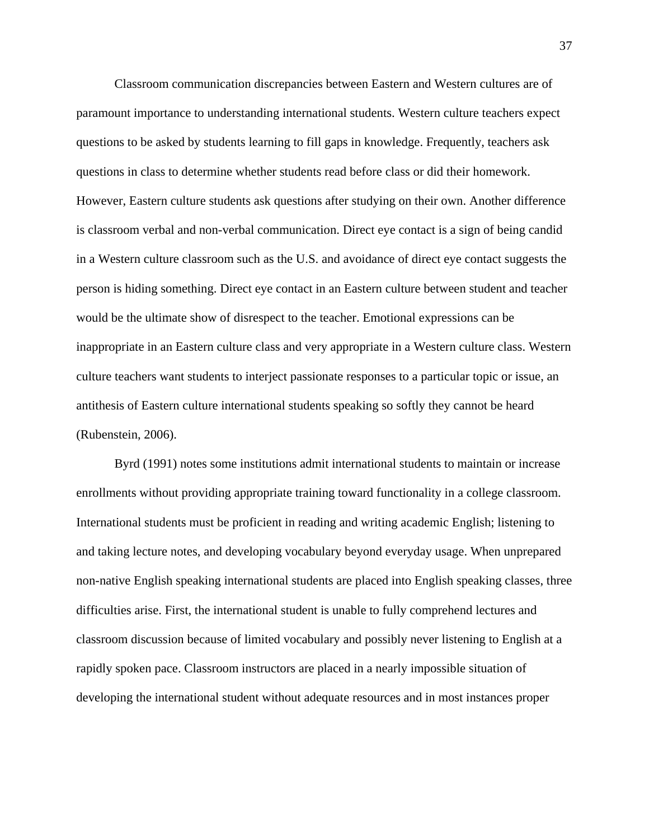Classroom communication discrepancies between Eastern and Western cultures are of paramount importance to understanding international students. Western culture teachers expect questions to be asked by students learning to fill gaps in knowledge. Frequently, teachers ask questions in class to determine whether students read before class or did their homework. However, Eastern culture students ask questions after studying on their own. Another difference is classroom verbal and non-verbal communication. Direct eye contact is a sign of being candid in a Western culture classroom such as the U.S. and avoidance of direct eye contact suggests the person is hiding something. Direct eye contact in an Eastern culture between student and teacher would be the ultimate show of disrespect to the teacher. Emotional expressions can be inappropriate in an Eastern culture class and very appropriate in a Western culture class. Western culture teachers want students to interject passionate responses to a particular topic or issue, an antithesis of Eastern culture international students speaking so softly they cannot be heard (Rubenstein, 2006).

Byrd (1991) notes some institutions admit international students to maintain or increase enrollments without providing appropriate training toward functionality in a college classroom. International students must be proficient in reading and writing academic English; listening to and taking lecture notes, and developing vocabulary beyond everyday usage. When unprepared non-native English speaking international students are placed into English speaking classes, three difficulties arise. First, the international student is unable to fully comprehend lectures and classroom discussion because of limited vocabulary and possibly never listening to English at a rapidly spoken pace. Classroom instructors are placed in a nearly impossible situation of developing the international student without adequate resources and in most instances proper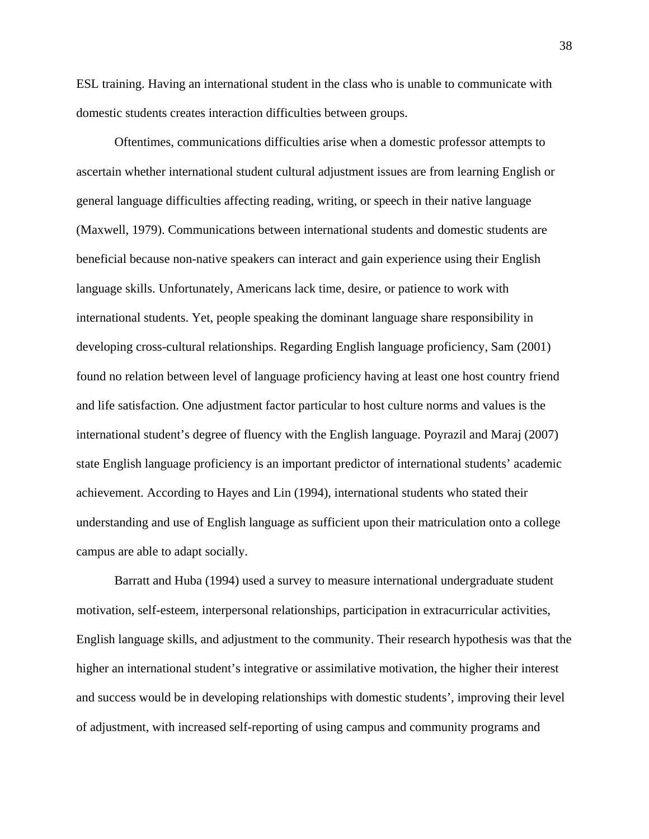ESL training. Having an international student in the class who is unable to communicate with domestic students creates interaction difficulties between groups.

Oftentimes, communications difficulties arise when a domestic professor attempts to ascertain whether international student cultural adjustment issues are from learning English or general language difficulties affecting reading, writing, or speech in their native language (Maxwell, 1979). Communications between international students and domestic students are beneficial because non-native speakers can interact and gain experience using their English language skills. Unfortunately, Americans lack time, desire, or patience to work with international students. Yet, people speaking the dominant language share responsibility in developing cross-cultural relationships. Regarding English language proficiency, Sam (2001) found no relation between level of language proficiency having at least one host country friend and life satisfaction. One adjustment factor particular to host culture norms and values is the international student's degree of fluency with the English language. Poyrazil and Maraj (2007) state English language proficiency is an important predictor of international students' academic achievement. According to Hayes and Lin (1994), international students who stated their understanding and use of English language as sufficient upon their matriculation onto a college campus are able to adapt socially.

Barratt and Huba (1994) used a survey to measure international undergraduate student motivation, self-esteem, interpersonal relationships, participation in extracurricular activities, English language skills, and adjustment to the community. Their research hypothesis was that the higher an international student's integrative or assimilative motivation, the higher their interest and success would be in developing relationships with domestic students', improving their level of adjustment, with increased self-reporting of using campus and community programs and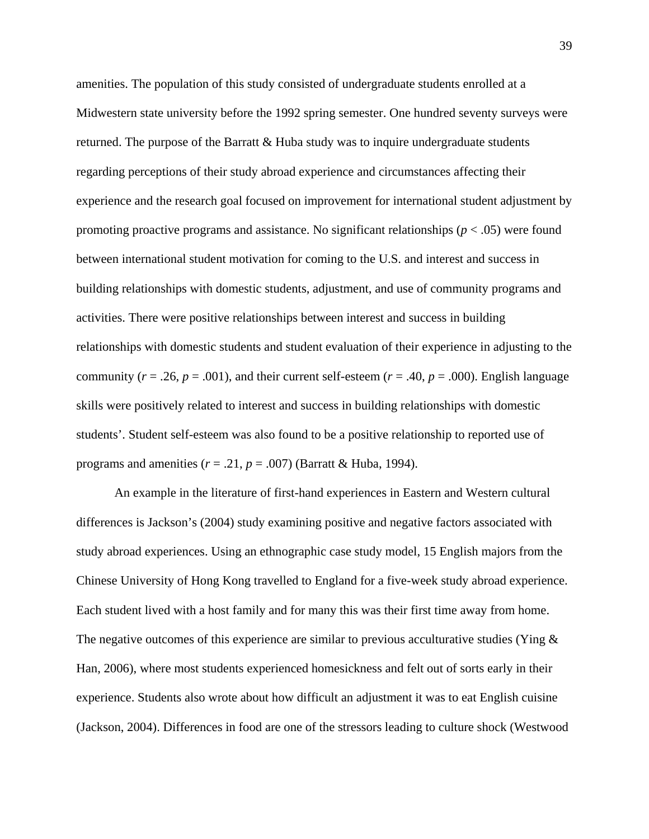amenities. The population of this study consisted of undergraduate students enrolled at a Midwestern state university before the 1992 spring semester. One hundred seventy surveys were returned. The purpose of the Barratt  $&$  Huba study was to inquire undergraduate students regarding perceptions of their study abroad experience and circumstances affecting their experience and the research goal focused on improvement for international student adjustment by promoting proactive programs and assistance. No significant relationships  $(p < .05)$  were found between international student motivation for coming to the U.S. and interest and success in building relationships with domestic students, adjustment, and use of community programs and activities. There were positive relationships between interest and success in building relationships with domestic students and student evaluation of their experience in adjusting to the community ( $r = .26$ ,  $p = .001$ ), and their current self-esteem ( $r = .40$ ,  $p = .000$ ). English language skills were positively related to interest and success in building relationships with domestic students'. Student self-esteem was also found to be a positive relationship to reported use of programs and amenities  $(r = .21, p = .007)$  (Barratt & Huba, 1994).

An example in the literature of first-hand experiences in Eastern and Western cultural differences is Jackson's (2004) study examining positive and negative factors associated with study abroad experiences. Using an ethnographic case study model, 15 English majors from the Chinese University of Hong Kong travelled to England for a five-week study abroad experience. Each student lived with a host family and for many this was their first time away from home. The negative outcomes of this experience are similar to previous acculturative studies (Ying  $\&$ Han, 2006), where most students experienced homesickness and felt out of sorts early in their experience. Students also wrote about how difficult an adjustment it was to eat English cuisine (Jackson, 2004). Differences in food are one of the stressors leading to culture shock (Westwood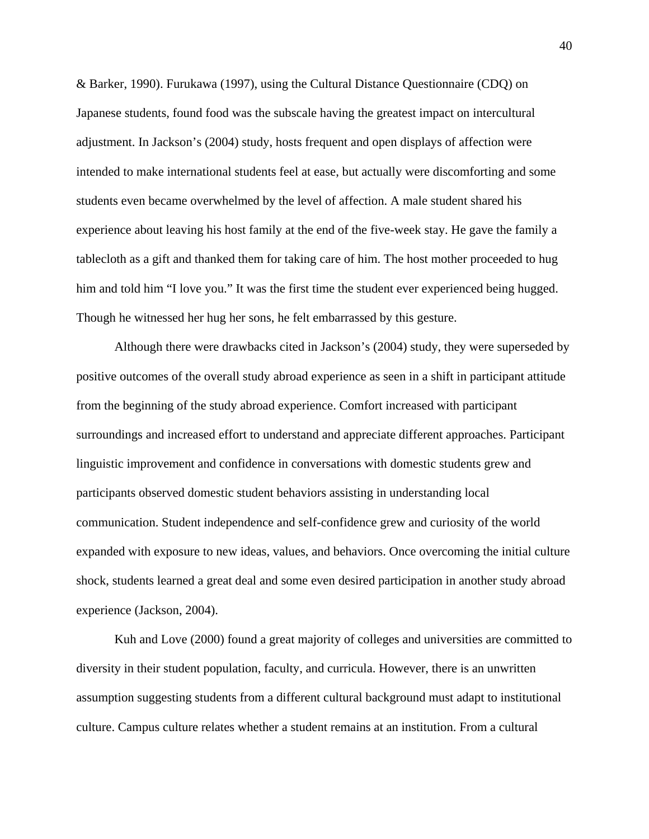& Barker, 1990). Furukawa (1997), using the Cultural Distance Questionnaire (CDQ) on Japanese students, found food was the subscale having the greatest impact on intercultural adjustment. In Jackson's (2004) study, hosts frequent and open displays of affection were intended to make international students feel at ease, but actually were discomforting and some students even became overwhelmed by the level of affection. A male student shared his experience about leaving his host family at the end of the five-week stay. He gave the family a tablecloth as a gift and thanked them for taking care of him. The host mother proceeded to hug him and told him "I love you." It was the first time the student ever experienced being hugged. Though he witnessed her hug her sons, he felt embarrassed by this gesture.

Although there were drawbacks cited in Jackson's (2004) study, they were superseded by positive outcomes of the overall study abroad experience as seen in a shift in participant attitude from the beginning of the study abroad experience. Comfort increased with participant surroundings and increased effort to understand and appreciate different approaches. Participant linguistic improvement and confidence in conversations with domestic students grew and participants observed domestic student behaviors assisting in understanding local communication. Student independence and self-confidence grew and curiosity of the world expanded with exposure to new ideas, values, and behaviors. Once overcoming the initial culture shock, students learned a great deal and some even desired participation in another study abroad experience (Jackson, 2004).

Kuh and Love (2000) found a great majority of colleges and universities are committed to diversity in their student population, faculty, and curricula. However, there is an unwritten assumption suggesting students from a different cultural background must adapt to institutional culture. Campus culture relates whether a student remains at an institution. From a cultural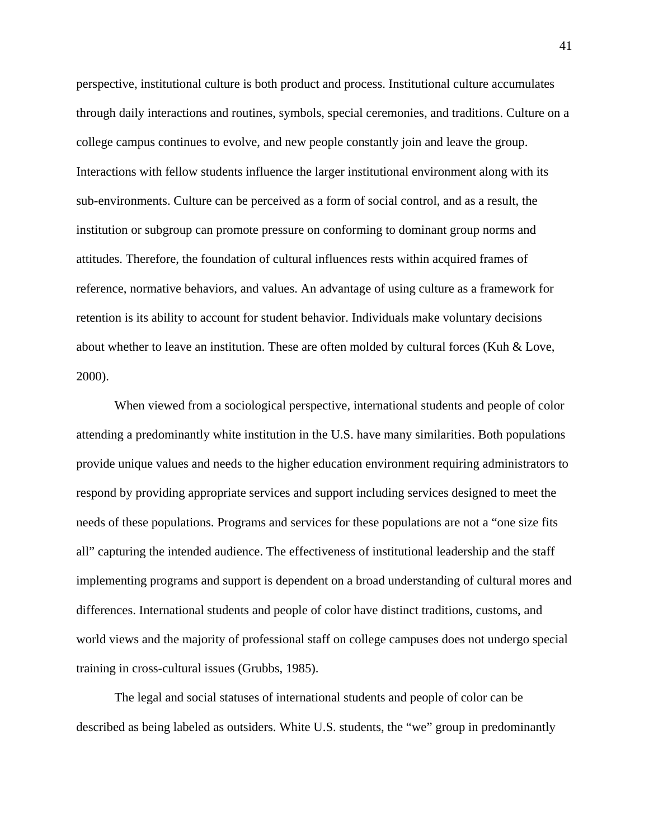perspective, institutional culture is both product and process. Institutional culture accumulates through daily interactions and routines, symbols, special ceremonies, and traditions. Culture on a college campus continues to evolve, and new people constantly join and leave the group. Interactions with fellow students influence the larger institutional environment along with its sub-environments. Culture can be perceived as a form of social control, and as a result, the institution or subgroup can promote pressure on conforming to dominant group norms and attitudes. Therefore, the foundation of cultural influences rests within acquired frames of reference, normative behaviors, and values. An advantage of using culture as a framework for retention is its ability to account for student behavior. Individuals make voluntary decisions about whether to leave an institution. These are often molded by cultural forces (Kuh & Love, 2000).

When viewed from a sociological perspective, international students and people of color attending a predominantly white institution in the U.S. have many similarities. Both populations provide unique values and needs to the higher education environment requiring administrators to respond by providing appropriate services and support including services designed to meet the needs of these populations. Programs and services for these populations are not a "one size fits all" capturing the intended audience. The effectiveness of institutional leadership and the staff implementing programs and support is dependent on a broad understanding of cultural mores and differences. International students and people of color have distinct traditions, customs, and world views and the majority of professional staff on college campuses does not undergo special training in cross-cultural issues (Grubbs, 1985).

The legal and social statuses of international students and people of color can be described as being labeled as outsiders. White U.S. students, the "we" group in predominantly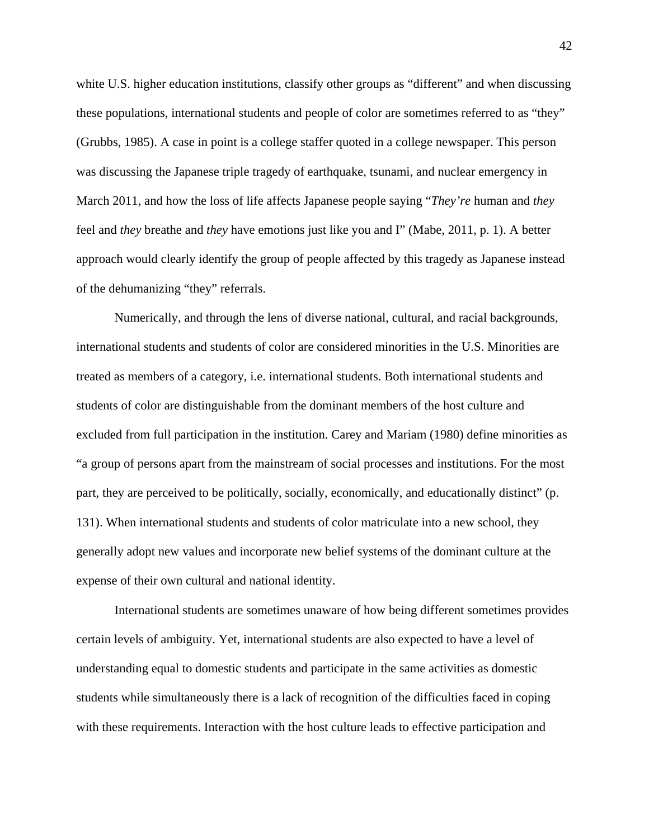white U.S. higher education institutions, classify other groups as "different" and when discussing these populations, international students and people of color are sometimes referred to as "they" (Grubbs, 1985). A case in point is a college staffer quoted in a college newspaper. This person was discussing the Japanese triple tragedy of earthquake, tsunami, and nuclear emergency in March 2011, and how the loss of life affects Japanese people saying "*They're* human and *they* feel and *they* breathe and *they* have emotions just like you and I" (Mabe, 2011, p. 1). A better approach would clearly identify the group of people affected by this tragedy as Japanese instead of the dehumanizing "they" referrals.

Numerically, and through the lens of diverse national, cultural, and racial backgrounds, international students and students of color are considered minorities in the U.S. Minorities are treated as members of a category, i.e. international students. Both international students and students of color are distinguishable from the dominant members of the host culture and excluded from full participation in the institution. Carey and Mariam (1980) define minorities as "a group of persons apart from the mainstream of social processes and institutions. For the most part, they are perceived to be politically, socially, economically, and educationally distinct" (p. 131). When international students and students of color matriculate into a new school, they generally adopt new values and incorporate new belief systems of the dominant culture at the expense of their own cultural and national identity.

International students are sometimes unaware of how being different sometimes provides certain levels of ambiguity. Yet, international students are also expected to have a level of understanding equal to domestic students and participate in the same activities as domestic students while simultaneously there is a lack of recognition of the difficulties faced in coping with these requirements. Interaction with the host culture leads to effective participation and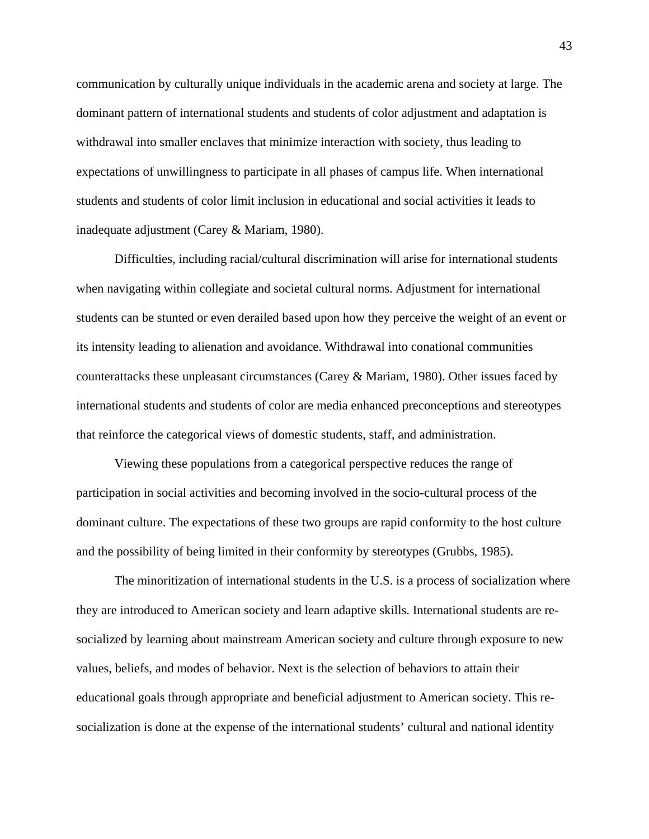communication by culturally unique individuals in the academic arena and society at large. The dominant pattern of international students and students of color adjustment and adaptation is withdrawal into smaller enclaves that minimize interaction with society, thus leading to expectations of unwillingness to participate in all phases of campus life. When international students and students of color limit inclusion in educational and social activities it leads to inadequate adjustment (Carey & Mariam, 1980).

Difficulties, including racial/cultural discrimination will arise for international students when navigating within collegiate and societal cultural norms. Adjustment for international students can be stunted or even derailed based upon how they perceive the weight of an event or its intensity leading to alienation and avoidance. Withdrawal into conational communities counterattacks these unpleasant circumstances (Carey & Mariam, 1980). Other issues faced by international students and students of color are media enhanced preconceptions and stereotypes that reinforce the categorical views of domestic students, staff, and administration.

Viewing these populations from a categorical perspective reduces the range of participation in social activities and becoming involved in the socio-cultural process of the dominant culture. The expectations of these two groups are rapid conformity to the host culture and the possibility of being limited in their conformity by stereotypes (Grubbs, 1985).

The minoritization of international students in the U.S. is a process of socialization where they are introduced to American society and learn adaptive skills. International students are resocialized by learning about mainstream American society and culture through exposure to new values, beliefs, and modes of behavior. Next is the selection of behaviors to attain their educational goals through appropriate and beneficial adjustment to American society. This resocialization is done at the expense of the international students' cultural and national identity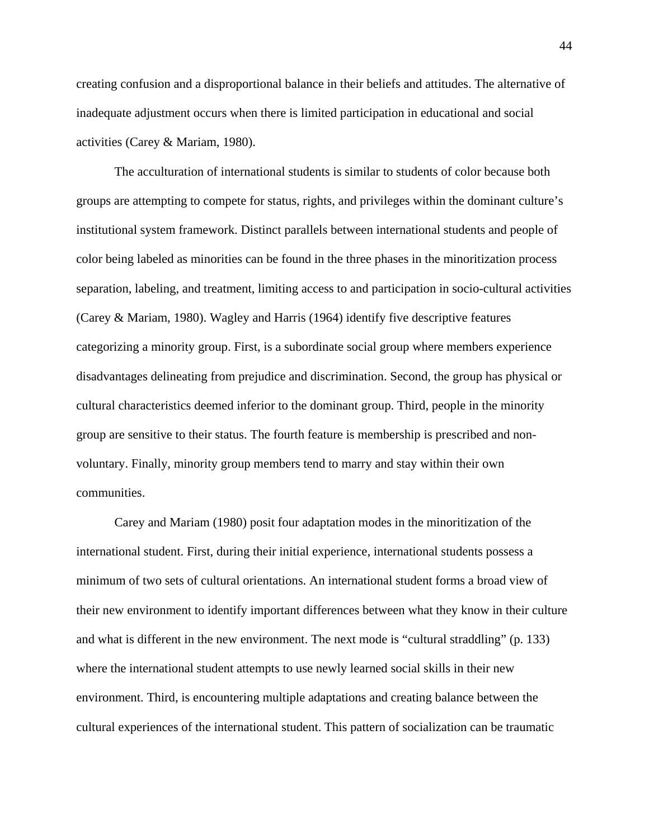creating confusion and a disproportional balance in their beliefs and attitudes. The alternative of inadequate adjustment occurs when there is limited participation in educational and social activities (Carey & Mariam, 1980).

The acculturation of international students is similar to students of color because both groups are attempting to compete for status, rights, and privileges within the dominant culture's institutional system framework. Distinct parallels between international students and people of color being labeled as minorities can be found in the three phases in the minoritization process separation, labeling, and treatment, limiting access to and participation in socio-cultural activities (Carey & Mariam, 1980). Wagley and Harris (1964) identify five descriptive features categorizing a minority group. First, is a subordinate social group where members experience disadvantages delineating from prejudice and discrimination. Second, the group has physical or cultural characteristics deemed inferior to the dominant group. Third, people in the minority group are sensitive to their status. The fourth feature is membership is prescribed and nonvoluntary. Finally, minority group members tend to marry and stay within their own communities.

Carey and Mariam (1980) posit four adaptation modes in the minoritization of the international student. First, during their initial experience, international students possess a minimum of two sets of cultural orientations. An international student forms a broad view of their new environment to identify important differences between what they know in their culture and what is different in the new environment. The next mode is "cultural straddling" (p. 133) where the international student attempts to use newly learned social skills in their new environment. Third, is encountering multiple adaptations and creating balance between the cultural experiences of the international student. This pattern of socialization can be traumatic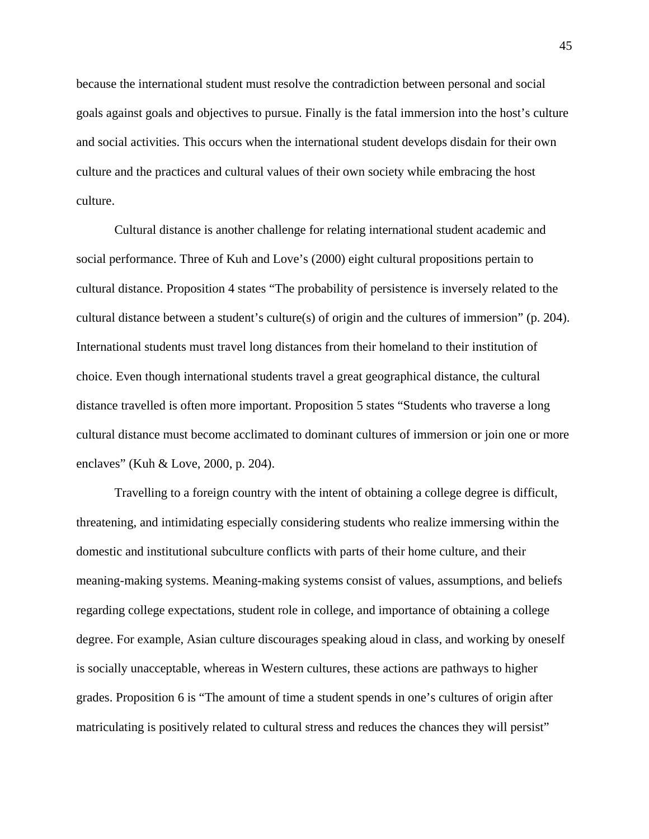because the international student must resolve the contradiction between personal and social goals against goals and objectives to pursue. Finally is the fatal immersion into the host's culture and social activities. This occurs when the international student develops disdain for their own culture and the practices and cultural values of their own society while embracing the host culture.

Cultural distance is another challenge for relating international student academic and social performance. Three of Kuh and Love's (2000) eight cultural propositions pertain to cultural distance. Proposition 4 states "The probability of persistence is inversely related to the cultural distance between a student's culture(s) of origin and the cultures of immersion" (p. 204). International students must travel long distances from their homeland to their institution of choice. Even though international students travel a great geographical distance, the cultural distance travelled is often more important. Proposition 5 states "Students who traverse a long cultural distance must become acclimated to dominant cultures of immersion or join one or more enclaves" (Kuh & Love, 2000, p. 204).

Travelling to a foreign country with the intent of obtaining a college degree is difficult, threatening, and intimidating especially considering students who realize immersing within the domestic and institutional subculture conflicts with parts of their home culture, and their meaning-making systems. Meaning-making systems consist of values, assumptions, and beliefs regarding college expectations, student role in college, and importance of obtaining a college degree. For example, Asian culture discourages speaking aloud in class, and working by oneself is socially unacceptable, whereas in Western cultures, these actions are pathways to higher grades. Proposition 6 is "The amount of time a student spends in one's cultures of origin after matriculating is positively related to cultural stress and reduces the chances they will persist"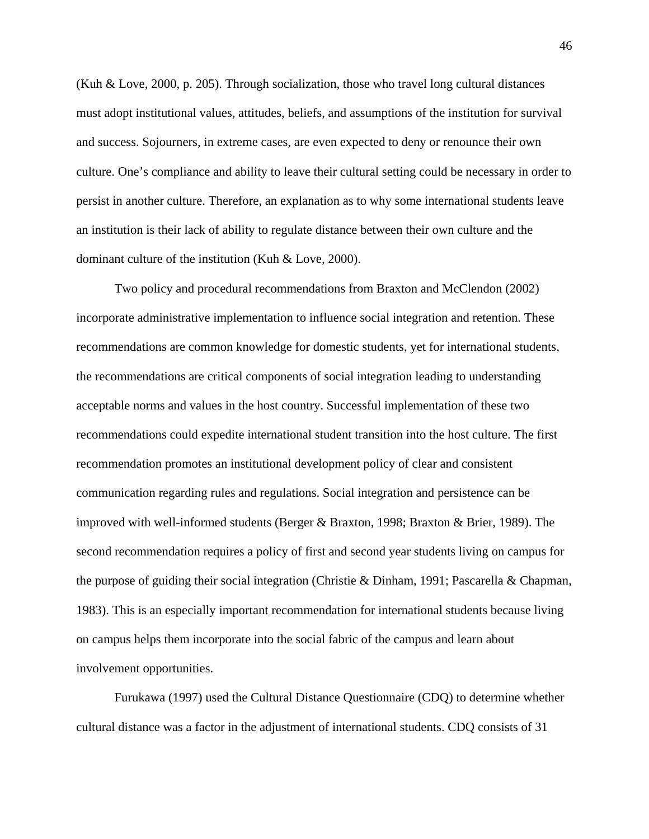(Kuh & Love, 2000, p. 205). Through socialization, those who travel long cultural distances must adopt institutional values, attitudes, beliefs, and assumptions of the institution for survival and success. Sojourners, in extreme cases, are even expected to deny or renounce their own culture. One's compliance and ability to leave their cultural setting could be necessary in order to persist in another culture. Therefore, an explanation as to why some international students leave an institution is their lack of ability to regulate distance between their own culture and the dominant culture of the institution (Kuh & Love, 2000).

Two policy and procedural recommendations from Braxton and McClendon (2002) incorporate administrative implementation to influence social integration and retention. These recommendations are common knowledge for domestic students, yet for international students, the recommendations are critical components of social integration leading to understanding acceptable norms and values in the host country. Successful implementation of these two recommendations could expedite international student transition into the host culture. The first recommendation promotes an institutional development policy of clear and consistent communication regarding rules and regulations. Social integration and persistence can be improved with well-informed students (Berger & Braxton, 1998; Braxton & Brier, 1989). The second recommendation requires a policy of first and second year students living on campus for the purpose of guiding their social integration (Christie & Dinham, 1991; Pascarella & Chapman, 1983). This is an especially important recommendation for international students because living on campus helps them incorporate into the social fabric of the campus and learn about involvement opportunities.

Furukawa (1997) used the Cultural Distance Questionnaire (CDQ) to determine whether cultural distance was a factor in the adjustment of international students. CDQ consists of 31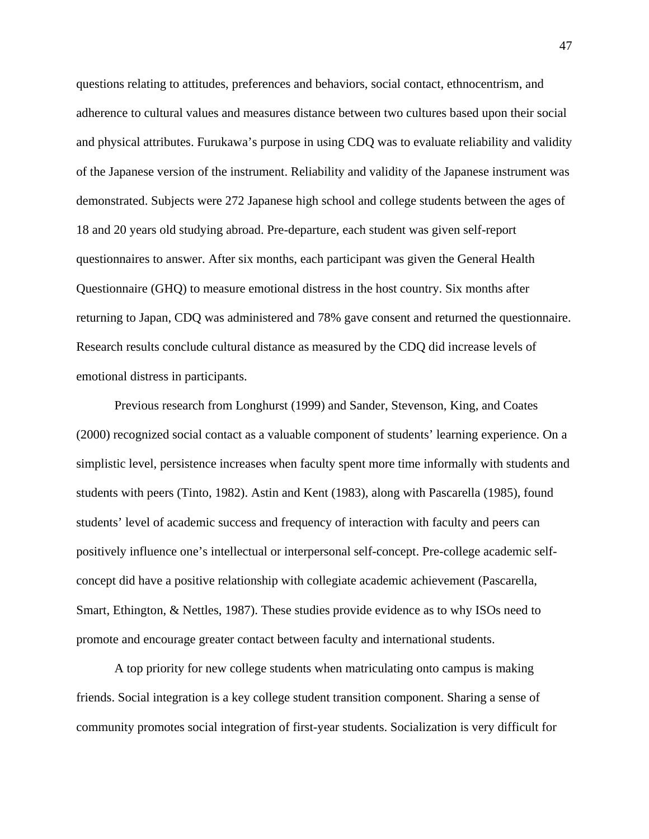questions relating to attitudes, preferences and behaviors, social contact, ethnocentrism, and adherence to cultural values and measures distance between two cultures based upon their social and physical attributes. Furukawa's purpose in using CDQ was to evaluate reliability and validity of the Japanese version of the instrument. Reliability and validity of the Japanese instrument was demonstrated. Subjects were 272 Japanese high school and college students between the ages of 18 and 20 years old studying abroad. Pre-departure, each student was given self-report questionnaires to answer. After six months, each participant was given the General Health Questionnaire (GHQ) to measure emotional distress in the host country. Six months after returning to Japan, CDQ was administered and 78% gave consent and returned the questionnaire. Research results conclude cultural distance as measured by the CDQ did increase levels of emotional distress in participants.

Previous research from Longhurst (1999) and Sander, Stevenson, King, and Coates (2000) recognized social contact as a valuable component of students' learning experience. On a simplistic level, persistence increases when faculty spent more time informally with students and students with peers (Tinto, 1982). Astin and Kent (1983), along with Pascarella (1985), found students' level of academic success and frequency of interaction with faculty and peers can positively influence one's intellectual or interpersonal self-concept. Pre-college academic selfconcept did have a positive relationship with collegiate academic achievement (Pascarella, Smart, Ethington, & Nettles, 1987). These studies provide evidence as to why ISOs need to promote and encourage greater contact between faculty and international students.

A top priority for new college students when matriculating onto campus is making friends. Social integration is a key college student transition component. Sharing a sense of community promotes social integration of first-year students. Socialization is very difficult for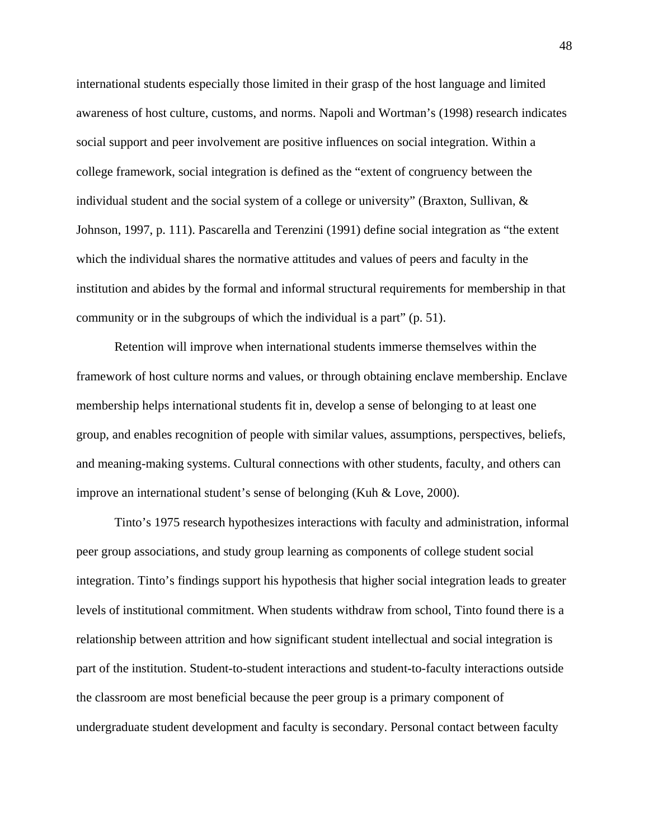international students especially those limited in their grasp of the host language and limited awareness of host culture, customs, and norms. Napoli and Wortman's (1998) research indicates social support and peer involvement are positive influences on social integration. Within a college framework, social integration is defined as the "extent of congruency between the individual student and the social system of a college or university" (Braxton, Sullivan,  $\&$ Johnson, 1997, p. 111). Pascarella and Terenzini (1991) define social integration as "the extent which the individual shares the normative attitudes and values of peers and faculty in the institution and abides by the formal and informal structural requirements for membership in that community or in the subgroups of which the individual is a part" (p. 51).

Retention will improve when international students immerse themselves within the framework of host culture norms and values, or through obtaining enclave membership. Enclave membership helps international students fit in, develop a sense of belonging to at least one group, and enables recognition of people with similar values, assumptions, perspectives, beliefs, and meaning-making systems. Cultural connections with other students, faculty, and others can improve an international student's sense of belonging (Kuh & Love, 2000).

Tinto's 1975 research hypothesizes interactions with faculty and administration, informal peer group associations, and study group learning as components of college student social integration. Tinto's findings support his hypothesis that higher social integration leads to greater levels of institutional commitment. When students withdraw from school, Tinto found there is a relationship between attrition and how significant student intellectual and social integration is part of the institution. Student-to-student interactions and student-to-faculty interactions outside the classroom are most beneficial because the peer group is a primary component of undergraduate student development and faculty is secondary. Personal contact between faculty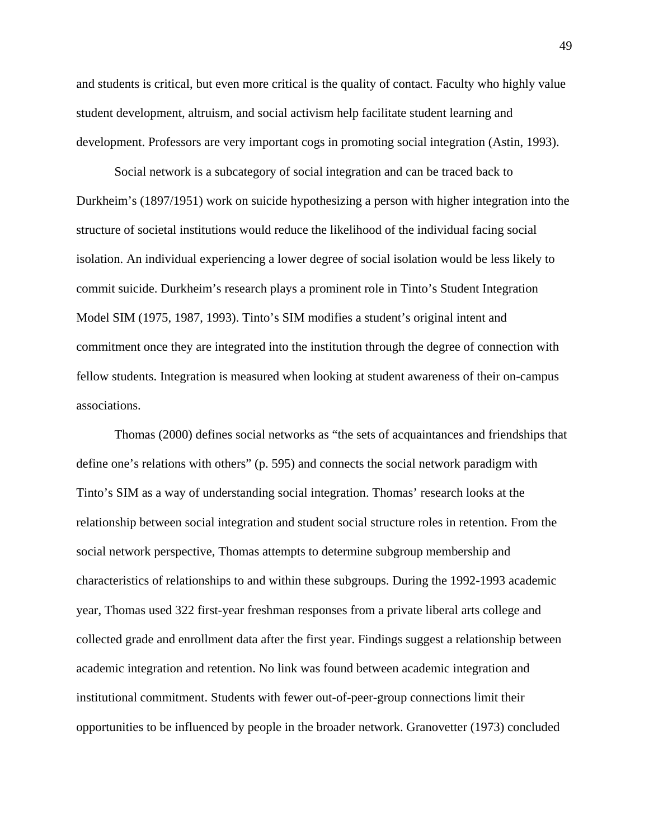and students is critical, but even more critical is the quality of contact. Faculty who highly value student development, altruism, and social activism help facilitate student learning and development. Professors are very important cogs in promoting social integration (Astin, 1993).

Social network is a subcategory of social integration and can be traced back to Durkheim's (1897/1951) work on suicide hypothesizing a person with higher integration into the structure of societal institutions would reduce the likelihood of the individual facing social isolation. An individual experiencing a lower degree of social isolation would be less likely to commit suicide. Durkheim's research plays a prominent role in Tinto's Student Integration Model SIM (1975, 1987, 1993). Tinto's SIM modifies a student's original intent and commitment once they are integrated into the institution through the degree of connection with fellow students. Integration is measured when looking at student awareness of their on-campus associations.

Thomas (2000) defines social networks as "the sets of acquaintances and friendships that define one's relations with others" (p. 595) and connects the social network paradigm with Tinto's SIM as a way of understanding social integration. Thomas' research looks at the relationship between social integration and student social structure roles in retention. From the social network perspective, Thomas attempts to determine subgroup membership and characteristics of relationships to and within these subgroups. During the 1992-1993 academic year, Thomas used 322 first-year freshman responses from a private liberal arts college and collected grade and enrollment data after the first year. Findings suggest a relationship between academic integration and retention. No link was found between academic integration and institutional commitment. Students with fewer out-of-peer-group connections limit their opportunities to be influenced by people in the broader network. Granovetter (1973) concluded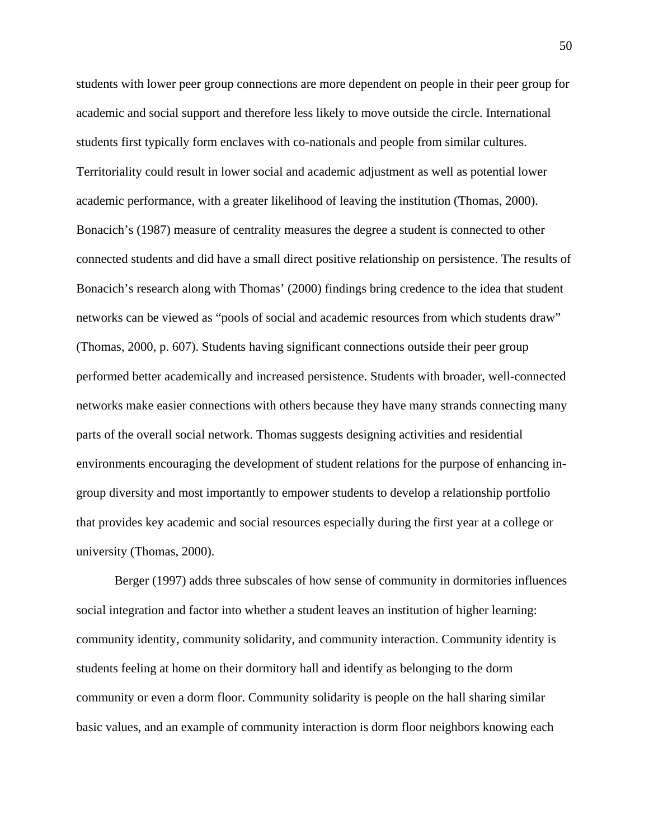students with lower peer group connections are more dependent on people in their peer group for academic and social support and therefore less likely to move outside the circle. International students first typically form enclaves with co-nationals and people from similar cultures. Territoriality could result in lower social and academic adjustment as well as potential lower academic performance, with a greater likelihood of leaving the institution (Thomas, 2000). Bonacich's (1987) measure of centrality measures the degree a student is connected to other connected students and did have a small direct positive relationship on persistence. The results of Bonacich's research along with Thomas' (2000) findings bring credence to the idea that student networks can be viewed as "pools of social and academic resources from which students draw" (Thomas, 2000, p. 607). Students having significant connections outside their peer group performed better academically and increased persistence. Students with broader, well-connected networks make easier connections with others because they have many strands connecting many parts of the overall social network. Thomas suggests designing activities and residential environments encouraging the development of student relations for the purpose of enhancing ingroup diversity and most importantly to empower students to develop a relationship portfolio that provides key academic and social resources especially during the first year at a college or university (Thomas, 2000).

Berger (1997) adds three subscales of how sense of community in dormitories influences social integration and factor into whether a student leaves an institution of higher learning: community identity, community solidarity, and community interaction. Community identity is students feeling at home on their dormitory hall and identify as belonging to the dorm community or even a dorm floor. Community solidarity is people on the hall sharing similar basic values, and an example of community interaction is dorm floor neighbors knowing each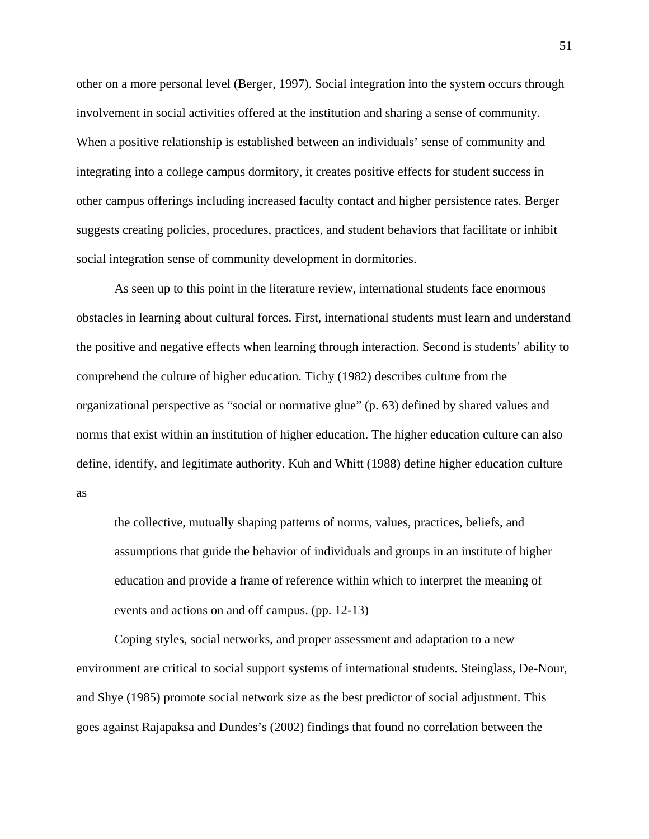other on a more personal level (Berger, 1997). Social integration into the system occurs through involvement in social activities offered at the institution and sharing a sense of community. When a positive relationship is established between an individuals' sense of community and integrating into a college campus dormitory, it creates positive effects for student success in other campus offerings including increased faculty contact and higher persistence rates. Berger suggests creating policies, procedures, practices, and student behaviors that facilitate or inhibit social integration sense of community development in dormitories.

As seen up to this point in the literature review, international students face enormous obstacles in learning about cultural forces. First, international students must learn and understand the positive and negative effects when learning through interaction. Second is students' ability to comprehend the culture of higher education. Tichy (1982) describes culture from the organizational perspective as "social or normative glue" (p. 63) defined by shared values and norms that exist within an institution of higher education. The higher education culture can also define, identify, and legitimate authority. Kuh and Whitt (1988) define higher education culture as

the collective, mutually shaping patterns of norms, values, practices, beliefs, and assumptions that guide the behavior of individuals and groups in an institute of higher education and provide a frame of reference within which to interpret the meaning of events and actions on and off campus. (pp. 12-13)

Coping styles, social networks, and proper assessment and adaptation to a new environment are critical to social support systems of international students. Steinglass, De-Nour, and Shye (1985) promote social network size as the best predictor of social adjustment. This goes against Rajapaksa and Dundes's (2002) findings that found no correlation between the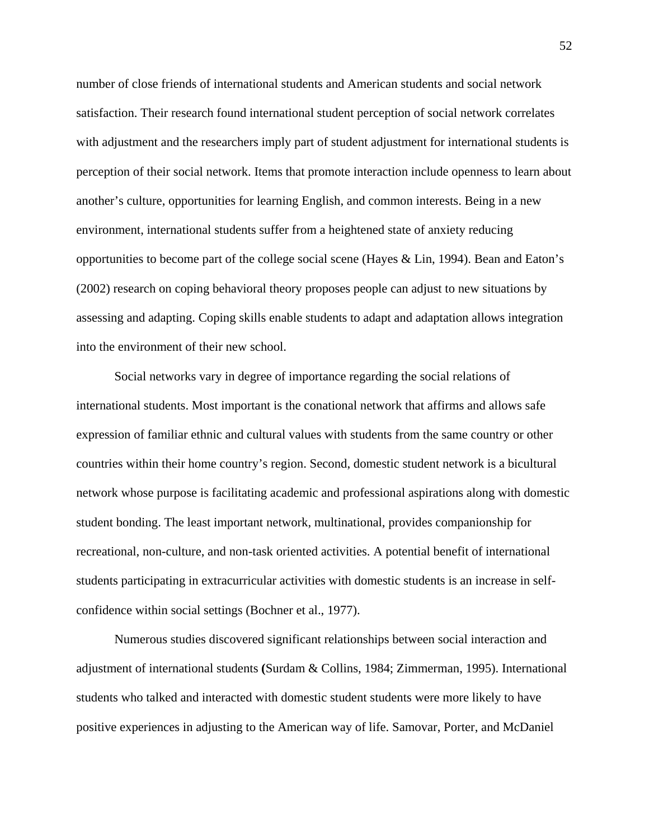number of close friends of international students and American students and social network satisfaction. Their research found international student perception of social network correlates with adjustment and the researchers imply part of student adjustment for international students is perception of their social network. Items that promote interaction include openness to learn about another's culture, opportunities for learning English, and common interests. Being in a new environment, international students suffer from a heightened state of anxiety reducing opportunities to become part of the college social scene (Hayes & Lin, 1994). Bean and Eaton's (2002) research on coping behavioral theory proposes people can adjust to new situations by assessing and adapting. Coping skills enable students to adapt and adaptation allows integration into the environment of their new school.

Social networks vary in degree of importance regarding the social relations of international students. Most important is the conational network that affirms and allows safe expression of familiar ethnic and cultural values with students from the same country or other countries within their home country's region. Second, domestic student network is a bicultural network whose purpose is facilitating academic and professional aspirations along with domestic student bonding. The least important network, multinational, provides companionship for recreational, non-culture, and non-task oriented activities. A potential benefit of international students participating in extracurricular activities with domestic students is an increase in selfconfidence within social settings (Bochner et al., 1977).

Numerous studies discovered significant relationships between social interaction and adjustment of international students **(**Surdam & Collins, 1984; Zimmerman, 1995). International students who talked and interacted with domestic student students were more likely to have positive experiences in adjusting to the American way of life. Samovar, Porter, and McDaniel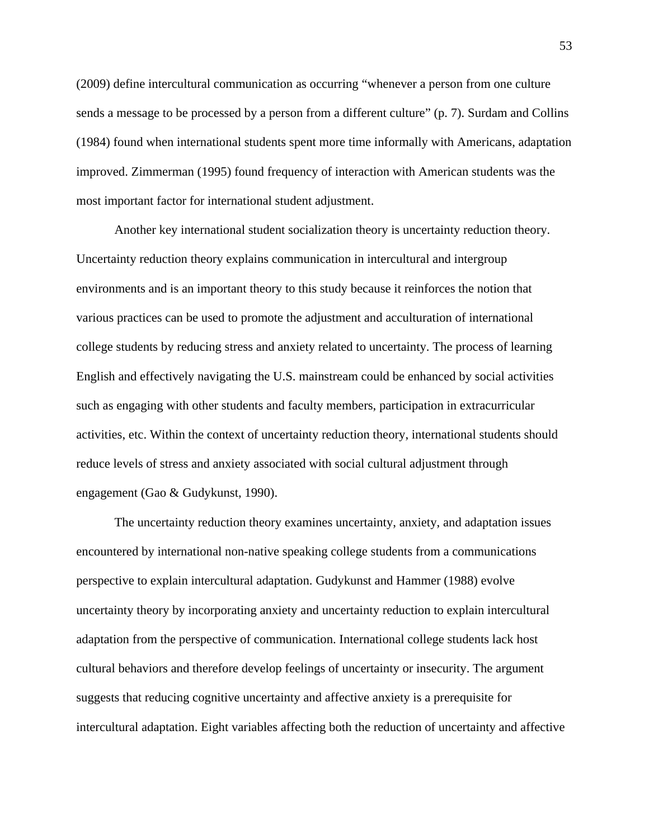(2009) define intercultural communication as occurring "whenever a person from one culture sends a message to be processed by a person from a different culture" (p. 7). Surdam and Collins (1984) found when international students spent more time informally with Americans, adaptation improved. Zimmerman (1995) found frequency of interaction with American students was the most important factor for international student adjustment.

Another key international student socialization theory is uncertainty reduction theory. Uncertainty reduction theory explains communication in intercultural and intergroup environments and is an important theory to this study because it reinforces the notion that various practices can be used to promote the adjustment and acculturation of international college students by reducing stress and anxiety related to uncertainty. The process of learning English and effectively navigating the U.S. mainstream could be enhanced by social activities such as engaging with other students and faculty members, participation in extracurricular activities, etc. Within the context of uncertainty reduction theory, international students should reduce levels of stress and anxiety associated with social cultural adjustment through engagement (Gao & Gudykunst, 1990).

The uncertainty reduction theory examines uncertainty, anxiety, and adaptation issues encountered by international non-native speaking college students from a communications perspective to explain intercultural adaptation. Gudykunst and Hammer (1988) evolve uncertainty theory by incorporating anxiety and uncertainty reduction to explain intercultural adaptation from the perspective of communication. International college students lack host cultural behaviors and therefore develop feelings of uncertainty or insecurity. The argument suggests that reducing cognitive uncertainty and affective anxiety is a prerequisite for intercultural adaptation. Eight variables affecting both the reduction of uncertainty and affective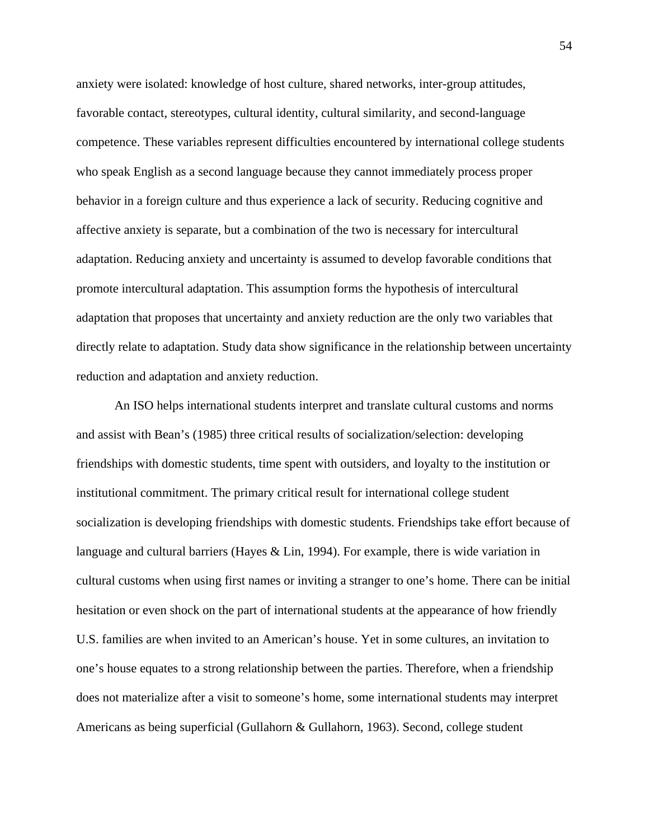anxiety were isolated: knowledge of host culture, shared networks, inter-group attitudes, favorable contact, stereotypes, cultural identity, cultural similarity, and second-language competence. These variables represent difficulties encountered by international college students who speak English as a second language because they cannot immediately process proper behavior in a foreign culture and thus experience a lack of security. Reducing cognitive and affective anxiety is separate, but a combination of the two is necessary for intercultural adaptation. Reducing anxiety and uncertainty is assumed to develop favorable conditions that promote intercultural adaptation. This assumption forms the hypothesis of intercultural adaptation that proposes that uncertainty and anxiety reduction are the only two variables that directly relate to adaptation. Study data show significance in the relationship between uncertainty reduction and adaptation and anxiety reduction.

An ISO helps international students interpret and translate cultural customs and norms and assist with Bean's (1985) three critical results of socialization/selection: developing friendships with domestic students, time spent with outsiders, and loyalty to the institution or institutional commitment. The primary critical result for international college student socialization is developing friendships with domestic students. Friendships take effort because of language and cultural barriers (Hayes & Lin, 1994). For example, there is wide variation in cultural customs when using first names or inviting a stranger to one's home. There can be initial hesitation or even shock on the part of international students at the appearance of how friendly U.S. families are when invited to an American's house. Yet in some cultures, an invitation to one's house equates to a strong relationship between the parties. Therefore, when a friendship does not materialize after a visit to someone's home, some international students may interpret Americans as being superficial (Gullahorn & Gullahorn, 1963). Second, college student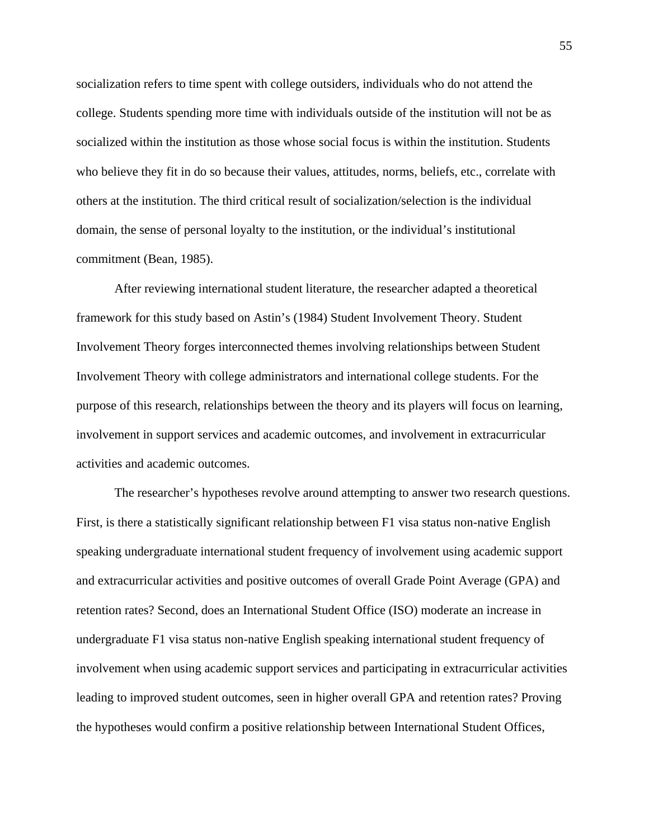socialization refers to time spent with college outsiders, individuals who do not attend the college. Students spending more time with individuals outside of the institution will not be as socialized within the institution as those whose social focus is within the institution. Students who believe they fit in do so because their values, attitudes, norms, beliefs, etc., correlate with others at the institution. The third critical result of socialization/selection is the individual domain, the sense of personal loyalty to the institution, or the individual's institutional commitment (Bean, 1985).

After reviewing international student literature, the researcher adapted a theoretical framework for this study based on Astin's (1984) Student Involvement Theory. Student Involvement Theory forges interconnected themes involving relationships between Student Involvement Theory with college administrators and international college students. For the purpose of this research, relationships between the theory and its players will focus on learning, involvement in support services and academic outcomes, and involvement in extracurricular activities and academic outcomes.

The researcher's hypotheses revolve around attempting to answer two research questions. First, is there a statistically significant relationship between F1 visa status non-native English speaking undergraduate international student frequency of involvement using academic support and extracurricular activities and positive outcomes of overall Grade Point Average (GPA) and retention rates? Second, does an International Student Office (ISO) moderate an increase in undergraduate F1 visa status non-native English speaking international student frequency of involvement when using academic support services and participating in extracurricular activities leading to improved student outcomes, seen in higher overall GPA and retention rates? Proving the hypotheses would confirm a positive relationship between International Student Offices,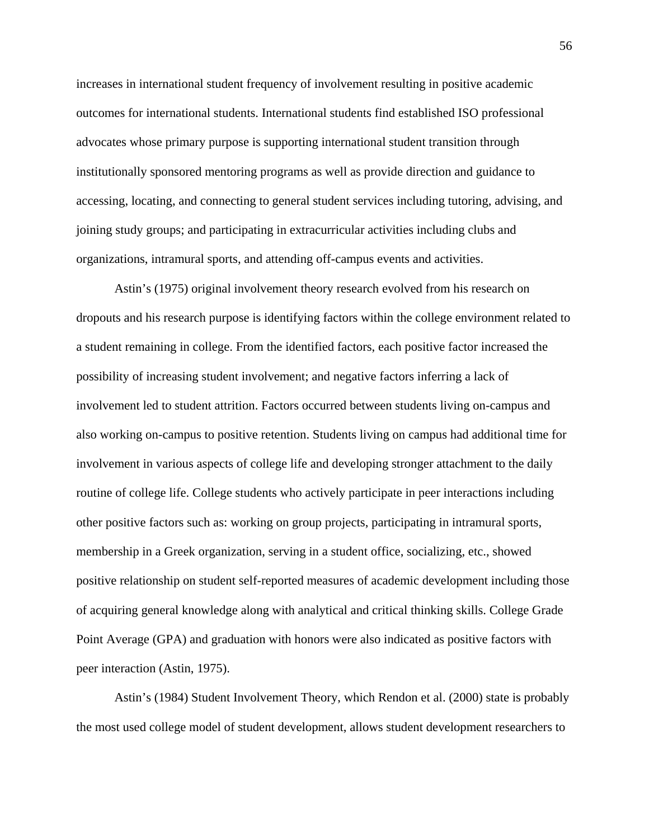increases in international student frequency of involvement resulting in positive academic outcomes for international students. International students find established ISO professional advocates whose primary purpose is supporting international student transition through institutionally sponsored mentoring programs as well as provide direction and guidance to accessing, locating, and connecting to general student services including tutoring, advising, and joining study groups; and participating in extracurricular activities including clubs and organizations, intramural sports, and attending off-campus events and activities.

Astin's (1975) original involvement theory research evolved from his research on dropouts and his research purpose is identifying factors within the college environment related to a student remaining in college. From the identified factors, each positive factor increased the possibility of increasing student involvement; and negative factors inferring a lack of involvement led to student attrition. Factors occurred between students living on-campus and also working on-campus to positive retention. Students living on campus had additional time for involvement in various aspects of college life and developing stronger attachment to the daily routine of college life. College students who actively participate in peer interactions including other positive factors such as: working on group projects, participating in intramural sports, membership in a Greek organization, serving in a student office, socializing, etc., showed positive relationship on student self-reported measures of academic development including those of acquiring general knowledge along with analytical and critical thinking skills. College Grade Point Average (GPA) and graduation with honors were also indicated as positive factors with peer interaction (Astin, 1975).

Astin's (1984) Student Involvement Theory, which Rendon et al. (2000) state is probably the most used college model of student development, allows student development researchers to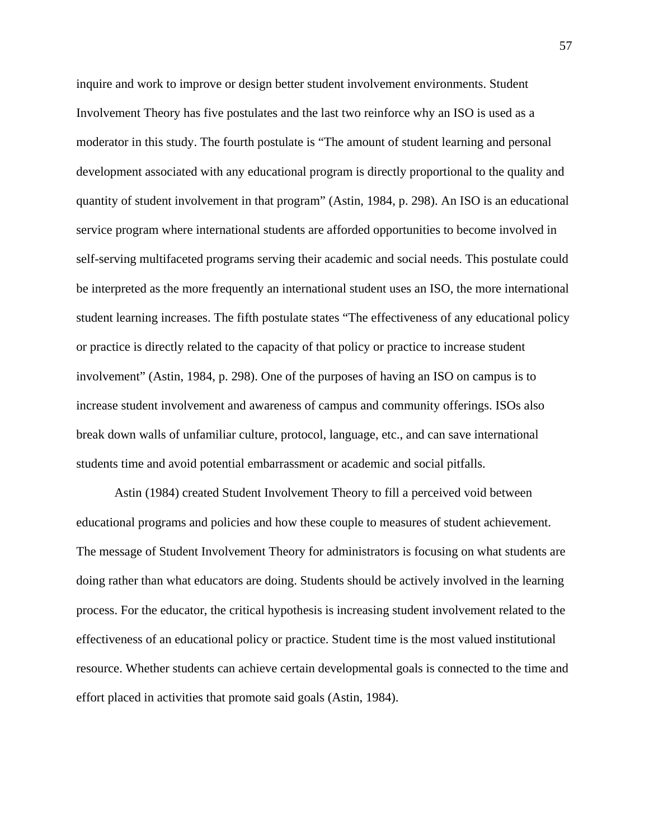inquire and work to improve or design better student involvement environments. Student Involvement Theory has five postulates and the last two reinforce why an ISO is used as a moderator in this study. The fourth postulate is "The amount of student learning and personal development associated with any educational program is directly proportional to the quality and quantity of student involvement in that program" (Astin, 1984, p. 298). An ISO is an educational service program where international students are afforded opportunities to become involved in self-serving multifaceted programs serving their academic and social needs. This postulate could be interpreted as the more frequently an international student uses an ISO, the more international student learning increases. The fifth postulate states "The effectiveness of any educational policy or practice is directly related to the capacity of that policy or practice to increase student involvement" (Astin, 1984, p. 298). One of the purposes of having an ISO on campus is to increase student involvement and awareness of campus and community offerings. ISOs also break down walls of unfamiliar culture, protocol, language, etc., and can save international students time and avoid potential embarrassment or academic and social pitfalls.

Astin (1984) created Student Involvement Theory to fill a perceived void between educational programs and policies and how these couple to measures of student achievement. The message of Student Involvement Theory for administrators is focusing on what students are doing rather than what educators are doing. Students should be actively involved in the learning process. For the educator, the critical hypothesis is increasing student involvement related to the effectiveness of an educational policy or practice. Student time is the most valued institutional resource. Whether students can achieve certain developmental goals is connected to the time and effort placed in activities that promote said goals (Astin, 1984).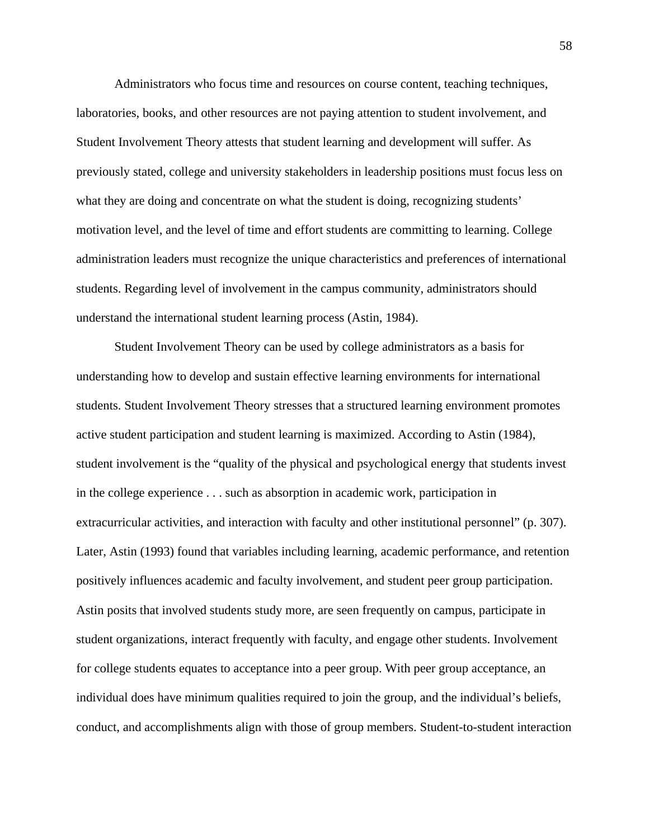Administrators who focus time and resources on course content, teaching techniques, laboratories, books, and other resources are not paying attention to student involvement, and Student Involvement Theory attests that student learning and development will suffer. As previously stated, college and university stakeholders in leadership positions must focus less on what they are doing and concentrate on what the student is doing, recognizing students' motivation level, and the level of time and effort students are committing to learning. College administration leaders must recognize the unique characteristics and preferences of international students. Regarding level of involvement in the campus community, administrators should understand the international student learning process (Astin, 1984).

Student Involvement Theory can be used by college administrators as a basis for understanding how to develop and sustain effective learning environments for international students. Student Involvement Theory stresses that a structured learning environment promotes active student participation and student learning is maximized. According to Astin (1984), student involvement is the "quality of the physical and psychological energy that students invest in the college experience . . . such as absorption in academic work, participation in extracurricular activities, and interaction with faculty and other institutional personnel" (p. 307). Later, Astin (1993) found that variables including learning, academic performance, and retention positively influences academic and faculty involvement, and student peer group participation. Astin posits that involved students study more, are seen frequently on campus, participate in student organizations, interact frequently with faculty, and engage other students. Involvement for college students equates to acceptance into a peer group. With peer group acceptance, an individual does have minimum qualities required to join the group, and the individual's beliefs, conduct, and accomplishments align with those of group members. Student-to-student interaction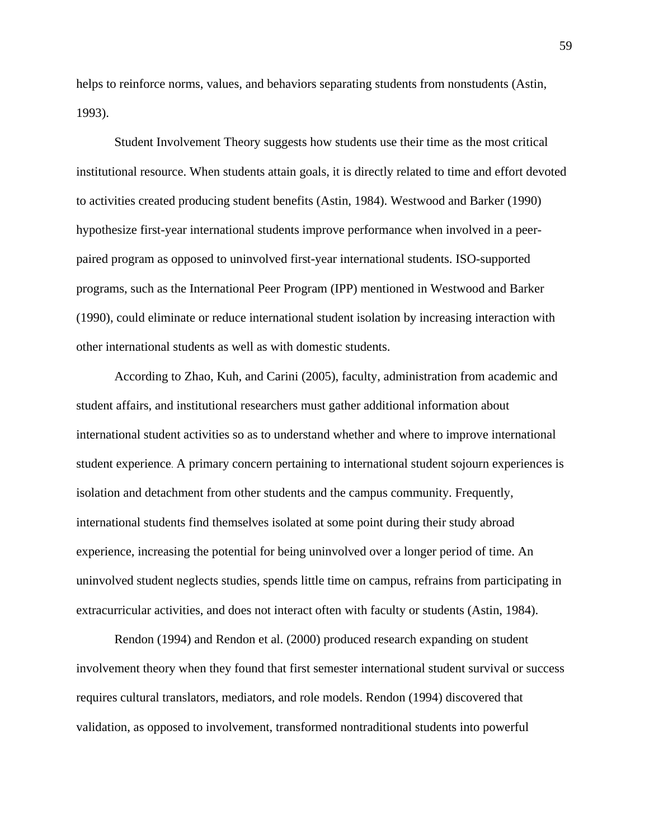helps to reinforce norms, values, and behaviors separating students from nonstudents (Astin, 1993).

Student Involvement Theory suggests how students use their time as the most critical institutional resource. When students attain goals, it is directly related to time and effort devoted to activities created producing student benefits (Astin, 1984). Westwood and Barker (1990) hypothesize first-year international students improve performance when involved in a peerpaired program as opposed to uninvolved first-year international students. ISO-supported programs, such as the International Peer Program (IPP) mentioned in Westwood and Barker (1990), could eliminate or reduce international student isolation by increasing interaction with other international students as well as with domestic students.

According to Zhao, Kuh, and Carini (2005), faculty, administration from academic and student affairs, and institutional researchers must gather additional information about international student activities so as to understand whether and where to improve international student experience. A primary concern pertaining to international student sojourn experiences is isolation and detachment from other students and the campus community. Frequently, international students find themselves isolated at some point during their study abroad experience, increasing the potential for being uninvolved over a longer period of time. An uninvolved student neglects studies, spends little time on campus, refrains from participating in extracurricular activities, and does not interact often with faculty or students (Astin, 1984).

Rendon (1994) and Rendon et al. (2000) produced research expanding on student involvement theory when they found that first semester international student survival or success requires cultural translators, mediators, and role models. Rendon (1994) discovered that validation, as opposed to involvement, transformed nontraditional students into powerful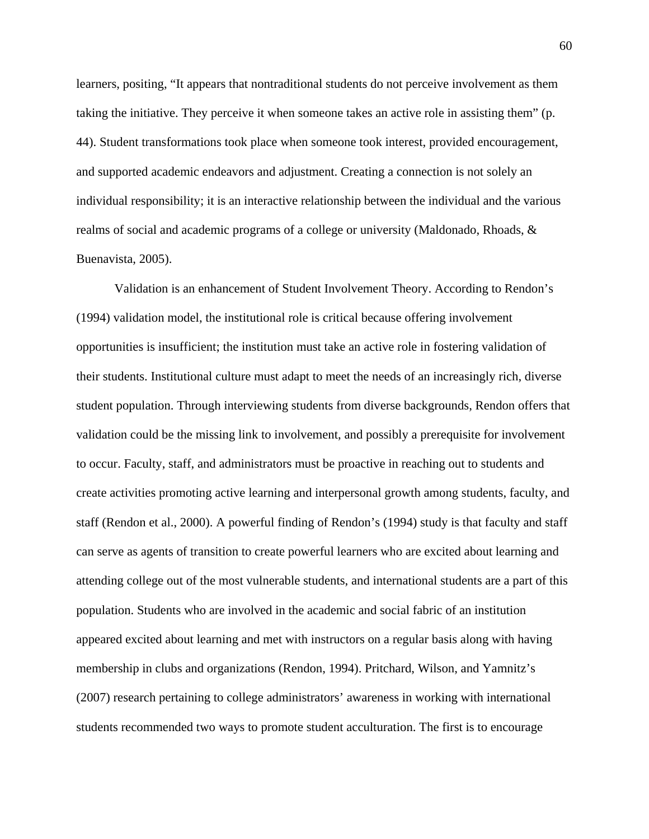learners, positing, "It appears that nontraditional students do not perceive involvement as them taking the initiative. They perceive it when someone takes an active role in assisting them" (p. 44). Student transformations took place when someone took interest, provided encouragement, and supported academic endeavors and adjustment. Creating a connection is not solely an individual responsibility; it is an interactive relationship between the individual and the various realms of social and academic programs of a college or university (Maldonado, Rhoads, & Buenavista, 2005).

Validation is an enhancement of Student Involvement Theory. According to Rendon's (1994) validation model, the institutional role is critical because offering involvement opportunities is insufficient; the institution must take an active role in fostering validation of their students. Institutional culture must adapt to meet the needs of an increasingly rich, diverse student population. Through interviewing students from diverse backgrounds, Rendon offers that validation could be the missing link to involvement, and possibly a prerequisite for involvement to occur. Faculty, staff, and administrators must be proactive in reaching out to students and create activities promoting active learning and interpersonal growth among students, faculty, and staff (Rendon et al., 2000). A powerful finding of Rendon's (1994) study is that faculty and staff can serve as agents of transition to create powerful learners who are excited about learning and attending college out of the most vulnerable students, and international students are a part of this population. Students who are involved in the academic and social fabric of an institution appeared excited about learning and met with instructors on a regular basis along with having membership in clubs and organizations (Rendon, 1994). Pritchard, Wilson, and Yamnitz's (2007) research pertaining to college administrators' awareness in working with international students recommended two ways to promote student acculturation. The first is to encourage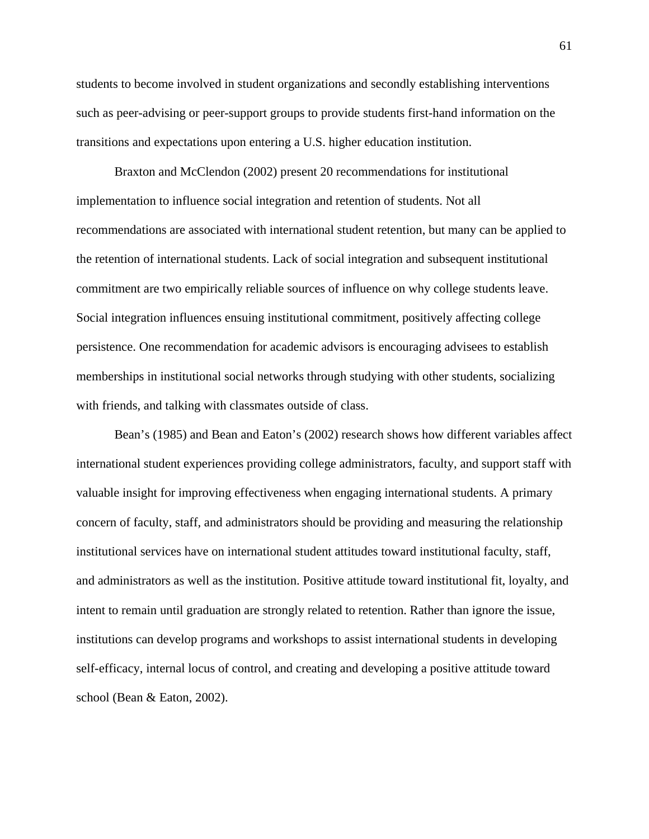students to become involved in student organizations and secondly establishing interventions such as peer-advising or peer-support groups to provide students first-hand information on the transitions and expectations upon entering a U.S. higher education institution.

Braxton and McClendon (2002) present 20 recommendations for institutional implementation to influence social integration and retention of students. Not all recommendations are associated with international student retention, but many can be applied to the retention of international students. Lack of social integration and subsequent institutional commitment are two empirically reliable sources of influence on why college students leave. Social integration influences ensuing institutional commitment, positively affecting college persistence. One recommendation for academic advisors is encouraging advisees to establish memberships in institutional social networks through studying with other students, socializing with friends, and talking with classmates outside of class.

Bean's (1985) and Bean and Eaton's (2002) research shows how different variables affect international student experiences providing college administrators, faculty, and support staff with valuable insight for improving effectiveness when engaging international students. A primary concern of faculty, staff, and administrators should be providing and measuring the relationship institutional services have on international student attitudes toward institutional faculty, staff, and administrators as well as the institution. Positive attitude toward institutional fit, loyalty, and intent to remain until graduation are strongly related to retention. Rather than ignore the issue, institutions can develop programs and workshops to assist international students in developing self-efficacy, internal locus of control, and creating and developing a positive attitude toward school (Bean & Eaton, 2002).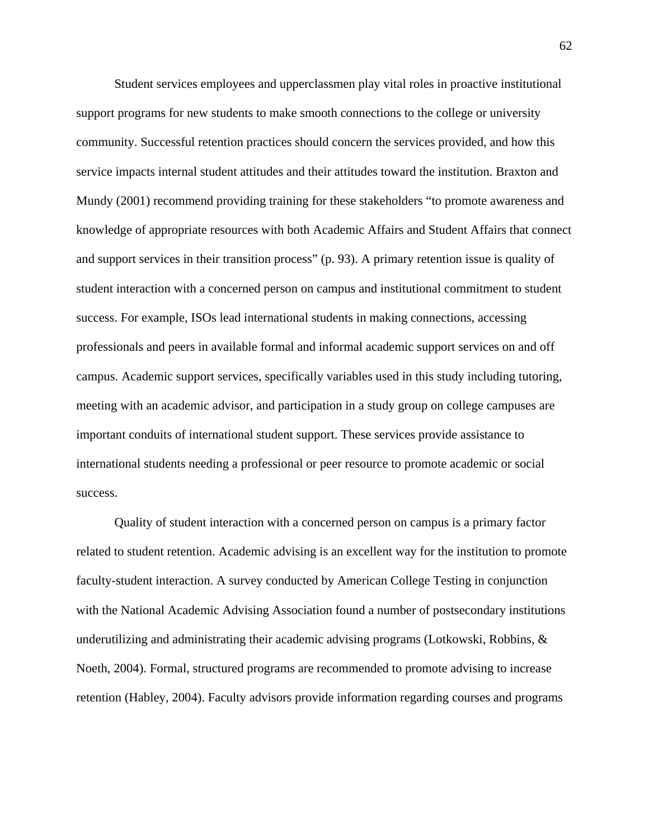Student services employees and upperclassmen play vital roles in proactive institutional support programs for new students to make smooth connections to the college or university community. Successful retention practices should concern the services provided, and how this service impacts internal student attitudes and their attitudes toward the institution. Braxton and Mundy (2001) recommend providing training for these stakeholders "to promote awareness and knowledge of appropriate resources with both Academic Affairs and Student Affairs that connect and support services in their transition process" (p. 93). A primary retention issue is quality of student interaction with a concerned person on campus and institutional commitment to student success. For example, ISOs lead international students in making connections, accessing professionals and peers in available formal and informal academic support services on and off campus. Academic support services, specifically variables used in this study including tutoring, meeting with an academic advisor, and participation in a study group on college campuses are important conduits of international student support. These services provide assistance to international students needing a professional or peer resource to promote academic or social success.

Quality of student interaction with a concerned person on campus is a primary factor related to student retention. Academic advising is an excellent way for the institution to promote faculty-student interaction. A survey conducted by American College Testing in conjunction with the National Academic Advising Association found a number of postsecondary institutions underutilizing and administrating their academic advising programs (Lotkowski, Robbins, & Noeth, 2004). Formal, structured programs are recommended to promote advising to increase retention (Habley, 2004). Faculty advisors provide information regarding courses and programs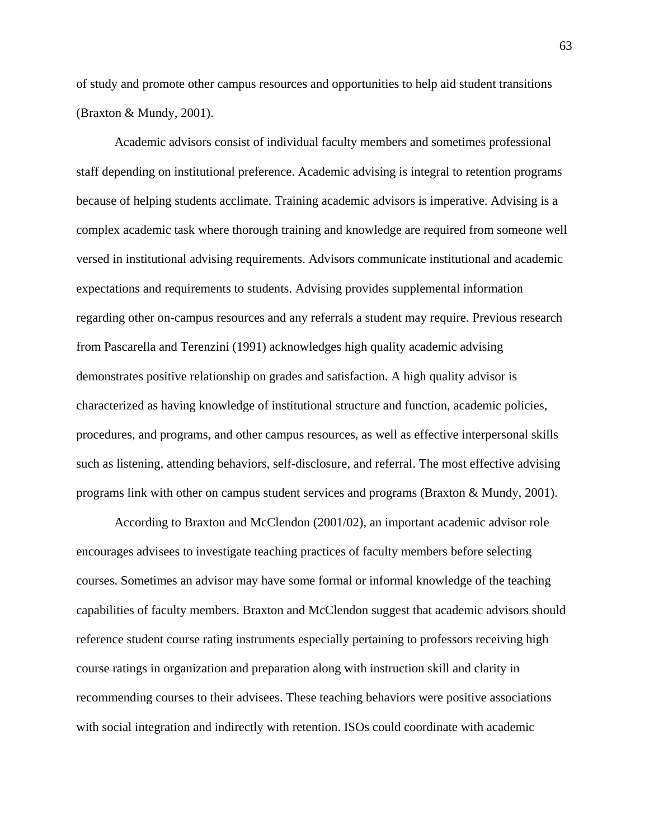of study and promote other campus resources and opportunities to help aid student transitions (Braxton & Mundy, 2001).

Academic advisors consist of individual faculty members and sometimes professional staff depending on institutional preference. Academic advising is integral to retention programs because of helping students acclimate. Training academic advisors is imperative. Advising is a complex academic task where thorough training and knowledge are required from someone well versed in institutional advising requirements. Advisors communicate institutional and academic expectations and requirements to students. Advising provides supplemental information regarding other on-campus resources and any referrals a student may require. Previous research from Pascarella and Terenzini (1991) acknowledges high quality academic advising demonstrates positive relationship on grades and satisfaction. A high quality advisor is characterized as having knowledge of institutional structure and function, academic policies, procedures, and programs, and other campus resources, as well as effective interpersonal skills such as listening, attending behaviors, self-disclosure, and referral. The most effective advising programs link with other on campus student services and programs (Braxton & Mundy, 2001).

According to Braxton and McClendon (2001/02), an important academic advisor role encourages advisees to investigate teaching practices of faculty members before selecting courses. Sometimes an advisor may have some formal or informal knowledge of the teaching capabilities of faculty members. Braxton and McClendon suggest that academic advisors should reference student course rating instruments especially pertaining to professors receiving high course ratings in organization and preparation along with instruction skill and clarity in recommending courses to their advisees. These teaching behaviors were positive associations with social integration and indirectly with retention. ISOs could coordinate with academic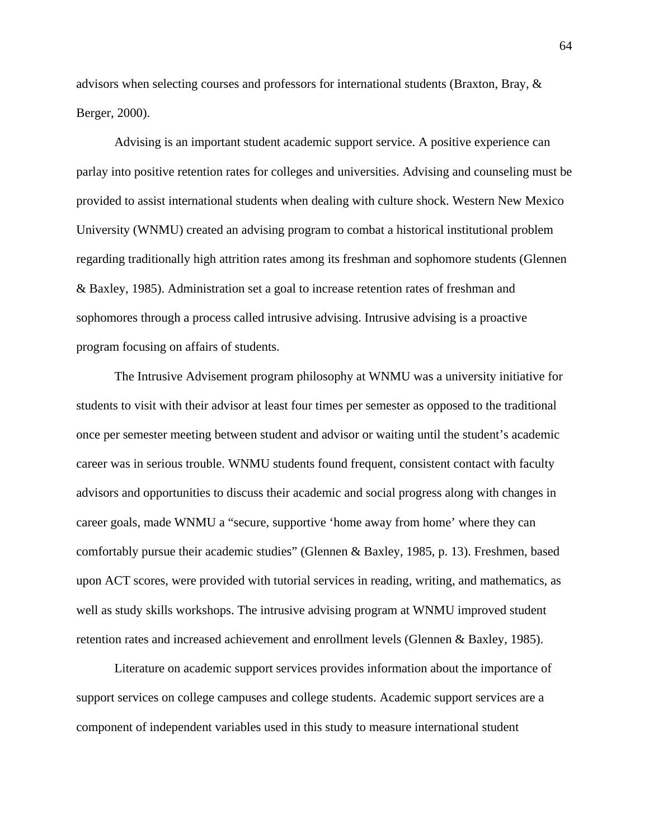advisors when selecting courses and professors for international students (Braxton, Bray, & Berger, 2000).

Advising is an important student academic support service. A positive experience can parlay into positive retention rates for colleges and universities. Advising and counseling must be provided to assist international students when dealing with culture shock. Western New Mexico University (WNMU) created an advising program to combat a historical institutional problem regarding traditionally high attrition rates among its freshman and sophomore students (Glennen & Baxley, 1985). Administration set a goal to increase retention rates of freshman and sophomores through a process called intrusive advising. Intrusive advising is a proactive program focusing on affairs of students.

The Intrusive Advisement program philosophy at WNMU was a university initiative for students to visit with their advisor at least four times per semester as opposed to the traditional once per semester meeting between student and advisor or waiting until the student's academic career was in serious trouble. WNMU students found frequent, consistent contact with faculty advisors and opportunities to discuss their academic and social progress along with changes in career goals, made WNMU a "secure, supportive 'home away from home' where they can comfortably pursue their academic studies" (Glennen & Baxley, 1985, p. 13). Freshmen, based upon ACT scores, were provided with tutorial services in reading, writing, and mathematics, as well as study skills workshops. The intrusive advising program at WNMU improved student retention rates and increased achievement and enrollment levels (Glennen & Baxley, 1985).

Literature on academic support services provides information about the importance of support services on college campuses and college students. Academic support services are a component of independent variables used in this study to measure international student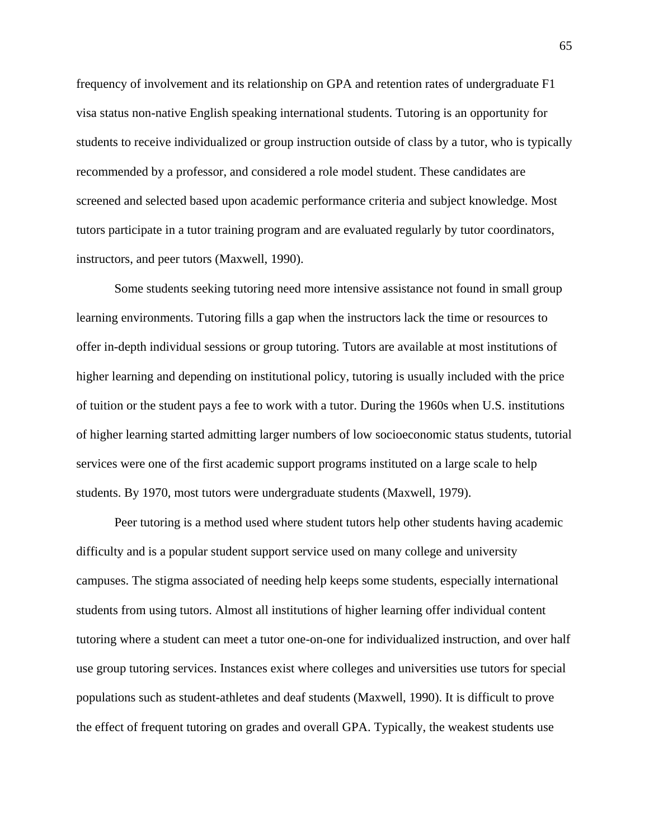frequency of involvement and its relationship on GPA and retention rates of undergraduate F1 visa status non-native English speaking international students. Tutoring is an opportunity for students to receive individualized or group instruction outside of class by a tutor, who is typically recommended by a professor, and considered a role model student. These candidates are screened and selected based upon academic performance criteria and subject knowledge. Most tutors participate in a tutor training program and are evaluated regularly by tutor coordinators, instructors, and peer tutors (Maxwell, 1990).

Some students seeking tutoring need more intensive assistance not found in small group learning environments. Tutoring fills a gap when the instructors lack the time or resources to offer in-depth individual sessions or group tutoring. Tutors are available at most institutions of higher learning and depending on institutional policy, tutoring is usually included with the price of tuition or the student pays a fee to work with a tutor. During the 1960s when U.S. institutions of higher learning started admitting larger numbers of low socioeconomic status students, tutorial services were one of the first academic support programs instituted on a large scale to help students. By 1970, most tutors were undergraduate students (Maxwell, 1979).

Peer tutoring is a method used where student tutors help other students having academic difficulty and is a popular student support service used on many college and university campuses. The stigma associated of needing help keeps some students, especially international students from using tutors. Almost all institutions of higher learning offer individual content tutoring where a student can meet a tutor one-on-one for individualized instruction, and over half use group tutoring services. Instances exist where colleges and universities use tutors for special populations such as student-athletes and deaf students (Maxwell, 1990). It is difficult to prove the effect of frequent tutoring on grades and overall GPA. Typically, the weakest students use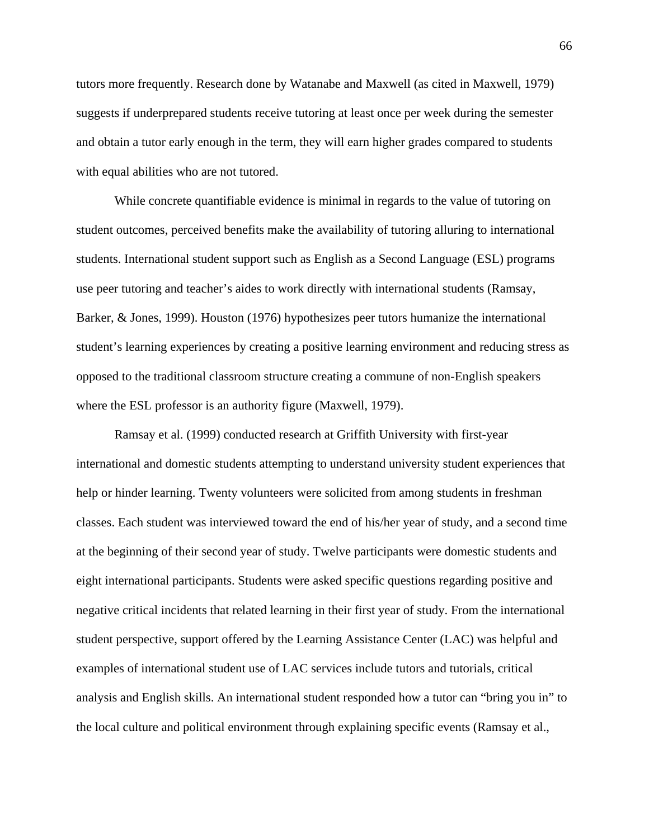tutors more frequently. Research done by Watanabe and Maxwell (as cited in Maxwell, 1979) suggests if underprepared students receive tutoring at least once per week during the semester and obtain a tutor early enough in the term, they will earn higher grades compared to students with equal abilities who are not tutored.

While concrete quantifiable evidence is minimal in regards to the value of tutoring on student outcomes, perceived benefits make the availability of tutoring alluring to international students. International student support such as English as a Second Language (ESL) programs use peer tutoring and teacher's aides to work directly with international students (Ramsay, Barker, & Jones, 1999). Houston (1976) hypothesizes peer tutors humanize the international student's learning experiences by creating a positive learning environment and reducing stress as opposed to the traditional classroom structure creating a commune of non-English speakers where the ESL professor is an authority figure (Maxwell, 1979).

Ramsay et al. (1999) conducted research at Griffith University with first-year international and domestic students attempting to understand university student experiences that help or hinder learning. Twenty volunteers were solicited from among students in freshman classes. Each student was interviewed toward the end of his/her year of study, and a second time at the beginning of their second year of study. Twelve participants were domestic students and eight international participants. Students were asked specific questions regarding positive and negative critical incidents that related learning in their first year of study. From the international student perspective, support offered by the Learning Assistance Center (LAC) was helpful and examples of international student use of LAC services include tutors and tutorials, critical analysis and English skills. An international student responded how a tutor can "bring you in" to the local culture and political environment through explaining specific events (Ramsay et al.,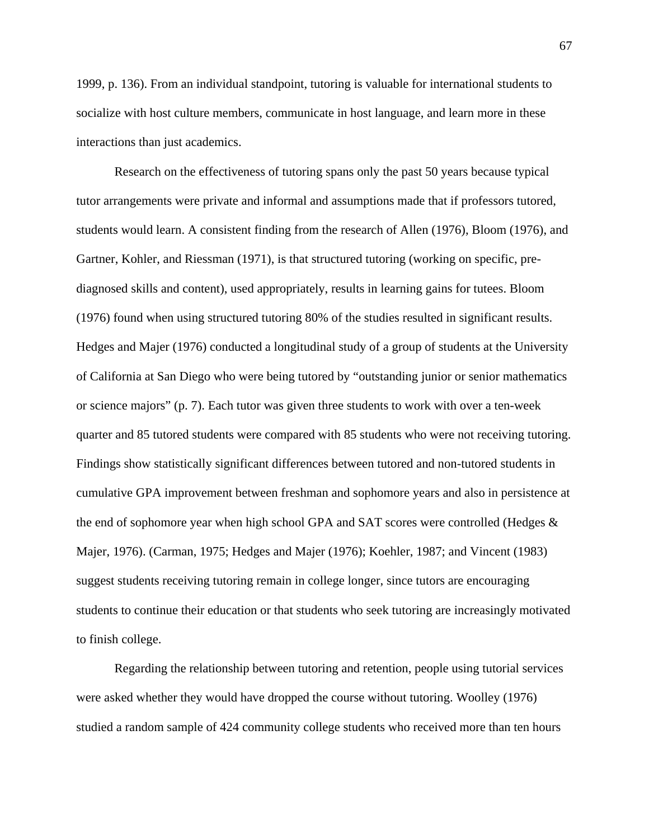1999, p. 136). From an individual standpoint, tutoring is valuable for international students to socialize with host culture members, communicate in host language, and learn more in these interactions than just academics.

Research on the effectiveness of tutoring spans only the past 50 years because typical tutor arrangements were private and informal and assumptions made that if professors tutored, students would learn. A consistent finding from the research of Allen (1976), Bloom (1976), and Gartner, Kohler, and Riessman (1971), is that structured tutoring (working on specific, prediagnosed skills and content), used appropriately, results in learning gains for tutees. Bloom (1976) found when using structured tutoring 80% of the studies resulted in significant results. Hedges and Majer (1976) conducted a longitudinal study of a group of students at the University of California at San Diego who were being tutored by "outstanding junior or senior mathematics or science majors" (p. 7). Each tutor was given three students to work with over a ten-week quarter and 85 tutored students were compared with 85 students who were not receiving tutoring. Findings show statistically significant differences between tutored and non-tutored students in cumulative GPA improvement between freshman and sophomore years and also in persistence at the end of sophomore year when high school GPA and SAT scores were controlled (Hedges  $\&$ Majer, 1976). (Carman, 1975; Hedges and Majer (1976); Koehler, 1987; and Vincent (1983) suggest students receiving tutoring remain in college longer, since tutors are encouraging students to continue their education or that students who seek tutoring are increasingly motivated to finish college.

Regarding the relationship between tutoring and retention, people using tutorial services were asked whether they would have dropped the course without tutoring. Woolley (1976) studied a random sample of 424 community college students who received more than ten hours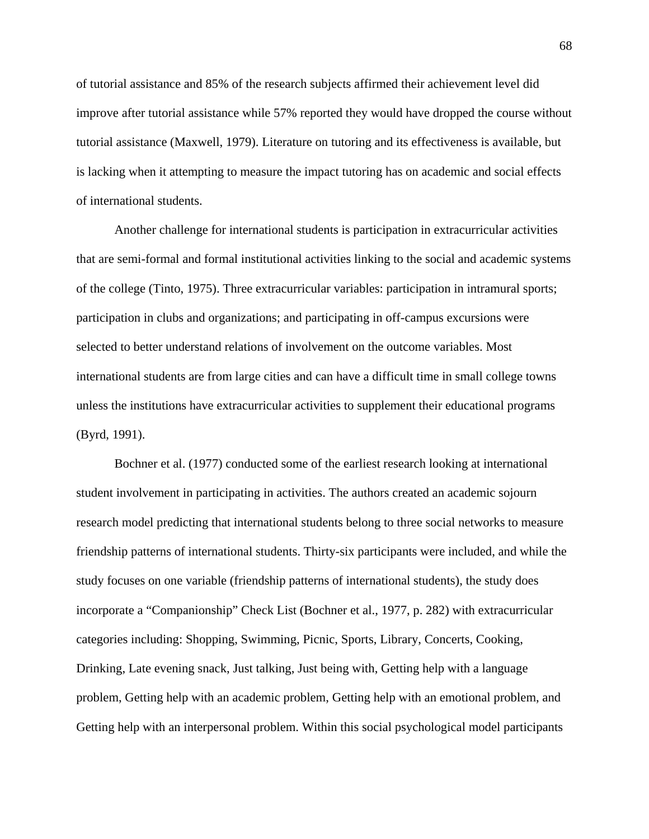of tutorial assistance and 85% of the research subjects affirmed their achievement level did improve after tutorial assistance while 57% reported they would have dropped the course without tutorial assistance (Maxwell, 1979). Literature on tutoring and its effectiveness is available, but is lacking when it attempting to measure the impact tutoring has on academic and social effects of international students.

Another challenge for international students is participation in extracurricular activities that are semi-formal and formal institutional activities linking to the social and academic systems of the college (Tinto, 1975). Three extracurricular variables: participation in intramural sports; participation in clubs and organizations; and participating in off-campus excursions were selected to better understand relations of involvement on the outcome variables. Most international students are from large cities and can have a difficult time in small college towns unless the institutions have extracurricular activities to supplement their educational programs (Byrd, 1991).

Bochner et al. (1977) conducted some of the earliest research looking at international student involvement in participating in activities. The authors created an academic sojourn research model predicting that international students belong to three social networks to measure friendship patterns of international students. Thirty-six participants were included, and while the study focuses on one variable (friendship patterns of international students), the study does incorporate a "Companionship" Check List (Bochner et al., 1977, p. 282) with extracurricular categories including: Shopping, Swimming, Picnic, Sports, Library, Concerts, Cooking, Drinking, Late evening snack, Just talking, Just being with, Getting help with a language problem, Getting help with an academic problem, Getting help with an emotional problem, and Getting help with an interpersonal problem. Within this social psychological model participants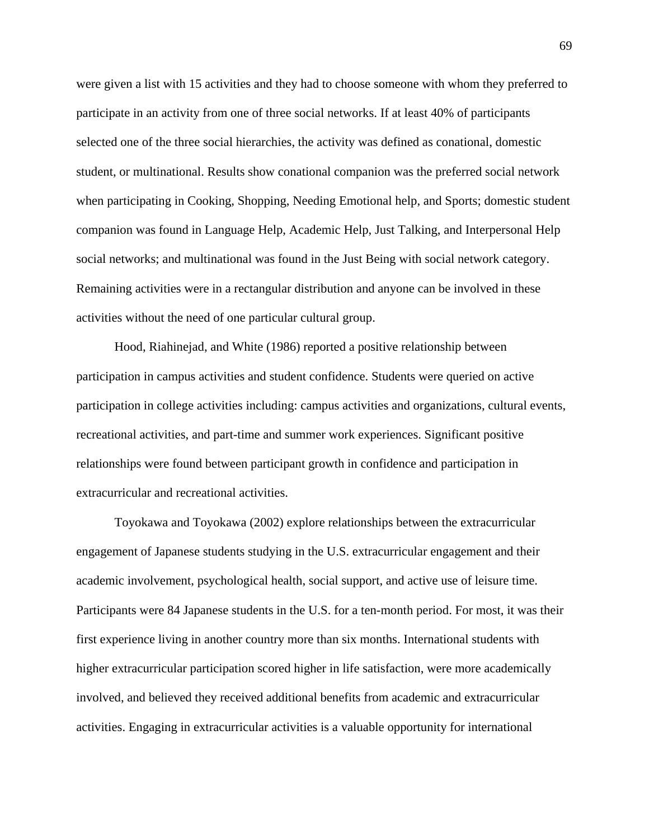were given a list with 15 activities and they had to choose someone with whom they preferred to participate in an activity from one of three social networks. If at least 40% of participants selected one of the three social hierarchies, the activity was defined as conational, domestic student, or multinational. Results show conational companion was the preferred social network when participating in Cooking, Shopping, Needing Emotional help, and Sports; domestic student companion was found in Language Help, Academic Help, Just Talking, and Interpersonal Help social networks; and multinational was found in the Just Being with social network category. Remaining activities were in a rectangular distribution and anyone can be involved in these activities without the need of one particular cultural group.

Hood, Riahinejad, and White (1986) reported a positive relationship between participation in campus activities and student confidence. Students were queried on active participation in college activities including: campus activities and organizations, cultural events, recreational activities, and part-time and summer work experiences. Significant positive relationships were found between participant growth in confidence and participation in extracurricular and recreational activities.

Toyokawa and Toyokawa (2002) explore relationships between the extracurricular engagement of Japanese students studying in the U.S. extracurricular engagement and their academic involvement, psychological health, social support, and active use of leisure time. Participants were 84 Japanese students in the U.S. for a ten-month period. For most, it was their first experience living in another country more than six months. International students with higher extracurricular participation scored higher in life satisfaction, were more academically involved, and believed they received additional benefits from academic and extracurricular activities. Engaging in extracurricular activities is a valuable opportunity for international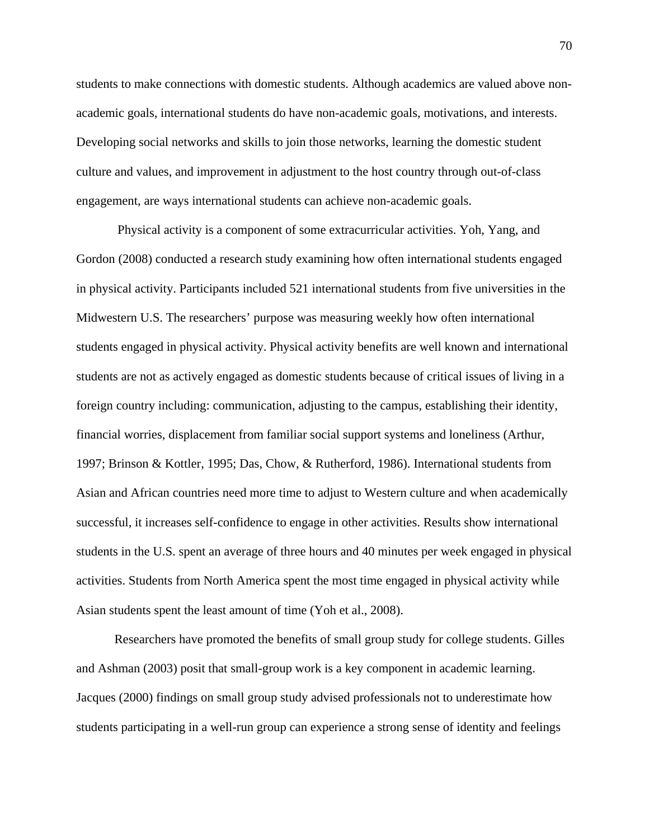students to make connections with domestic students. Although academics are valued above nonacademic goals, international students do have non-academic goals, motivations, and interests. Developing social networks and skills to join those networks, learning the domestic student culture and values, and improvement in adjustment to the host country through out-of-class engagement, are ways international students can achieve non-academic goals.

 Physical activity is a component of some extracurricular activities. Yoh, Yang, and Gordon (2008) conducted a research study examining how often international students engaged in physical activity. Participants included 521 international students from five universities in the Midwestern U.S. The researchers' purpose was measuring weekly how often international students engaged in physical activity. Physical activity benefits are well known and international students are not as actively engaged as domestic students because of critical issues of living in a foreign country including: communication, adjusting to the campus, establishing their identity, financial worries, displacement from familiar social support systems and loneliness (Arthur, 1997; Brinson & Kottler, 1995; Das, Chow, & Rutherford, 1986). International students from Asian and African countries need more time to adjust to Western culture and when academically successful, it increases self-confidence to engage in other activities. Results show international students in the U.S. spent an average of three hours and 40 minutes per week engaged in physical activities. Students from North America spent the most time engaged in physical activity while Asian students spent the least amount of time (Yoh et al., 2008).

Researchers have promoted the benefits of small group study for college students. Gilles and Ashman (2003) posit that small-group work is a key component in academic learning. Jacques (2000) findings on small group study advised professionals not to underestimate how students participating in a well-run group can experience a strong sense of identity and feelings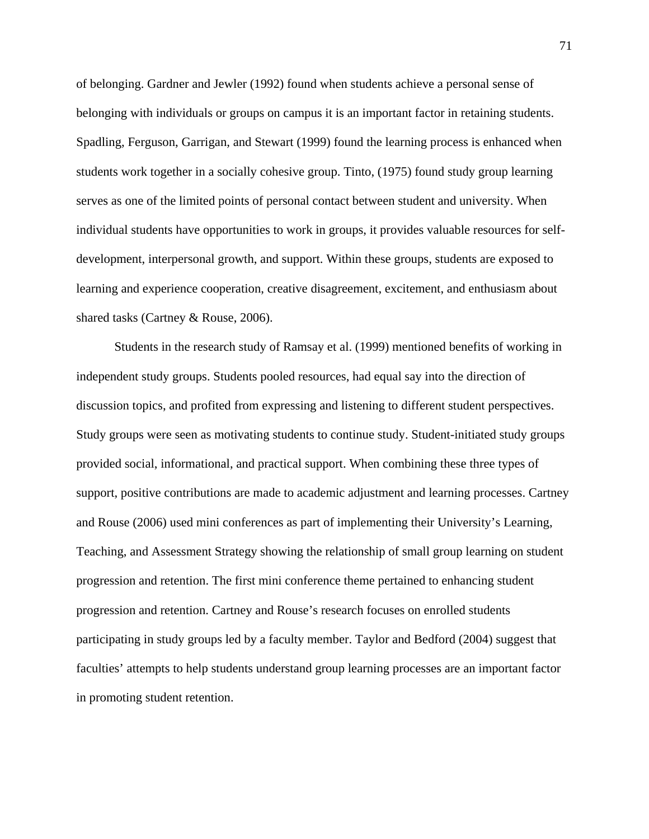of belonging. Gardner and Jewler (1992) found when students achieve a personal sense of belonging with individuals or groups on campus it is an important factor in retaining students. Spadling, Ferguson, Garrigan, and Stewart (1999) found the learning process is enhanced when students work together in a socially cohesive group. Tinto, (1975) found study group learning serves as one of the limited points of personal contact between student and university. When individual students have opportunities to work in groups, it provides valuable resources for selfdevelopment, interpersonal growth, and support. Within these groups, students are exposed to learning and experience cooperation, creative disagreement, excitement, and enthusiasm about shared tasks (Cartney & Rouse, 2006).

 Students in the research study of Ramsay et al. (1999) mentioned benefits of working in independent study groups. Students pooled resources, had equal say into the direction of discussion topics, and profited from expressing and listening to different student perspectives. Study groups were seen as motivating students to continue study. Student-initiated study groups provided social, informational, and practical support. When combining these three types of support, positive contributions are made to academic adjustment and learning processes. Cartney and Rouse (2006) used mini conferences as part of implementing their University's Learning, Teaching, and Assessment Strategy showing the relationship of small group learning on student progression and retention. The first mini conference theme pertained to enhancing student progression and retention. Cartney and Rouse's research focuses on enrolled students participating in study groups led by a faculty member. Taylor and Bedford (2004) suggest that faculties' attempts to help students understand group learning processes are an important factor in promoting student retention.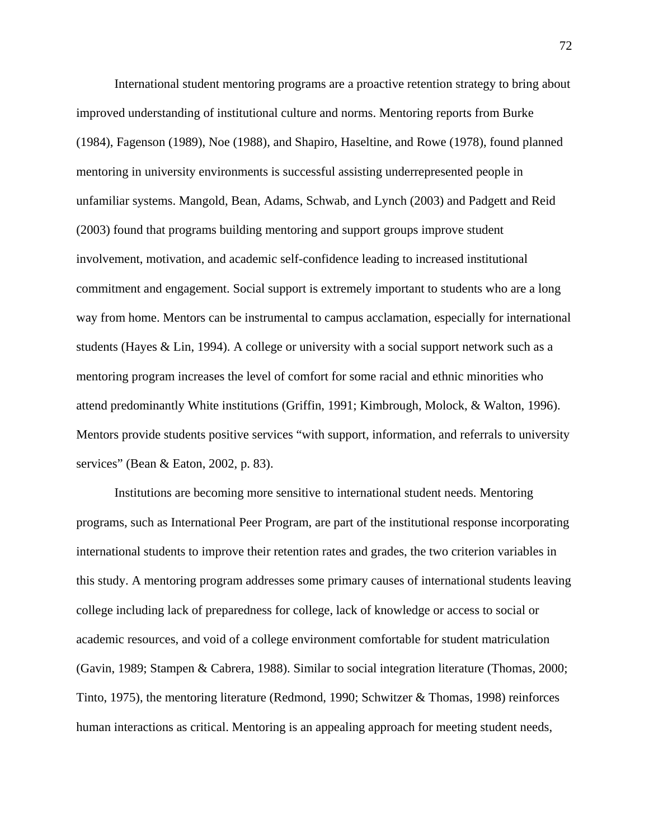International student mentoring programs are a proactive retention strategy to bring about improved understanding of institutional culture and norms. Mentoring reports from Burke (1984), Fagenson (1989), Noe (1988), and Shapiro, Haseltine, and Rowe (1978), found planned mentoring in university environments is successful assisting underrepresented people in unfamiliar systems. Mangold, Bean, Adams, Schwab, and Lynch (2003) and Padgett and Reid (2003) found that programs building mentoring and support groups improve student involvement, motivation, and academic self-confidence leading to increased institutional commitment and engagement. Social support is extremely important to students who are a long way from home. Mentors can be instrumental to campus acclamation, especially for international students (Hayes & Lin, 1994). A college or university with a social support network such as a mentoring program increases the level of comfort for some racial and ethnic minorities who attend predominantly White institutions (Griffin, 1991; Kimbrough, Molock, & Walton, 1996). Mentors provide students positive services "with support, information, and referrals to university services" (Bean & Eaton, 2002, p. 83).

Institutions are becoming more sensitive to international student needs. Mentoring programs, such as International Peer Program, are part of the institutional response incorporating international students to improve their retention rates and grades, the two criterion variables in this study. A mentoring program addresses some primary causes of international students leaving college including lack of preparedness for college, lack of knowledge or access to social or academic resources, and void of a college environment comfortable for student matriculation (Gavin, 1989; Stampen & Cabrera, 1988). Similar to social integration literature (Thomas, 2000; Tinto, 1975), the mentoring literature (Redmond, 1990; Schwitzer & Thomas, 1998) reinforces human interactions as critical. Mentoring is an appealing approach for meeting student needs,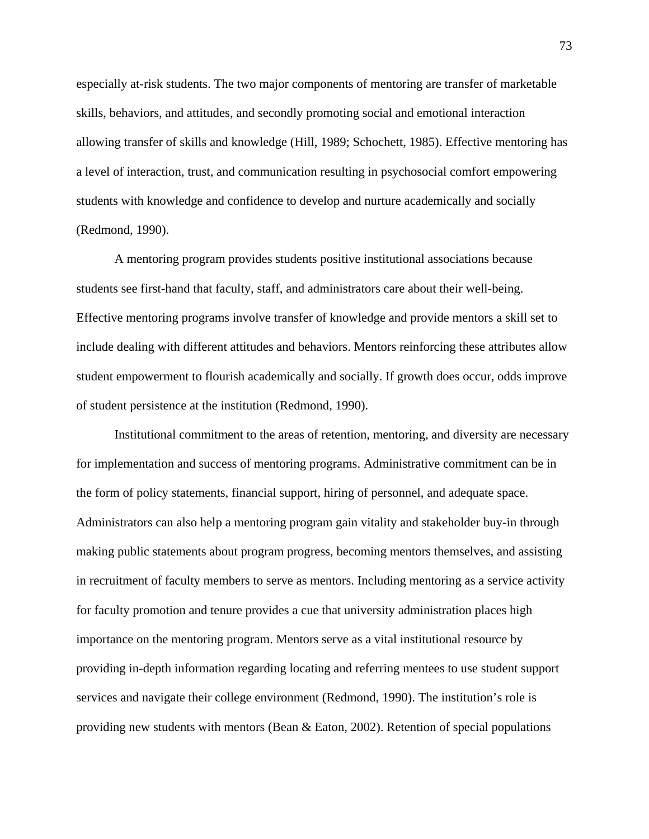especially at-risk students. The two major components of mentoring are transfer of marketable skills, behaviors, and attitudes, and secondly promoting social and emotional interaction allowing transfer of skills and knowledge (Hill, 1989; Schochett, 1985). Effective mentoring has a level of interaction, trust, and communication resulting in psychosocial comfort empowering students with knowledge and confidence to develop and nurture academically and socially (Redmond, 1990).

A mentoring program provides students positive institutional associations because students see first-hand that faculty, staff, and administrators care about their well-being. Effective mentoring programs involve transfer of knowledge and provide mentors a skill set to include dealing with different attitudes and behaviors. Mentors reinforcing these attributes allow student empowerment to flourish academically and socially. If growth does occur, odds improve of student persistence at the institution (Redmond, 1990).

Institutional commitment to the areas of retention, mentoring, and diversity are necessary for implementation and success of mentoring programs. Administrative commitment can be in the form of policy statements, financial support, hiring of personnel, and adequate space. Administrators can also help a mentoring program gain vitality and stakeholder buy-in through making public statements about program progress, becoming mentors themselves, and assisting in recruitment of faculty members to serve as mentors. Including mentoring as a service activity for faculty promotion and tenure provides a cue that university administration places high importance on the mentoring program. Mentors serve as a vital institutional resource by providing in-depth information regarding locating and referring mentees to use student support services and navigate their college environment (Redmond, 1990). The institution's role is providing new students with mentors (Bean & Eaton, 2002). Retention of special populations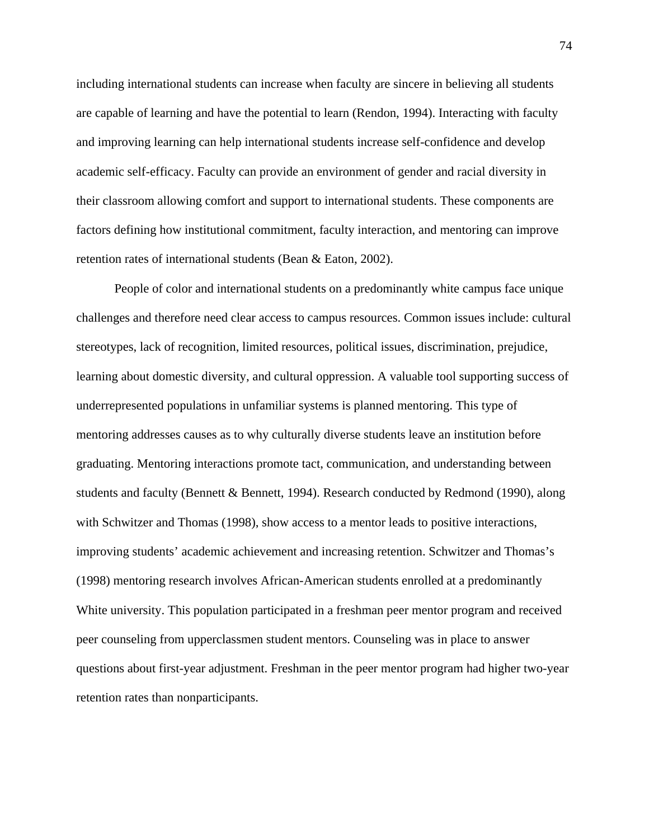including international students can increase when faculty are sincere in believing all students are capable of learning and have the potential to learn (Rendon, 1994). Interacting with faculty and improving learning can help international students increase self-confidence and develop academic self-efficacy. Faculty can provide an environment of gender and racial diversity in their classroom allowing comfort and support to international students. These components are factors defining how institutional commitment, faculty interaction, and mentoring can improve retention rates of international students (Bean & Eaton, 2002).

People of color and international students on a predominantly white campus face unique challenges and therefore need clear access to campus resources. Common issues include: cultural stereotypes, lack of recognition, limited resources, political issues, discrimination, prejudice, learning about domestic diversity, and cultural oppression. A valuable tool supporting success of underrepresented populations in unfamiliar systems is planned mentoring. This type of mentoring addresses causes as to why culturally diverse students leave an institution before graduating. Mentoring interactions promote tact, communication, and understanding between students and faculty (Bennett & Bennett, 1994). Research conducted by Redmond (1990), along with Schwitzer and Thomas (1998), show access to a mentor leads to positive interactions, improving students' academic achievement and increasing retention. Schwitzer and Thomas's (1998) mentoring research involves African-American students enrolled at a predominantly White university. This population participated in a freshman peer mentor program and received peer counseling from upperclassmen student mentors. Counseling was in place to answer questions about first-year adjustment. Freshman in the peer mentor program had higher two-year retention rates than nonparticipants.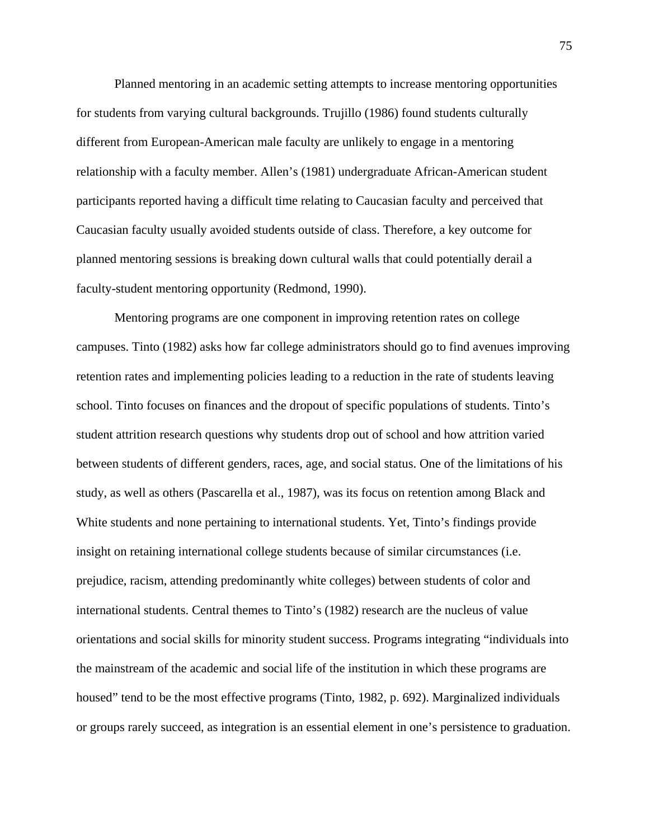Planned mentoring in an academic setting attempts to increase mentoring opportunities for students from varying cultural backgrounds. Trujillo (1986) found students culturally different from European-American male faculty are unlikely to engage in a mentoring relationship with a faculty member. Allen's (1981) undergraduate African-American student participants reported having a difficult time relating to Caucasian faculty and perceived that Caucasian faculty usually avoided students outside of class. Therefore, a key outcome for planned mentoring sessions is breaking down cultural walls that could potentially derail a faculty-student mentoring opportunity (Redmond, 1990).

Mentoring programs are one component in improving retention rates on college campuses. Tinto (1982) asks how far college administrators should go to find avenues improving retention rates and implementing policies leading to a reduction in the rate of students leaving school. Tinto focuses on finances and the dropout of specific populations of students. Tinto's student attrition research questions why students drop out of school and how attrition varied between students of different genders, races, age, and social status. One of the limitations of his study, as well as others (Pascarella et al., 1987), was its focus on retention among Black and White students and none pertaining to international students. Yet, Tinto's findings provide insight on retaining international college students because of similar circumstances (i.e. prejudice, racism, attending predominantly white colleges) between students of color and international students. Central themes to Tinto's (1982) research are the nucleus of value orientations and social skills for minority student success. Programs integrating "individuals into the mainstream of the academic and social life of the institution in which these programs are housed" tend to be the most effective programs (Tinto, 1982, p. 692). Marginalized individuals or groups rarely succeed, as integration is an essential element in one's persistence to graduation.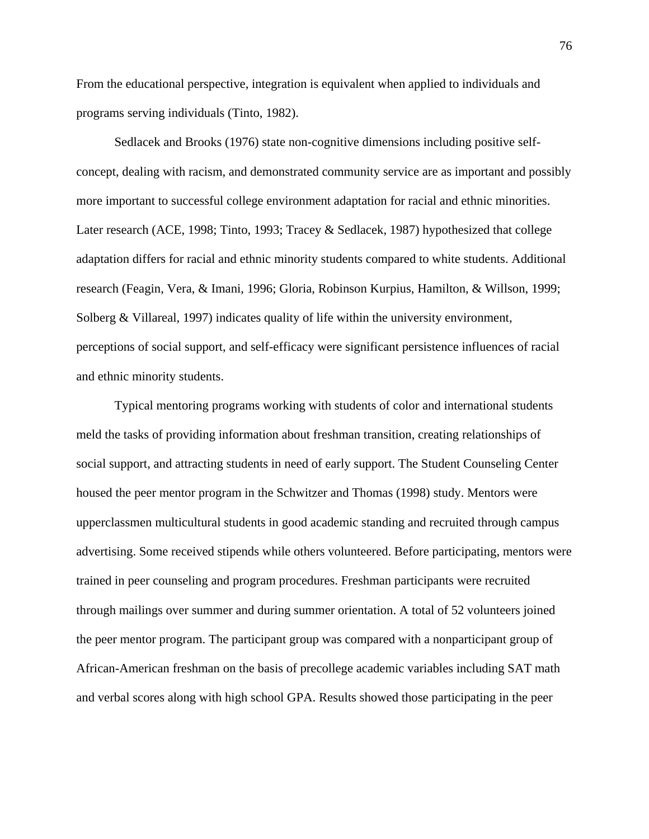From the educational perspective, integration is equivalent when applied to individuals and programs serving individuals (Tinto, 1982).

Sedlacek and Brooks (1976) state non-cognitive dimensions including positive selfconcept, dealing with racism, and demonstrated community service are as important and possibly more important to successful college environment adaptation for racial and ethnic minorities. Later research (ACE, 1998; Tinto, 1993; Tracey & Sedlacek, 1987) hypothesized that college adaptation differs for racial and ethnic minority students compared to white students. Additional research (Feagin, Vera, & Imani, 1996; Gloria, Robinson Kurpius, Hamilton, & Willson, 1999; Solberg & Villareal, 1997) indicates quality of life within the university environment, perceptions of social support, and self-efficacy were significant persistence influences of racial and ethnic minority students.

Typical mentoring programs working with students of color and international students meld the tasks of providing information about freshman transition, creating relationships of social support, and attracting students in need of early support. The Student Counseling Center housed the peer mentor program in the Schwitzer and Thomas (1998) study. Mentors were upperclassmen multicultural students in good academic standing and recruited through campus advertising. Some received stipends while others volunteered. Before participating, mentors were trained in peer counseling and program procedures. Freshman participants were recruited through mailings over summer and during summer orientation. A total of 52 volunteers joined the peer mentor program. The participant group was compared with a nonparticipant group of African-American freshman on the basis of precollege academic variables including SAT math and verbal scores along with high school GPA. Results showed those participating in the peer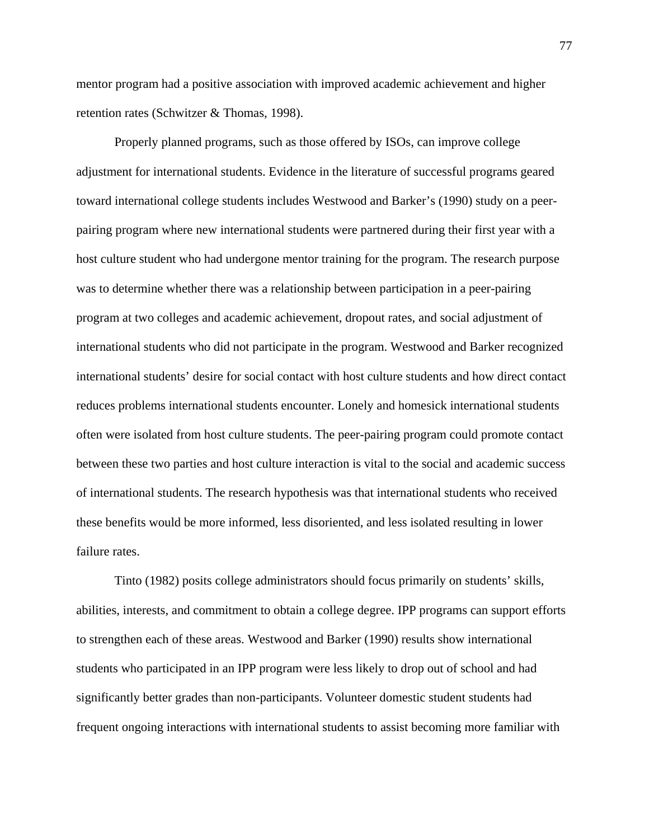mentor program had a positive association with improved academic achievement and higher retention rates (Schwitzer & Thomas, 1998).

Properly planned programs, such as those offered by ISOs, can improve college adjustment for international students. Evidence in the literature of successful programs geared toward international college students includes Westwood and Barker's (1990) study on a peerpairing program where new international students were partnered during their first year with a host culture student who had undergone mentor training for the program. The research purpose was to determine whether there was a relationship between participation in a peer-pairing program at two colleges and academic achievement, dropout rates, and social adjustment of international students who did not participate in the program. Westwood and Barker recognized international students' desire for social contact with host culture students and how direct contact reduces problems international students encounter. Lonely and homesick international students often were isolated from host culture students. The peer-pairing program could promote contact between these two parties and host culture interaction is vital to the social and academic success of international students. The research hypothesis was that international students who received these benefits would be more informed, less disoriented, and less isolated resulting in lower failure rates.

Tinto (1982) posits college administrators should focus primarily on students' skills, abilities, interests, and commitment to obtain a college degree. IPP programs can support efforts to strengthen each of these areas. Westwood and Barker (1990) results show international students who participated in an IPP program were less likely to drop out of school and had significantly better grades than non-participants. Volunteer domestic student students had frequent ongoing interactions with international students to assist becoming more familiar with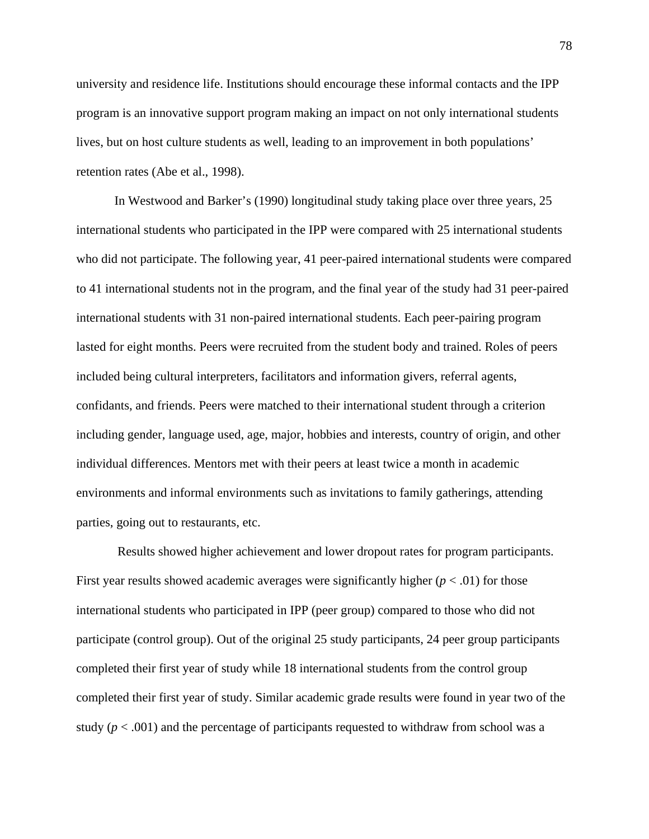university and residence life. Institutions should encourage these informal contacts and the IPP program is an innovative support program making an impact on not only international students lives, but on host culture students as well, leading to an improvement in both populations' retention rates (Abe et al., 1998).

In Westwood and Barker's (1990) longitudinal study taking place over three years, 25 international students who participated in the IPP were compared with 25 international students who did not participate. The following year, 41 peer-paired international students were compared to 41 international students not in the program, and the final year of the study had 31 peer-paired international students with 31 non-paired international students. Each peer-pairing program lasted for eight months. Peers were recruited from the student body and trained. Roles of peers included being cultural interpreters, facilitators and information givers, referral agents, confidants, and friends. Peers were matched to their international student through a criterion including gender, language used, age, major, hobbies and interests, country of origin, and other individual differences. Mentors met with their peers at least twice a month in academic environments and informal environments such as invitations to family gatherings, attending parties, going out to restaurants, etc.

 Results showed higher achievement and lower dropout rates for program participants. First year results showed academic averages were significantly higher  $(p < .01)$  for those international students who participated in IPP (peer group) compared to those who did not participate (control group). Out of the original 25 study participants, 24 peer group participants completed their first year of study while 18 international students from the control group completed their first year of study. Similar academic grade results were found in year two of the study  $(p < .001)$  and the percentage of participants requested to withdraw from school was a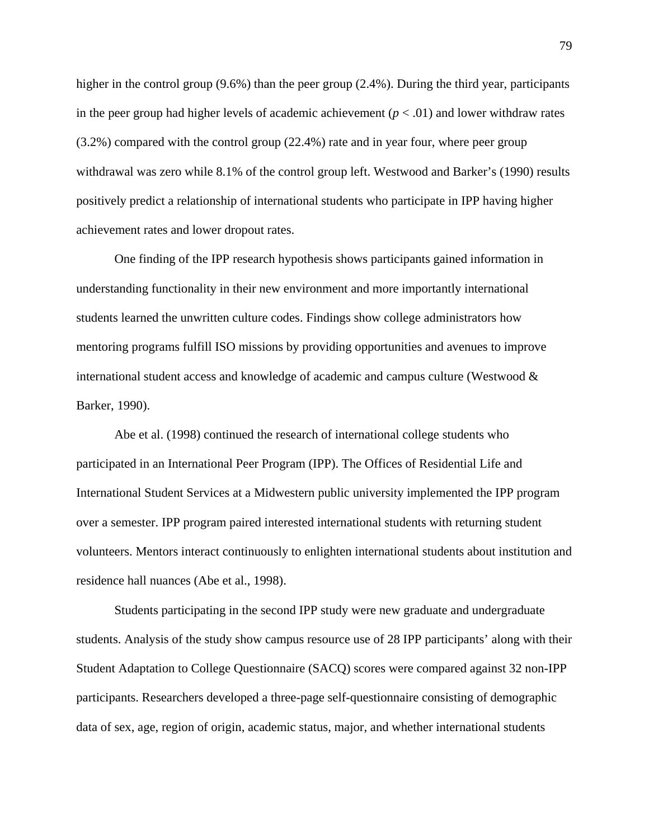higher in the control group (9.6%) than the peer group (2.4%). During the third year, participants in the peer group had higher levels of academic achievement  $(p < .01)$  and lower withdraw rates (3.2%) compared with the control group (22.4%) rate and in year four, where peer group withdrawal was zero while 8.1% of the control group left. Westwood and Barker's (1990) results positively predict a relationship of international students who participate in IPP having higher achievement rates and lower dropout rates.

One finding of the IPP research hypothesis shows participants gained information in understanding functionality in their new environment and more importantly international students learned the unwritten culture codes. Findings show college administrators how mentoring programs fulfill ISO missions by providing opportunities and avenues to improve international student access and knowledge of academic and campus culture (Westwood & Barker, 1990).

Abe et al. (1998) continued the research of international college students who participated in an International Peer Program (IPP). The Offices of Residential Life and International Student Services at a Midwestern public university implemented the IPP program over a semester. IPP program paired interested international students with returning student volunteers. Mentors interact continuously to enlighten international students about institution and residence hall nuances (Abe et al., 1998).

Students participating in the second IPP study were new graduate and undergraduate students. Analysis of the study show campus resource use of 28 IPP participants' along with their Student Adaptation to College Questionnaire (SACQ) scores were compared against 32 non-IPP participants. Researchers developed a three-page self-questionnaire consisting of demographic data of sex, age, region of origin, academic status, major, and whether international students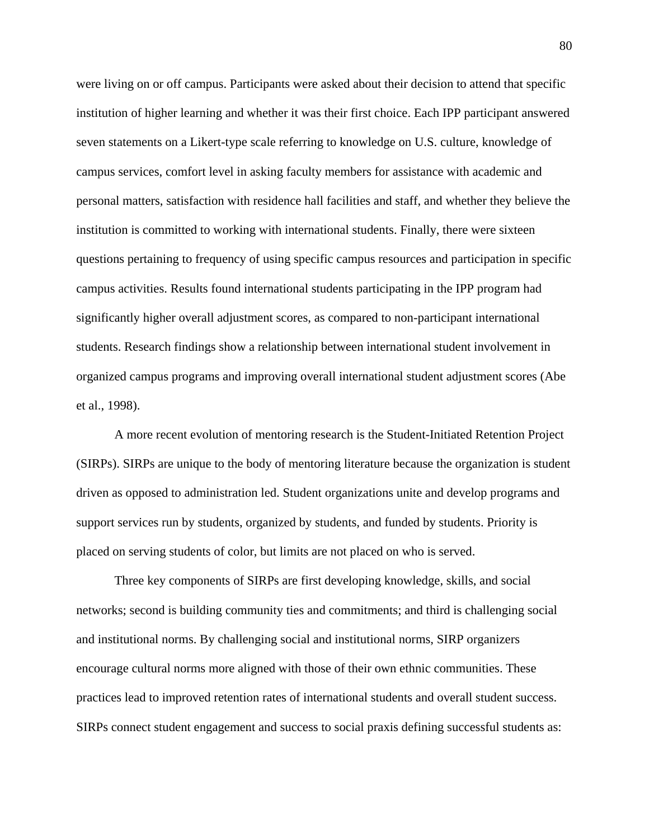were living on or off campus. Participants were asked about their decision to attend that specific institution of higher learning and whether it was their first choice. Each IPP participant answered seven statements on a Likert-type scale referring to knowledge on U.S. culture, knowledge of campus services, comfort level in asking faculty members for assistance with academic and personal matters, satisfaction with residence hall facilities and staff, and whether they believe the institution is committed to working with international students. Finally, there were sixteen questions pertaining to frequency of using specific campus resources and participation in specific campus activities. Results found international students participating in the IPP program had significantly higher overall adjustment scores, as compared to non-participant international students. Research findings show a relationship between international student involvement in organized campus programs and improving overall international student adjustment scores (Abe et al., 1998).

A more recent evolution of mentoring research is the Student-Initiated Retention Project (SIRPs). SIRPs are unique to the body of mentoring literature because the organization is student driven as opposed to administration led. Student organizations unite and develop programs and support services run by students, organized by students, and funded by students. Priority is placed on serving students of color, but limits are not placed on who is served.

Three key components of SIRPs are first developing knowledge, skills, and social networks; second is building community ties and commitments; and third is challenging social and institutional norms. By challenging social and institutional norms, SIRP organizers encourage cultural norms more aligned with those of their own ethnic communities. These practices lead to improved retention rates of international students and overall student success. SIRPs connect student engagement and success to social praxis defining successful students as: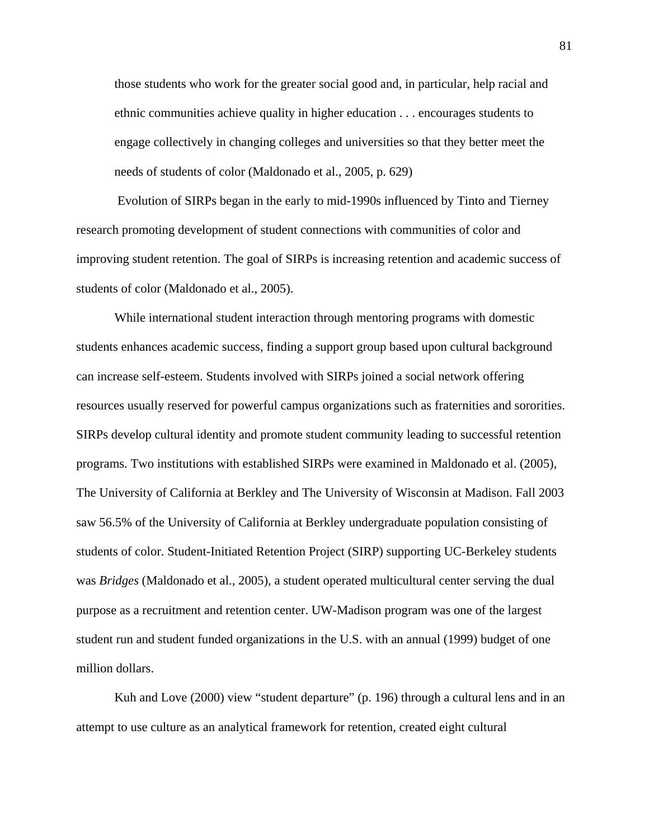those students who work for the greater social good and, in particular, help racial and ethnic communities achieve quality in higher education . . . encourages students to engage collectively in changing colleges and universities so that they better meet the needs of students of color (Maldonado et al., 2005, p. 629)

 Evolution of SIRPs began in the early to mid-1990s influenced by Tinto and Tierney research promoting development of student connections with communities of color and improving student retention. The goal of SIRPs is increasing retention and academic success of students of color (Maldonado et al., 2005).

While international student interaction through mentoring programs with domestic students enhances academic success, finding a support group based upon cultural background can increase self-esteem. Students involved with SIRPs joined a social network offering resources usually reserved for powerful campus organizations such as fraternities and sororities. SIRPs develop cultural identity and promote student community leading to successful retention programs. Two institutions with established SIRPs were examined in Maldonado et al. (2005), The University of California at Berkley and The University of Wisconsin at Madison. Fall 2003 saw 56.5% of the University of California at Berkley undergraduate population consisting of students of color. Student-Initiated Retention Project (SIRP) supporting UC-Berkeley students was *Bridges* (Maldonado et al., 2005), a student operated multicultural center serving the dual purpose as a recruitment and retention center. UW-Madison program was one of the largest student run and student funded organizations in the U.S. with an annual (1999) budget of one million dollars.

Kuh and Love (2000) view "student departure" (p. 196) through a cultural lens and in an attempt to use culture as an analytical framework for retention, created eight cultural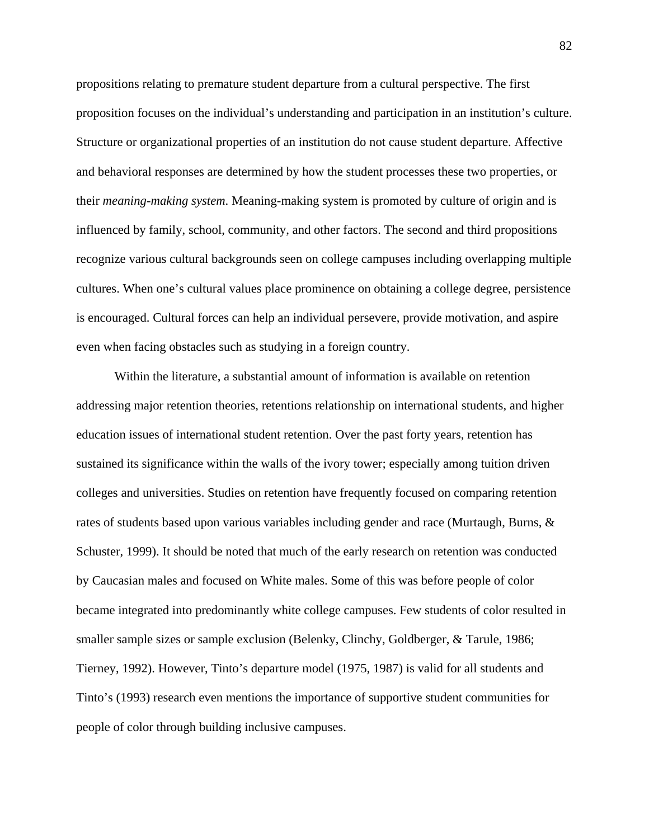propositions relating to premature student departure from a cultural perspective. The first proposition focuses on the individual's understanding and participation in an institution's culture. Structure or organizational properties of an institution do not cause student departure. Affective and behavioral responses are determined by how the student processes these two properties, or their *meaning-making system*. Meaning-making system is promoted by culture of origin and is influenced by family, school, community, and other factors. The second and third propositions recognize various cultural backgrounds seen on college campuses including overlapping multiple cultures. When one's cultural values place prominence on obtaining a college degree, persistence is encouraged. Cultural forces can help an individual persevere, provide motivation, and aspire even when facing obstacles such as studying in a foreign country.

Within the literature, a substantial amount of information is available on retention addressing major retention theories, retentions relationship on international students, and higher education issues of international student retention. Over the past forty years, retention has sustained its significance within the walls of the ivory tower; especially among tuition driven colleges and universities. Studies on retention have frequently focused on comparing retention rates of students based upon various variables including gender and race (Murtaugh, Burns, & Schuster, 1999). It should be noted that much of the early research on retention was conducted by Caucasian males and focused on White males. Some of this was before people of color became integrated into predominantly white college campuses. Few students of color resulted in smaller sample sizes or sample exclusion (Belenky, Clinchy, Goldberger, & Tarule, 1986; Tierney, 1992). However, Tinto's departure model (1975, 1987) is valid for all students and Tinto's (1993) research even mentions the importance of supportive student communities for people of color through building inclusive campuses.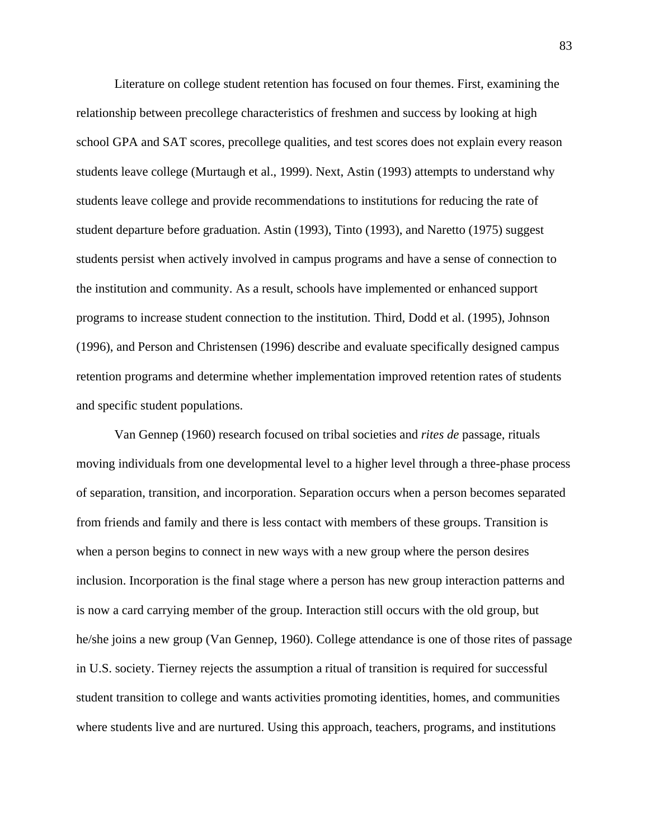Literature on college student retention has focused on four themes. First, examining the relationship between precollege characteristics of freshmen and success by looking at high school GPA and SAT scores, precollege qualities, and test scores does not explain every reason students leave college (Murtaugh et al., 1999). Next, Astin (1993) attempts to understand why students leave college and provide recommendations to institutions for reducing the rate of student departure before graduation. Astin (1993), Tinto (1993), and Naretto (1975) suggest students persist when actively involved in campus programs and have a sense of connection to the institution and community. As a result, schools have implemented or enhanced support programs to increase student connection to the institution. Third, Dodd et al. (1995), Johnson (1996), and Person and Christensen (1996) describe and evaluate specifically designed campus retention programs and determine whether implementation improved retention rates of students and specific student populations.

Van Gennep (1960) research focused on tribal societies and *rites de* passage, rituals moving individuals from one developmental level to a higher level through a three-phase process of separation, transition, and incorporation. Separation occurs when a person becomes separated from friends and family and there is less contact with members of these groups. Transition is when a person begins to connect in new ways with a new group where the person desires inclusion. Incorporation is the final stage where a person has new group interaction patterns and is now a card carrying member of the group. Interaction still occurs with the old group, but he/she joins a new group (Van Gennep, 1960). College attendance is one of those rites of passage in U.S. society. Tierney rejects the assumption a ritual of transition is required for successful student transition to college and wants activities promoting identities, homes, and communities where students live and are nurtured. Using this approach, teachers, programs, and institutions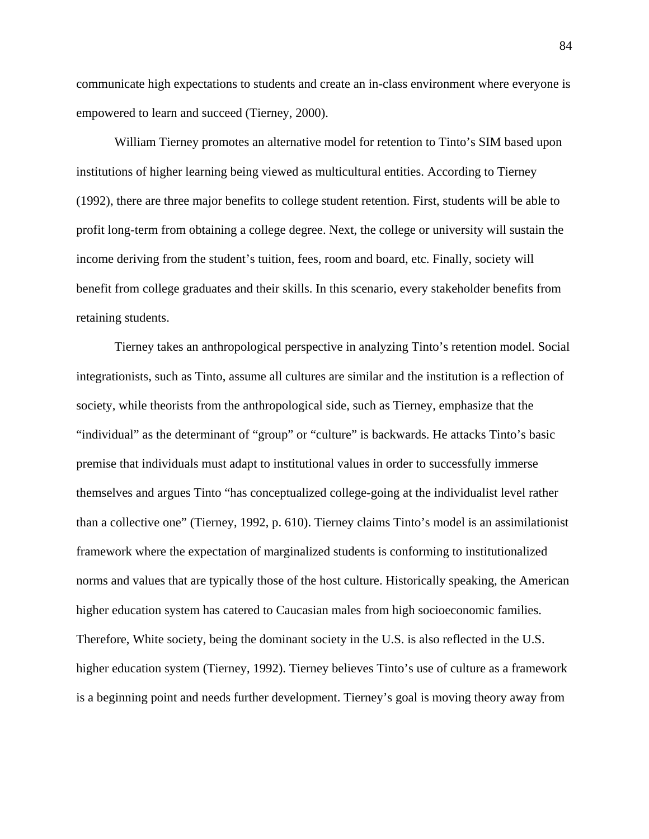communicate high expectations to students and create an in-class environment where everyone is empowered to learn and succeed (Tierney, 2000).

William Tierney promotes an alternative model for retention to Tinto's SIM based upon institutions of higher learning being viewed as multicultural entities. According to Tierney (1992), there are three major benefits to college student retention. First, students will be able to profit long-term from obtaining a college degree. Next, the college or university will sustain the income deriving from the student's tuition, fees, room and board, etc. Finally, society will benefit from college graduates and their skills. In this scenario, every stakeholder benefits from retaining students.

Tierney takes an anthropological perspective in analyzing Tinto's retention model. Social integrationists, such as Tinto, assume all cultures are similar and the institution is a reflection of society, while theorists from the anthropological side, such as Tierney, emphasize that the "individual" as the determinant of "group" or "culture" is backwards. He attacks Tinto's basic premise that individuals must adapt to institutional values in order to successfully immerse themselves and argues Tinto "has conceptualized college-going at the individualist level rather than a collective one" (Tierney, 1992, p. 610). Tierney claims Tinto's model is an assimilationist framework where the expectation of marginalized students is conforming to institutionalized norms and values that are typically those of the host culture. Historically speaking, the American higher education system has catered to Caucasian males from high socioeconomic families. Therefore, White society, being the dominant society in the U.S. is also reflected in the U.S. higher education system (Tierney, 1992). Tierney believes Tinto's use of culture as a framework is a beginning point and needs further development. Tierney's goal is moving theory away from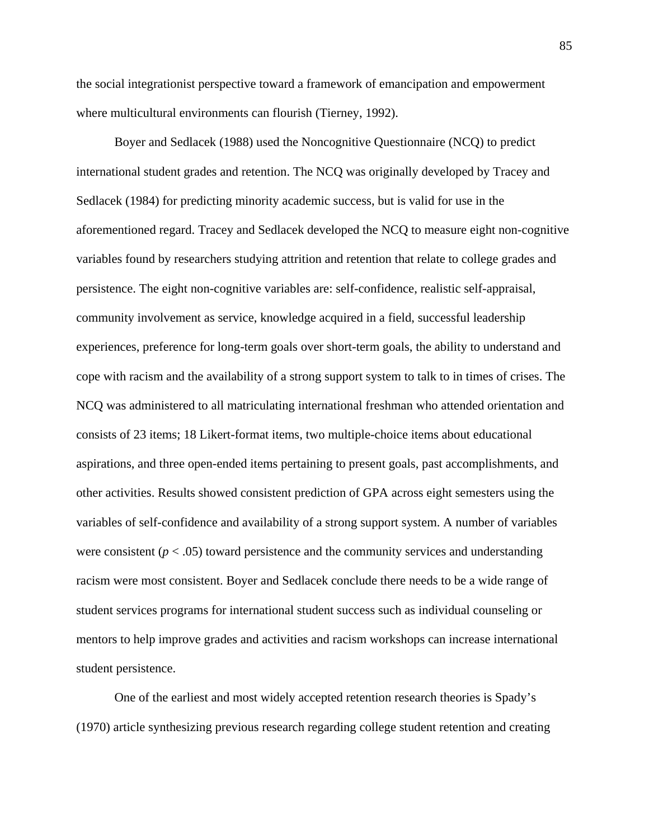the social integrationist perspective toward a framework of emancipation and empowerment where multicultural environments can flourish (Tierney, 1992).

Boyer and Sedlacek (1988) used the Noncognitive Questionnaire (NCQ) to predict international student grades and retention. The NCQ was originally developed by Tracey and Sedlacek (1984) for predicting minority academic success, but is valid for use in the aforementioned regard. Tracey and Sedlacek developed the NCQ to measure eight non-cognitive variables found by researchers studying attrition and retention that relate to college grades and persistence. The eight non-cognitive variables are: self-confidence, realistic self-appraisal, community involvement as service, knowledge acquired in a field, successful leadership experiences, preference for long-term goals over short-term goals, the ability to understand and cope with racism and the availability of a strong support system to talk to in times of crises. The NCQ was administered to all matriculating international freshman who attended orientation and consists of 23 items; 18 Likert-format items, two multiple-choice items about educational aspirations, and three open-ended items pertaining to present goals, past accomplishments, and other activities. Results showed consistent prediction of GPA across eight semesters using the variables of self-confidence and availability of a strong support system. A number of variables were consistent  $(p < .05)$  toward persistence and the community services and understanding racism were most consistent. Boyer and Sedlacek conclude there needs to be a wide range of student services programs for international student success such as individual counseling or mentors to help improve grades and activities and racism workshops can increase international student persistence.

One of the earliest and most widely accepted retention research theories is Spady's (1970) article synthesizing previous research regarding college student retention and creating

85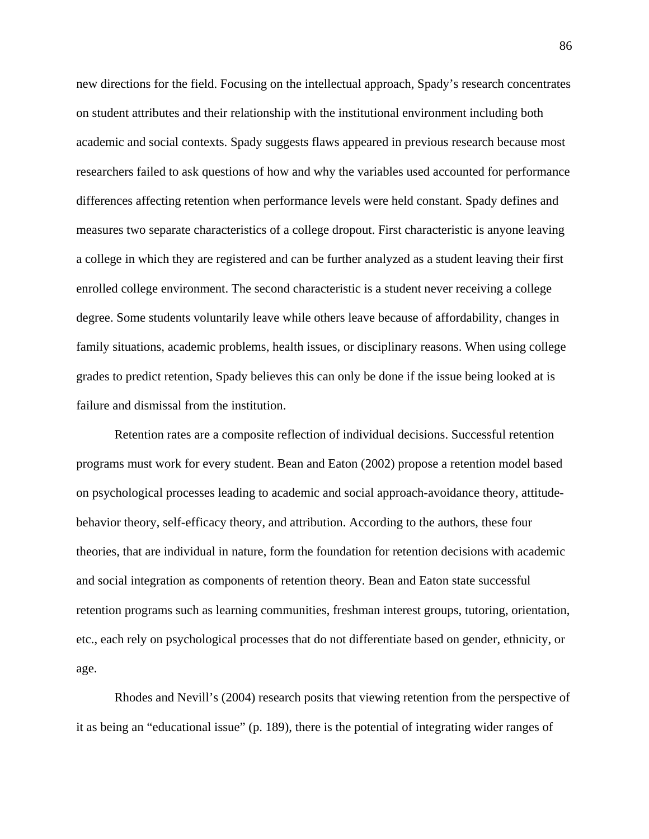new directions for the field. Focusing on the intellectual approach, Spady's research concentrates on student attributes and their relationship with the institutional environment including both academic and social contexts. Spady suggests flaws appeared in previous research because most researchers failed to ask questions of how and why the variables used accounted for performance differences affecting retention when performance levels were held constant. Spady defines and measures two separate characteristics of a college dropout. First characteristic is anyone leaving a college in which they are registered and can be further analyzed as a student leaving their first enrolled college environment. The second characteristic is a student never receiving a college degree. Some students voluntarily leave while others leave because of affordability, changes in family situations, academic problems, health issues, or disciplinary reasons. When using college grades to predict retention, Spady believes this can only be done if the issue being looked at is failure and dismissal from the institution.

Retention rates are a composite reflection of individual decisions. Successful retention programs must work for every student. Bean and Eaton (2002) propose a retention model based on psychological processes leading to academic and social approach-avoidance theory, attitudebehavior theory, self-efficacy theory, and attribution. According to the authors, these four theories, that are individual in nature, form the foundation for retention decisions with academic and social integration as components of retention theory. Bean and Eaton state successful retention programs such as learning communities, freshman interest groups, tutoring, orientation, etc., each rely on psychological processes that do not differentiate based on gender, ethnicity, or age.

Rhodes and Nevill's (2004) research posits that viewing retention from the perspective of it as being an "educational issue" (p. 189), there is the potential of integrating wider ranges of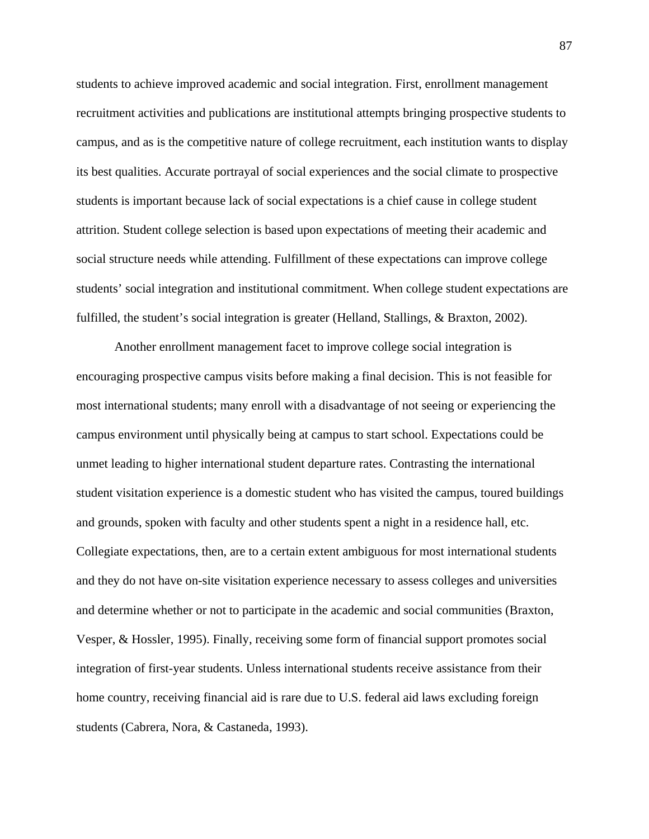students to achieve improved academic and social integration. First, enrollment management recruitment activities and publications are institutional attempts bringing prospective students to campus, and as is the competitive nature of college recruitment, each institution wants to display its best qualities. Accurate portrayal of social experiences and the social climate to prospective students is important because lack of social expectations is a chief cause in college student attrition. Student college selection is based upon expectations of meeting their academic and social structure needs while attending. Fulfillment of these expectations can improve college students' social integration and institutional commitment. When college student expectations are fulfilled, the student's social integration is greater (Helland, Stallings, & Braxton, 2002).

Another enrollment management facet to improve college social integration is encouraging prospective campus visits before making a final decision. This is not feasible for most international students; many enroll with a disadvantage of not seeing or experiencing the campus environment until physically being at campus to start school. Expectations could be unmet leading to higher international student departure rates. Contrasting the international student visitation experience is a domestic student who has visited the campus, toured buildings and grounds, spoken with faculty and other students spent a night in a residence hall, etc. Collegiate expectations, then, are to a certain extent ambiguous for most international students and they do not have on-site visitation experience necessary to assess colleges and universities and determine whether or not to participate in the academic and social communities (Braxton, Vesper, & Hossler, 1995). Finally, receiving some form of financial support promotes social integration of first-year students. Unless international students receive assistance from their home country, receiving financial aid is rare due to U.S. federal aid laws excluding foreign students (Cabrera, Nora, & Castaneda, 1993).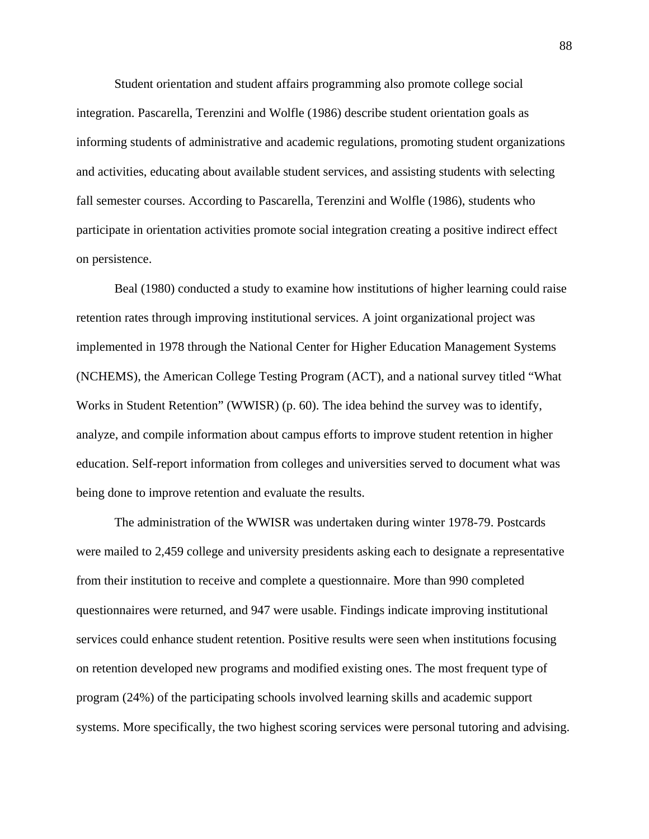Student orientation and student affairs programming also promote college social integration. Pascarella, Terenzini and Wolfle (1986) describe student orientation goals as informing students of administrative and academic regulations, promoting student organizations and activities, educating about available student services, and assisting students with selecting fall semester courses. According to Pascarella, Terenzini and Wolfle (1986), students who participate in orientation activities promote social integration creating a positive indirect effect on persistence.

Beal (1980) conducted a study to examine how institutions of higher learning could raise retention rates through improving institutional services. A joint organizational project was implemented in 1978 through the National Center for Higher Education Management Systems (NCHEMS), the American College Testing Program (ACT), and a national survey titled "What Works in Student Retention" (WWISR) (p. 60). The idea behind the survey was to identify, analyze, and compile information about campus efforts to improve student retention in higher education. Self-report information from colleges and universities served to document what was being done to improve retention and evaluate the results.

The administration of the WWISR was undertaken during winter 1978-79. Postcards were mailed to 2,459 college and university presidents asking each to designate a representative from their institution to receive and complete a questionnaire. More than 990 completed questionnaires were returned, and 947 were usable. Findings indicate improving institutional services could enhance student retention. Positive results were seen when institutions focusing on retention developed new programs and modified existing ones. The most frequent type of program (24%) of the participating schools involved learning skills and academic support systems. More specifically, the two highest scoring services were personal tutoring and advising.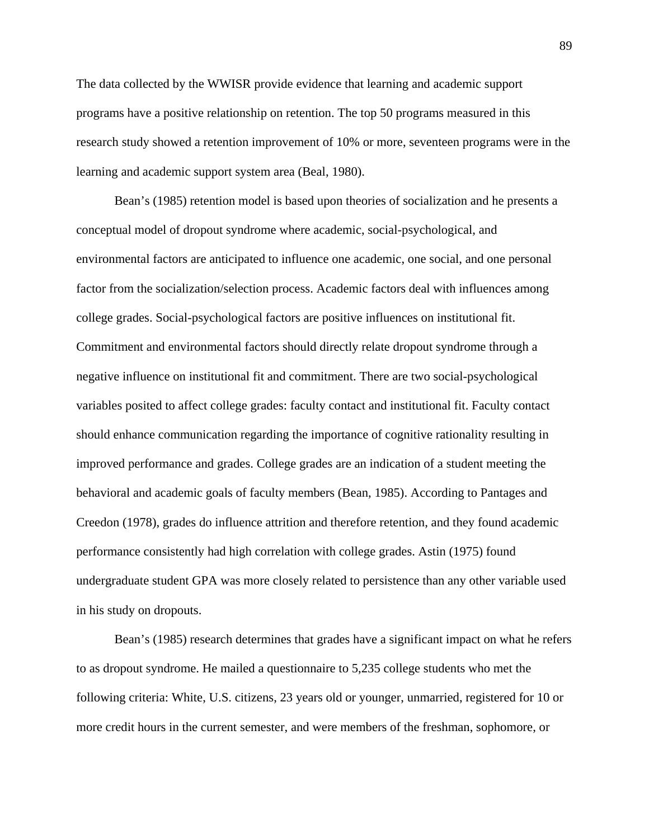The data collected by the WWISR provide evidence that learning and academic support programs have a positive relationship on retention. The top 50 programs measured in this research study showed a retention improvement of 10% or more, seventeen programs were in the learning and academic support system area (Beal, 1980).

Bean's (1985) retention model is based upon theories of socialization and he presents a conceptual model of dropout syndrome where academic, social-psychological, and environmental factors are anticipated to influence one academic, one social, and one personal factor from the socialization/selection process. Academic factors deal with influences among college grades. Social-psychological factors are positive influences on institutional fit. Commitment and environmental factors should directly relate dropout syndrome through a negative influence on institutional fit and commitment. There are two social-psychological variables posited to affect college grades: faculty contact and institutional fit. Faculty contact should enhance communication regarding the importance of cognitive rationality resulting in improved performance and grades. College grades are an indication of a student meeting the behavioral and academic goals of faculty members (Bean, 1985). According to Pantages and Creedon (1978), grades do influence attrition and therefore retention, and they found academic performance consistently had high correlation with college grades. Astin (1975) found undergraduate student GPA was more closely related to persistence than any other variable used in his study on dropouts.

Bean's (1985) research determines that grades have a significant impact on what he refers to as dropout syndrome. He mailed a questionnaire to 5,235 college students who met the following criteria: White, U.S. citizens, 23 years old or younger, unmarried, registered for 10 or more credit hours in the current semester, and were members of the freshman, sophomore, or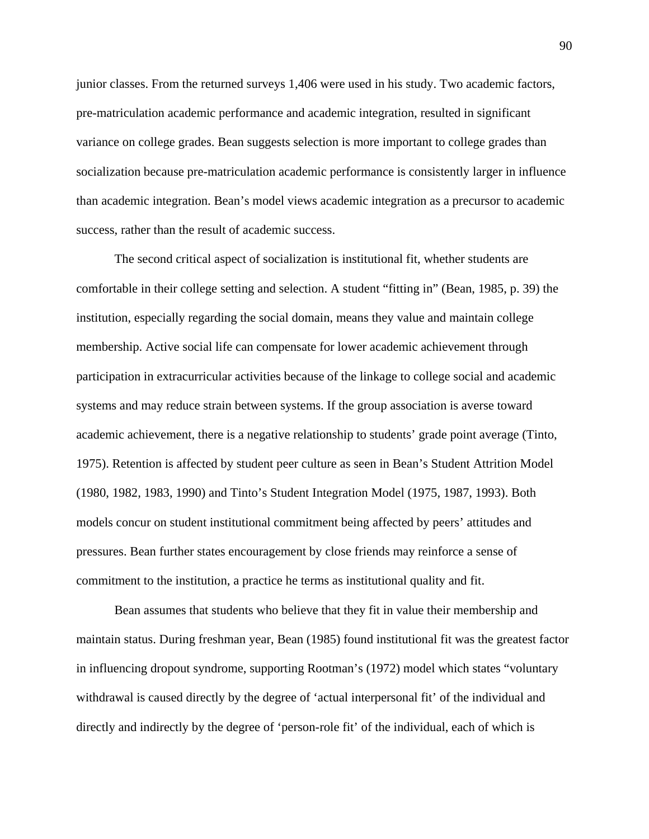junior classes. From the returned surveys 1,406 were used in his study. Two academic factors, pre-matriculation academic performance and academic integration, resulted in significant variance on college grades. Bean suggests selection is more important to college grades than socialization because pre-matriculation academic performance is consistently larger in influence than academic integration. Bean's model views academic integration as a precursor to academic success, rather than the result of academic success.

 The second critical aspect of socialization is institutional fit, whether students are comfortable in their college setting and selection. A student "fitting in" (Bean, 1985, p. 39) the institution, especially regarding the social domain, means they value and maintain college membership. Active social life can compensate for lower academic achievement through participation in extracurricular activities because of the linkage to college social and academic systems and may reduce strain between systems. If the group association is averse toward academic achievement, there is a negative relationship to students' grade point average (Tinto, 1975). Retention is affected by student peer culture as seen in Bean's Student Attrition Model (1980, 1982, 1983, 1990) and Tinto's Student Integration Model (1975, 1987, 1993). Both models concur on student institutional commitment being affected by peers' attitudes and pressures. Bean further states encouragement by close friends may reinforce a sense of commitment to the institution, a practice he terms as institutional quality and fit.

Bean assumes that students who believe that they fit in value their membership and maintain status. During freshman year, Bean (1985) found institutional fit was the greatest factor in influencing dropout syndrome, supporting Rootman's (1972) model which states "voluntary withdrawal is caused directly by the degree of 'actual interpersonal fit' of the individual and directly and indirectly by the degree of 'person-role fit' of the individual, each of which is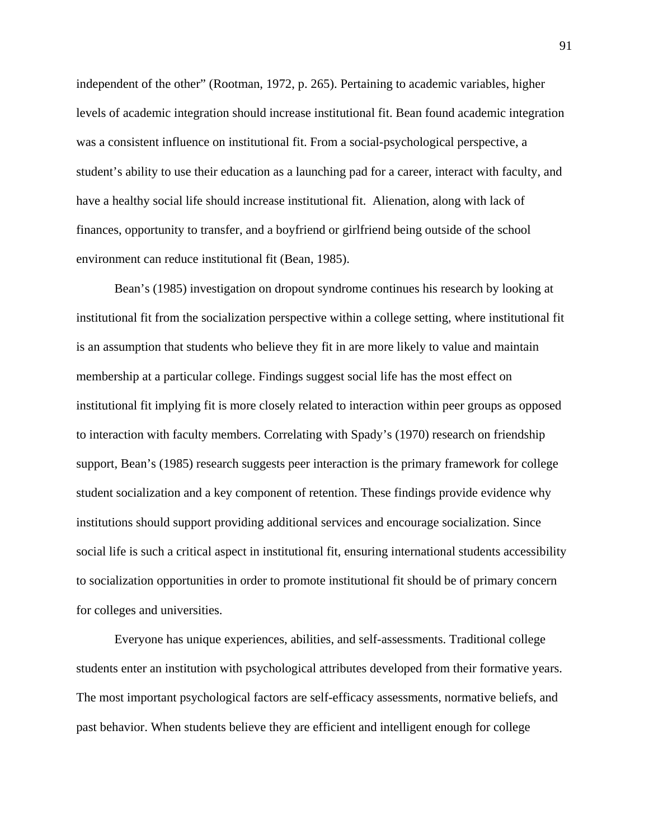independent of the other" (Rootman, 1972, p. 265). Pertaining to academic variables, higher levels of academic integration should increase institutional fit. Bean found academic integration was a consistent influence on institutional fit. From a social-psychological perspective, a student's ability to use their education as a launching pad for a career, interact with faculty, and have a healthy social life should increase institutional fit. Alienation, along with lack of finances, opportunity to transfer, and a boyfriend or girlfriend being outside of the school environment can reduce institutional fit (Bean, 1985).

Bean's (1985) investigation on dropout syndrome continues his research by looking at institutional fit from the socialization perspective within a college setting, where institutional fit is an assumption that students who believe they fit in are more likely to value and maintain membership at a particular college. Findings suggest social life has the most effect on institutional fit implying fit is more closely related to interaction within peer groups as opposed to interaction with faculty members. Correlating with Spady's (1970) research on friendship support, Bean's (1985) research suggests peer interaction is the primary framework for college student socialization and a key component of retention. These findings provide evidence why institutions should support providing additional services and encourage socialization. Since social life is such a critical aspect in institutional fit, ensuring international students accessibility to socialization opportunities in order to promote institutional fit should be of primary concern for colleges and universities.

Everyone has unique experiences, abilities, and self-assessments. Traditional college students enter an institution with psychological attributes developed from their formative years. The most important psychological factors are self-efficacy assessments, normative beliefs, and past behavior. When students believe they are efficient and intelligent enough for college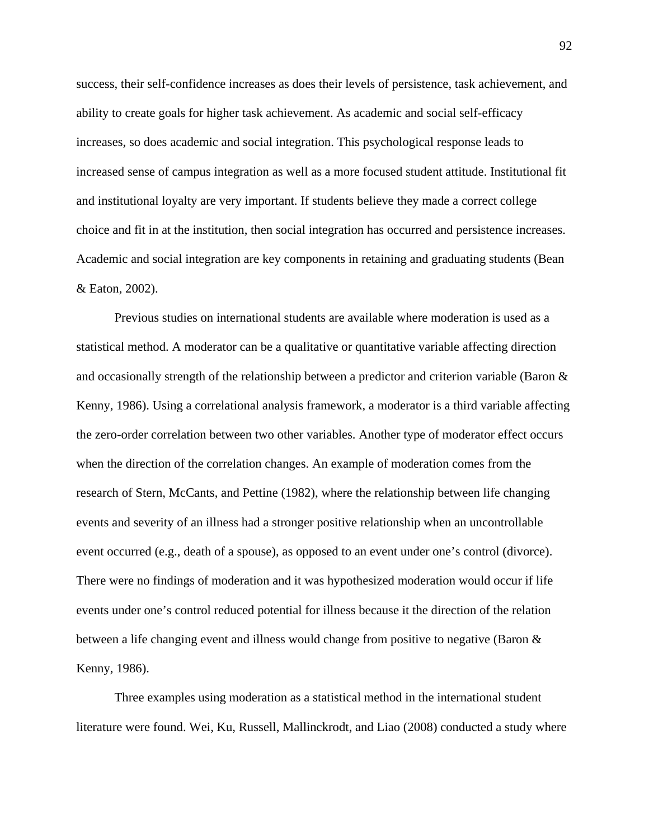success, their self-confidence increases as does their levels of persistence, task achievement, and ability to create goals for higher task achievement. As academic and social self-efficacy increases, so does academic and social integration. This psychological response leads to increased sense of campus integration as well as a more focused student attitude. Institutional fit and institutional loyalty are very important. If students believe they made a correct college choice and fit in at the institution, then social integration has occurred and persistence increases. Academic and social integration are key components in retaining and graduating students (Bean & Eaton, 2002).

Previous studies on international students are available where moderation is used as a statistical method. A moderator can be a qualitative or quantitative variable affecting direction and occasionally strength of the relationship between a predictor and criterion variable (Baron & Kenny, 1986). Using a correlational analysis framework, a moderator is a third variable affecting the zero-order correlation between two other variables. Another type of moderator effect occurs when the direction of the correlation changes. An example of moderation comes from the research of Stern, McCants, and Pettine (1982), where the relationship between life changing events and severity of an illness had a stronger positive relationship when an uncontrollable event occurred (e.g., death of a spouse), as opposed to an event under one's control (divorce). There were no findings of moderation and it was hypothesized moderation would occur if life events under one's control reduced potential for illness because it the direction of the relation between a life changing event and illness would change from positive to negative (Baron & Kenny, 1986).

Three examples using moderation as a statistical method in the international student literature were found. Wei, Ku, Russell, Mallinckrodt, and Liao (2008) conducted a study where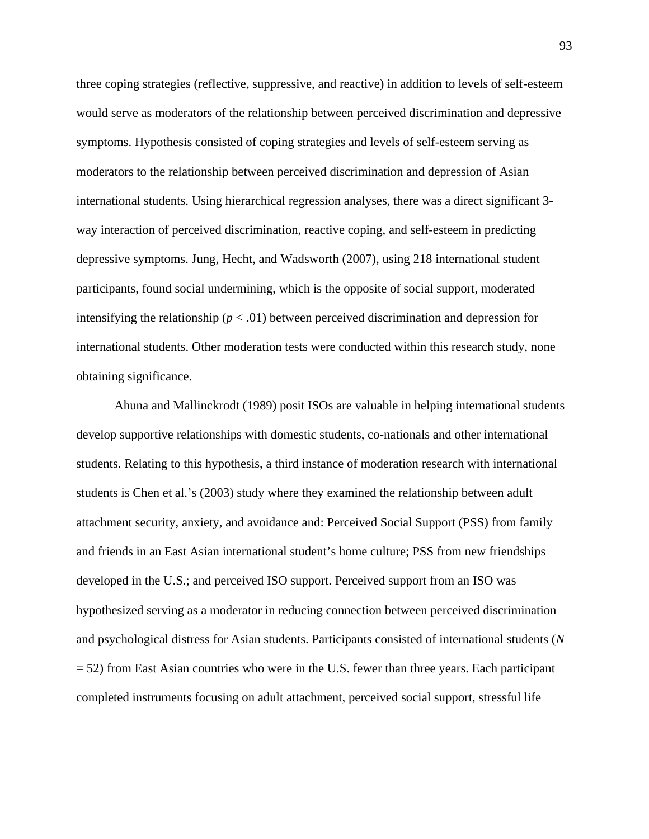three coping strategies (reflective, suppressive, and reactive) in addition to levels of self-esteem would serve as moderators of the relationship between perceived discrimination and depressive symptoms. Hypothesis consisted of coping strategies and levels of self-esteem serving as moderators to the relationship between perceived discrimination and depression of Asian international students. Using hierarchical regression analyses, there was a direct significant 3 way interaction of perceived discrimination, reactive coping, and self-esteem in predicting depressive symptoms. Jung, Hecht, and Wadsworth (2007), using 218 international student participants, found social undermining, which is the opposite of social support, moderated intensifying the relationship ( $p < .01$ ) between perceived discrimination and depression for international students. Other moderation tests were conducted within this research study, none obtaining significance.

Ahuna and Mallinckrodt (1989) posit ISOs are valuable in helping international students develop supportive relationships with domestic students, co-nationals and other international students. Relating to this hypothesis, a third instance of moderation research with international students is Chen et al.'s (2003) study where they examined the relationship between adult attachment security, anxiety, and avoidance and: Perceived Social Support (PSS) from family and friends in an East Asian international student's home culture; PSS from new friendships developed in the U.S.; and perceived ISO support. Perceived support from an ISO was hypothesized serving as a moderator in reducing connection between perceived discrimination and psychological distress for Asian students. Participants consisted of international students (*N* = 52) from East Asian countries who were in the U.S. fewer than three years. Each participant completed instruments focusing on adult attachment, perceived social support, stressful life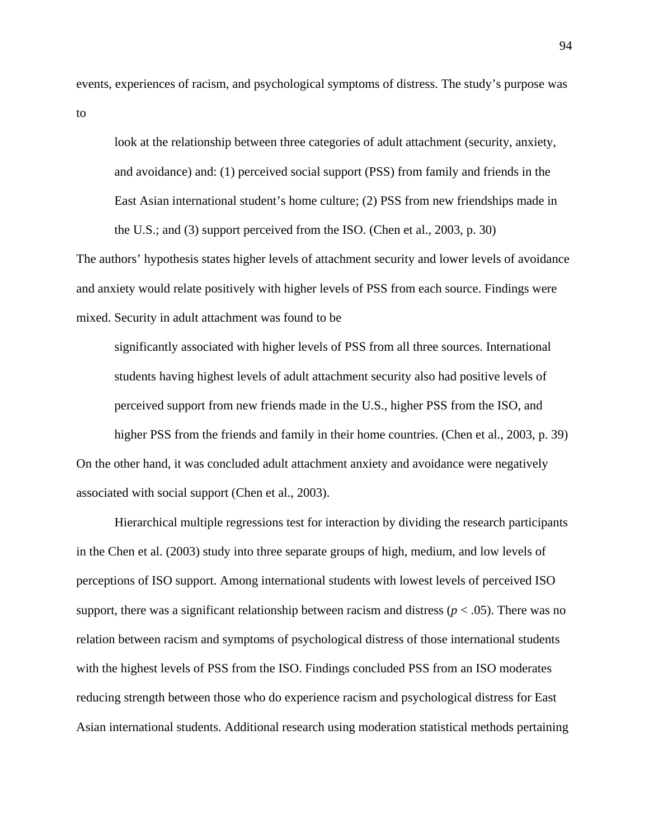events, experiences of racism, and psychological symptoms of distress. The study's purpose was to

look at the relationship between three categories of adult attachment (security, anxiety, and avoidance) and: (1) perceived social support (PSS) from family and friends in the East Asian international student's home culture; (2) PSS from new friendships made in the U.S.; and (3) support perceived from the ISO. (Chen et al., 2003, p. 30)

The authors' hypothesis states higher levels of attachment security and lower levels of avoidance and anxiety would relate positively with higher levels of PSS from each source. Findings were mixed. Security in adult attachment was found to be

significantly associated with higher levels of PSS from all three sources. International students having highest levels of adult attachment security also had positive levels of perceived support from new friends made in the U.S., higher PSS from the ISO, and higher PSS from the friends and family in their home countries. (Chen et al., 2003, p. 39)

On the other hand, it was concluded adult attachment anxiety and avoidance were negatively associated with social support (Chen et al., 2003).

Hierarchical multiple regressions test for interaction by dividing the research participants in the Chen et al. (2003) study into three separate groups of high, medium, and low levels of perceptions of ISO support. Among international students with lowest levels of perceived ISO support, there was a significant relationship between racism and distress ( $p < .05$ ). There was no relation between racism and symptoms of psychological distress of those international students with the highest levels of PSS from the ISO. Findings concluded PSS from an ISO moderates reducing strength between those who do experience racism and psychological distress for East Asian international students. Additional research using moderation statistical methods pertaining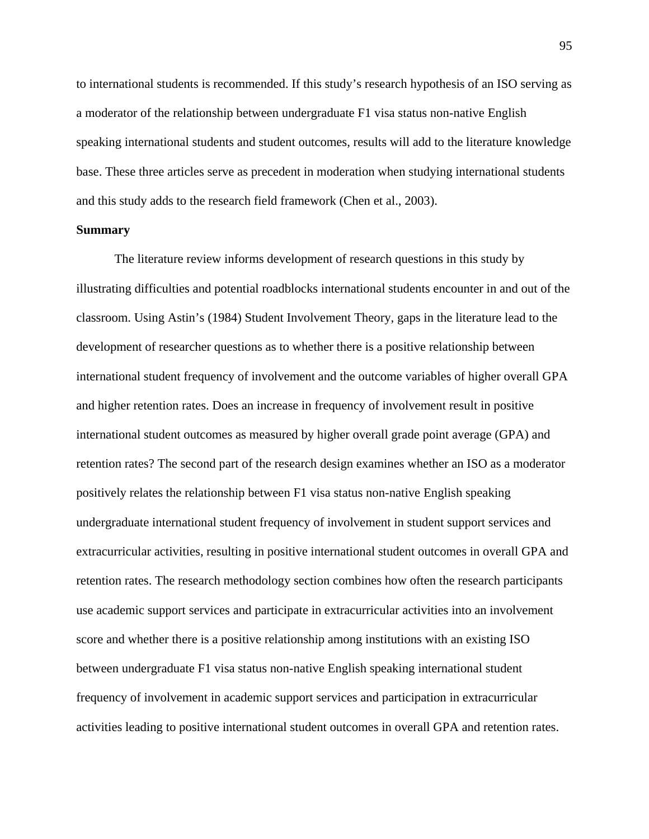to international students is recommended. If this study's research hypothesis of an ISO serving as a moderator of the relationship between undergraduate F1 visa status non-native English speaking international students and student outcomes, results will add to the literature knowledge base. These three articles serve as precedent in moderation when studying international students and this study adds to the research field framework (Chen et al., 2003).

## **Summary**

The literature review informs development of research questions in this study by illustrating difficulties and potential roadblocks international students encounter in and out of the classroom. Using Astin's (1984) Student Involvement Theory, gaps in the literature lead to the development of researcher questions as to whether there is a positive relationship between international student frequency of involvement and the outcome variables of higher overall GPA and higher retention rates. Does an increase in frequency of involvement result in positive international student outcomes as measured by higher overall grade point average (GPA) and retention rates? The second part of the research design examines whether an ISO as a moderator positively relates the relationship between F1 visa status non-native English speaking undergraduate international student frequency of involvement in student support services and extracurricular activities, resulting in positive international student outcomes in overall GPA and retention rates. The research methodology section combines how often the research participants use academic support services and participate in extracurricular activities into an involvement score and whether there is a positive relationship among institutions with an existing ISO between undergraduate F1 visa status non-native English speaking international student frequency of involvement in academic support services and participation in extracurricular activities leading to positive international student outcomes in overall GPA and retention rates.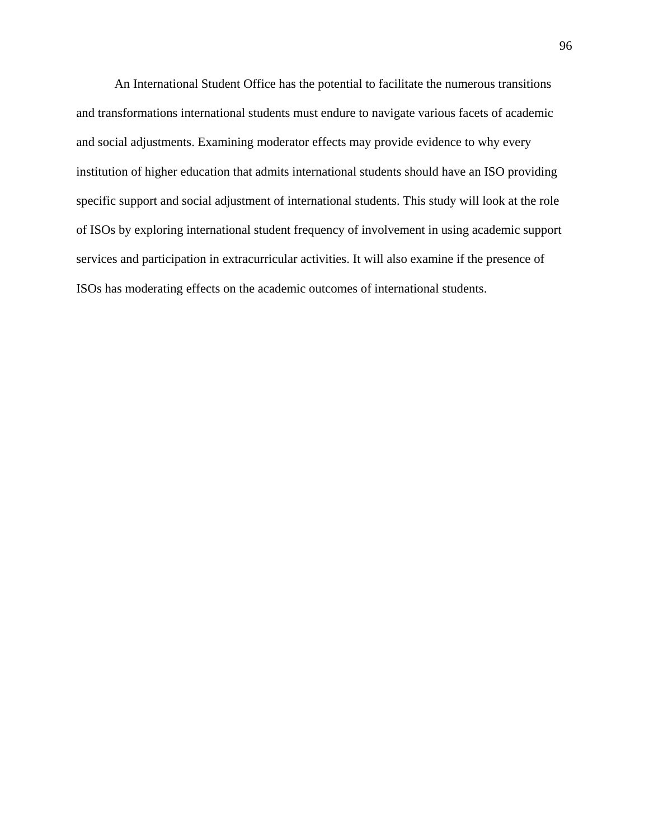An International Student Office has the potential to facilitate the numerous transitions and transformations international students must endure to navigate various facets of academic and social adjustments. Examining moderator effects may provide evidence to why every institution of higher education that admits international students should have an ISO providing specific support and social adjustment of international students. This study will look at the role of ISOs by exploring international student frequency of involvement in using academic support services and participation in extracurricular activities. It will also examine if the presence of ISOs has moderating effects on the academic outcomes of international students.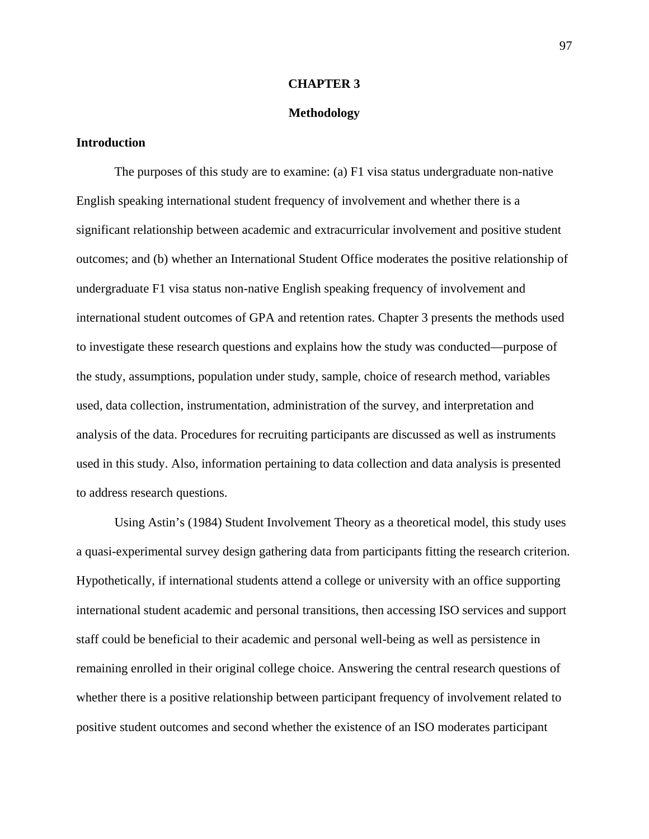## **CHAPTER 3**

## **Methodology**

## **Introduction**

The purposes of this study are to examine: (a) F1 visa status undergraduate non-native English speaking international student frequency of involvement and whether there is a significant relationship between academic and extracurricular involvement and positive student outcomes; and (b) whether an International Student Office moderates the positive relationship of undergraduate F1 visa status non-native English speaking frequency of involvement and international student outcomes of GPA and retention rates. Chapter 3 presents the methods used to investigate these research questions and explains how the study was conducted—purpose of the study, assumptions, population under study, sample, choice of research method, variables used, data collection, instrumentation, administration of the survey, and interpretation and analysis of the data. Procedures for recruiting participants are discussed as well as instruments used in this study. Also, information pertaining to data collection and data analysis is presented to address research questions.

Using Astin's (1984) Student Involvement Theory as a theoretical model, this study uses a quasi-experimental survey design gathering data from participants fitting the research criterion. Hypothetically, if international students attend a college or university with an office supporting international student academic and personal transitions, then accessing ISO services and support staff could be beneficial to their academic and personal well-being as well as persistence in remaining enrolled in their original college choice. Answering the central research questions of whether there is a positive relationship between participant frequency of involvement related to positive student outcomes and second whether the existence of an ISO moderates participant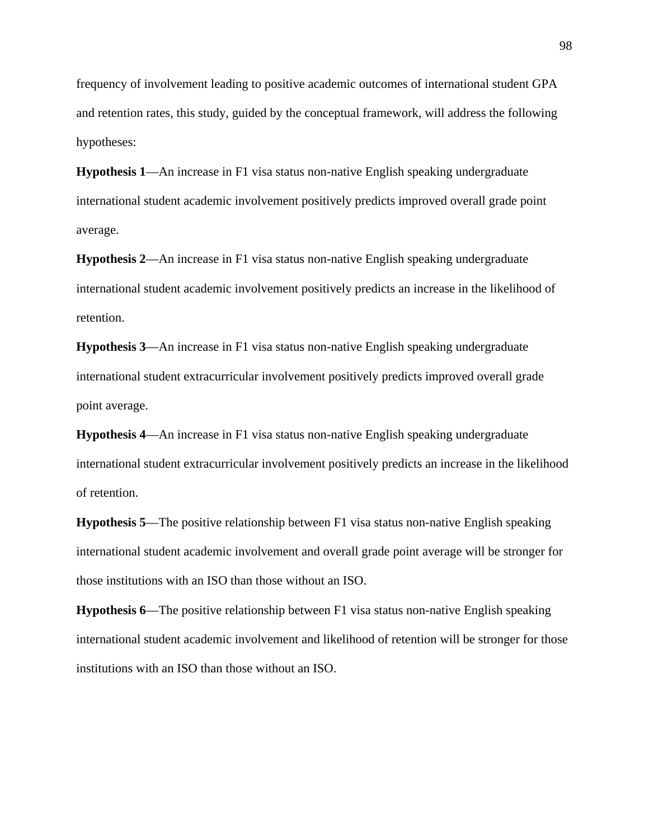frequency of involvement leading to positive academic outcomes of international student GPA and retention rates, this study, guided by the conceptual framework, will address the following hypotheses:

**Hypothesis 1**—An increase in F1 visa status non-native English speaking undergraduate international student academic involvement positively predicts improved overall grade point average.

**Hypothesis 2**—An increase in F1 visa status non-native English speaking undergraduate international student academic involvement positively predicts an increase in the likelihood of retention.

**Hypothesis 3**—An increase in F1 visa status non-native English speaking undergraduate international student extracurricular involvement positively predicts improved overall grade point average.

**Hypothesis 4**—An increase in F1 visa status non-native English speaking undergraduate international student extracurricular involvement positively predicts an increase in the likelihood of retention.

**Hypothesis 5**—The positive relationship between F1 visa status non-native English speaking international student academic involvement and overall grade point average will be stronger for those institutions with an ISO than those without an ISO.

**Hypothesis 6**—The positive relationship between F1 visa status non-native English speaking international student academic involvement and likelihood of retention will be stronger for those institutions with an ISO than those without an ISO.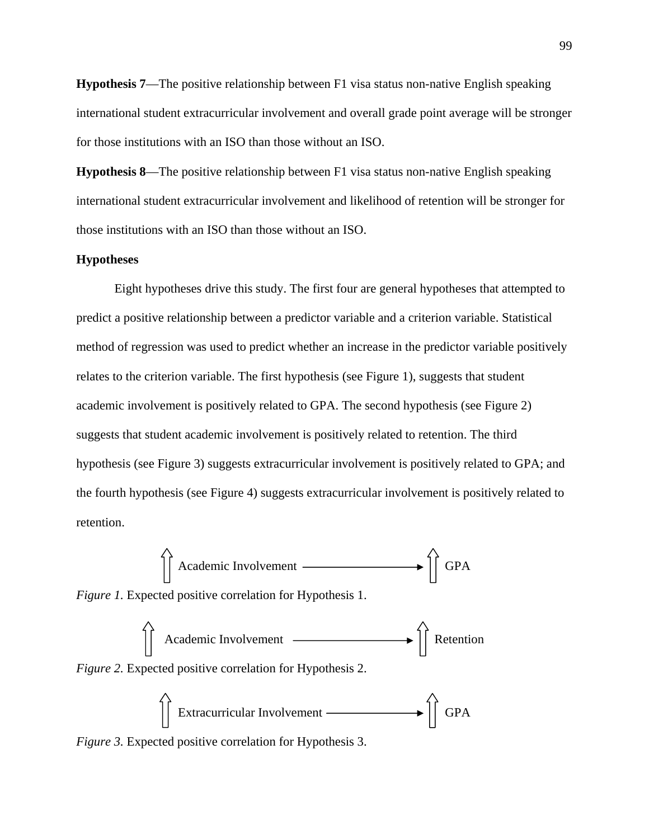**Hypothesis 7**—The positive relationship between F1 visa status non-native English speaking international student extracurricular involvement and overall grade point average will be stronger for those institutions with an ISO than those without an ISO.

**Hypothesis 8**—The positive relationship between F1 visa status non-native English speaking international student extracurricular involvement and likelihood of retention will be stronger for those institutions with an ISO than those without an ISO.

#### **Hypotheses**

Eight hypotheses drive this study. The first four are general hypotheses that attempted to predict a positive relationship between a predictor variable and a criterion variable. Statistical method of regression was used to predict whether an increase in the predictor variable positively relates to the criterion variable. The first hypothesis (see Figure 1), suggests that student academic involvement is positively related to GPA. The second hypothesis (see Figure 2) suggests that student academic involvement is positively related to retention. The third hypothesis (see Figure 3) suggests extracurricular involvement is positively related to GPA; and the fourth hypothesis (see Figure 4) suggests extracurricular involvement is positively related to retention.

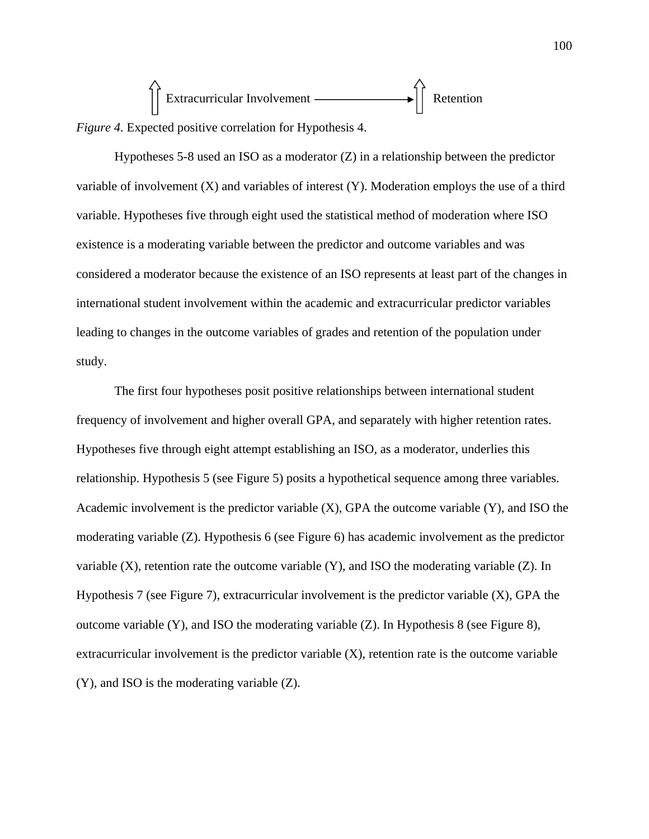

Hypotheses 5-8 used an ISO as a moderator (Z) in a relationship between the predictor variable of involvement (X) and variables of interest (Y). Moderation employs the use of a third variable. Hypotheses five through eight used the statistical method of moderation where ISO existence is a moderating variable between the predictor and outcome variables and was considered a moderator because the existence of an ISO represents at least part of the changes in international student involvement within the academic and extracurricular predictor variables leading to changes in the outcome variables of grades and retention of the population under study.

The first four hypotheses posit positive relationships between international student frequency of involvement and higher overall GPA, and separately with higher retention rates. Hypotheses five through eight attempt establishing an ISO, as a moderator, underlies this relationship. Hypothesis 5 (see Figure 5) posits a hypothetical sequence among three variables. Academic involvement is the predictor variable (X), GPA the outcome variable (Y), and ISO the moderating variable (Z). Hypothesis 6 (see Figure 6) has academic involvement as the predictor variable (X), retention rate the outcome variable (Y), and ISO the moderating variable (Z). In Hypothesis 7 (see Figure 7), extracurricular involvement is the predictor variable  $(X)$ , GPA the outcome variable (Y), and ISO the moderating variable (Z). In Hypothesis 8 (see Figure 8), extracurricular involvement is the predictor variable (X), retention rate is the outcome variable (Y), and ISO is the moderating variable (Z).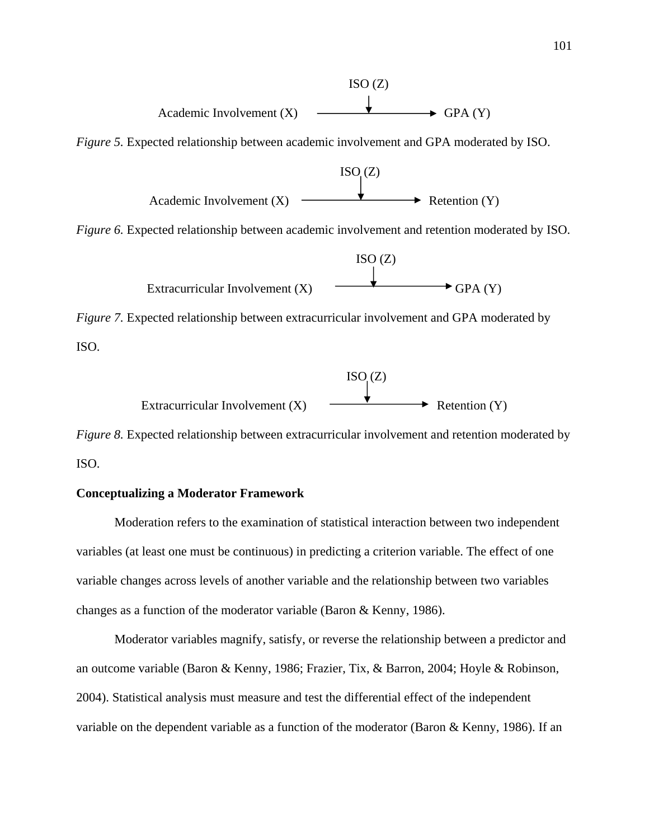

*Figure 8.* Expected relationship between extracurricular involvement and retention moderated by ISO.

### **Conceptualizing a Moderator Framework**

Moderation refers to the examination of statistical interaction between two independent variables (at least one must be continuous) in predicting a criterion variable. The effect of one variable changes across levels of another variable and the relationship between two variables changes as a function of the moderator variable (Baron & Kenny, 1986).

Moderator variables magnify, satisfy, or reverse the relationship between a predictor and an outcome variable (Baron & Kenny, 1986; Frazier, Tix, & Barron, 2004; Hoyle & Robinson, 2004). Statistical analysis must measure and test the differential effect of the independent variable on the dependent variable as a function of the moderator (Baron & Kenny, 1986). If an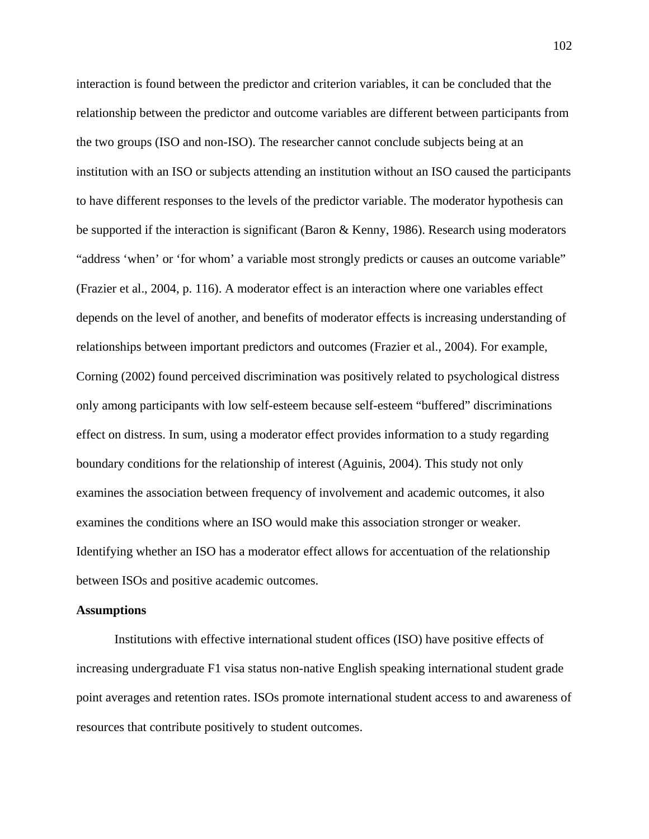interaction is found between the predictor and criterion variables, it can be concluded that the relationship between the predictor and outcome variables are different between participants from the two groups (ISO and non-ISO). The researcher cannot conclude subjects being at an institution with an ISO or subjects attending an institution without an ISO caused the participants to have different responses to the levels of the predictor variable. The moderator hypothesis can be supported if the interaction is significant (Baron & Kenny, 1986). Research using moderators "address 'when' or 'for whom' a variable most strongly predicts or causes an outcome variable" (Frazier et al., 2004, p. 116). A moderator effect is an interaction where one variables effect depends on the level of another, and benefits of moderator effects is increasing understanding of relationships between important predictors and outcomes (Frazier et al., 2004). For example, Corning (2002) found perceived discrimination was positively related to psychological distress only among participants with low self-esteem because self-esteem "buffered" discriminations effect on distress. In sum, using a moderator effect provides information to a study regarding boundary conditions for the relationship of interest (Aguinis, 2004). This study not only examines the association between frequency of involvement and academic outcomes, it also examines the conditions where an ISO would make this association stronger or weaker. Identifying whether an ISO has a moderator effect allows for accentuation of the relationship between ISOs and positive academic outcomes.

#### **Assumptions**

Institutions with effective international student offices (ISO) have positive effects of increasing undergraduate F1 visa status non-native English speaking international student grade point averages and retention rates. ISOs promote international student access to and awareness of resources that contribute positively to student outcomes.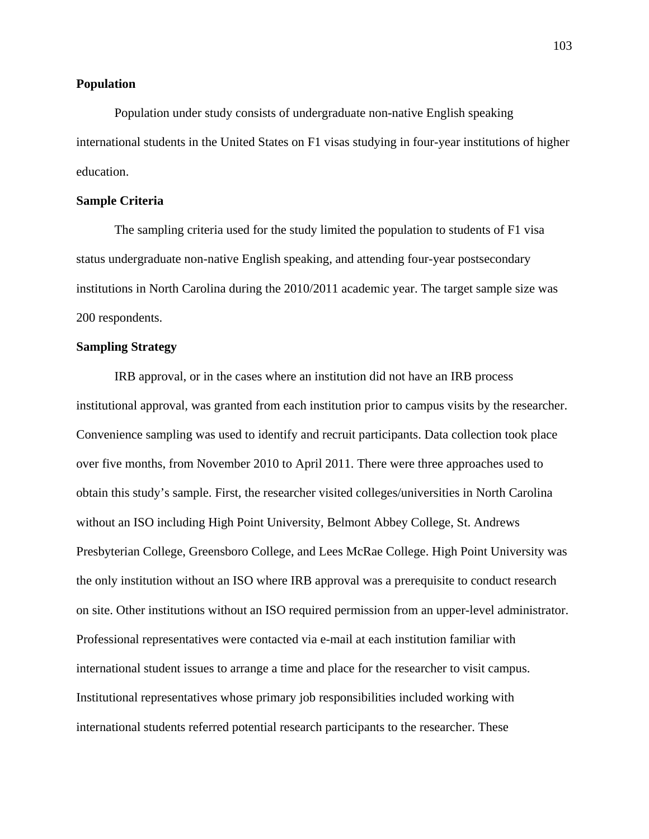### **Population**

Population under study consists of undergraduate non-native English speaking international students in the United States on F1 visas studying in four-year institutions of higher education.

## **Sample Criteria**

The sampling criteria used for the study limited the population to students of F1 visa status undergraduate non-native English speaking, and attending four-year postsecondary institutions in North Carolina during the 2010/2011 academic year. The target sample size was 200 respondents.

### **Sampling Strategy**

IRB approval, or in the cases where an institution did not have an IRB process institutional approval, was granted from each institution prior to campus visits by the researcher. Convenience sampling was used to identify and recruit participants. Data collection took place over five months, from November 2010 to April 2011. There were three approaches used to obtain this study's sample. First, the researcher visited colleges/universities in North Carolina without an ISO including High Point University, Belmont Abbey College, St. Andrews Presbyterian College, Greensboro College, and Lees McRae College. High Point University was the only institution without an ISO where IRB approval was a prerequisite to conduct research on site. Other institutions without an ISO required permission from an upper-level administrator. Professional representatives were contacted via e-mail at each institution familiar with international student issues to arrange a time and place for the researcher to visit campus. Institutional representatives whose primary job responsibilities included working with international students referred potential research participants to the researcher. These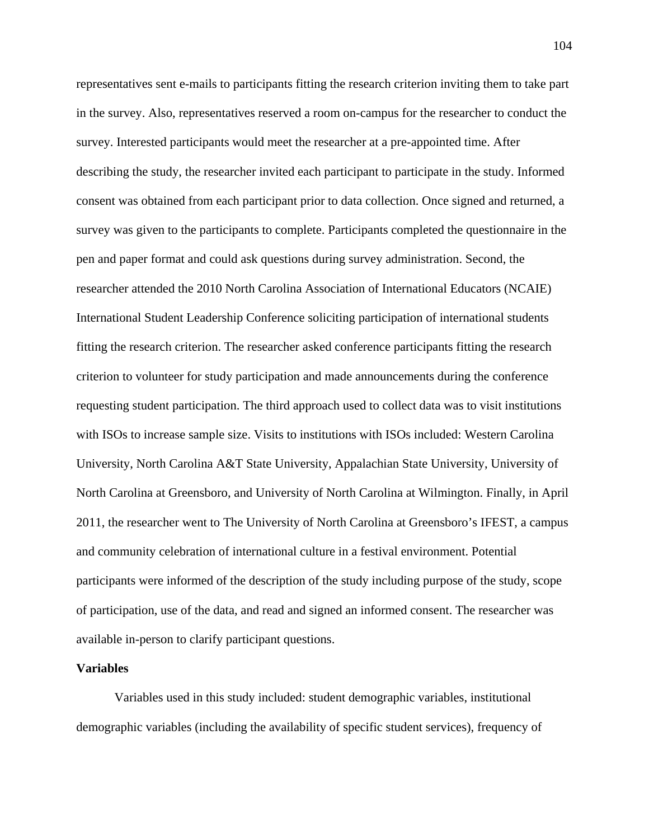representatives sent e-mails to participants fitting the research criterion inviting them to take part in the survey. Also, representatives reserved a room on-campus for the researcher to conduct the survey. Interested participants would meet the researcher at a pre-appointed time. After describing the study, the researcher invited each participant to participate in the study. Informed consent was obtained from each participant prior to data collection. Once signed and returned, a survey was given to the participants to complete. Participants completed the questionnaire in the pen and paper format and could ask questions during survey administration. Second, the researcher attended the 2010 North Carolina Association of International Educators (NCAIE) International Student Leadership Conference soliciting participation of international students fitting the research criterion. The researcher asked conference participants fitting the research criterion to volunteer for study participation and made announcements during the conference requesting student participation. The third approach used to collect data was to visit institutions with ISOs to increase sample size. Visits to institutions with ISOs included: Western Carolina University, North Carolina A&T State University, Appalachian State University, University of North Carolina at Greensboro, and University of North Carolina at Wilmington. Finally, in April 2011, the researcher went to The University of North Carolina at Greensboro's IFEST, a campus and community celebration of international culture in a festival environment. Potential participants were informed of the description of the study including purpose of the study, scope of participation, use of the data, and read and signed an informed consent. The researcher was available in-person to clarify participant questions.

## **Variables**

Variables used in this study included: student demographic variables, institutional demographic variables (including the availability of specific student services), frequency of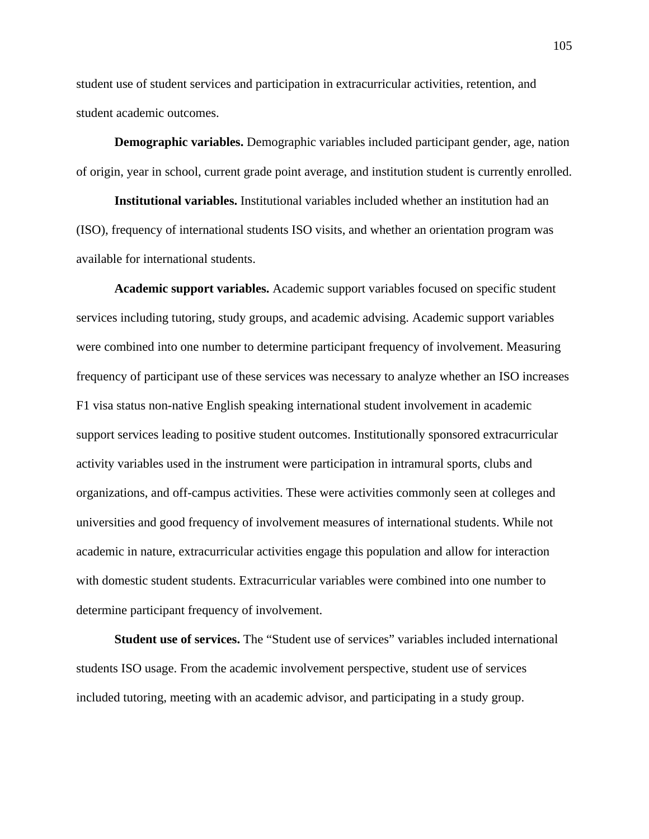student use of student services and participation in extracurricular activities, retention, and student academic outcomes.

**Demographic variables.** Demographic variables included participant gender, age, nation of origin, year in school, current grade point average, and institution student is currently enrolled.

**Institutional variables.** Institutional variables included whether an institution had an (ISO), frequency of international students ISO visits, and whether an orientation program was available for international students.

**Academic support variables.** Academic support variables focused on specific student services including tutoring, study groups, and academic advising. Academic support variables were combined into one number to determine participant frequency of involvement. Measuring frequency of participant use of these services was necessary to analyze whether an ISO increases F1 visa status non-native English speaking international student involvement in academic support services leading to positive student outcomes. Institutionally sponsored extracurricular activity variables used in the instrument were participation in intramural sports, clubs and organizations, and off-campus activities. These were activities commonly seen at colleges and universities and good frequency of involvement measures of international students. While not academic in nature, extracurricular activities engage this population and allow for interaction with domestic student students. Extracurricular variables were combined into one number to determine participant frequency of involvement.

**Student use of services.** The "Student use of services" variables included international students ISO usage. From the academic involvement perspective, student use of services included tutoring, meeting with an academic advisor, and participating in a study group.

105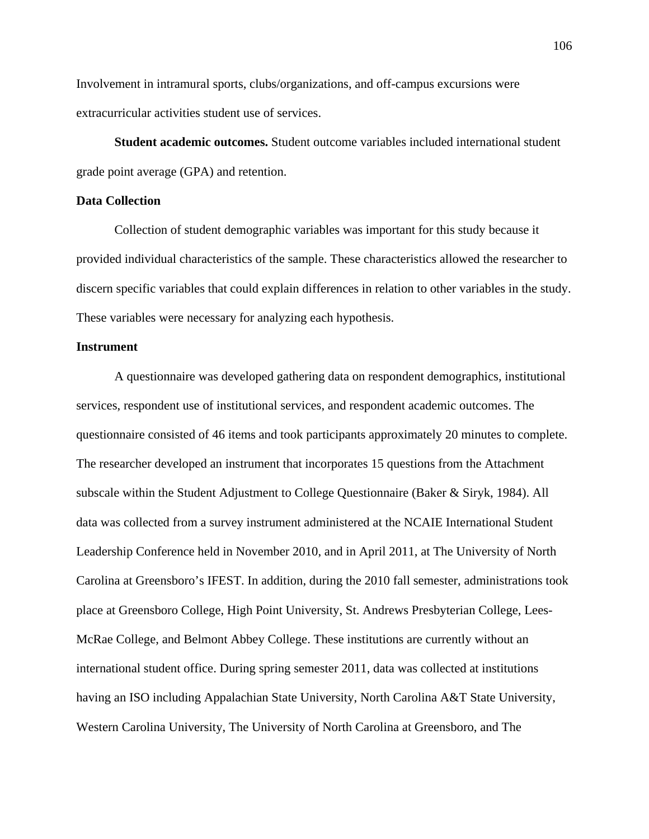Involvement in intramural sports, clubs/organizations, and off-campus excursions were extracurricular activities student use of services.

**Student academic outcomes.** Student outcome variables included international student grade point average (GPA) and retention.

## **Data Collection**

Collection of student demographic variables was important for this study because it provided individual characteristics of the sample. These characteristics allowed the researcher to discern specific variables that could explain differences in relation to other variables in the study. These variables were necessary for analyzing each hypothesis.

## **Instrument**

A questionnaire was developed gathering data on respondent demographics, institutional services, respondent use of institutional services, and respondent academic outcomes. The questionnaire consisted of 46 items and took participants approximately 20 minutes to complete. The researcher developed an instrument that incorporates 15 questions from the Attachment subscale within the Student Adjustment to College Questionnaire (Baker & Siryk, 1984). All data was collected from a survey instrument administered at the NCAIE International Student Leadership Conference held in November 2010, and in April 2011, at The University of North Carolina at Greensboro's IFEST. In addition, during the 2010 fall semester, administrations took place at Greensboro College, High Point University, St. Andrews Presbyterian College, Lees-McRae College, and Belmont Abbey College. These institutions are currently without an international student office. During spring semester 2011, data was collected at institutions having an ISO including Appalachian State University, North Carolina A&T State University, Western Carolina University, The University of North Carolina at Greensboro, and The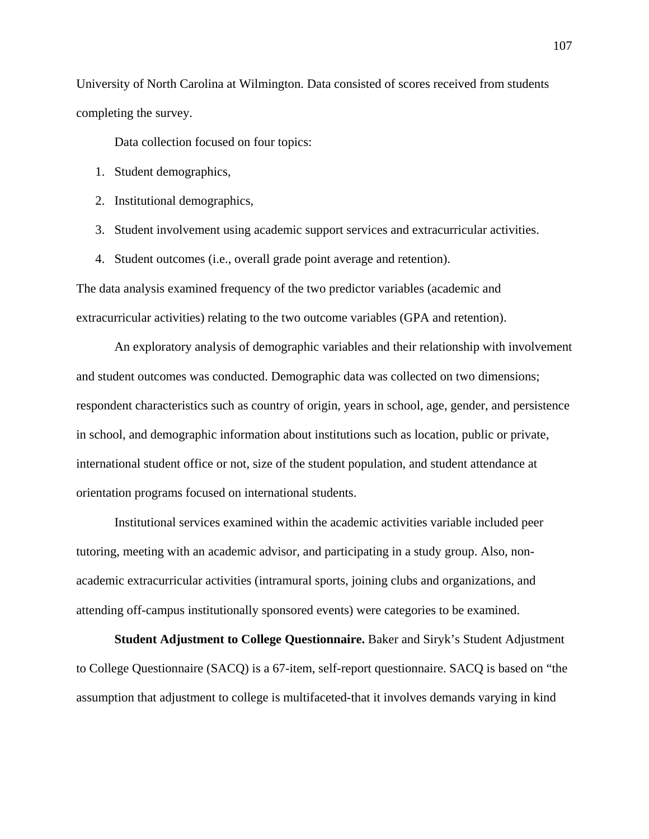University of North Carolina at Wilmington. Data consisted of scores received from students completing the survey.

Data collection focused on four topics:

- 1. Student demographics,
- 2. Institutional demographics,
- 3. Student involvement using academic support services and extracurricular activities.
- 4. Student outcomes (i.e., overall grade point average and retention).

The data analysis examined frequency of the two predictor variables (academic and extracurricular activities) relating to the two outcome variables (GPA and retention).

An exploratory analysis of demographic variables and their relationship with involvement and student outcomes was conducted. Demographic data was collected on two dimensions; respondent characteristics such as country of origin, years in school, age, gender, and persistence in school, and demographic information about institutions such as location, public or private, international student office or not, size of the student population, and student attendance at orientation programs focused on international students.

Institutional services examined within the academic activities variable included peer tutoring, meeting with an academic advisor, and participating in a study group. Also, nonacademic extracurricular activities (intramural sports, joining clubs and organizations, and attending off-campus institutionally sponsored events) were categories to be examined.

**Student Adjustment to College Questionnaire.** Baker and Siryk's Student Adjustment to College Questionnaire (SACQ) is a 67-item, self-report questionnaire. SACQ is based on "the assumption that adjustment to college is multifaceted-that it involves demands varying in kind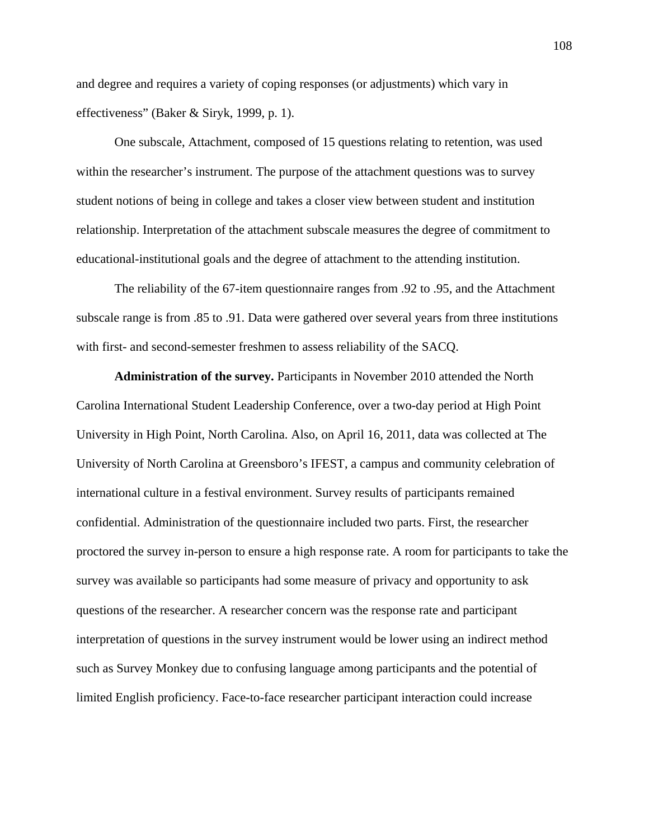and degree and requires a variety of coping responses (or adjustments) which vary in effectiveness" (Baker & Siryk, 1999, p. 1).

One subscale, Attachment, composed of 15 questions relating to retention, was used within the researcher's instrument. The purpose of the attachment questions was to survey student notions of being in college and takes a closer view between student and institution relationship. Interpretation of the attachment subscale measures the degree of commitment to educational-institutional goals and the degree of attachment to the attending institution.

The reliability of the 67-item questionnaire ranges from .92 to .95, and the Attachment subscale range is from .85 to .91. Data were gathered over several years from three institutions with first- and second-semester freshmen to assess reliability of the SACQ.

**Administration of the survey.** Participants in November 2010 attended the North Carolina International Student Leadership Conference, over a two-day period at High Point University in High Point, North Carolina. Also, on April 16, 2011, data was collected at The University of North Carolina at Greensboro's IFEST, a campus and community celebration of international culture in a festival environment. Survey results of participants remained confidential. Administration of the questionnaire included two parts. First, the researcher proctored the survey in-person to ensure a high response rate. A room for participants to take the survey was available so participants had some measure of privacy and opportunity to ask questions of the researcher. A researcher concern was the response rate and participant interpretation of questions in the survey instrument would be lower using an indirect method such as Survey Monkey due to confusing language among participants and the potential of limited English proficiency. Face-to-face researcher participant interaction could increase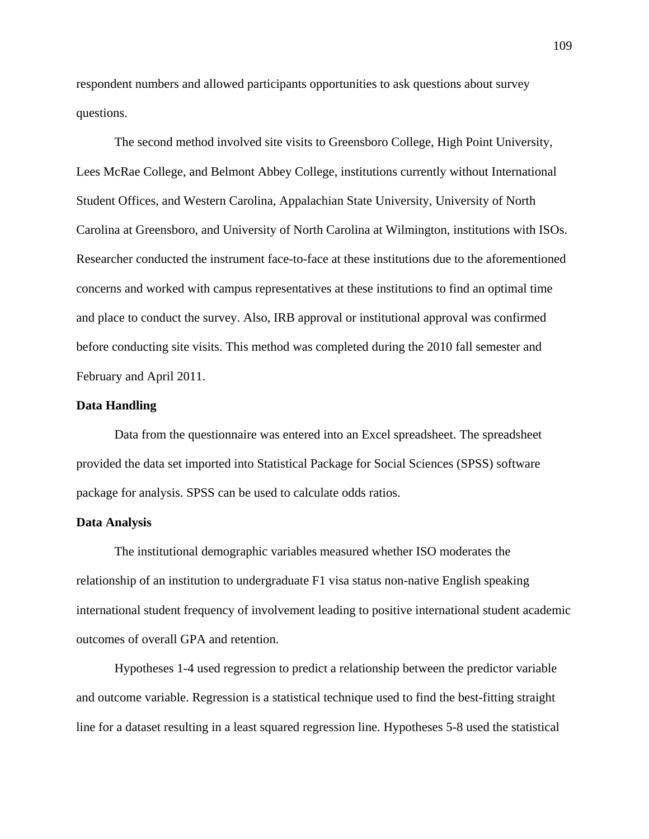respondent numbers and allowed participants opportunities to ask questions about survey questions.

The second method involved site visits to Greensboro College, High Point University, Lees McRae College, and Belmont Abbey College, institutions currently without International Student Offices, and Western Carolina, Appalachian State University, University of North Carolina at Greensboro, and University of North Carolina at Wilmington, institutions with ISOs. Researcher conducted the instrument face-to-face at these institutions due to the aforementioned concerns and worked with campus representatives at these institutions to find an optimal time and place to conduct the survey. Also, IRB approval or institutional approval was confirmed before conducting site visits. This method was completed during the 2010 fall semester and February and April 2011.

## **Data Handling**

Data from the questionnaire was entered into an Excel spreadsheet. The spreadsheet provided the data set imported into Statistical Package for Social Sciences (SPSS) software package for analysis. SPSS can be used to calculate odds ratios.

#### **Data Analysis**

The institutional demographic variables measured whether ISO moderates the relationship of an institution to undergraduate F1 visa status non-native English speaking international student frequency of involvement leading to positive international student academic outcomes of overall GPA and retention.

Hypotheses 1-4 used regression to predict a relationship between the predictor variable and outcome variable. Regression is a statistical technique used to find the best-fitting straight line for a dataset resulting in a least squared regression line. Hypotheses 5-8 used the statistical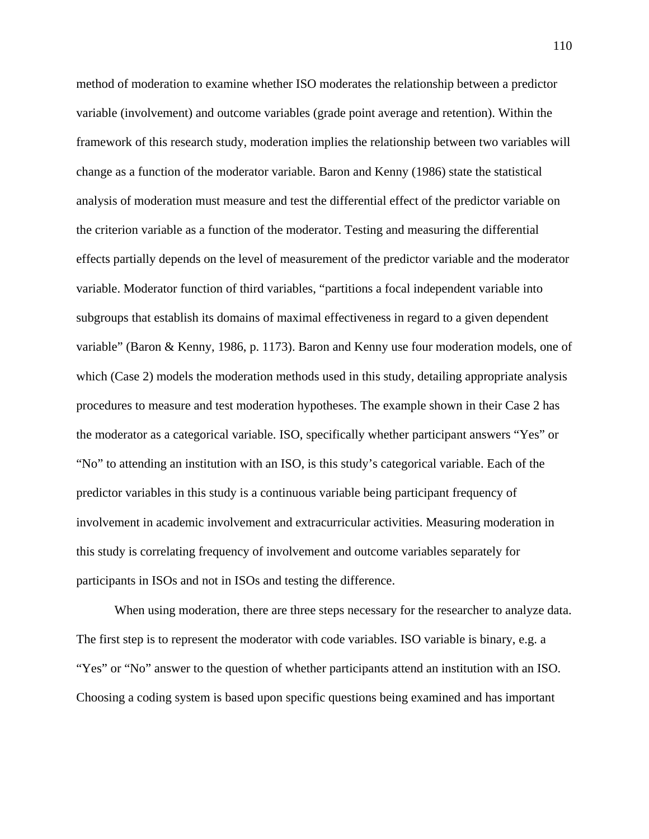method of moderation to examine whether ISO moderates the relationship between a predictor variable (involvement) and outcome variables (grade point average and retention). Within the framework of this research study, moderation implies the relationship between two variables will change as a function of the moderator variable. Baron and Kenny (1986) state the statistical analysis of moderation must measure and test the differential effect of the predictor variable on the criterion variable as a function of the moderator. Testing and measuring the differential effects partially depends on the level of measurement of the predictor variable and the moderator variable. Moderator function of third variables, "partitions a focal independent variable into subgroups that establish its domains of maximal effectiveness in regard to a given dependent variable" (Baron & Kenny, 1986, p. 1173). Baron and Kenny use four moderation models, one of which (Case 2) models the moderation methods used in this study, detailing appropriate analysis procedures to measure and test moderation hypotheses. The example shown in their Case 2 has the moderator as a categorical variable. ISO, specifically whether participant answers "Yes" or "No" to attending an institution with an ISO, is this study's categorical variable. Each of the predictor variables in this study is a continuous variable being participant frequency of involvement in academic involvement and extracurricular activities. Measuring moderation in this study is correlating frequency of involvement and outcome variables separately for participants in ISOs and not in ISOs and testing the difference.

When using moderation, there are three steps necessary for the researcher to analyze data. The first step is to represent the moderator with code variables. ISO variable is binary, e.g. a "Yes" or "No" answer to the question of whether participants attend an institution with an ISO. Choosing a coding system is based upon specific questions being examined and has important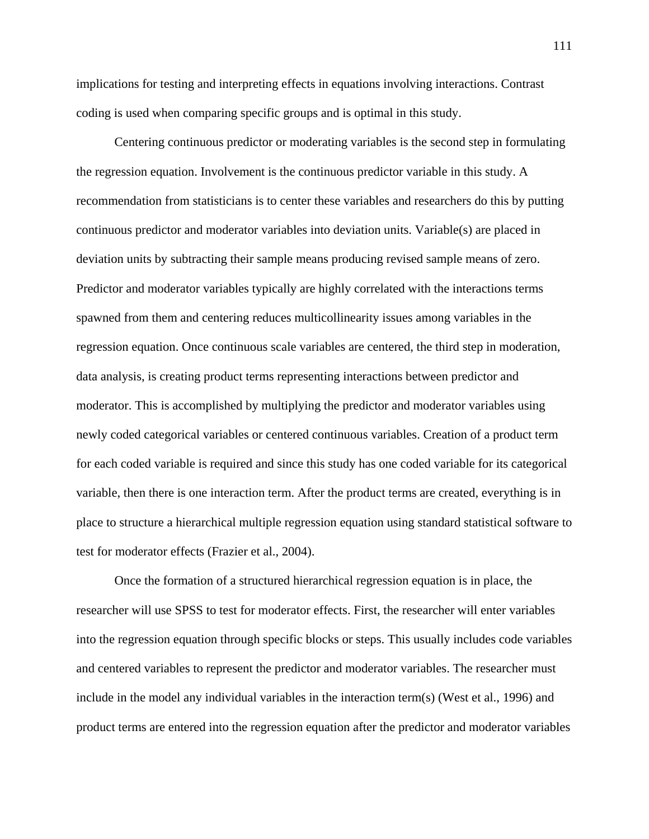implications for testing and interpreting effects in equations involving interactions. Contrast coding is used when comparing specific groups and is optimal in this study.

Centering continuous predictor or moderating variables is the second step in formulating the regression equation. Involvement is the continuous predictor variable in this study. A recommendation from statisticians is to center these variables and researchers do this by putting continuous predictor and moderator variables into deviation units. Variable(s) are placed in deviation units by subtracting their sample means producing revised sample means of zero. Predictor and moderator variables typically are highly correlated with the interactions terms spawned from them and centering reduces multicollinearity issues among variables in the regression equation. Once continuous scale variables are centered, the third step in moderation, data analysis, is creating product terms representing interactions between predictor and moderator. This is accomplished by multiplying the predictor and moderator variables using newly coded categorical variables or centered continuous variables. Creation of a product term for each coded variable is required and since this study has one coded variable for its categorical variable, then there is one interaction term. After the product terms are created, everything is in place to structure a hierarchical multiple regression equation using standard statistical software to test for moderator effects (Frazier et al., 2004).

Once the formation of a structured hierarchical regression equation is in place, the researcher will use SPSS to test for moderator effects. First, the researcher will enter variables into the regression equation through specific blocks or steps. This usually includes code variables and centered variables to represent the predictor and moderator variables. The researcher must include in the model any individual variables in the interaction term(s) (West et al., 1996) and product terms are entered into the regression equation after the predictor and moderator variables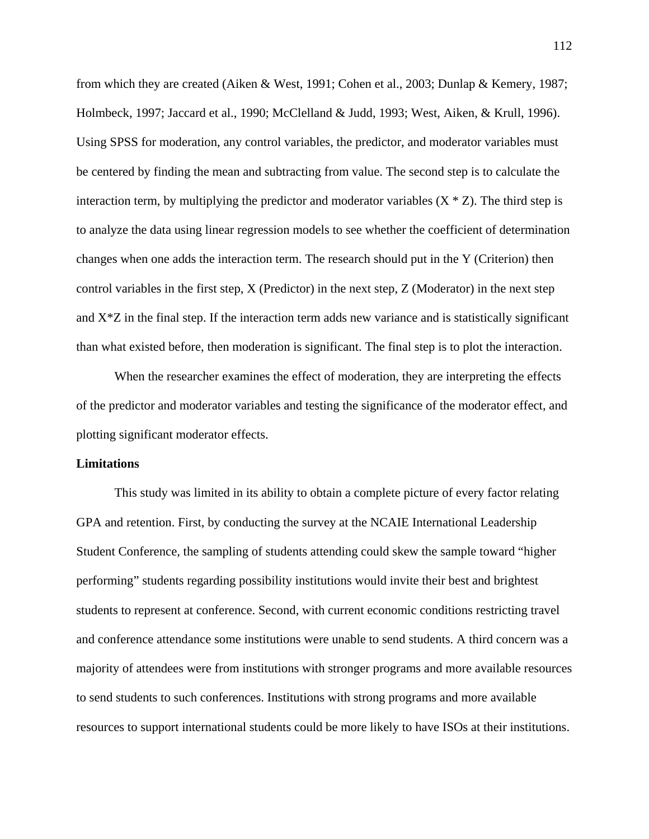from which they are created (Aiken & West, 1991; Cohen et al., 2003; Dunlap & Kemery, 1987; Holmbeck, 1997; Jaccard et al., 1990; McClelland & Judd, 1993; West, Aiken, & Krull, 1996). Using SPSS for moderation, any control variables, the predictor, and moderator variables must be centered by finding the mean and subtracting from value. The second step is to calculate the interaction term, by multiplying the predictor and moderator variables  $(X \times Z)$ . The third step is to analyze the data using linear regression models to see whether the coefficient of determination changes when one adds the interaction term. The research should put in the Y (Criterion) then control variables in the first step, X (Predictor) in the next step, Z (Moderator) in the next step and  $X^*Z$  in the final step. If the interaction term adds new variance and is statistically significant than what existed before, then moderation is significant. The final step is to plot the interaction.

When the researcher examines the effect of moderation, they are interpreting the effects of the predictor and moderator variables and testing the significance of the moderator effect, and plotting significant moderator effects.

## **Limitations**

This study was limited in its ability to obtain a complete picture of every factor relating GPA and retention. First, by conducting the survey at the NCAIE International Leadership Student Conference, the sampling of students attending could skew the sample toward "higher performing" students regarding possibility institutions would invite their best and brightest students to represent at conference. Second, with current economic conditions restricting travel and conference attendance some institutions were unable to send students. A third concern was a majority of attendees were from institutions with stronger programs and more available resources to send students to such conferences. Institutions with strong programs and more available resources to support international students could be more likely to have ISOs at their institutions.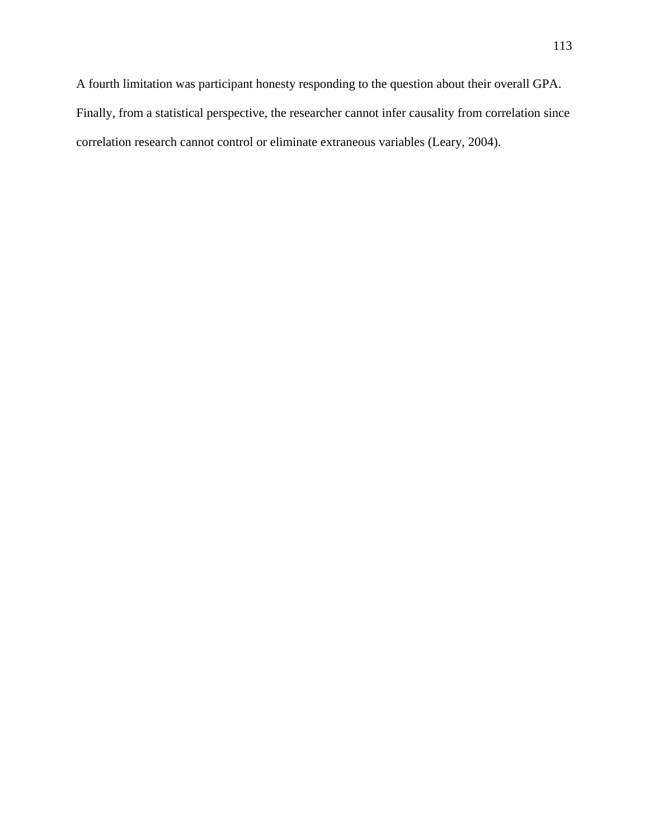A fourth limitation was participant honesty responding to the question about their overall GPA.

Finally, from a statistical perspective, the researcher cannot infer causality from correlation since

correlation research cannot control or eliminate extraneous variables (Leary, 2004).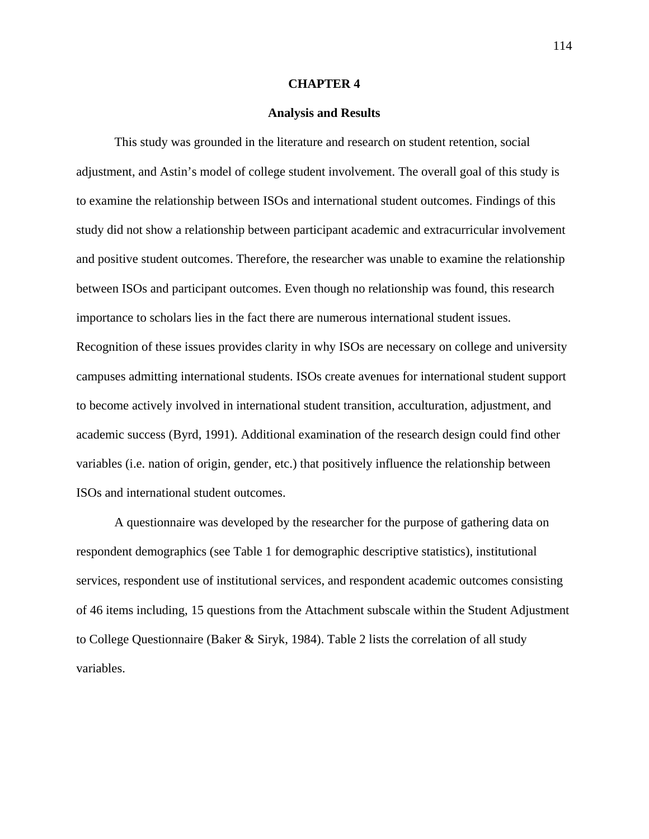#### **CHAPTER 4**

#### **Analysis and Results**

This study was grounded in the literature and research on student retention, social adjustment, and Astin's model of college student involvement. The overall goal of this study is to examine the relationship between ISOs and international student outcomes. Findings of this study did not show a relationship between participant academic and extracurricular involvement and positive student outcomes. Therefore, the researcher was unable to examine the relationship between ISOs and participant outcomes. Even though no relationship was found, this research importance to scholars lies in the fact there are numerous international student issues. Recognition of these issues provides clarity in why ISOs are necessary on college and university campuses admitting international students. ISOs create avenues for international student support to become actively involved in international student transition, acculturation, adjustment, and academic success (Byrd, 1991). Additional examination of the research design could find other variables (i.e. nation of origin, gender, etc.) that positively influence the relationship between ISOs and international student outcomes.

A questionnaire was developed by the researcher for the purpose of gathering data on respondent demographics (see Table 1 for demographic descriptive statistics), institutional services, respondent use of institutional services, and respondent academic outcomes consisting of 46 items including, 15 questions from the Attachment subscale within the Student Adjustment to College Questionnaire (Baker & Siryk, 1984). Table 2 lists the correlation of all study variables.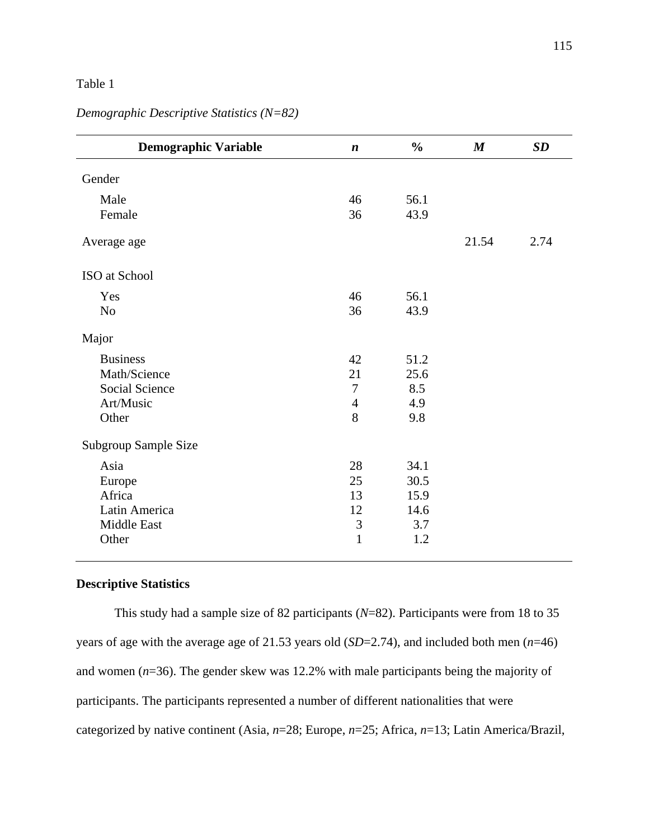| <b>Demographic Variable</b> | $\boldsymbol{n}$ | $\frac{0}{0}$ | $\boldsymbol{M}$ | SD   |
|-----------------------------|------------------|---------------|------------------|------|
| Gender                      |                  |               |                  |      |
| Male                        | 46               | 56.1          |                  |      |
| Female                      | 36               | 43.9          |                  |      |
| Average age                 |                  |               | 21.54            | 2.74 |
| ISO at School               |                  |               |                  |      |
| Yes                         | 46               | 56.1          |                  |      |
| N <sub>o</sub>              | 36               | 43.9          |                  |      |
| Major                       |                  |               |                  |      |
| <b>Business</b>             | 42               | 51.2          |                  |      |
| Math/Science                | 21               | 25.6          |                  |      |
| Social Science              | $\overline{7}$   | 8.5           |                  |      |
| Art/Music                   | $\overline{4}$   | 4.9           |                  |      |
| Other                       | 8                | 9.8           |                  |      |
| Subgroup Sample Size        |                  |               |                  |      |
| Asia                        | 28               | 34.1          |                  |      |
| Europe                      | 25               | 30.5          |                  |      |
| Africa                      | 13               | 15.9          |                  |      |
| Latin America               | 12               | 14.6          |                  |      |
| Middle East                 | $\mathfrak{Z}$   | 3.7           |                  |      |
| Other                       | $\mathbf{1}$     | 1.2           |                  |      |

*Demographic Descriptive Statistics (N=82)* 

# **Descriptive Statistics**

This study had a sample size of 82 participants (*N*=82). Participants were from 18 to 35 years of age with the average age of 21.53 years old (*SD*=2.74), and included both men (*n*=46) and women (*n*=36). The gender skew was 12.2% with male participants being the majority of participants. The participants represented a number of different nationalities that were categorized by native continent (Asia, *n*=28; Europe, *n*=25; Africa, *n*=13; Latin America/Brazil,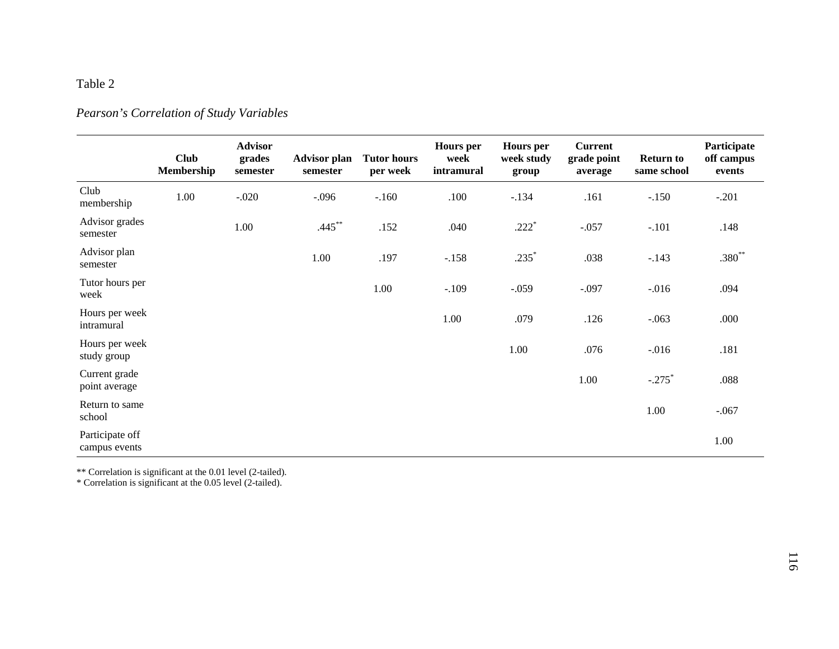# *Pearson's Correlation of Study Variables*

|                                  | <b>Club</b><br>Membership | <b>Advisor</b><br>grades<br>semester | <b>Advisor plan</b><br>semester | <b>Tutor hours</b><br>per week | <b>Hours</b> per<br>week<br>intramural | <b>Hours</b> per<br>week study<br>group | <b>Current</b><br>grade point<br>average | <b>Return to</b><br>same school | Participate<br>off campus<br>events |
|----------------------------------|---------------------------|--------------------------------------|---------------------------------|--------------------------------|----------------------------------------|-----------------------------------------|------------------------------------------|---------------------------------|-------------------------------------|
| Club<br>membership               | 1.00                      | $-.020$                              | $-.096$                         | $-.160$                        | .100                                   | $-.134$                                 | .161                                     | $-.150$                         | $-.201$                             |
| Advisor grades<br>semester       |                           | 1.00                                 | $.445***$                       | .152                           | .040                                   | $.222*$                                 | $-.057$                                  | $-.101$                         | .148                                |
| Advisor plan<br>semester         |                           |                                      | 1.00                            | .197                           | $-.158$                                | $.235*$                                 | .038                                     | $-.143$                         | $.380**$                            |
| Tutor hours per<br>week          |                           |                                      |                                 | 1.00                           | $-.109$                                | $-.059$                                 | $-.097$                                  | $-0.016$                        | .094                                |
| Hours per week<br>intramural     |                           |                                      |                                 |                                | 1.00                                   | .079                                    | .126                                     | $-.063$                         | .000                                |
| Hours per week<br>study group    |                           |                                      |                                 |                                |                                        | 1.00                                    | .076                                     | $-.016$                         | .181                                |
| Current grade<br>point average   |                           |                                      |                                 |                                |                                        |                                         | 1.00                                     | $-.275$ <sup>*</sup>            | .088                                |
| Return to same<br>school         |                           |                                      |                                 |                                |                                        |                                         |                                          | 1.00                            | $-.067$                             |
| Participate off<br>campus events |                           |                                      |                                 |                                |                                        |                                         |                                          |                                 | 1.00                                |

\*\* Correlation is significant at the 0.01 level (2-tailed).

\* Correlation is significant at the 0.05 level (2-tailed).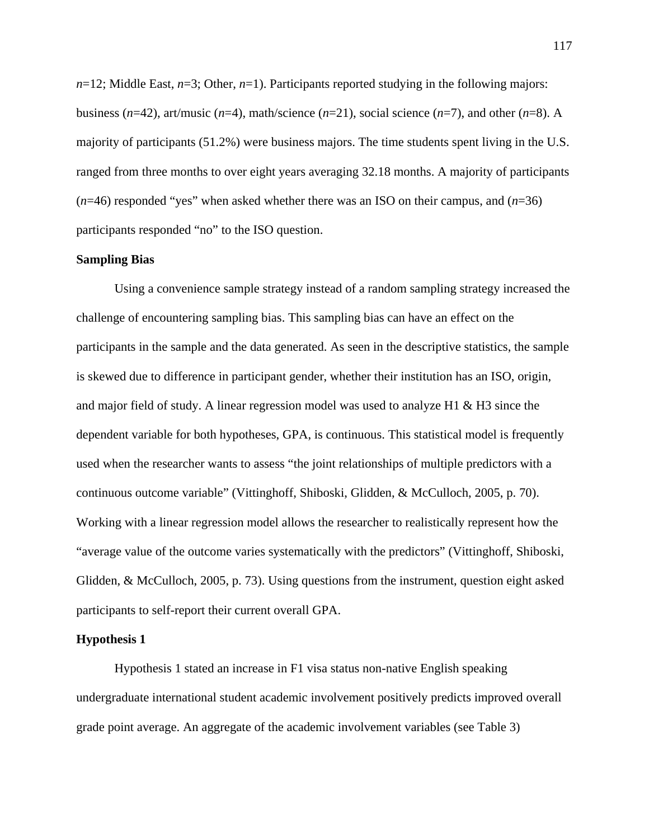*n*=12; Middle East, *n*=3; Other, *n*=1). Participants reported studying in the following majors: business ( $n=42$ ), art/music ( $n=4$ ), math/science ( $n=21$ ), social science ( $n=7$ ), and other ( $n=8$ ). A majority of participants (51.2%) were business majors. The time students spent living in the U.S. ranged from three months to over eight years averaging 32.18 months. A majority of participants  $(n=46)$  responded "yes" when asked whether there was an ISO on their campus, and  $(n=36)$ participants responded "no" to the ISO question.

#### **Sampling Bias**

Using a convenience sample strategy instead of a random sampling strategy increased the challenge of encountering sampling bias. This sampling bias can have an effect on the participants in the sample and the data generated. As seen in the descriptive statistics, the sample is skewed due to difference in participant gender, whether their institution has an ISO, origin, and major field of study. A linear regression model was used to analyze H1 & H3 since the dependent variable for both hypotheses, GPA, is continuous. This statistical model is frequently used when the researcher wants to assess "the joint relationships of multiple predictors with a continuous outcome variable" (Vittinghoff, Shiboski, Glidden, & McCulloch, 2005, p. 70). Working with a linear regression model allows the researcher to realistically represent how the "average value of the outcome varies systematically with the predictors" (Vittinghoff, Shiboski, Glidden, & McCulloch, 2005, p. 73). Using questions from the instrument, question eight asked participants to self-report their current overall GPA.

## **Hypothesis 1**

Hypothesis 1 stated an increase in F1 visa status non-native English speaking undergraduate international student academic involvement positively predicts improved overall grade point average. An aggregate of the academic involvement variables (see Table 3)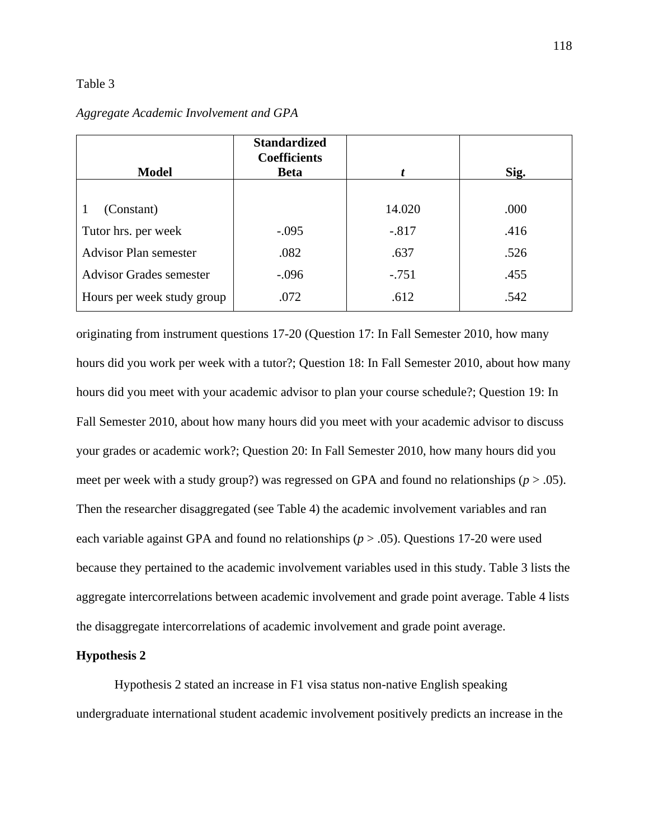|                                | <b>Standardized</b><br><b>Coefficients</b> |         |      |
|--------------------------------|--------------------------------------------|---------|------|
| <b>Model</b>                   | <b>Beta</b>                                |         | Sig. |
|                                |                                            |         |      |
| (Constant)                     |                                            | 14.020  | .000 |
| Tutor hrs. per week            | $-.095$                                    | $-.817$ | .416 |
| <b>Advisor Plan semester</b>   | .082                                       | .637    | .526 |
| <b>Advisor Grades semester</b> | $-.096$                                    | $-.751$ | .455 |
| Hours per week study group     | .072                                       | .612    | .542 |

## *Aggregate Academic Involvement and GPA*

originating from instrument questions 17-20 (Question 17: In Fall Semester 2010, how many hours did you work per week with a tutor?; Question 18: In Fall Semester 2010, about how many hours did you meet with your academic advisor to plan your course schedule?; Question 19: In Fall Semester 2010, about how many hours did you meet with your academic advisor to discuss your grades or academic work?; Question 20: In Fall Semester 2010, how many hours did you meet per week with a study group?) was regressed on GPA and found no relationships (*p* > .05). Then the researcher disaggregated (see Table 4) the academic involvement variables and ran each variable against GPA and found no relationships (*p* > .05). Questions 17-20 were used because they pertained to the academic involvement variables used in this study. Table 3 lists the aggregate intercorrelations between academic involvement and grade point average. Table 4 lists the disaggregate intercorrelations of academic involvement and grade point average.

## **Hypothesis 2**

Hypothesis 2 stated an increase in F1 visa status non-native English speaking undergraduate international student academic involvement positively predicts an increase in the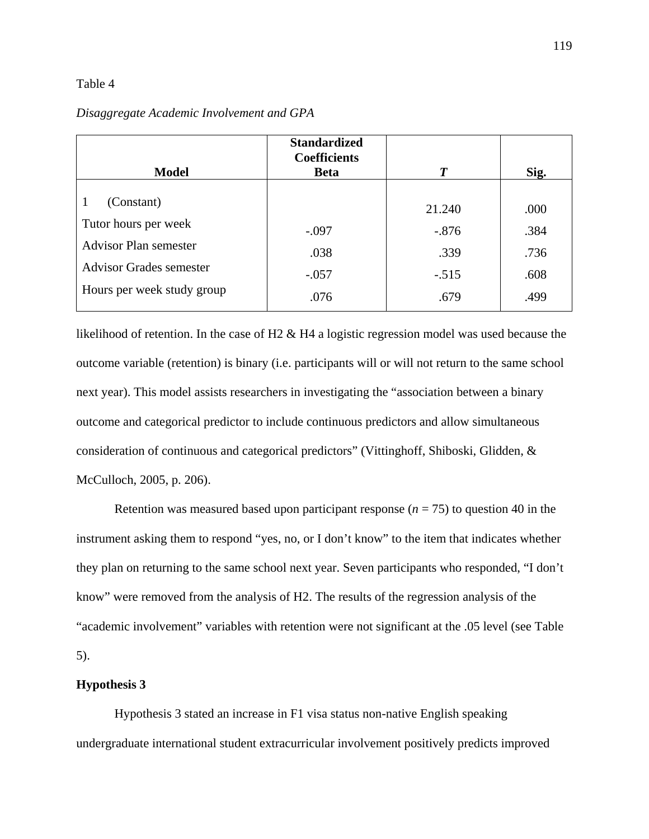|                                | <b>Standardized</b><br><b>Coefficients</b> |         |      |
|--------------------------------|--------------------------------------------|---------|------|
| <b>Model</b>                   | <b>Beta</b>                                | T       | Sig. |
| (Constant)<br>1                |                                            | 21.240  | .000 |
| Tutor hours per week           | $-.097$                                    | $-.876$ | .384 |
| <b>Advisor Plan semester</b>   | .038                                       | .339    | .736 |
| <b>Advisor Grades semester</b> | $-.057$                                    | $-.515$ | .608 |
| Hours per week study group     | .076                                       | .679    | .499 |

## *Disaggregate Academic Involvement and GPA*

likelihood of retention. In the case of H2 & H4 a logistic regression model was used because the outcome variable (retention) is binary (i.e. participants will or will not return to the same school next year). This model assists researchers in investigating the "association between a binary outcome and categorical predictor to include continuous predictors and allow simultaneous consideration of continuous and categorical predictors" (Vittinghoff, Shiboski, Glidden, & McCulloch, 2005, p. 206).

Retention was measured based upon participant response  $(n = 75)$  to question 40 in the instrument asking them to respond "yes, no, or I don't know" to the item that indicates whether they plan on returning to the same school next year. Seven participants who responded, "I don't know" were removed from the analysis of H2. The results of the regression analysis of the "academic involvement" variables with retention were not significant at the .05 level (see Table 5).

#### **Hypothesis 3**

Hypothesis 3 stated an increase in F1 visa status non-native English speaking undergraduate international student extracurricular involvement positively predicts improved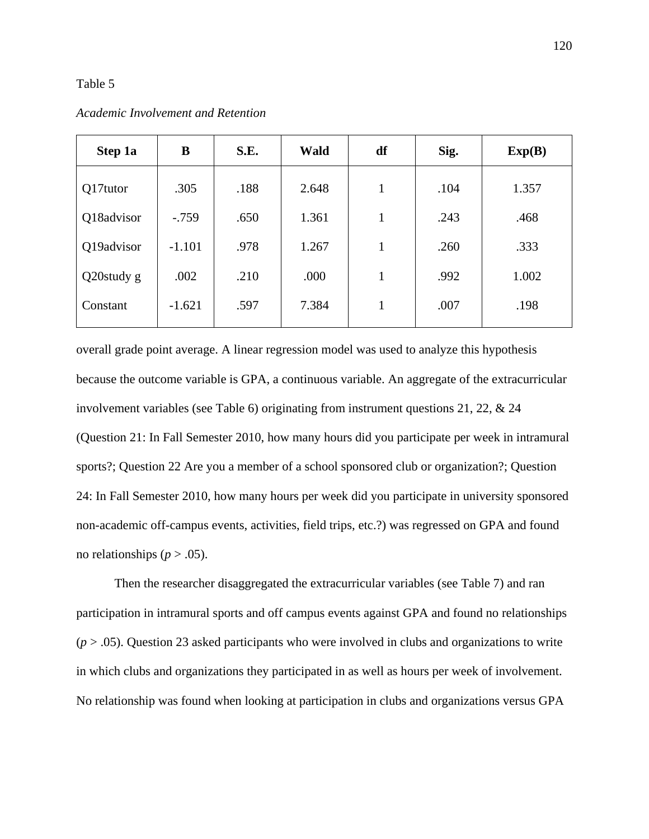| Step 1a       | B        | S.E. | <b>Wald</b> | df           | Sig. | Exp(B) |
|---------------|----------|------|-------------|--------------|------|--------|
| Q17tutor      | .305     | .188 | 2.648       | 1            | .104 | 1.357  |
| Q18advisor    | $-.759$  | .650 | 1.361       | $\mathbf{1}$ | .243 | .468   |
| Q19advisor    | $-1.101$ | .978 | 1.267       |              | .260 | .333   |
| $Q20$ study g | .002     | .210 | .000        | 1            | .992 | 1.002  |
| Constant      | $-1.621$ | .597 | 7.384       |              | .007 | .198   |

*Academic Involvement and Retention* 

overall grade point average. A linear regression model was used to analyze this hypothesis because the outcome variable is GPA, a continuous variable. An aggregate of the extracurricular involvement variables (see Table 6) originating from instrument questions 21, 22, & 24 (Question 21: In Fall Semester 2010, how many hours did you participate per week in intramural sports?; Question 22 Are you a member of a school sponsored club or organization?; Question 24: In Fall Semester 2010, how many hours per week did you participate in university sponsored non-academic off-campus events, activities, field trips, etc.?) was regressed on GPA and found no relationships ( $p > .05$ ).

Then the researcher disaggregated the extracurricular variables (see Table 7) and ran participation in intramural sports and off campus events against GPA and found no relationships (*p* > .05). Question 23 asked participants who were involved in clubs and organizations to write in which clubs and organizations they participated in as well as hours per week of involvement. No relationship was found when looking at participation in clubs and organizations versus GPA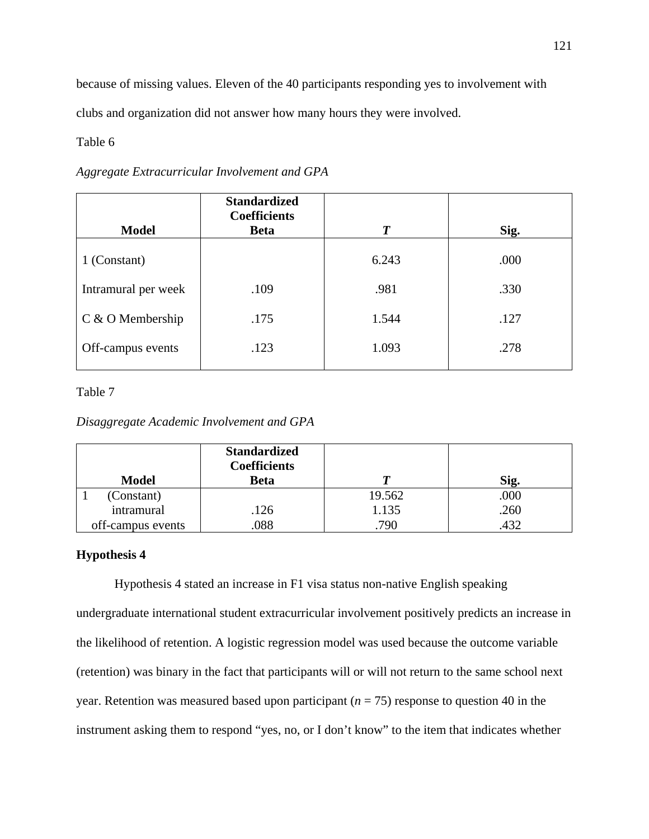because of missing values. Eleven of the 40 participants responding yes to involvement with clubs and organization did not answer how many hours they were involved.

## Table 6

## *Aggregate Extracurricular Involvement and GPA*

|                     | <b>Standardized</b><br><b>Coefficients</b> |                  |      |
|---------------------|--------------------------------------------|------------------|------|
| <b>Model</b>        | <b>Beta</b>                                | $\boldsymbol{T}$ | Sig. |
| 1 (Constant)        |                                            | 6.243            | .000 |
| Intramural per week | .109                                       | .981             | .330 |
| $C & O$ Membership  | .175                                       | 1.544            | .127 |
| Off-campus events   | .123                                       | 1.093            | .278 |

## Table 7

*Disaggregate Academic Involvement and GPA* 

|                   | <b>Standardized</b><br><b>Coefficients</b> |        |      |
|-------------------|--------------------------------------------|--------|------|
| <b>Model</b>      | <b>Beta</b>                                |        | Sig. |
| (Constant)        |                                            | 19.562 | .000 |
| intramural        | .126                                       | 1.135  | .260 |
| off-campus events | .088                                       | .790   |      |

## **Hypothesis 4**

Hypothesis 4 stated an increase in F1 visa status non-native English speaking undergraduate international student extracurricular involvement positively predicts an increase in the likelihood of retention. A logistic regression model was used because the outcome variable (retention) was binary in the fact that participants will or will not return to the same school next year. Retention was measured based upon participant ( $n = 75$ ) response to question 40 in the instrument asking them to respond "yes, no, or I don't know" to the item that indicates whether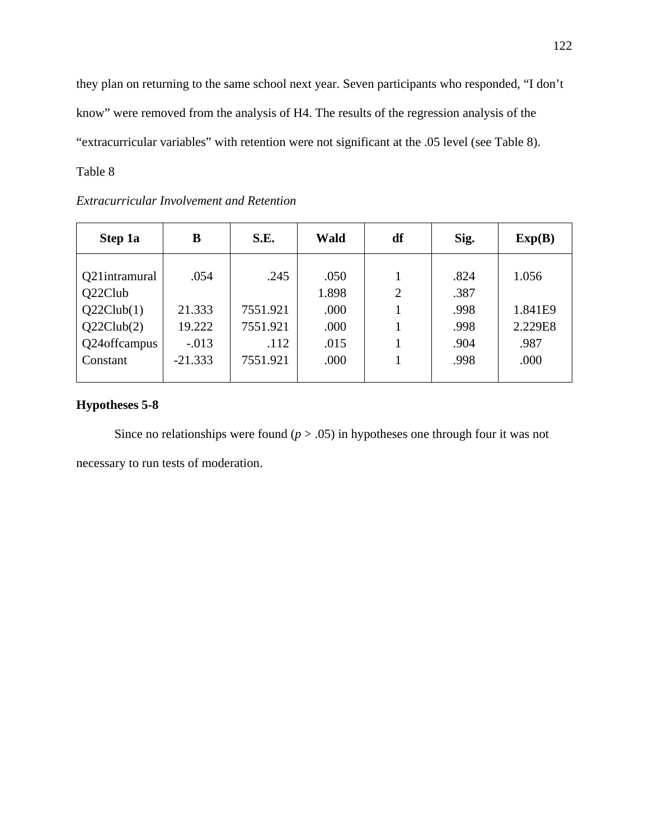they plan on returning to the same school next year. Seven participants who responded, "I don't know" were removed from the analysis of H4. The results of the regression analysis of the "extracurricular variables" with retention were not significant at the .05 level (see Table 8).

# Table 8

| Step 1a       | B         | S.E.     | Wald  | df             | Sig. | Exp(B)  |
|---------------|-----------|----------|-------|----------------|------|---------|
|               |           |          |       |                |      |         |
| Q21intramural | .054      | .245     | .050  |                | .824 | 1.056   |
| Q22Club       |           |          | 1.898 | $\overline{2}$ | .387 |         |
| Q22Club(1)    | 21.333    | 7551.921 | .000  |                | .998 | 1.841E9 |
| Q22Club(2)    | 19.222    | 7551.921 | .000  |                | .998 | 2.229E8 |
| Q24offcampus  | $-.013$   | .112     | .015  |                | .904 | .987    |
| Constant      | $-21.333$ | 7551.921 | .000  |                | .998 | .000    |
|               |           |          |       |                |      |         |

# *Extracurricular Involvement and Retention*

# **Hypotheses 5-8**

Since no relationships were found  $(p > .05)$  in hypotheses one through four it was not necessary to run tests of moderation.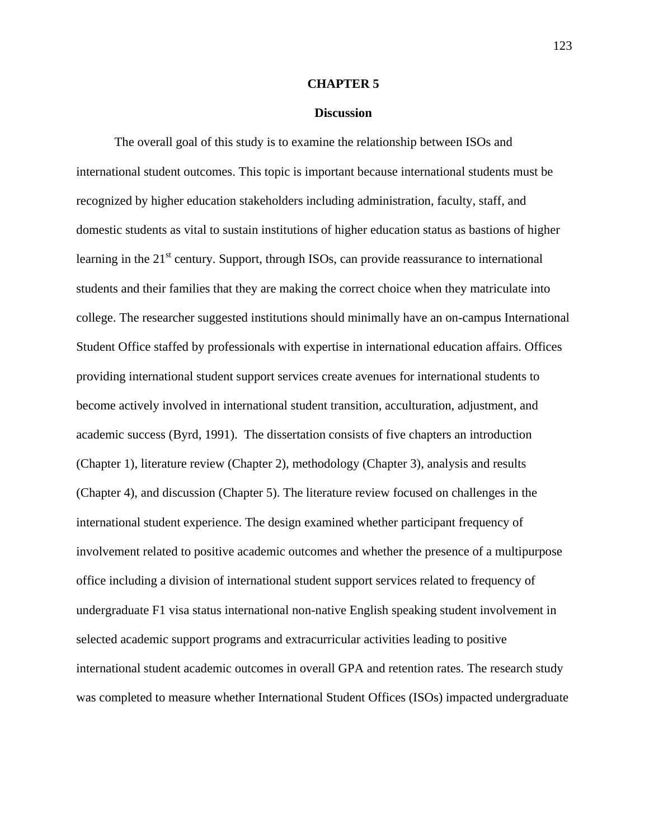#### **CHAPTER 5**

#### **Discussion**

The overall goal of this study is to examine the relationship between ISOs and international student outcomes. This topic is important because international students must be recognized by higher education stakeholders including administration, faculty, staff, and domestic students as vital to sustain institutions of higher education status as bastions of higher learning in the  $21<sup>st</sup>$  century. Support, through ISOs, can provide reassurance to international students and their families that they are making the correct choice when they matriculate into college. The researcher suggested institutions should minimally have an on-campus International Student Office staffed by professionals with expertise in international education affairs. Offices providing international student support services create avenues for international students to become actively involved in international student transition, acculturation, adjustment, and academic success (Byrd, 1991). The dissertation consists of five chapters an introduction (Chapter 1), literature review (Chapter 2), methodology (Chapter 3), analysis and results (Chapter 4), and discussion (Chapter 5). The literature review focused on challenges in the international student experience. The design examined whether participant frequency of involvement related to positive academic outcomes and whether the presence of a multipurpose office including a division of international student support services related to frequency of undergraduate F1 visa status international non-native English speaking student involvement in selected academic support programs and extracurricular activities leading to positive international student academic outcomes in overall GPA and retention rates. The research study was completed to measure whether International Student Offices (ISOs) impacted undergraduate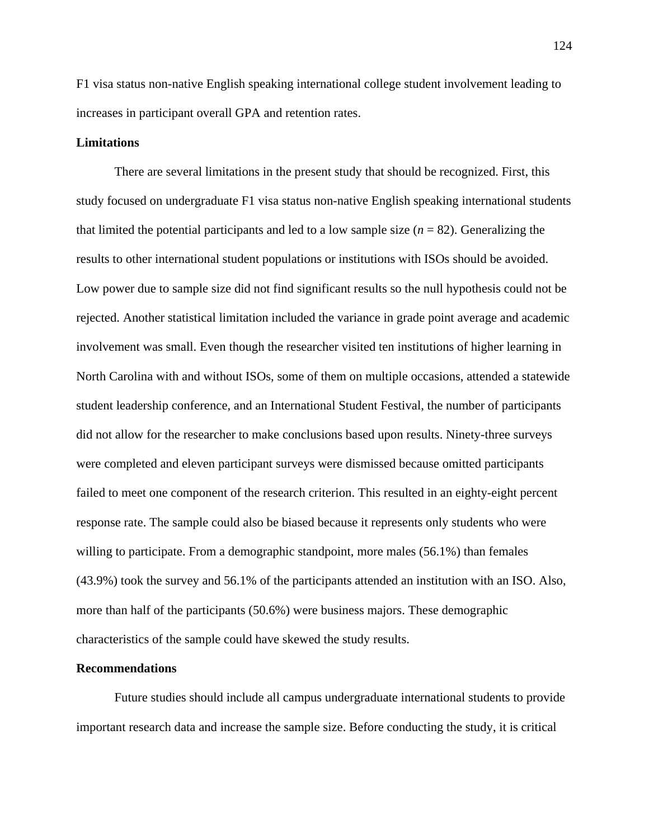F1 visa status non-native English speaking international college student involvement leading to increases in participant overall GPA and retention rates.

## **Limitations**

There are several limitations in the present study that should be recognized. First, this study focused on undergraduate F1 visa status non-native English speaking international students that limited the potential participants and led to a low sample size  $(n = 82)$ . Generalizing the results to other international student populations or institutions with ISOs should be avoided. Low power due to sample size did not find significant results so the null hypothesis could not be rejected. Another statistical limitation included the variance in grade point average and academic involvement was small. Even though the researcher visited ten institutions of higher learning in North Carolina with and without ISOs, some of them on multiple occasions, attended a statewide student leadership conference, and an International Student Festival, the number of participants did not allow for the researcher to make conclusions based upon results. Ninety-three surveys were completed and eleven participant surveys were dismissed because omitted participants failed to meet one component of the research criterion. This resulted in an eighty-eight percent response rate. The sample could also be biased because it represents only students who were willing to participate. From a demographic standpoint, more males (56.1%) than females (43.9%) took the survey and 56.1% of the participants attended an institution with an ISO. Also, more than half of the participants (50.6%) were business majors. These demographic characteristics of the sample could have skewed the study results.

#### **Recommendations**

Future studies should include all campus undergraduate international students to provide important research data and increase the sample size. Before conducting the study, it is critical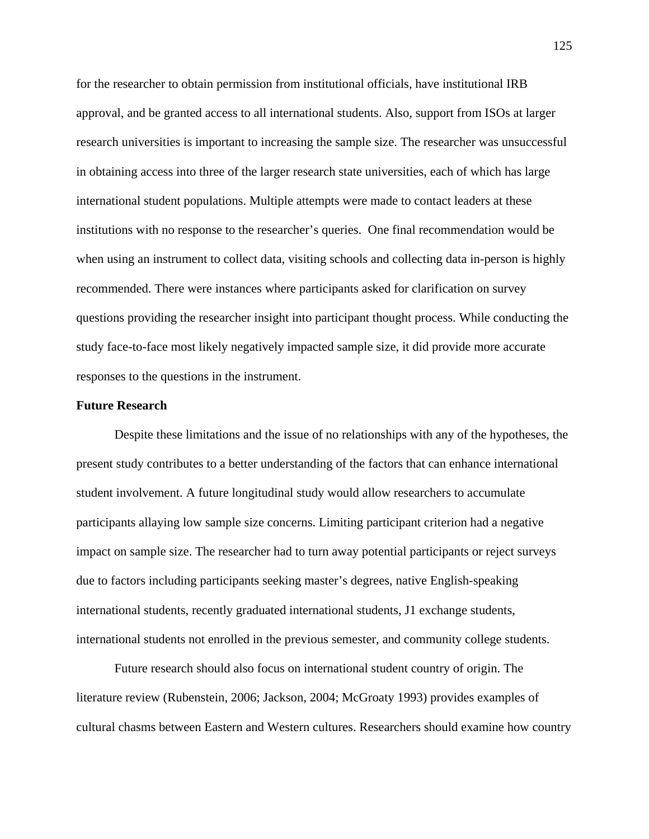for the researcher to obtain permission from institutional officials, have institutional IRB approval, and be granted access to all international students. Also, support from ISOs at larger research universities is important to increasing the sample size. The researcher was unsuccessful in obtaining access into three of the larger research state universities, each of which has large international student populations. Multiple attempts were made to contact leaders at these institutions with no response to the researcher's queries. One final recommendation would be when using an instrument to collect data, visiting schools and collecting data in-person is highly recommended. There were instances where participants asked for clarification on survey questions providing the researcher insight into participant thought process. While conducting the study face-to-face most likely negatively impacted sample size, it did provide more accurate responses to the questions in the instrument.

#### **Future Research**

Despite these limitations and the issue of no relationships with any of the hypotheses, the present study contributes to a better understanding of the factors that can enhance international student involvement. A future longitudinal study would allow researchers to accumulate participants allaying low sample size concerns. Limiting participant criterion had a negative impact on sample size. The researcher had to turn away potential participants or reject surveys due to factors including participants seeking master's degrees, native English-speaking international students, recently graduated international students, J1 exchange students, international students not enrolled in the previous semester, and community college students.

Future research should also focus on international student country of origin. The literature review (Rubenstein, 2006; Jackson, 2004; McGroaty 1993) provides examples of cultural chasms between Eastern and Western cultures. Researchers should examine how country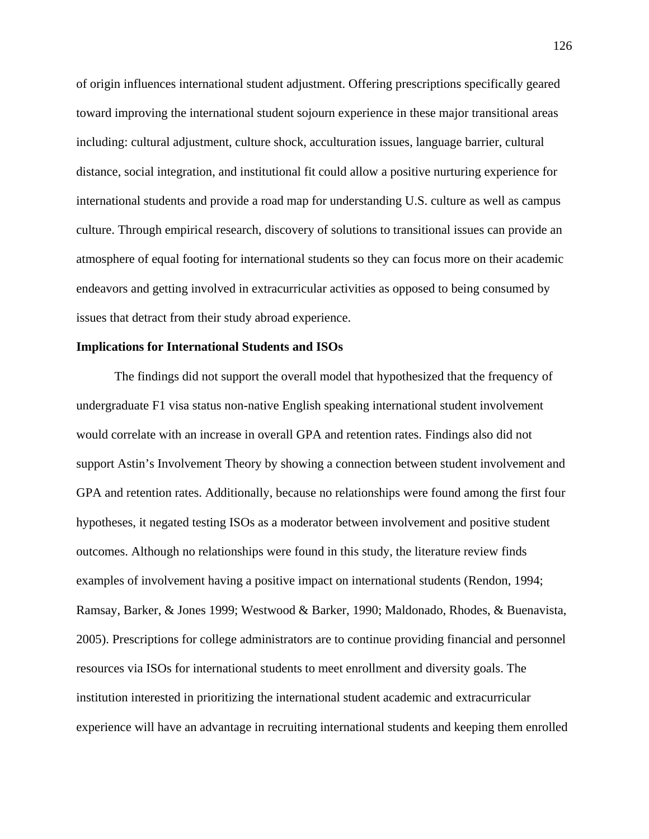of origin influences international student adjustment. Offering prescriptions specifically geared toward improving the international student sojourn experience in these major transitional areas including: cultural adjustment, culture shock, acculturation issues, language barrier, cultural distance, social integration, and institutional fit could allow a positive nurturing experience for international students and provide a road map for understanding U.S. culture as well as campus culture. Through empirical research, discovery of solutions to transitional issues can provide an atmosphere of equal footing for international students so they can focus more on their academic endeavors and getting involved in extracurricular activities as opposed to being consumed by issues that detract from their study abroad experience.

#### **Implications for International Students and ISOs**

The findings did not support the overall model that hypothesized that the frequency of undergraduate F1 visa status non-native English speaking international student involvement would correlate with an increase in overall GPA and retention rates. Findings also did not support Astin's Involvement Theory by showing a connection between student involvement and GPA and retention rates. Additionally, because no relationships were found among the first four hypotheses, it negated testing ISOs as a moderator between involvement and positive student outcomes. Although no relationships were found in this study, the literature review finds examples of involvement having a positive impact on international students (Rendon, 1994; Ramsay, Barker, & Jones 1999; Westwood & Barker, 1990; Maldonado, Rhodes, & Buenavista, 2005). Prescriptions for college administrators are to continue providing financial and personnel resources via ISOs for international students to meet enrollment and diversity goals. The institution interested in prioritizing the international student academic and extracurricular experience will have an advantage in recruiting international students and keeping them enrolled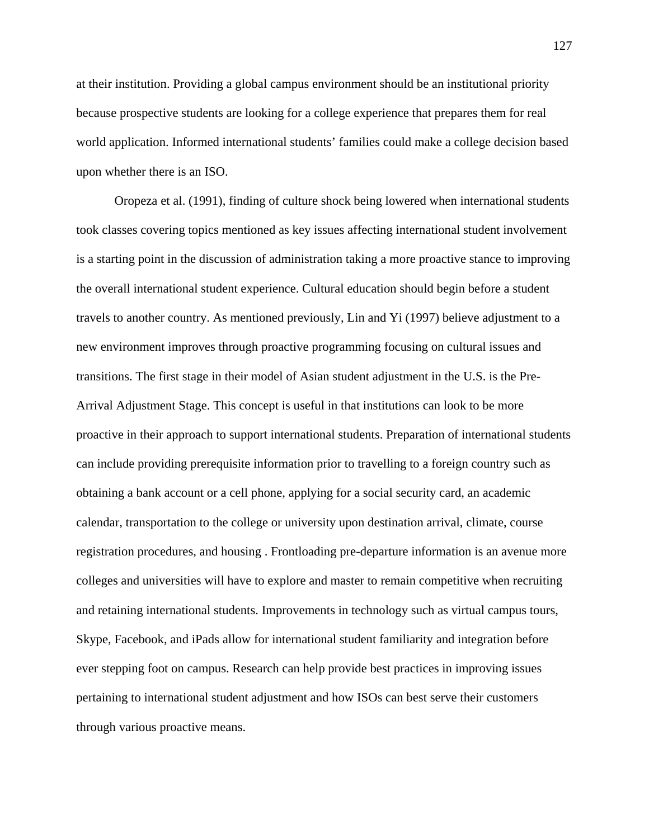at their institution. Providing a global campus environment should be an institutional priority because prospective students are looking for a college experience that prepares them for real world application. Informed international students' families could make a college decision based upon whether there is an ISO.

Oropeza et al. (1991), finding of culture shock being lowered when international students took classes covering topics mentioned as key issues affecting international student involvement is a starting point in the discussion of administration taking a more proactive stance to improving the overall international student experience. Cultural education should begin before a student travels to another country. As mentioned previously, Lin and Yi (1997) believe adjustment to a new environment improves through proactive programming focusing on cultural issues and transitions. The first stage in their model of Asian student adjustment in the U.S. is the Pre-Arrival Adjustment Stage. This concept is useful in that institutions can look to be more proactive in their approach to support international students. Preparation of international students can include providing prerequisite information prior to travelling to a foreign country such as obtaining a bank account or a cell phone, applying for a social security card, an academic calendar, transportation to the college or university upon destination arrival, climate, course registration procedures, and housing . Frontloading pre-departure information is an avenue more colleges and universities will have to explore and master to remain competitive when recruiting and retaining international students. Improvements in technology such as virtual campus tours, Skype, Facebook, and iPads allow for international student familiarity and integration before ever stepping foot on campus. Research can help provide best practices in improving issues pertaining to international student adjustment and how ISOs can best serve their customers through various proactive means.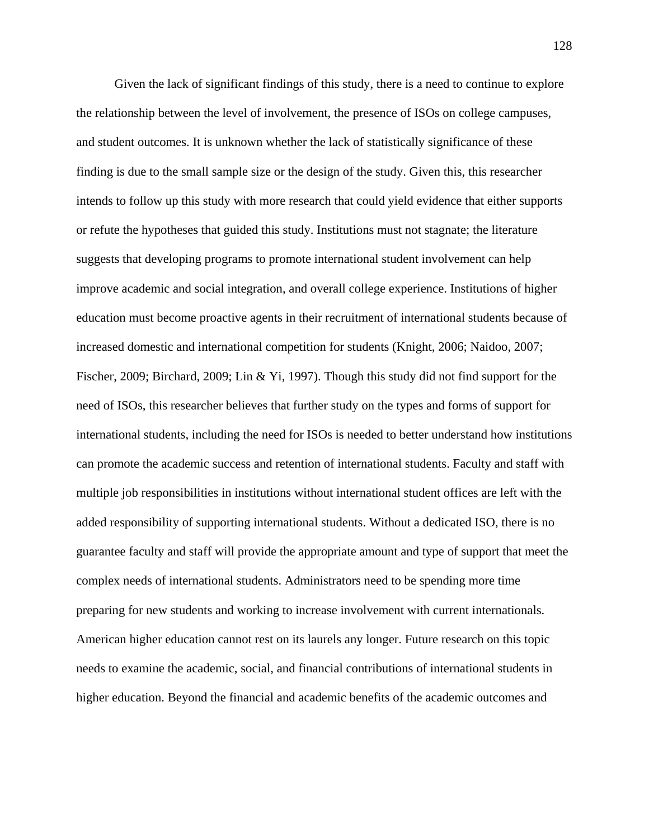Given the lack of significant findings of this study, there is a need to continue to explore the relationship between the level of involvement, the presence of ISOs on college campuses, and student outcomes. It is unknown whether the lack of statistically significance of these finding is due to the small sample size or the design of the study. Given this, this researcher intends to follow up this study with more research that could yield evidence that either supports or refute the hypotheses that guided this study. Institutions must not stagnate; the literature suggests that developing programs to promote international student involvement can help improve academic and social integration, and overall college experience. Institutions of higher education must become proactive agents in their recruitment of international students because of increased domestic and international competition for students (Knight, 2006; Naidoo, 2007; Fischer, 2009; Birchard, 2009; Lin & Yi, 1997). Though this study did not find support for the need of ISOs, this researcher believes that further study on the types and forms of support for international students, including the need for ISOs is needed to better understand how institutions can promote the academic success and retention of international students. Faculty and staff with multiple job responsibilities in institutions without international student offices are left with the added responsibility of supporting international students. Without a dedicated ISO, there is no guarantee faculty and staff will provide the appropriate amount and type of support that meet the complex needs of international students. Administrators need to be spending more time preparing for new students and working to increase involvement with current internationals. American higher education cannot rest on its laurels any longer. Future research on this topic needs to examine the academic, social, and financial contributions of international students in higher education. Beyond the financial and academic benefits of the academic outcomes and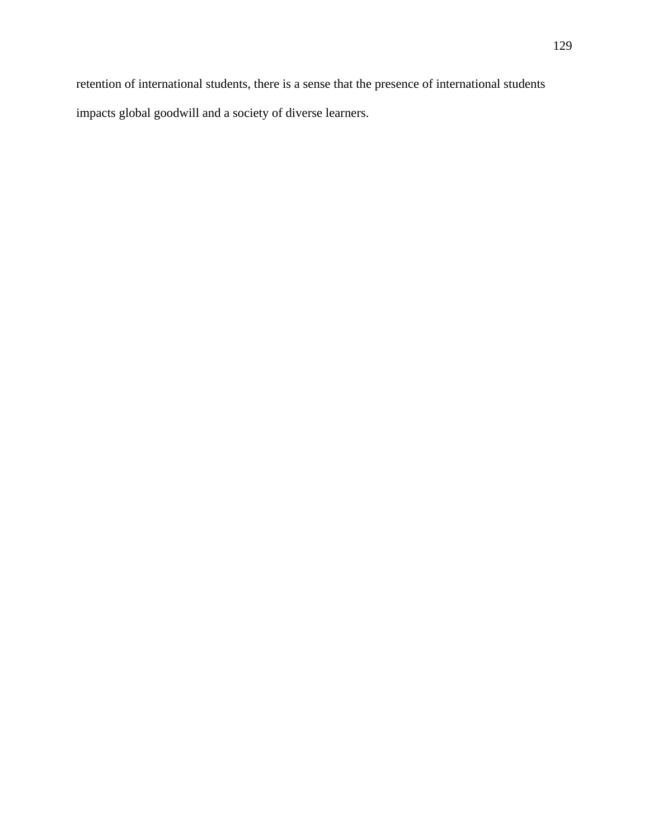retention of international students, there is a sense that the presence of international students impacts global goodwill and a society of diverse learners.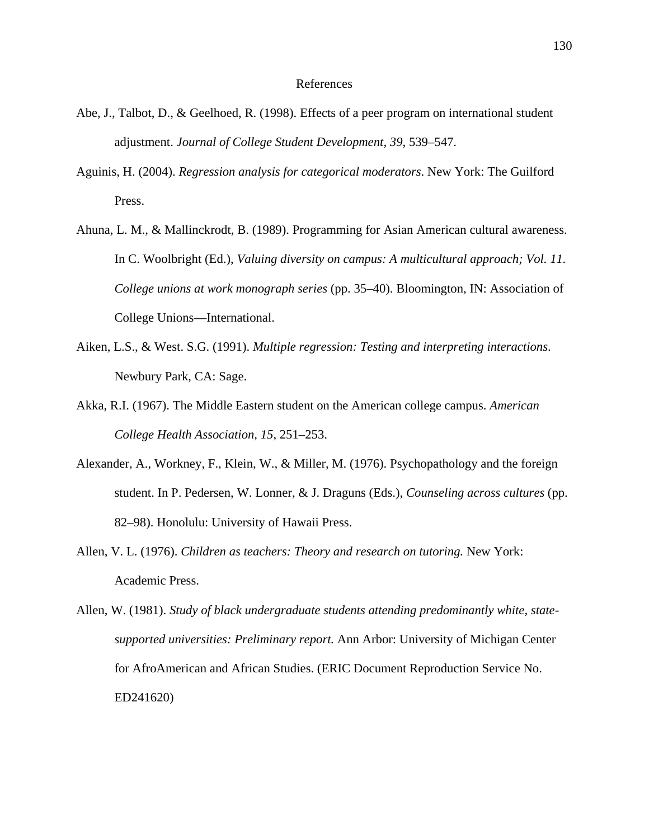#### References

- Abe, J., Talbot, D., & Geelhoed, R. (1998). Effects of a peer program on international student adjustment. *Journal of College Student Development, 39*, 539–547.
- Aguinis, H. (2004). *Regression analysis for categorical moderators*. New York: The Guilford Press.
- Ahuna, L. M., & Mallinckrodt, B. (1989). Programming for Asian American cultural awareness. In C. Woolbright (Ed.), *Valuing diversity on campus: A multicultural approach; Vol. 11. College unions at work monograph series* (pp. 35–40). Bloomington, IN: Association of College Unions—International.
- Aiken, L.S., & West. S.G. (1991). *Multiple regression: Testing and interpreting interactions*. Newbury Park, CA: Sage.
- Akka, R.I. (1967). The Middle Eastern student on the American college campus. *American College Health Association, 15*, 251–253.
- Alexander, A., Workney, F., Klein, W., & Miller, M. (1976). Psychopathology and the foreign student. In P. Pedersen, W. Lonner, & J. Draguns (Eds.), *Counseling across cultures* (pp. 82–98). Honolulu: University of Hawaii Press.
- Allen, V. L. (1976). *Children as teachers: Theory and research on tutoring.* New York: Academic Press.
- Allen, W. (1981). *Study of black undergraduate students attending predominantly white, statesupported universities: Preliminary report.* Ann Arbor: University of Michigan Center for AfroAmerican and African Studies. (ERIC Document Reproduction Service No. ED241620)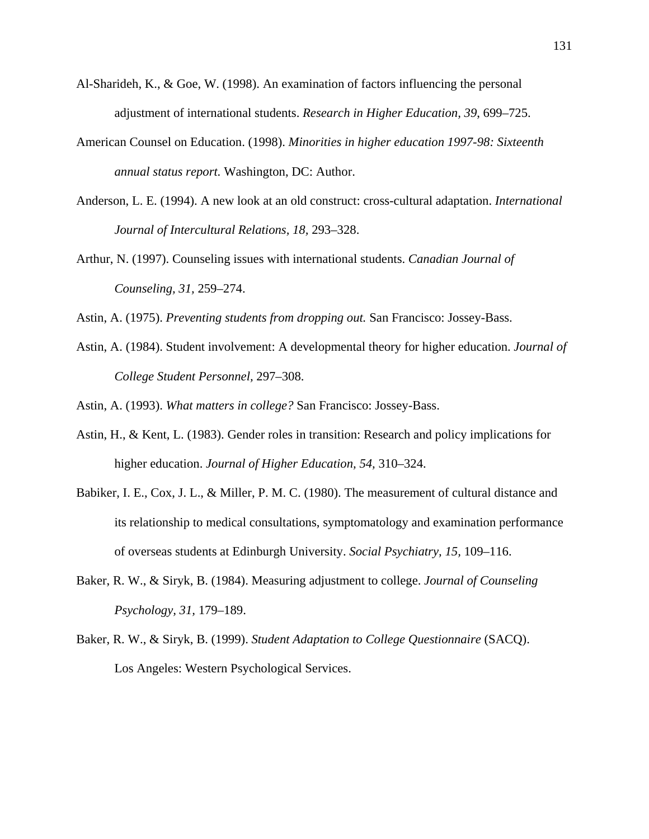- Al-Sharideh, K., & Goe, W. (1998). An examination of factors influencing the personal adjustment of international students. *Research in Higher Education, 39*, 699–725.
- American Counsel on Education. (1998). *Minorities in higher education 1997-98: Sixteenth annual status report.* Washington, DC: Author.
- Anderson, L. E. (1994). A new look at an old construct: cross-cultural adaptation. *International Journal of Intercultural Relations, 18,* 293–328.
- Arthur, N. (1997). Counseling issues with international students. *Canadian Journal of Counseling, 31,* 259–274.

Astin, A. (1975). *Preventing students from dropping out.* San Francisco: Jossey-Bass.

Astin, A. (1984). Student involvement: A developmental theory for higher education. *Journal of College Student Personnel,* 297–308.

Astin, A. (1993). *What matters in college?* San Francisco: Jossey-Bass.

- Astin, H., & Kent, L. (1983). Gender roles in transition: Research and policy implications for higher education. *Journal of Higher Education, 54,* 310–324.
- Babiker, I. E., Cox, J. L., & Miller, P. M. C. (1980). The measurement of cultural distance and its relationship to medical consultations, symptomatology and examination performance of overseas students at Edinburgh University. *Social Psychiatry, 15,* 109–116.
- Baker, R. W., & Siryk, B. (1984). Measuring adjustment to college. *Journal of Counseling Psychology, 31,* 179–189.
- Baker, R. W., & Siryk, B. (1999). *Student Adaptation to College Questionnaire* (SACQ). Los Angeles: Western Psychological Services.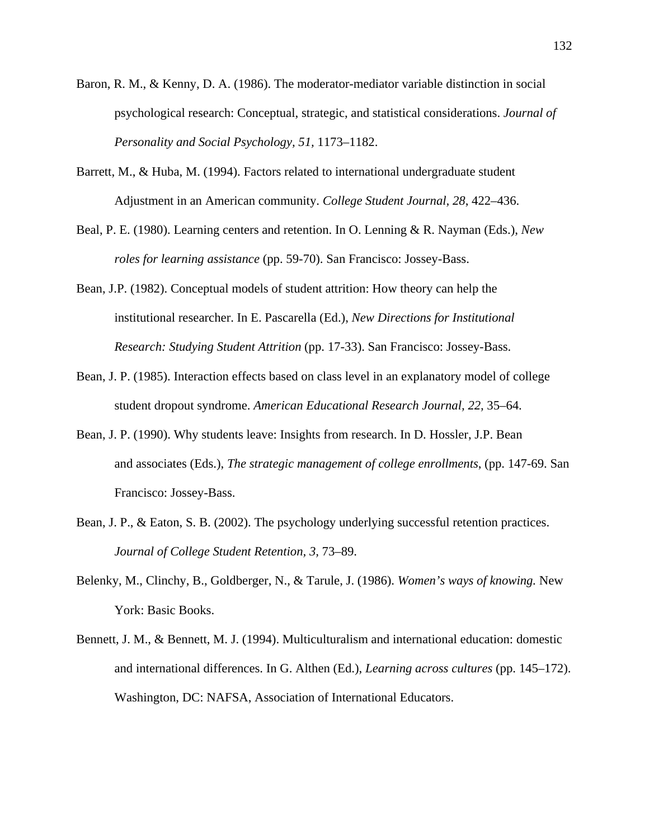- Baron, R. M., & Kenny, D. A. (1986). The moderator-mediator variable distinction in social psychological research: Conceptual, strategic, and statistical considerations. *Journal of Personality and Social Psychology, 51,* 1173–1182.
- Barrett, M., & Huba, M. (1994). Factors related to international undergraduate student Adjustment in an American community. *College Student Journal, 28*, 422–436.
- Beal, P. E. (1980). Learning centers and retention. In O. Lenning & R. Nayman (Eds.), *New roles for learning assistance* (pp. 59-70). San Francisco: Jossey-Bass.
- Bean, J.P. (1982). Conceptual models of student attrition: How theory can help the institutional researcher. In E. Pascarella (Ed.), *New Directions for Institutional Research: Studying Student Attrition* (pp. 17-33). San Francisco: Jossey-Bass.
- Bean, J. P. (1985). Interaction effects based on class level in an explanatory model of college student dropout syndrome. *American Educational Research Journal, 22,* 35–64.
- Bean, J. P. (1990). Why students leave: Insights from research. In D. Hossler, J.P. Bean and associates (Eds.), *The strategic management of college enrollments*, (pp. 147-69. San Francisco: Jossey-Bass.
- Bean, J. P., & Eaton, S. B. (2002). The psychology underlying successful retention practices. *Journal of College Student Retention, 3,* 73–89.
- Belenky, M., Clinchy, B., Goldberger, N., & Tarule, J. (1986). *Women's ways of knowing.* New York: Basic Books.
- Bennett, J. M., & Bennett, M. J. (1994). Multiculturalism and international education: domestic and international differences. In G. Althen (Ed.), *Learning across cultures* (pp. 145–172). Washington, DC: NAFSA, Association of International Educators.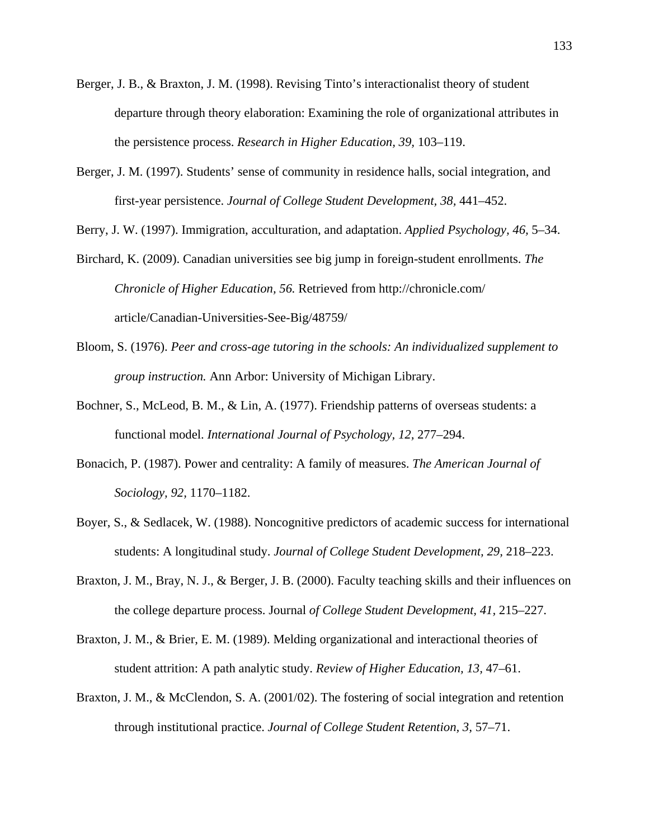- Berger, J. B., & Braxton, J. M. (1998). Revising Tinto's interactionalist theory of student departure through theory elaboration: Examining the role of organizational attributes in the persistence process. *Research in Higher Education, 39,* 103–119.
- Berger, J. M. (1997). Students' sense of community in residence halls, social integration, and first-year persistence. *Journal of College Student Development, 38,* 441–452.

Berry, J. W. (1997). Immigration, acculturation, and adaptation. *Applied Psychology, 46,* 5–34.

- Birchard, K. (2009). Canadian universities see big jump in foreign-student enrollments. *The Chronicle of Higher Education, 56.* Retrieved from http://chronicle.com/ article/Canadian-Universities-See-Big/48759/
- Bloom, S. (1976). *Peer and cross-age tutoring in the schools: An individualized supplement to group instruction.* Ann Arbor: University of Michigan Library.
- Bochner, S., McLeod, B. M., & Lin, A. (1977). Friendship patterns of overseas students: a functional model. *International Journal of Psychology, 12,* 277–294.
- Bonacich, P. (1987). Power and centrality: A family of measures. *The American Journal of Sociology, 92,* 1170–1182.
- Boyer, S., & Sedlacek, W. (1988). Noncognitive predictors of academic success for international students: A longitudinal study. *Journal of College Student Development, 29,* 218–223.
- Braxton, J. M., Bray, N. J., & Berger, J. B. (2000). Faculty teaching skills and their influences on the college departure process. Journal *of College Student Development, 41,* 215–227.
- Braxton, J. M., & Brier, E. M. (1989). Melding organizational and interactional theories of student attrition: A path analytic study. *Review of Higher Education, 13,* 47–61.
- Braxton, J. M., & McClendon, S. A. (2001/02). The fostering of social integration and retention through institutional practice. *Journal of College Student Retention, 3,* 57–71.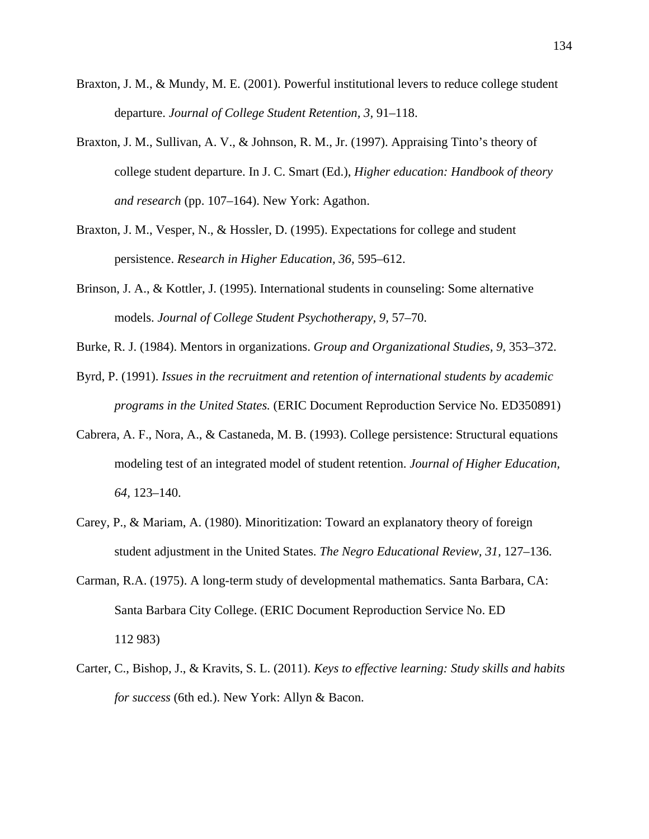- Braxton, J. M., & Mundy, M. E. (2001). Powerful institutional levers to reduce college student departure. *Journal of College Student Retention, 3,* 91–118.
- Braxton, J. M., Sullivan, A. V., & Johnson, R. M., Jr. (1997). Appraising Tinto's theory of college student departure. In J. C. Smart (Ed.), *Higher education: Handbook of theory and research* (pp. 107–164). New York: Agathon.
- Braxton, J. M., Vesper, N., & Hossler, D. (1995). Expectations for college and student persistence. *Research in Higher Education, 36,* 595–612.
- Brinson, J. A., & Kottler, J. (1995). International students in counseling: Some alternative models. *Journal of College Student Psychotherapy, 9,* 57–70.
- Burke, R. J. (1984). Mentors in organizations. *Group and Organizational Studies, 9,* 353–372.
- Byrd, P. (1991). *Issues in the recruitment and retention of international students by academic programs in the United States.* (ERIC Document Reproduction Service No. ED350891)
- Cabrera, A. F., Nora, A., & Castaneda, M. B. (1993). College persistence: Structural equations modeling test of an integrated model of student retention. *Journal of Higher Education, 64,* 123–140.
- Carey, P., & Mariam, A. (1980). Minoritization: Toward an explanatory theory of foreign student adjustment in the United States. *The Negro Educational Review, 31,* 127–136.
- Carman, R.A. (1975). A long-term study of developmental mathematics. Santa Barbara, CA: Santa Barbara City College. (ERIC Document Reproduction Service No. ED 112 983)
- Carter, C., Bishop, J., & Kravits, S. L. (2011). *Keys to effective learning: Study skills and habits for success* (6th ed.). New York: Allyn & Bacon.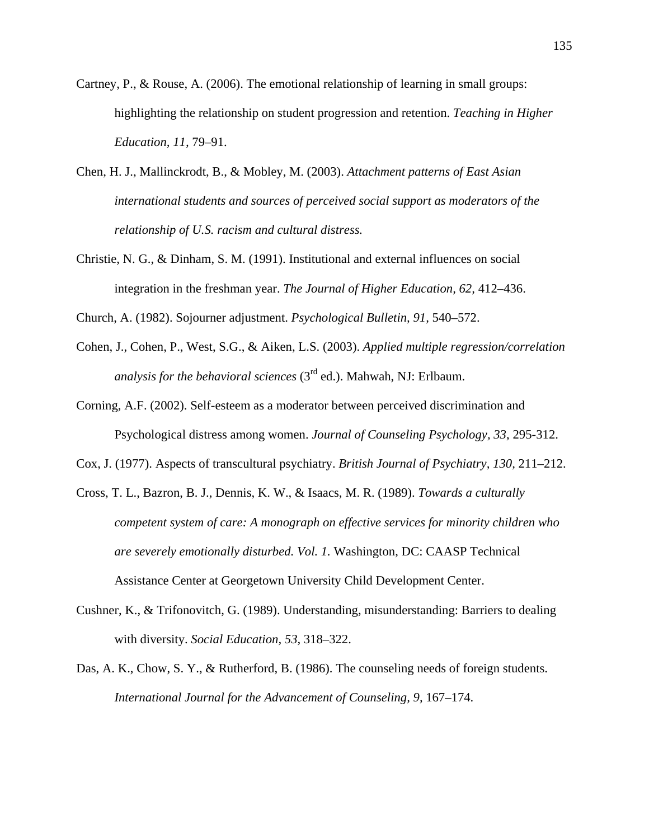- Cartney, P., & Rouse, A. (2006). The emotional relationship of learning in small groups: highlighting the relationship on student progression and retention. *Teaching in Higher Education, 11,* 79–91.
- Chen, H. J., Mallinckrodt, B., & Mobley, M. (2003). *Attachment patterns of East Asian international students and sources of perceived social support as moderators of the relationship of U.S. racism and cultural distress.*
- Christie, N. G., & Dinham, S. M. (1991). Institutional and external influences on social integration in the freshman year. *The Journal of Higher Education, 62,* 412–436.
- Church, A. (1982). Sojourner adjustment. *Psychological Bulletin, 91,* 540–572.
- Cohen, J., Cohen, P., West, S.G., & Aiken, L.S. (2003). *Applied multiple regression/correlation analysis for the behavioral sciences* (3rd ed.). Mahwah, NJ: Erlbaum.
- Corning, A.F. (2002). Self-esteem as a moderator between perceived discrimination and Psychological distress among women. *Journal of Counseling Psychology, 33*, 295-312.
- Cox, J. (1977). Aspects of transcultural psychiatry. *British Journal of Psychiatry, 130,* 211–212.
- Cross, T. L., Bazron, B. J., Dennis, K. W., & Isaacs, M. R. (1989). *Towards a culturally competent system of care: A monograph on effective services for minority children who are severely emotionally disturbed. Vol. 1.* Washington, DC: CAASP Technical Assistance Center at Georgetown University Child Development Center.
- Cushner, K., & Trifonovitch, G. (1989). Understanding, misunderstanding: Barriers to dealing with diversity. *Social Education, 53,* 318–322.
- Das, A. K., Chow, S. Y., & Rutherford, B. (1986). The counseling needs of foreign students. *International Journal for the Advancement of Counseling, 9,* 167–174.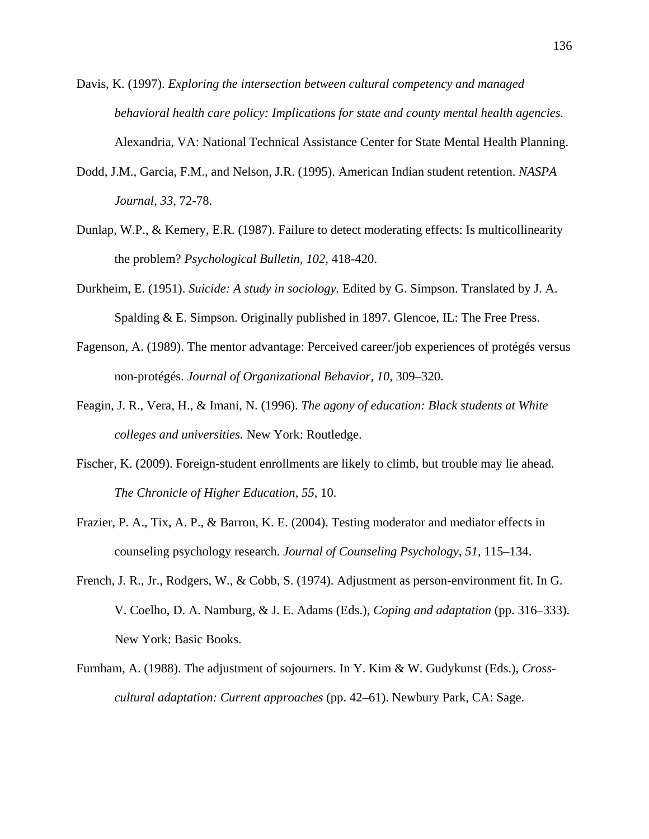- Davis, K. (1997). *Exploring the intersection between cultural competency and managed behavioral health care policy: Implications for state and county mental health agencies.*  Alexandria, VA: National Technical Assistance Center for State Mental Health Planning.
- Dodd, J.M., Garcia, F.M., and Nelson, J.R. (1995). American Indian student retention. *NASPA Journal, 33*, 72-78.
- Dunlap, W.P., & Kemery, E.R. (1987). Failure to detect moderating effects: Is multicollinearity the problem? *Psychological Bulletin, 102*, 418-420.
- Durkheim, E. (1951). *Suicide: A study in sociology.* Edited by G. Simpson. Translated by J. A. Spalding & E. Simpson. Originally published in 1897. Glencoe, IL: The Free Press.
- Fagenson, A. (1989). The mentor advantage: Perceived career/job experiences of protégés versus non-protégés. *Journal of Organizational Behavior, 10,* 309–320.
- Feagin, J. R., Vera, H., & Imani, N. (1996). *The agony of education: Black students at White colleges and universities.* New York: Routledge.
- Fischer, K. (2009). Foreign-student enrollments are likely to climb, but trouble may lie ahead. *The Chronicle of Higher Education, 55,* 10.
- Frazier, P. A., Tix, A. P., & Barron, K. E. (2004). Testing moderator and mediator effects in counseling psychology research. *Journal of Counseling Psychology, 51,* 115–134.
- French, J. R., Jr., Rodgers, W., & Cobb, S. (1974). Adjustment as person-environment fit. In G. V. Coelho, D. A. Namburg, & J. E. Adams (Eds.), *Coping and adaptation* (pp. 316–333). New York: Basic Books.
- Furnham, A. (1988). The adjustment of sojourners. In Y. Kim & W. Gudykunst (Eds.), *Crosscultural adaptation: Current approaches* (pp. 42–61). Newbury Park, CA: Sage.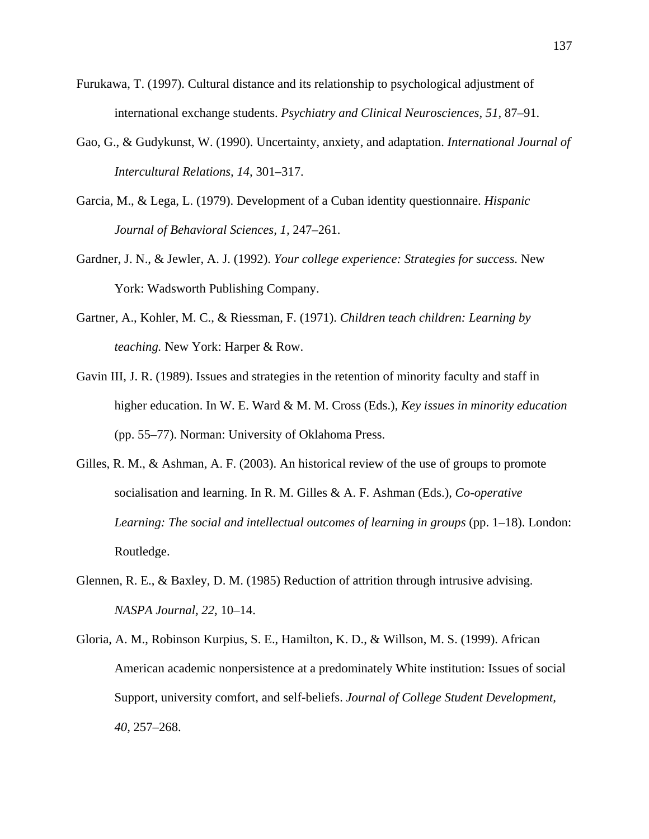- Furukawa, T. (1997). Cultural distance and its relationship to psychological adjustment of international exchange students. *Psychiatry and Clinical Neurosciences, 51,* 87–91.
- Gao, G., & Gudykunst, W. (1990). Uncertainty, anxiety, and adaptation. *International Journal of Intercultural Relations, 14,* 301–317.
- Garcia, M., & Lega, L. (1979). Development of a Cuban identity questionnaire. *Hispanic Journal of Behavioral Sciences, 1,* 247–261.
- Gardner, J. N., & Jewler, A. J. (1992). *Your college experience: Strategies for success.* New York: Wadsworth Publishing Company.
- Gartner, A., Kohler, M. C., & Riessman, F. (1971). *Children teach children: Learning by teaching.* New York: Harper & Row.
- Gavin III, J. R. (1989). Issues and strategies in the retention of minority faculty and staff in higher education. In W. E. Ward & M. M. Cross (Eds.), *Key issues in minority education* (pp. 55–77). Norman: University of Oklahoma Press.
- Gilles, R. M., & Ashman, A. F. (2003). An historical review of the use of groups to promote socialisation and learning. In R. M. Gilles & A. F. Ashman (Eds.), *Co-operative Learning: The social and intellectual outcomes of learning in groups* (pp. 1–18). London: Routledge.
- Glennen, R. E., & Baxley, D. M. (1985) Reduction of attrition through intrusive advising. *NASPA Journal, 22,* 10–14.
- Gloria, A. M., Robinson Kurpius, S. E., Hamilton, K. D., & Willson, M. S. (1999). African American academic nonpersistence at a predominately White institution: Issues of social Support, university comfort, and self-beliefs. *Journal of College Student Development, 40,* 257–268.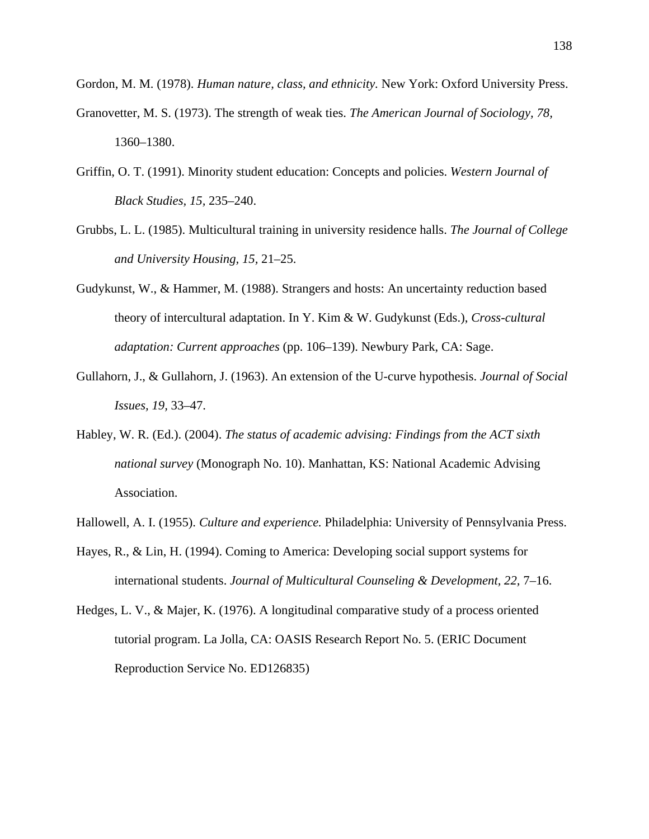Gordon, M. M. (1978). *Human nature, class, and ethnicity.* New York: Oxford University Press.

- Granovetter, M. S. (1973). The strength of weak ties. *The American Journal of Sociology, 78,* 1360–1380.
- Griffin, O. T. (1991). Minority student education: Concepts and policies. *Western Journal of Black Studies, 15,* 235–240.
- Grubbs, L. L. (1985). Multicultural training in university residence halls. *The Journal of College and University Housing, 15,* 21–25.
- Gudykunst, W., & Hammer, M. (1988). Strangers and hosts: An uncertainty reduction based theory of intercultural adaptation. In Y. Kim & W. Gudykunst (Eds.), *Cross-cultural adaptation: Current approaches* (pp. 106–139). Newbury Park, CA: Sage.
- Gullahorn, J., & Gullahorn, J. (1963). An extension of the U-curve hypothesis. *Journal of Social Issues, 19,* 33–47.
- Habley, W. R. (Ed.). (2004). *The status of academic advising: Findings from the ACT sixth national survey* (Monograph No. 10). Manhattan, KS: National Academic Advising Association.
- Hallowell, A. I. (1955). *Culture and experience.* Philadelphia: University of Pennsylvania Press.
- Hayes, R., & Lin, H. (1994). Coming to America: Developing social support systems for international students. *Journal of Multicultural Counseling & Development, 22,* 7–16.
- Hedges, L. V., & Majer, K. (1976). A longitudinal comparative study of a process oriented tutorial program. La Jolla, CA: OASIS Research Report No. 5. (ERIC Document Reproduction Service No. ED126835)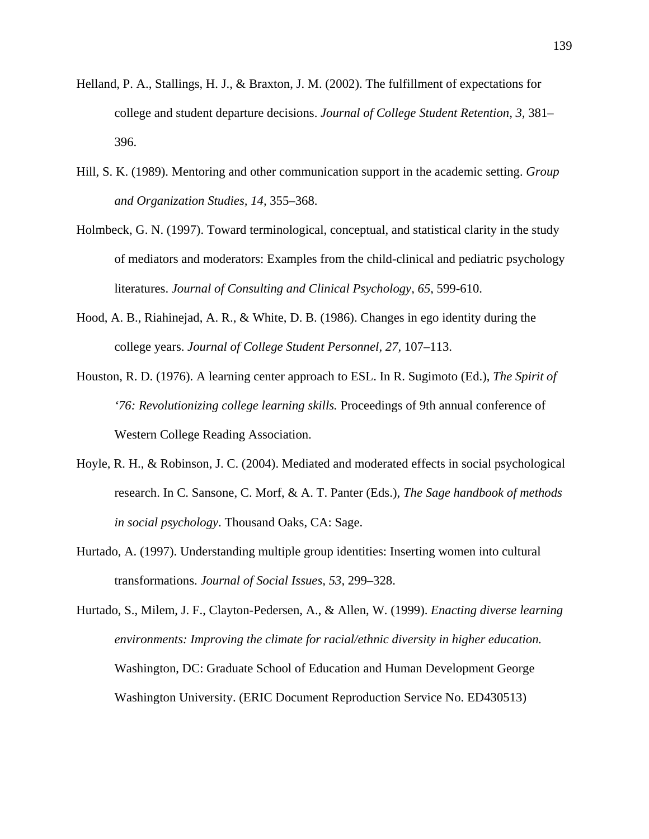- Helland, P. A., Stallings, H. J., & Braxton, J. M. (2002). The fulfillment of expectations for college and student departure decisions. *Journal of College Student Retention, 3,* 381– 396.
- Hill, S. K. (1989). Mentoring and other communication support in the academic setting. *Group and Organization Studies, 14,* 355–368.
- Holmbeck, G. N. (1997). Toward terminological, conceptual, and statistical clarity in the study of mediators and moderators: Examples from the child-clinical and pediatric psychology literatures. *Journal of Consulting and Clinical Psychology, 65*, 599-610.
- Hood, A. B., Riahinejad, A. R., & White, D. B. (1986). Changes in ego identity during the college years. *Journal of College Student Personnel, 27,* 107–113.
- Houston, R. D. (1976). A learning center approach to ESL. In R. Sugimoto (Ed.), *The Spirit of '76: Revolutionizing college learning skills.* Proceedings of 9th annual conference of Western College Reading Association.
- Hoyle, R. H., & Robinson, J. C. (2004). Mediated and moderated effects in social psychological research. In C. Sansone, C. Morf, & A. T. Panter (Eds.), *The Sage handbook of methods in social psychology*. Thousand Oaks, CA: Sage.
- Hurtado, A. (1997). Understanding multiple group identities: Inserting women into cultural transformations. *Journal of Social Issues, 53,* 299–328.
- Hurtado, S., Milem, J. F., Clayton-Pedersen, A., & Allen, W. (1999). *Enacting diverse learning environments: Improving the climate for racial/ethnic diversity in higher education.*  Washington, DC: Graduate School of Education and Human Development George Washington University. (ERIC Document Reproduction Service No. ED430513)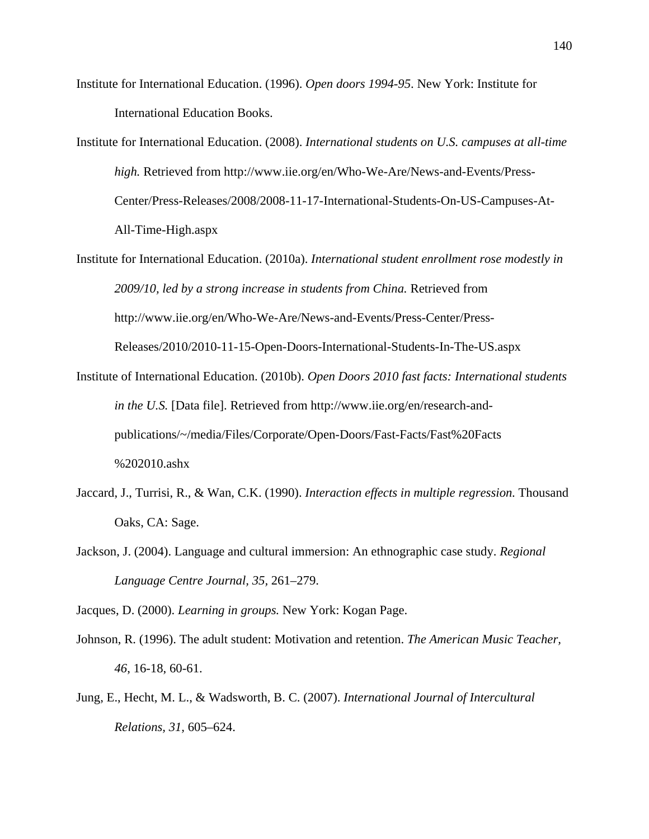- Institute for International Education. (1996). *Open doors 1994-95*. New York: Institute for International Education Books.
- Institute for International Education. (2008). *International students on U.S. campuses at all-time high.* Retrieved from http://www.iie.org/en/Who-We-Are/News-and-Events/Press-Center/Press-Releases/2008/2008-11-17-International-Students-On-US-Campuses-At-All-Time-High.aspx
- Institute for International Education. (2010a). *International student enrollment rose modestly in 2009/10, led by a strong increase in students from China.* Retrieved from http://www.iie.org/en/Who-We-Are/News-and-Events/Press-Center/Press-Releases/2010/2010-11-15-Open-Doors-International-Students-In-The-US.aspx
- Institute of International Education. (2010b). *Open Doors 2010 fast facts: International students in the U.S.* [Data file]. Retrieved from http://www.iie.org/en/research-andpublications/~/media/Files/Corporate/Open-Doors/Fast-Facts/Fast%20Facts %202010.ashx
- Jaccard, J., Turrisi, R., & Wan, C.K. (1990). *Interaction effects in multiple regression*. Thousand Oaks, CA: Sage.
- Jackson, J. (2004). Language and cultural immersion: An ethnographic case study. *Regional Language Centre Journal, 35,* 261–279.

Jacques, D. (2000). *Learning in groups.* New York: Kogan Page.

- Johnson, R. (1996). The adult student: Motivation and retention. *The American Music Teacher, 46*, 16-18, 60-61.
- Jung, E., Hecht, M. L., & Wadsworth, B. C. (2007). *International Journal of Intercultural Relations, 31,* 605–624.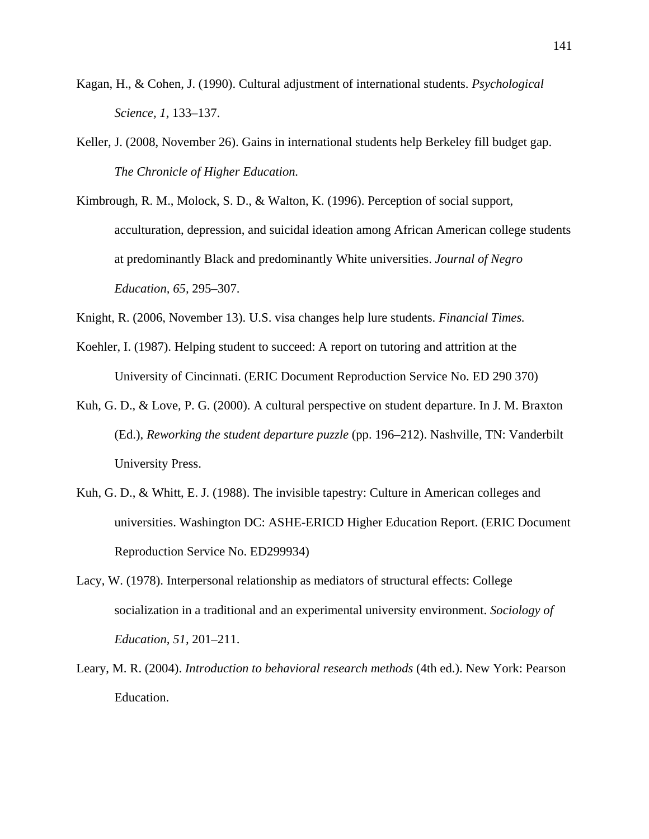- Kagan, H., & Cohen, J. (1990). Cultural adjustment of international students. *Psychological Science, 1,* 133–137.
- Keller, J. (2008, November 26). Gains in international students help Berkeley fill budget gap. *The Chronicle of Higher Education.*
- Kimbrough, R. M., Molock, S. D., & Walton, K. (1996). Perception of social support, acculturation, depression, and suicidal ideation among African American college students at predominantly Black and predominantly White universities. *Journal of Negro Education, 65,* 295–307.
- Knight, R. (2006, November 13). U.S. visa changes help lure students. *Financial Times.*
- Koehler, I. (1987). Helping student to succeed: A report on tutoring and attrition at the University of Cincinnati. (ERIC Document Reproduction Service No. ED 290 370)
- Kuh, G. D., & Love, P. G. (2000). A cultural perspective on student departure. In J. M. Braxton (Ed.), *Reworking the student departure puzzle* (pp. 196–212). Nashville, TN: Vanderbilt University Press.
- Kuh, G. D., & Whitt, E. J. (1988). The invisible tapestry: Culture in American colleges and universities. Washington DC: ASHE-ERICD Higher Education Report. (ERIC Document Reproduction Service No. ED299934)
- Lacy, W. (1978). Interpersonal relationship as mediators of structural effects: College socialization in a traditional and an experimental university environment. *Sociology of Education, 51,* 201–211.
- Leary, M. R. (2004). *Introduction to behavioral research methods* (4th ed.). New York: Pearson Education.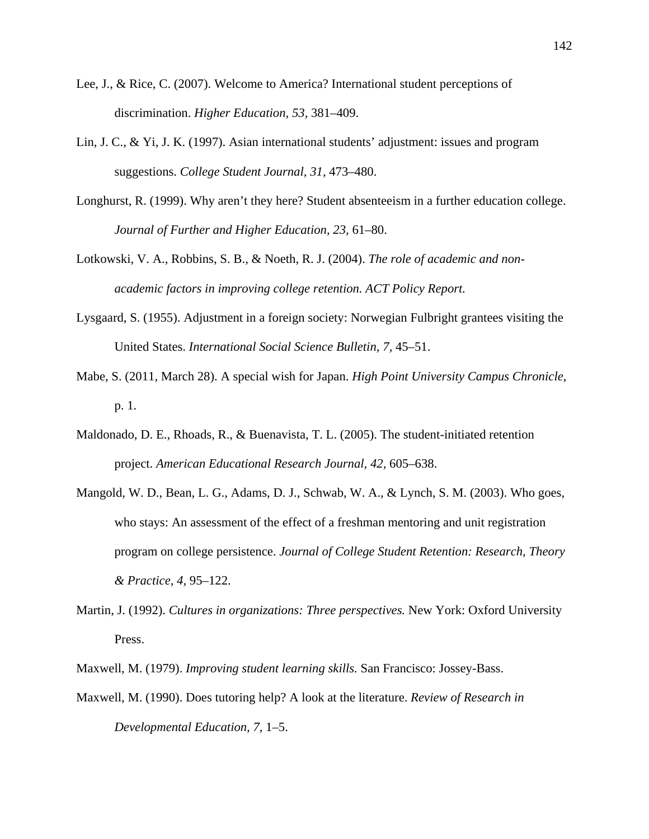- Lee, J., & Rice, C. (2007). Welcome to America? International student perceptions of discrimination. *Higher Education, 53,* 381–409.
- Lin, J. C., & Yi, J. K. (1997). Asian international students' adjustment: issues and program suggestions. *College Student Journal, 31,* 473–480.
- Longhurst, R. (1999). Why aren't they here? Student absenteeism in a further education college. *Journal of Further and Higher Education, 23,* 61–80.
- Lotkowski, V. A., Robbins, S. B., & Noeth, R. J. (2004). *The role of academic and nonacademic factors in improving college retention. ACT Policy Report.*
- Lysgaard, S. (1955). Adjustment in a foreign society: Norwegian Fulbright grantees visiting the United States. *International Social Science Bulletin, 7,* 45–51.
- Mabe, S. (2011, March 28). A special wish for Japan. *High Point University Campus Chronicle*, p. 1.
- Maldonado, D. E., Rhoads, R., & Buenavista, T. L. (2005). The student-initiated retention project. *American Educational Research Journal, 42,* 605–638.
- Mangold, W. D., Bean, L. G., Adams, D. J., Schwab, W. A., & Lynch, S. M. (2003). Who goes, who stays: An assessment of the effect of a freshman mentoring and unit registration program on college persistence. *Journal of College Student Retention: Research, Theory & Practice, 4,* 95–122.
- Martin, J. (1992). *Cultures in organizations: Three perspectives.* New York: Oxford University Press.
- Maxwell, M. (1979). *Improving student learning skills.* San Francisco: Jossey-Bass.
- Maxwell, M. (1990). Does tutoring help? A look at the literature. *Review of Research in Developmental Education, 7,* 1–5.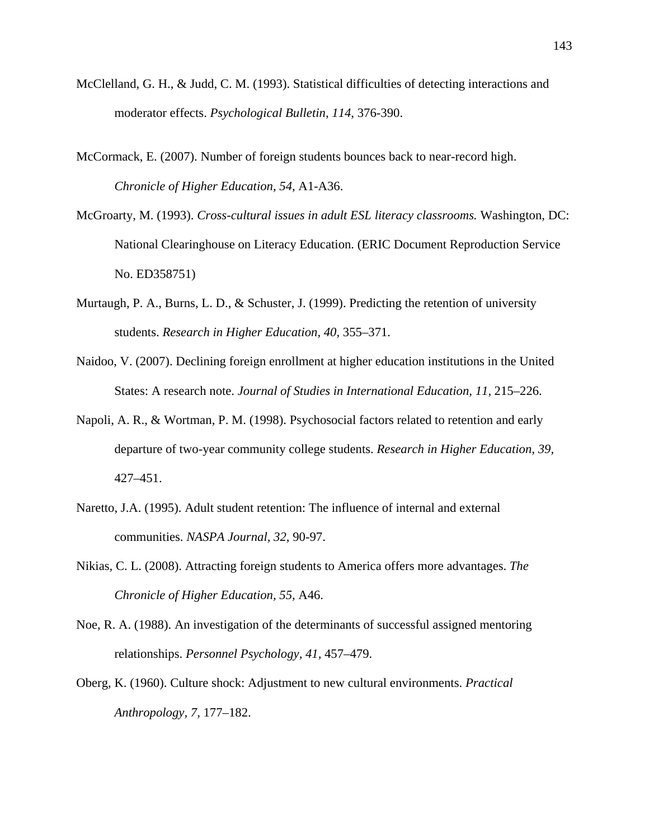- McClelland, G. H., & Judd, C. M. (1993). Statistical difficulties of detecting interactions and moderator effects. *Psychological Bulletin, 114*, 376-390.
- McCormack, E. (2007). Number of foreign students bounces back to near-record high. *Chronicle of Higher Education, 54,* A1-A36.
- McGroarty, M. (1993). *Cross-cultural issues in adult ESL literacy classrooms.* Washington, DC: National Clearinghouse on Literacy Education. (ERIC Document Reproduction Service No. ED358751)
- Murtaugh, P. A., Burns, L. D., & Schuster, J. (1999). Predicting the retention of university students. *Research in Higher Education, 40,* 355–371.
- Naidoo, V. (2007). Declining foreign enrollment at higher education institutions in the United States: A research note. *Journal of Studies in International Education, 11,* 215–226.
- Napoli, A. R., & Wortman, P. M. (1998). Psychosocial factors related to retention and early departure of two-year community college students. *Research in Higher Education, 39,*  427–451.
- Naretto, J.A. (1995). Adult student retention: The influence of internal and external communities. *NASPA Journal, 32*, 90-97.
- Nikias, C. L. (2008). Attracting foreign students to America offers more advantages. *The Chronicle of Higher Education, 55,* A46.
- Noe, R. A. (1988). An investigation of the determinants of successful assigned mentoring relationships. *Personnel Psychology, 41,* 457–479.
- Oberg, K. (1960). Culture shock: Adjustment to new cultural environments. *Practical Anthropology, 7,* 177–182.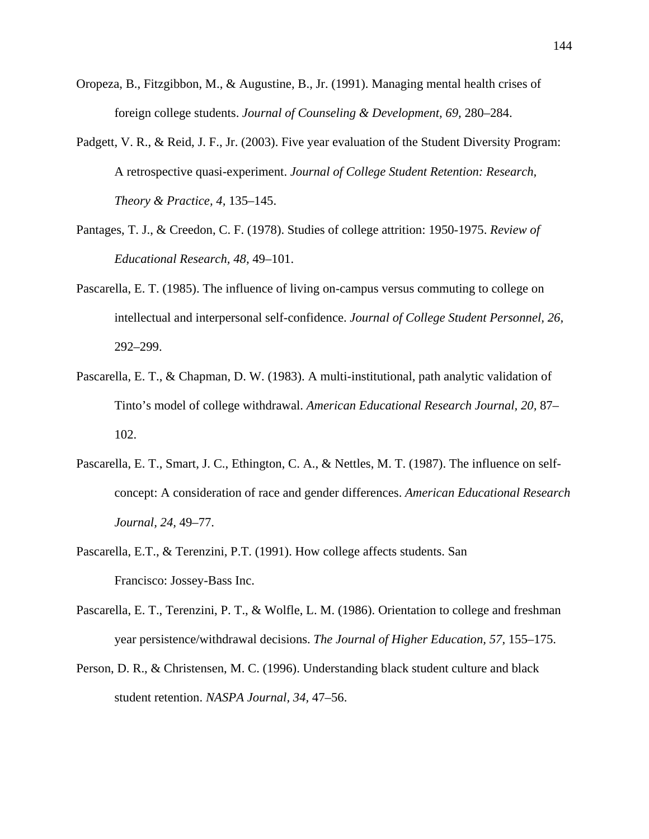- Oropeza, B., Fitzgibbon, M., & Augustine, B., Jr. (1991). Managing mental health crises of foreign college students. *Journal of Counseling & Development, 69,* 280–284.
- Padgett, V. R., & Reid, J. F., Jr. (2003). Five year evaluation of the Student Diversity Program: A retrospective quasi-experiment. *Journal of College Student Retention: Research, Theory & Practice, 4,* 135–145.
- Pantages, T. J., & Creedon, C. F. (1978). Studies of college attrition: 1950-1975. *Review of Educational Research, 48,* 49–101.
- Pascarella, E. T. (1985). The influence of living on-campus versus commuting to college on intellectual and interpersonal self-confidence. *Journal of College Student Personnel, 26,* 292–299.
- Pascarella, E. T., & Chapman, D. W. (1983). A multi-institutional, path analytic validation of Tinto's model of college withdrawal. *American Educational Research Journal, 20,* 87– 102.
- Pascarella, E. T., Smart, J. C., Ethington, C. A., & Nettles, M. T. (1987). The influence on selfconcept: A consideration of race and gender differences. *American Educational Research Journal, 24,* 49–77.
- Pascarella, E.T., & Terenzini, P.T. (1991). How college affects students. San Francisco: Jossey-Bass Inc.
- Pascarella, E. T., Terenzini, P. T., & Wolfle, L. M. (1986). Orientation to college and freshman year persistence/withdrawal decisions. *The Journal of Higher Education, 57,* 155–175.
- Person, D. R., & Christensen, M. C. (1996). Understanding black student culture and black student retention. *NASPA Journal, 34,* 47–56.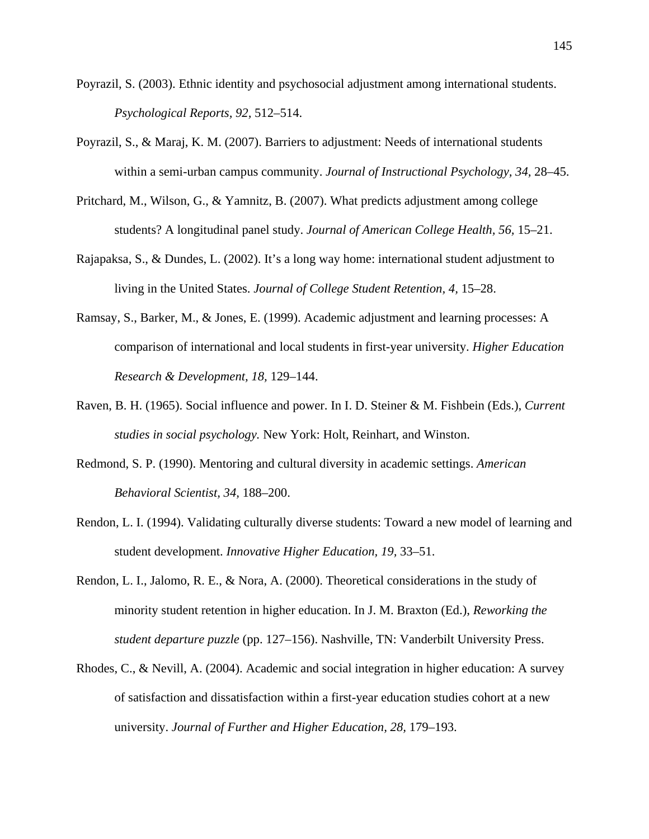- Poyrazil, S. (2003). Ethnic identity and psychosocial adjustment among international students. *Psychological Reports, 92,* 512–514.
- Poyrazil, S., & Maraj, K. M. (2007). Barriers to adjustment: Needs of international students within a semi-urban campus community. *Journal of Instructional Psychology, 34,* 28–45.
- Pritchard, M., Wilson, G., & Yamnitz, B. (2007). What predicts adjustment among college students? A longitudinal panel study. *Journal of American College Health, 56,* 15–21.
- Rajapaksa, S., & Dundes, L. (2002). It's a long way home: international student adjustment to living in the United States. *Journal of College Student Retention, 4,* 15–28.
- Ramsay, S., Barker, M., & Jones, E. (1999). Academic adjustment and learning processes: A comparison of international and local students in first-year university. *Higher Education Research & Development, 18,* 129–144.
- Raven, B. H. (1965). Social influence and power. In I. D. Steiner & M. Fishbein (Eds.), *Current studies in social psychology.* New York: Holt, Reinhart, and Winston.
- Redmond, S. P. (1990). Mentoring and cultural diversity in academic settings. *American Behavioral Scientist, 34,* 188–200.
- Rendon, L. I. (1994). Validating culturally diverse students: Toward a new model of learning and student development. *Innovative Higher Education, 19,* 33–51.
- Rendon, L. I., Jalomo, R. E., & Nora, A. (2000). Theoretical considerations in the study of minority student retention in higher education. In J. M. Braxton (Ed.), *Reworking the student departure puzzle* (pp. 127–156). Nashville, TN: Vanderbilt University Press.
- Rhodes, C., & Nevill, A. (2004). Academic and social integration in higher education: A survey of satisfaction and dissatisfaction within a first-year education studies cohort at a new university. *Journal of Further and Higher Education, 28,* 179–193.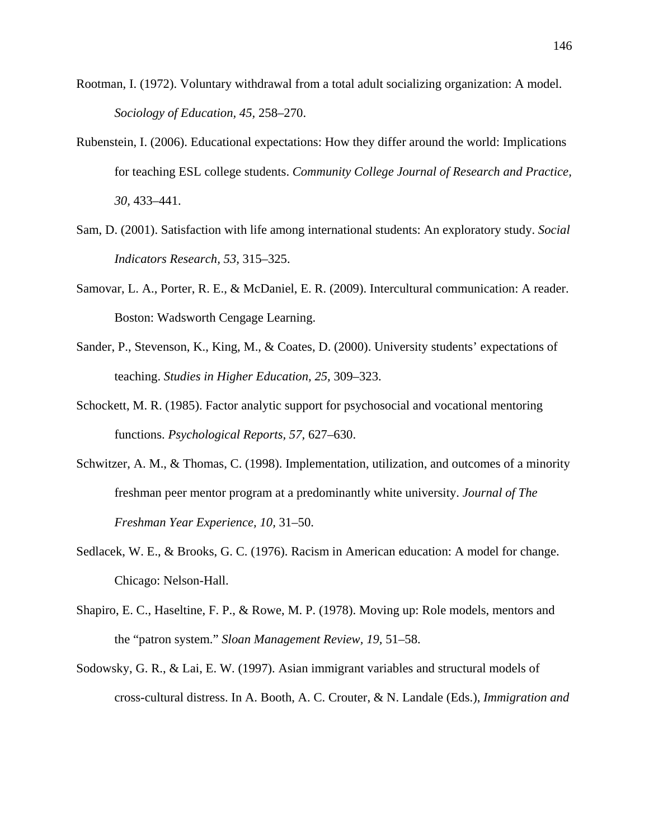- Rootman, I. (1972). Voluntary withdrawal from a total adult socializing organization: A model. *Sociology of Education, 45,* 258–270.
- Rubenstein, I. (2006). Educational expectations: How they differ around the world: Implications for teaching ESL college students. *Community College Journal of Research and Practice, 30,* 433–441.
- Sam, D. (2001). Satisfaction with life among international students: An exploratory study. *Social Indicators Research, 53,* 315–325.
- Samovar, L. A., Porter, R. E., & McDaniel, E. R. (2009). Intercultural communication: A reader. Boston: Wadsworth Cengage Learning.
- Sander, P., Stevenson, K., King, M., & Coates, D. (2000). University students' expectations of teaching. *Studies in Higher Education, 25,* 309–323.
- Schockett, M. R. (1985). Factor analytic support for psychosocial and vocational mentoring functions. *Psychological Reports, 57,* 627–630.
- Schwitzer, A. M., & Thomas, C. (1998). Implementation, utilization, and outcomes of a minority freshman peer mentor program at a predominantly white university. *Journal of The Freshman Year Experience, 10,* 31–50.
- Sedlacek, W. E., & Brooks, G. C. (1976). Racism in American education: A model for change. Chicago: Nelson-Hall.
- Shapiro, E. C., Haseltine, F. P., & Rowe, M. P. (1978). Moving up: Role models, mentors and the "patron system." *Sloan Management Review, 19,* 51–58.
- Sodowsky, G. R., & Lai, E. W. (1997). Asian immigrant variables and structural models of cross-cultural distress. In A. Booth, A. C. Crouter, & N. Landale (Eds.), *Immigration and*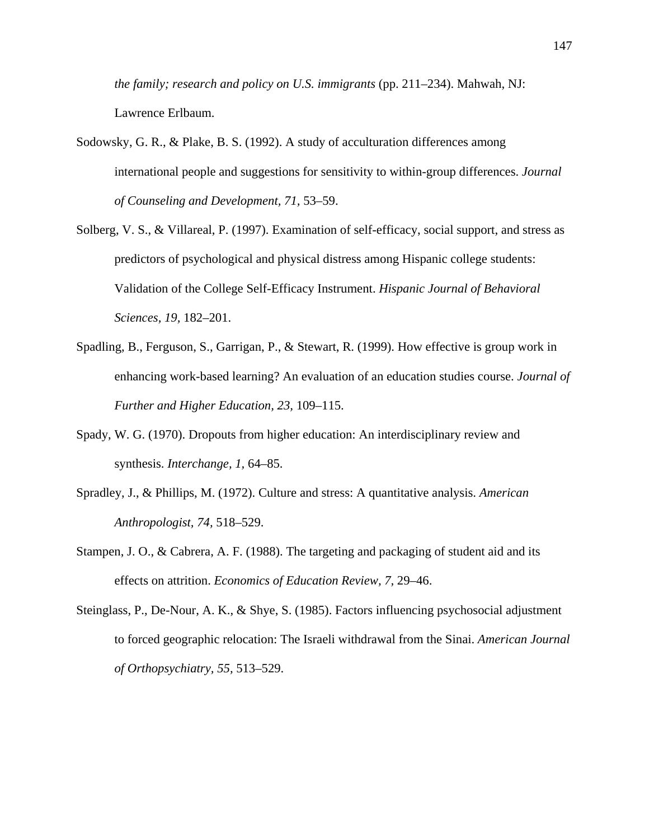*the family; research and policy on U.S. immigrants* (pp. 211–234). Mahwah, NJ: Lawrence Erlbaum.

- Sodowsky, G. R., & Plake, B. S. (1992). A study of acculturation differences among international people and suggestions for sensitivity to within-group differences. *Journal of Counseling and Development, 71,* 53–59.
- Solberg, V. S., & Villareal, P. (1997). Examination of self-efficacy, social support, and stress as predictors of psychological and physical distress among Hispanic college students: Validation of the College Self-Efficacy Instrument. *Hispanic Journal of Behavioral Sciences, 19,* 182–201.
- Spadling, B., Ferguson, S., Garrigan, P., & Stewart, R. (1999). How effective is group work in enhancing work-based learning? An evaluation of an education studies course. *Journal of Further and Higher Education, 23,* 109–115.
- Spady, W. G. (1970). Dropouts from higher education: An interdisciplinary review and synthesis. *Interchange, 1,* 64–85.
- Spradley, J., & Phillips, M. (1972). Culture and stress: A quantitative analysis. *American Anthropologist, 74,* 518–529.
- Stampen, J. O., & Cabrera, A. F. (1988). The targeting and packaging of student aid and its effects on attrition. *Economics of Education Review, 7,* 29–46.
- Steinglass, P., De-Nour, A. K., & Shye, S. (1985). Factors influencing psychosocial adjustment to forced geographic relocation: The Israeli withdrawal from the Sinai. *American Journal of Orthopsychiatry, 55,* 513–529.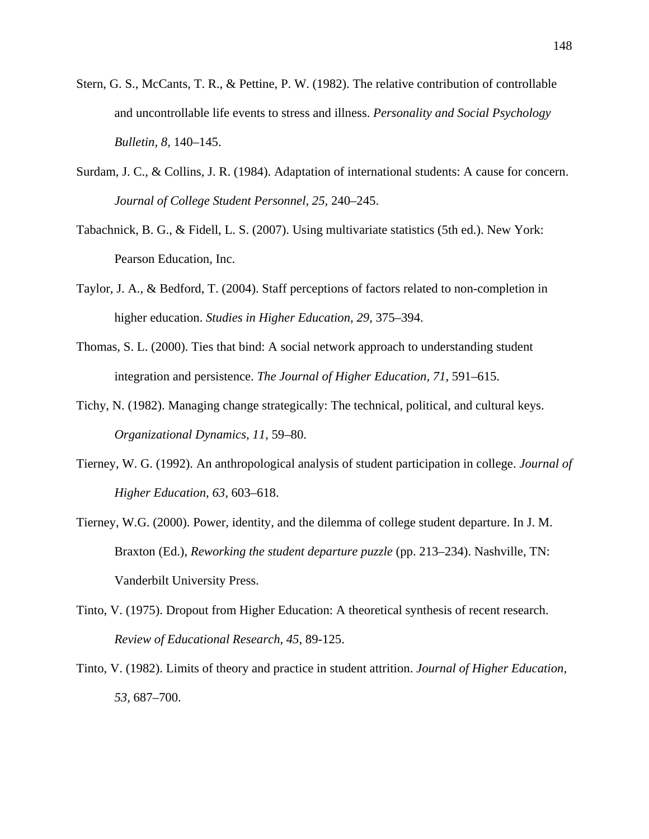- Stern, G. S., McCants, T. R., & Pettine, P. W. (1982). The relative contribution of controllable and uncontrollable life events to stress and illness. *Personality and Social Psychology Bulletin, 8,* 140–145.
- Surdam, J. C., & Collins, J. R. (1984). Adaptation of international students: A cause for concern. *Journal of College Student Personnel, 25,* 240–245.
- Tabachnick, B. G., & Fidell, L. S. (2007). Using multivariate statistics (5th ed.). New York: Pearson Education, Inc.
- Taylor, J. A., & Bedford, T. (2004). Staff perceptions of factors related to non-completion in higher education. *Studies in Higher Education, 29,* 375–394.
- Thomas, S. L. (2000). Ties that bind: A social network approach to understanding student integration and persistence. *The Journal of Higher Education, 71,* 591–615.
- Tichy, N. (1982). Managing change strategically: The technical, political, and cultural keys. *Organizational Dynamics, 11,* 59–80.
- Tierney, W. G. (1992). An anthropological analysis of student participation in college. *Journal of Higher Education, 63,* 603–618.
- Tierney, W.G. (2000). Power, identity, and the dilemma of college student departure. In J. M. Braxton (Ed.), *Reworking the student departure puzzle* (pp. 213–234). Nashville, TN: Vanderbilt University Press.
- Tinto, V. (1975). Dropout from Higher Education: A theoretical synthesis of recent research. *Review of Educational Research*, *45*, 89-125.
- Tinto, V. (1982). Limits of theory and practice in student attrition. *Journal of Higher Education, 53,* 687–700.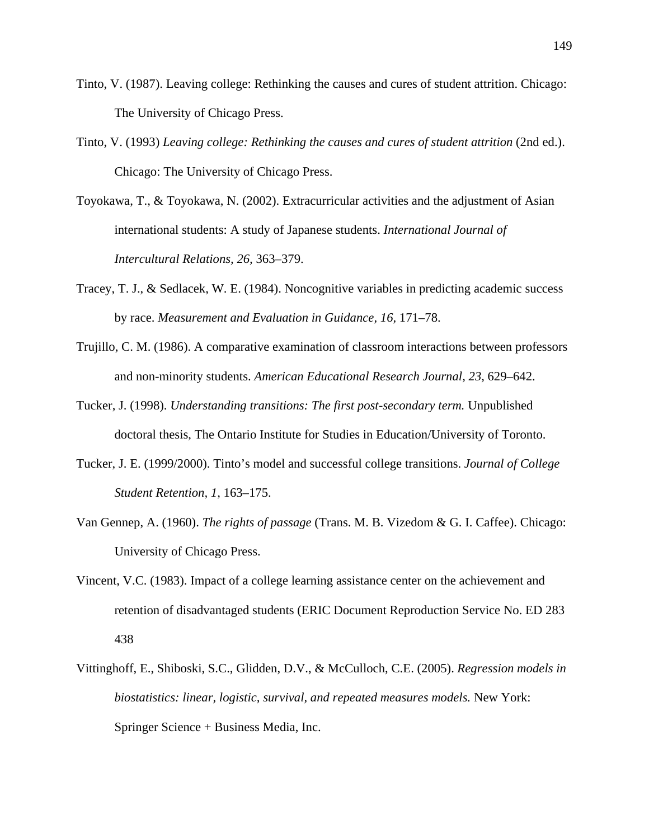- Tinto, V. (1987). Leaving college: Rethinking the causes and cures of student attrition. Chicago: The University of Chicago Press.
- Tinto, V. (1993) *Leaving college: Rethinking the causes and cures of student attrition* (2nd ed.). Chicago: The University of Chicago Press.
- Toyokawa, T., & Toyokawa, N. (2002). Extracurricular activities and the adjustment of Asian international students: A study of Japanese students. *International Journal of Intercultural Relations, 26,* 363–379.
- Tracey, T. J., & Sedlacek, W. E. (1984). Noncognitive variables in predicting academic success by race. *Measurement and Evaluation in Guidance, 16,* 171–78.
- Trujillo, C. M. (1986). A comparative examination of classroom interactions between professors and non-minority students. *American Educational Research Journal, 23,* 629–642.
- Tucker, J. (1998). *Understanding transitions: The first post-secondary term.* Unpublished doctoral thesis, The Ontario Institute for Studies in Education/University of Toronto.
- Tucker, J. E. (1999/2000). Tinto's model and successful college transitions. *Journal of College Student Retention, 1,* 163–175.
- Van Gennep, A. (1960). *The rights of passage* (Trans. M. B. Vizedom & G. I. Caffee). Chicago: University of Chicago Press.
- Vincent, V.C. (1983). Impact of a college learning assistance center on the achievement and retention of disadvantaged students (ERIC Document Reproduction Service No. ED 283 438
- Vittinghoff, E., Shiboski, S.C., Glidden, D.V., & McCulloch, C.E. (2005). *Regression models in biostatistics: linear, logistic, survival, and repeated measures models.* New York: Springer Science + Business Media, Inc.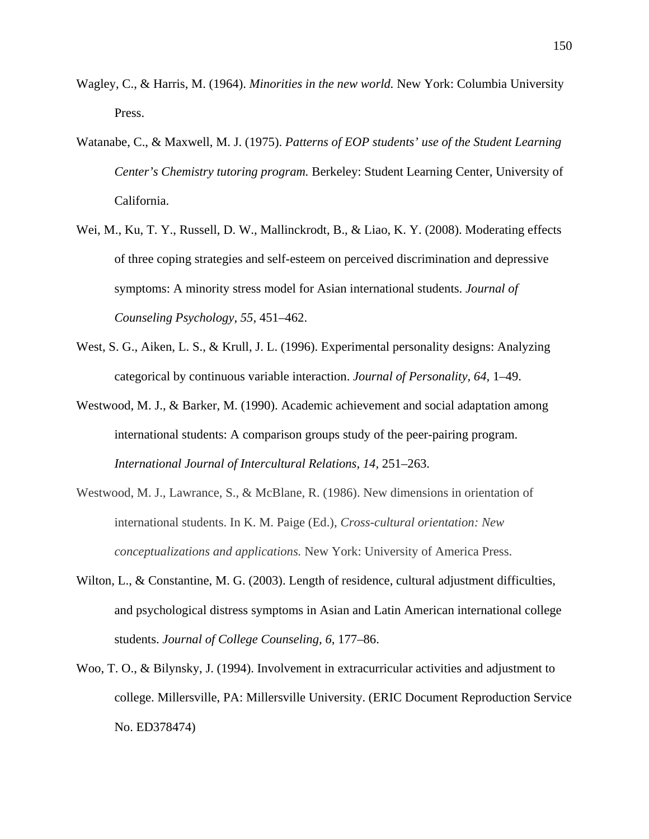- Wagley, C., & Harris, M. (1964). *Minorities in the new world.* New York: Columbia University Press.
- Watanabe, C., & Maxwell, M. J. (1975). *Patterns of EOP students' use of the Student Learning Center's Chemistry tutoring program.* Berkeley: Student Learning Center, University of California.
- Wei, M., Ku, T. Y., Russell, D. W., Mallinckrodt, B., & Liao, K. Y. (2008). Moderating effects of three coping strategies and self-esteem on perceived discrimination and depressive symptoms: A minority stress model for Asian international students. *Journal of Counseling Psychology, 55,* 451–462.
- West, S. G., Aiken, L. S., & Krull, J. L. (1996). Experimental personality designs: Analyzing categorical by continuous variable interaction. *Journal of Personality, 64,* 1–49.
- Westwood, M. J., & Barker, M. (1990). Academic achievement and social adaptation among international students: A comparison groups study of the peer-pairing program. *International Journal of Intercultural Relations, 14,* 251–263.
- Westwood, M. J., Lawrance, S., & McBlane, R. (1986). New dimensions in orientation of international students. In K. M. Paige (Ed.), *Cross-cultural orientation: New conceptualizations and applications.* New York: University of America Press.
- Wilton, L., & Constantine, M. G. (2003). Length of residence, cultural adjustment difficulties, and psychological distress symptoms in Asian and Latin American international college students. *Journal of College Counseling, 6,* 177–86.
- Woo, T. O., & Bilynsky, J. (1994). Involvement in extracurricular activities and adjustment to college. Millersville, PA: Millersville University. (ERIC Document Reproduction Service No. ED378474)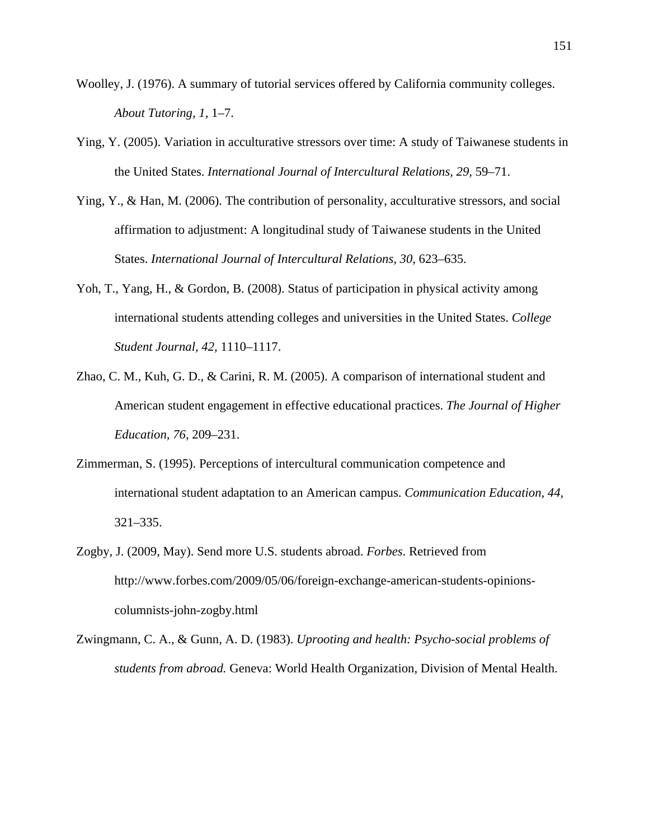- Woolley, J. (1976). A summary of tutorial services offered by California community colleges. *About Tutoring, 1*, 1–7.
- Ying, Y. (2005). Variation in acculturative stressors over time: A study of Taiwanese students in the United States. *International Journal of Intercultural Relations, 29,* 59–71.
- Ying, Y., & Han, M. (2006). The contribution of personality, acculturative stressors, and social affirmation to adjustment: A longitudinal study of Taiwanese students in the United States. *International Journal of Intercultural Relations, 30,* 623–635.
- Yoh, T., Yang, H., & Gordon, B. (2008). Status of participation in physical activity among international students attending colleges and universities in the United States. *College Student Journal, 42,* 1110–1117.
- Zhao, C. M., Kuh, G. D., & Carini, R. M. (2005). A comparison of international student and American student engagement in effective educational practices. *The Journal of Higher Education, 76,* 209–231.
- Zimmerman, S. (1995). Perceptions of intercultural communication competence and international student adaptation to an American campus. *Communication Education, 44,* 321–335.
- Zogby, J. (2009, May). Send more U.S. students abroad. *Forbes*. Retrieved from http://www.forbes.com/2009/05/06/foreign-exchange-american-students-opinionscolumnists-john-zogby.html
- Zwingmann, C. A., & Gunn, A. D. (1983). *Uprooting and health: Psycho-social problems of students from abroad.* Geneva: World Health Organization, Division of Mental Health.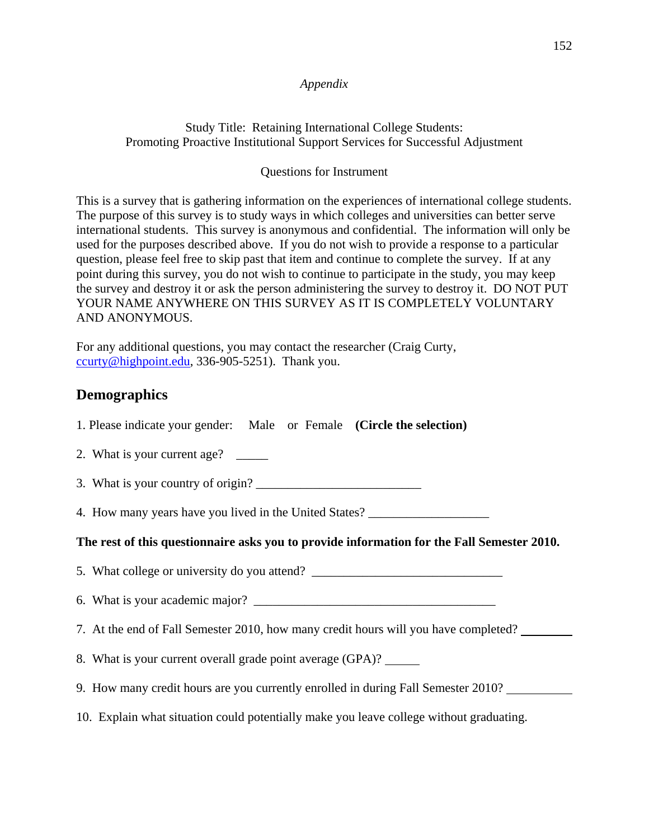#### *Appendix*

Study Title: Retaining International College Students: Promoting Proactive Institutional Support Services for Successful Adjustment

#### Questions for Instrument

This is a survey that is gathering information on the experiences of international college students. The purpose of this survey is to study ways in which colleges and universities can better serve international students. This survey is anonymous and confidential. The information will only be used for the purposes described above. If you do not wish to provide a response to a particular question, please feel free to skip past that item and continue to complete the survey. If at any point during this survey, you do not wish to continue to participate in the study, you may keep the survey and destroy it or ask the person administering the survey to destroy it. DO NOT PUT YOUR NAME ANYWHERE ON THIS SURVEY AS IT IS COMPLETELY VOLUNTARY AND ANONYMOUS.

For any additional questions, you may contact the researcher (Craig Curty, ccurty@highpoint.edu, 336-905-5251). Thank you.

## **Demographics**

| 1. Please indicate your gender: Male or Female (Circle the selection) |  |  |
|-----------------------------------------------------------------------|--|--|
|-----------------------------------------------------------------------|--|--|

- 2. What is your current age? \_\_\_\_\_\_
- 3. What is your country of origin?

4. How many years have you lived in the United States?

### **The rest of this questionnaire asks you to provide information for the Fall Semester 2010.**

- 5. What college or university do you attend? \_\_\_\_\_\_\_\_\_\_\_\_\_\_\_\_\_\_\_\_\_\_\_\_\_\_\_\_\_\_\_\_\_\_\_
- 6. What is your academic major? \_\_\_\_\_\_\_\_\_\_\_\_\_\_\_\_\_\_\_\_\_\_\_\_\_\_\_\_\_\_\_\_\_\_\_\_\_\_
- 7. At the end of Fall Semester 2010, how many credit hours will you have completed?
- 8. What is your current overall grade point average (GPA)?
- 9. How many credit hours are you currently enrolled in during Fall Semester 2010?
- 10. Explain what situation could potentially make you leave college without graduating.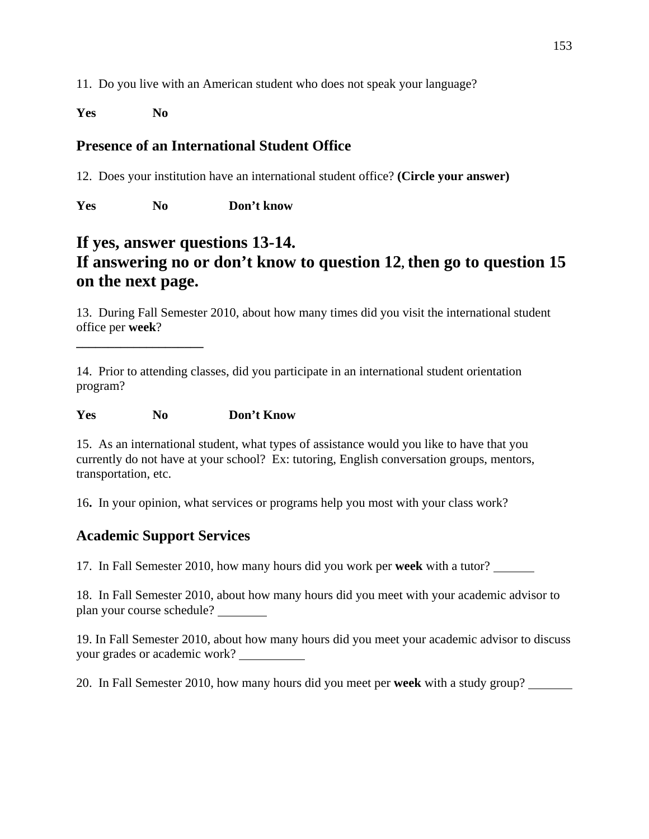11. Do you live with an American student who does not speak your language?

**Yes No** 

# **Presence of an International Student Office**

12. Does your institution have an international student office? **(Circle your answer)**

**Yes No Don't know** 

# **If yes, answer questions 13-14. If answering no or don't know to question 12, then go to question 15 on the next page.**

13. During Fall Semester 2010, about how many times did you visit the international student office per **week**?

14. Prior to attending classes, did you participate in an international student orientation program?

**Yes No Don't Know** 

**\_\_\_\_\_\_\_\_\_\_\_\_\_\_\_\_\_\_\_\_** 

15. As an international student, what types of assistance would you like to have that you currently do not have at your school? Ex: tutoring, English conversation groups, mentors, transportation, etc.

16**.** In your opinion, what services or programs help you most with your class work?

# **Academic Support Services**

17. In Fall Semester 2010, how many hours did you work per **week** with a tutor?

18. In Fall Semester 2010, about how many hours did you meet with your academic advisor to plan your course schedule?

19. In Fall Semester 2010, about how many hours did you meet your academic advisor to discuss your grades or academic work?

20. In Fall Semester 2010, how many hours did you meet per **week** with a study group?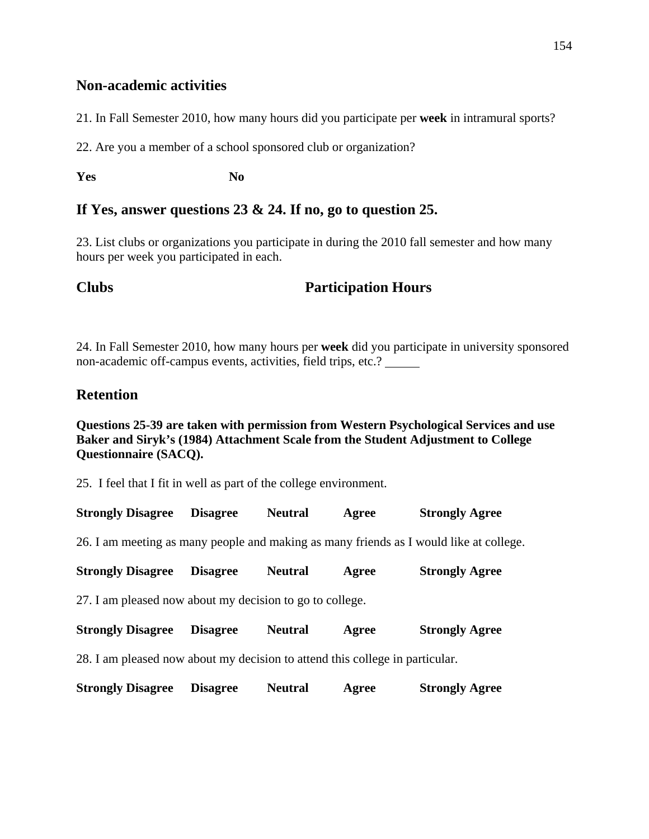#### **Non-academic activities**

21. In Fall Semester 2010, how many hours did you participate per **week** in intramural sports?

22. Are you a member of a school sponsored club or organization?

**Yes** No

### **If Yes, answer questions 23 & 24. If no, go to question 25.**

23. List clubs or organizations you participate in during the 2010 fall semester and how many hours per week you participated in each.

# **Clubs Participation Hours**

24. In Fall Semester 2010, how many hours per **week** did you participate in university sponsored non-academic off-campus events, activities, field trips, etc.?

# **Retention**

#### **Questions 25-39 are taken with permission from Western Psychological Services and use Baker and Siryk's (1984) Attachment Scale from the Student Adjustment to College Questionnaire (SACQ).**

25. I feel that I fit in well as part of the college environment.

| <b>Strongly Disagree</b>                                                               | <b>Disagree</b> | <b>Neutral</b> | Agree | <b>Strongly Agree</b> |  |  |  |
|----------------------------------------------------------------------------------------|-----------------|----------------|-------|-----------------------|--|--|--|
| 26. I am meeting as many people and making as many friends as I would like at college. |                 |                |       |                       |  |  |  |
| <b>Strongly Disagree</b>                                                               | <b>Disagree</b> | <b>Neutral</b> | Agree | <b>Strongly Agree</b> |  |  |  |
| 27. I am pleased now about my decision to go to college.                               |                 |                |       |                       |  |  |  |
| <b>Strongly Disagree</b>                                                               | <b>Disagree</b> | <b>Neutral</b> | Agree | <b>Strongly Agree</b> |  |  |  |
| 28. I am pleased now about my decision to attend this college in particular.           |                 |                |       |                       |  |  |  |
| <b>Strongly Disagree</b>                                                               | <b>Disagree</b> | <b>Neutral</b> | Agree | <b>Strongly Agree</b> |  |  |  |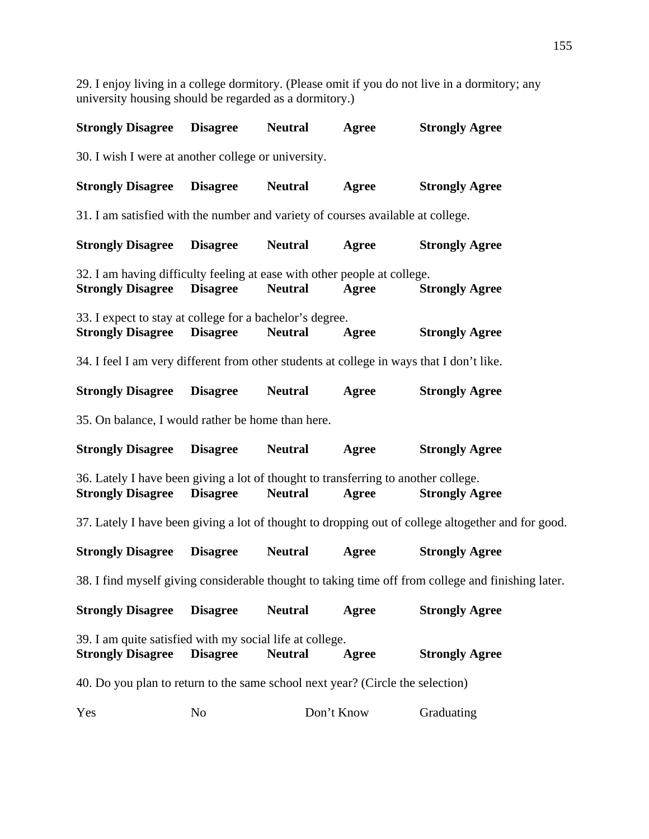**Strongly Disagree Disagree Neutral Agree Strongly Agree**  30. I wish I were at another college or university. **Strongly Disagree Disagree Neutral Agree Strongly Agree**  31. I am satisfied with the number and variety of courses available at college. **Strongly Disagree Disagree Neutral Agree Strongly Agree**  32. I am having difficulty feeling at ease with other people at college. **Strongly Disagree Disagree Neutral Agree Strongly Agree**  33. I expect to stay at college for a bachelor's degree. **Strongly Disagree Disagree Neutral Agree Strongly Agree**  34. I feel I am very different from other students at college in ways that I don't like. **Strongly Disagree Disagree Neutral Agree Strongly Agree**  35. On balance, I would rather be home than here. **Strongly Disagree Disagree Neutral Agree Strongly Agree**  36. Lately I have been giving a lot of thought to transferring to another college. **Strongly Disagree Disagree Neutral Agree Strongly Agree**  37. Lately I have been giving a lot of thought to dropping out of college altogether and for good. **Strongly Disagree Disagree Neutral Agree Strongly Agree**  38. I find myself giving considerable thought to taking time off from college and finishing later. **Strongly Disagree Disagree Neutral Agree Strongly Agree**  39. I am quite satisfied with my social life at college. **Strongly Disagree Disagree Neutral Agree Strongly Agree**  40. Do you plan to return to the same school next year? (Circle the selection) Yes No Don't Know Graduating

29. I enjoy living in a college dormitory. (Please omit if you do not live in a dormitory; any

university housing should be regarded as a dormitory.)